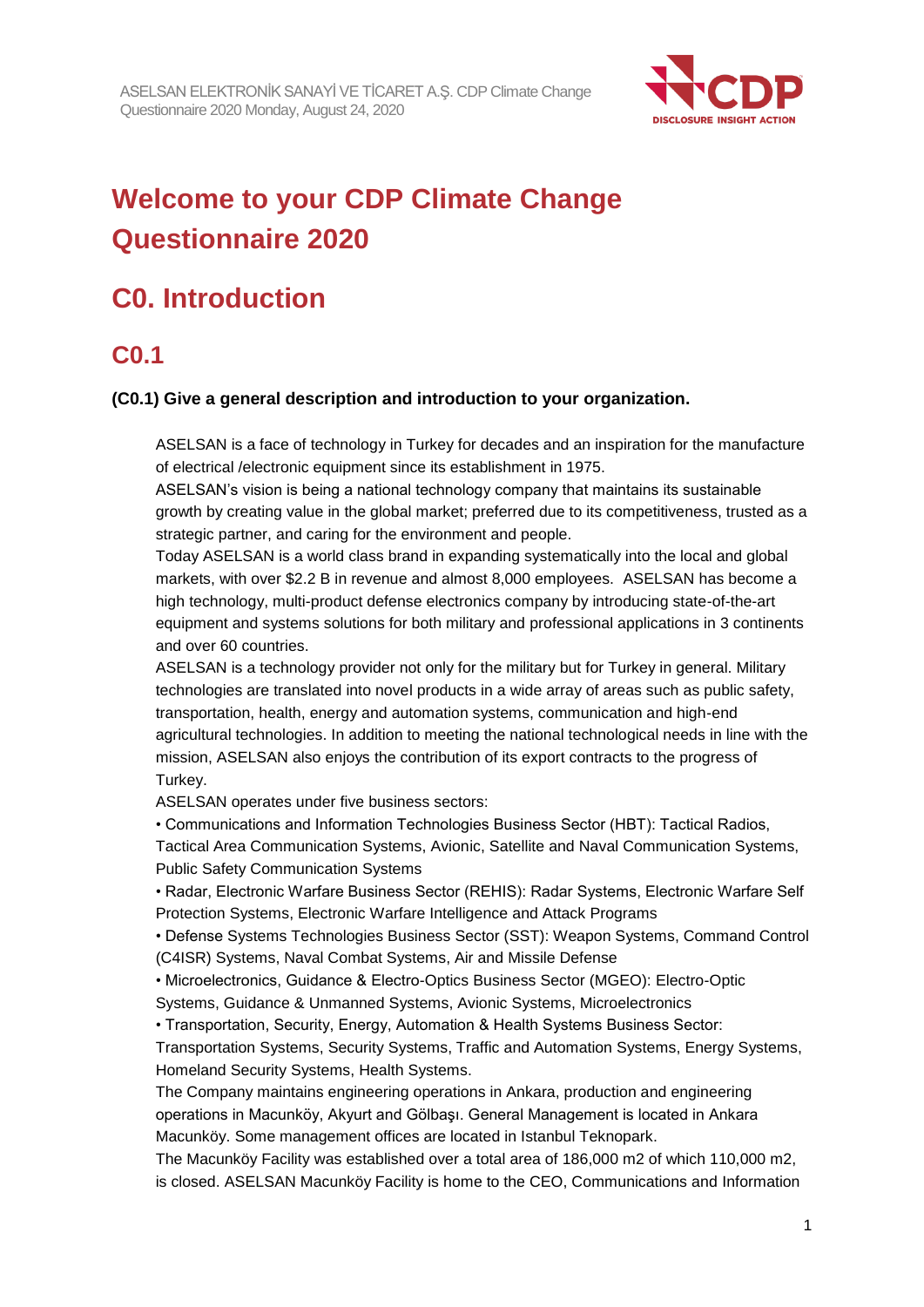

# **Welcome to your CDP Climate Change Questionnaire 2020**

# **C0. Introduction**

# **C0.1**

## **(C0.1) Give a general description and introduction to your organization.**

ASELSAN is a face of technology in Turkey for decades and an inspiration for the manufacture of electrical /electronic equipment since its establishment in 1975.

ASELSAN's vision is being a national technology company that maintains its sustainable growth by creating value in the global market; preferred due to its competitiveness, trusted as a strategic partner, and caring for the environment and people.

Today ASELSAN is a world class brand in expanding systematically into the local and global markets, with over \$2.2 B in revenue and almost 8,000 employees. ASELSAN has become a high technology, multi-product defense electronics company by introducing state-of-the-art equipment and systems solutions for both military and professional applications in 3 continents and over 60 countries.

ASELSAN is a technology provider not only for the military but for Turkey in general. Military technologies are translated into novel products in a wide array of areas such as public safety, transportation, health, energy and automation systems, communication and high-end agricultural technologies. In addition to meeting the national technological needs in line with the mission, ASELSAN also enjoys the contribution of its export contracts to the progress of Turkey.

ASELSAN operates under five business sectors:

• Communications and Information Technologies Business Sector (HBT): Tactical Radios,

Tactical Area Communication Systems, Avionic, Satellite and Naval Communication Systems, Public Safety Communication Systems

• Radar, Electronic Warfare Business Sector (REHIS): Radar Systems, Electronic Warfare Self Protection Systems, Electronic Warfare Intelligence and Attack Programs

• Defense Systems Technologies Business Sector (SST): Weapon Systems, Command Control (C4ISR) Systems, Naval Combat Systems, Air and Missile Defense

• Microelectronics, Guidance & Electro-Optics Business Sector (MGEO): Electro-Optic

Systems, Guidance & Unmanned Systems, Avionic Systems, Microelectronics

• Transportation, Security, Energy, Automation & Health Systems Business Sector:

Transportation Systems, Security Systems, Traffic and Automation Systems, Energy Systems, Homeland Security Systems, Health Systems.

The Company maintains engineering operations in Ankara, production and engineering operations in Macunköy, Akyurt and Gölbaşı. General Management is located in Ankara Macunköy. Some management offices are located in Istanbul Teknopark.

The Macunköy Facility was established over a total area of 186,000 m2 of which 110,000 m2, is closed. ASELSAN Macunköy Facility is home to the CEO, Communications and Information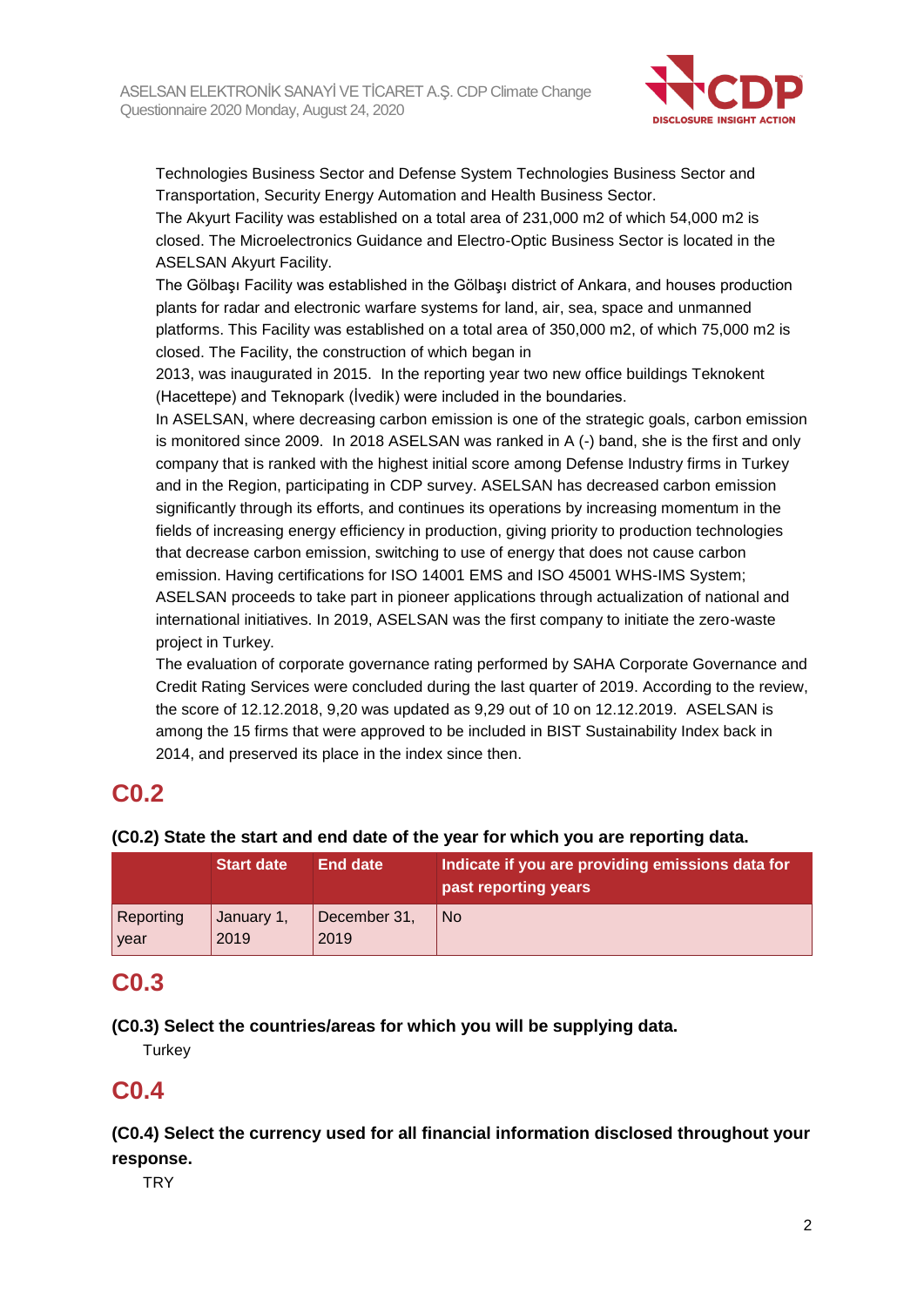

Technologies Business Sector and Defense System Technologies Business Sector and Transportation, Security Energy Automation and Health Business Sector.

The Akyurt Facility was established on a total area of 231,000 m2 of which 54,000 m2 is closed. The Microelectronics Guidance and Electro-Optic Business Sector is located in the ASELSAN Akyurt Facility.

The Gölbaşı Facility was established in the Gölbaşı district of Ankara, and houses production plants for radar and electronic warfare systems for land, air, sea, space and unmanned platforms. This Facility was established on a total area of 350,000 m2, of which 75,000 m2 is closed. The Facility, the construction of which began in

2013, was inaugurated in 2015. In the reporting year two new office buildings Teknokent (Hacettepe) and Teknopark (İvedik) were included in the boundaries.

In ASELSAN, where decreasing carbon emission is one of the strategic goals, carbon emission is monitored since 2009. In 2018 ASELSAN was ranked in A (-) band, she is the first and only company that is ranked with the highest initial score among Defense Industry firms in Turkey and in the Region, participating in CDP survey. ASELSAN has decreased carbon emission significantly through its efforts, and continues its operations by increasing momentum in the fields of increasing energy efficiency in production, giving priority to production technologies that decrease carbon emission, switching to use of energy that does not cause carbon emission. Having certifications for ISO 14001 EMS and ISO 45001 WHS-IMS System; ASELSAN proceeds to take part in pioneer applications through actualization of national and international initiatives. In 2019, ASELSAN was the first company to initiate the zero-waste project in Turkey.

The evaluation of corporate governance rating performed by SAHA Corporate Governance and Credit Rating Services were concluded during the last quarter of 2019. According to the review, the score of 12.12.2018, 9,20 was updated as 9,29 out of 10 on 12.12.2019. ASELSAN is among the 15 firms that were approved to be included in BIST Sustainability Index back in 2014, and preserved its place in the index since then.

# **C0.2**

## **(C0.2) State the start and end date of the year for which you are reporting data.**

|           | <b>Start date</b> | End date     | Indicate if you are providing emissions data for<br>past reporting years |
|-----------|-------------------|--------------|--------------------------------------------------------------------------|
| Reporting | January 1,        | December 31, | <b>No</b>                                                                |
| year      | 2019              | 2019         |                                                                          |

## **C0.3**

## **(C0.3) Select the countries/areas for which you will be supplying data.**

**Turkey** 

# **C0.4**

**(C0.4) Select the currency used for all financial information disclosed throughout your response.**

**TRY**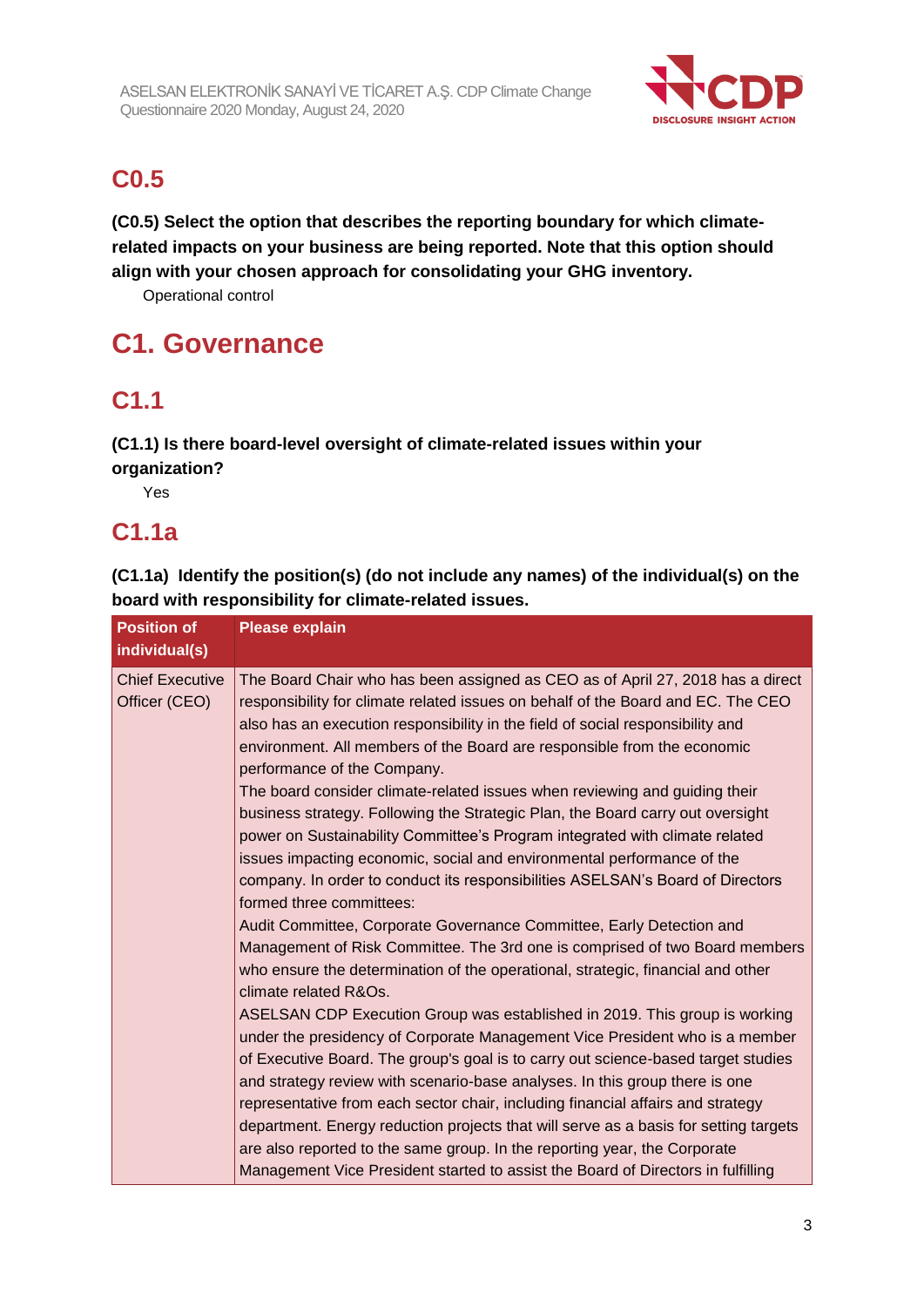

# **C0.5**

**(C0.5) Select the option that describes the reporting boundary for which climaterelated impacts on your business are being reported. Note that this option should align with your chosen approach for consolidating your GHG inventory.**

Operational control

# **C1. Governance**

# **C1.1**

**(C1.1) Is there board-level oversight of climate-related issues within your organization?**

Yes

## **C1.1a**

**(C1.1a) Identify the position(s) (do not include any names) of the individual(s) on the board with responsibility for climate-related issues.**

| <b>Position of</b><br>individual(s)     | <b>Please explain</b>                                                                                                                                                                                                                                                                                                                                                                                                                                                                                                                                                                                                                                                                                                                                                                                                                                                                                                                                                                                                                                                                                                                                                                                                                                                                                                                                                                                                                                                                                                                                                                                                                                                                                                                                 |
|-----------------------------------------|-------------------------------------------------------------------------------------------------------------------------------------------------------------------------------------------------------------------------------------------------------------------------------------------------------------------------------------------------------------------------------------------------------------------------------------------------------------------------------------------------------------------------------------------------------------------------------------------------------------------------------------------------------------------------------------------------------------------------------------------------------------------------------------------------------------------------------------------------------------------------------------------------------------------------------------------------------------------------------------------------------------------------------------------------------------------------------------------------------------------------------------------------------------------------------------------------------------------------------------------------------------------------------------------------------------------------------------------------------------------------------------------------------------------------------------------------------------------------------------------------------------------------------------------------------------------------------------------------------------------------------------------------------------------------------------------------------------------------------------------------------|
| <b>Chief Executive</b><br>Officer (CEO) | The Board Chair who has been assigned as CEO as of April 27, 2018 has a direct<br>responsibility for climate related issues on behalf of the Board and EC. The CEO<br>also has an execution responsibility in the field of social responsibility and<br>environment. All members of the Board are responsible from the economic<br>performance of the Company.<br>The board consider climate-related issues when reviewing and guiding their<br>business strategy. Following the Strategic Plan, the Board carry out oversight<br>power on Sustainability Committee's Program integrated with climate related<br>issues impacting economic, social and environmental performance of the<br>company. In order to conduct its responsibilities ASELSAN's Board of Directors<br>formed three committees:<br>Audit Committee, Corporate Governance Committee, Early Detection and<br>Management of Risk Committee. The 3rd one is comprised of two Board members<br>who ensure the determination of the operational, strategic, financial and other<br>climate related R&Os.<br>ASELSAN CDP Execution Group was established in 2019. This group is working<br>under the presidency of Corporate Management Vice President who is a member<br>of Executive Board. The group's goal is to carry out science-based target studies<br>and strategy review with scenario-base analyses. In this group there is one<br>representative from each sector chair, including financial affairs and strategy<br>department. Energy reduction projects that will serve as a basis for setting targets<br>are also reported to the same group. In the reporting year, the Corporate<br>Management Vice President started to assist the Board of Directors in fulfilling |
|                                         |                                                                                                                                                                                                                                                                                                                                                                                                                                                                                                                                                                                                                                                                                                                                                                                                                                                                                                                                                                                                                                                                                                                                                                                                                                                                                                                                                                                                                                                                                                                                                                                                                                                                                                                                                       |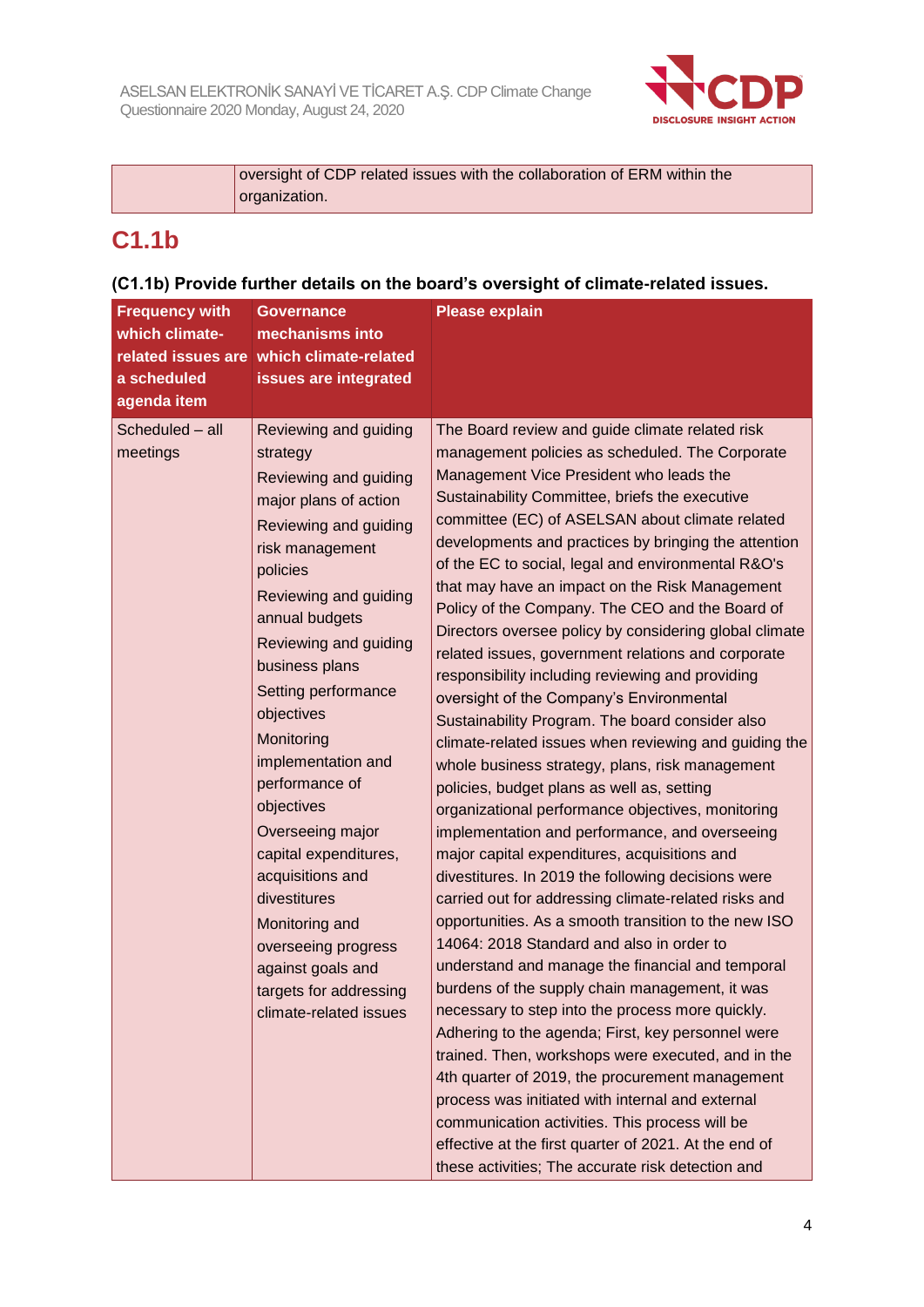

| oversight of CDP related issues with the collaboration of ERM within the |
|--------------------------------------------------------------------------|
| organization.                                                            |

# **C1.1b**

## **(C1.1b) Provide further details on the board's oversight of climate-related issues.**

| <b>Frequency with</b><br>which climate-<br>a scheduled<br>agenda item | <b>Governance</b><br>mechanisms into<br>related issues are which climate-related<br>issues are integrated                                                                                                                                                                                                                                                                                                                                                                                                                                     | <b>Please explain</b>                                                                                                                                                                                                                                                                                                                                                                                                                                                                                                                                                                                                                                                                                                                                                                                                                                                                                                                                                                                                                                                                                                                                                                                                                                                                                                                                                                                                                                                                                                                                                                                                                                                                                                                                                                                                    |
|-----------------------------------------------------------------------|-----------------------------------------------------------------------------------------------------------------------------------------------------------------------------------------------------------------------------------------------------------------------------------------------------------------------------------------------------------------------------------------------------------------------------------------------------------------------------------------------------------------------------------------------|--------------------------------------------------------------------------------------------------------------------------------------------------------------------------------------------------------------------------------------------------------------------------------------------------------------------------------------------------------------------------------------------------------------------------------------------------------------------------------------------------------------------------------------------------------------------------------------------------------------------------------------------------------------------------------------------------------------------------------------------------------------------------------------------------------------------------------------------------------------------------------------------------------------------------------------------------------------------------------------------------------------------------------------------------------------------------------------------------------------------------------------------------------------------------------------------------------------------------------------------------------------------------------------------------------------------------------------------------------------------------------------------------------------------------------------------------------------------------------------------------------------------------------------------------------------------------------------------------------------------------------------------------------------------------------------------------------------------------------------------------------------------------------------------------------------------------|
| Scheduled - all<br>meetings                                           | Reviewing and guiding<br>strategy<br>Reviewing and guiding<br>major plans of action<br>Reviewing and guiding<br>risk management<br>policies<br>Reviewing and guiding<br>annual budgets<br>Reviewing and guiding<br>business plans<br>Setting performance<br>objectives<br>Monitoring<br>implementation and<br>performance of<br>objectives<br>Overseeing major<br>capital expenditures,<br>acquisitions and<br>divestitures<br>Monitoring and<br>overseeing progress<br>against goals and<br>targets for addressing<br>climate-related issues | The Board review and guide climate related risk<br>management policies as scheduled. The Corporate<br>Management Vice President who leads the<br>Sustainability Committee, briefs the executive<br>committee (EC) of ASELSAN about climate related<br>developments and practices by bringing the attention<br>of the EC to social, legal and environmental R&O's<br>that may have an impact on the Risk Management<br>Policy of the Company. The CEO and the Board of<br>Directors oversee policy by considering global climate<br>related issues, government relations and corporate<br>responsibility including reviewing and providing<br>oversight of the Company's Environmental<br>Sustainability Program. The board consider also<br>climate-related issues when reviewing and guiding the<br>whole business strategy, plans, risk management<br>policies, budget plans as well as, setting<br>organizational performance objectives, monitoring<br>implementation and performance, and overseeing<br>major capital expenditures, acquisitions and<br>divestitures. In 2019 the following decisions were<br>carried out for addressing climate-related risks and<br>opportunities. As a smooth transition to the new ISO<br>14064: 2018 Standard and also in order to<br>understand and manage the financial and temporal<br>burdens of the supply chain management, it was<br>necessary to step into the process more quickly.<br>Adhering to the agenda; First, key personnel were<br>trained. Then, workshops were executed, and in the<br>4th quarter of 2019, the procurement management<br>process was initiated with internal and external<br>communication activities. This process will be<br>effective at the first quarter of 2021. At the end of<br>these activities; The accurate risk detection and |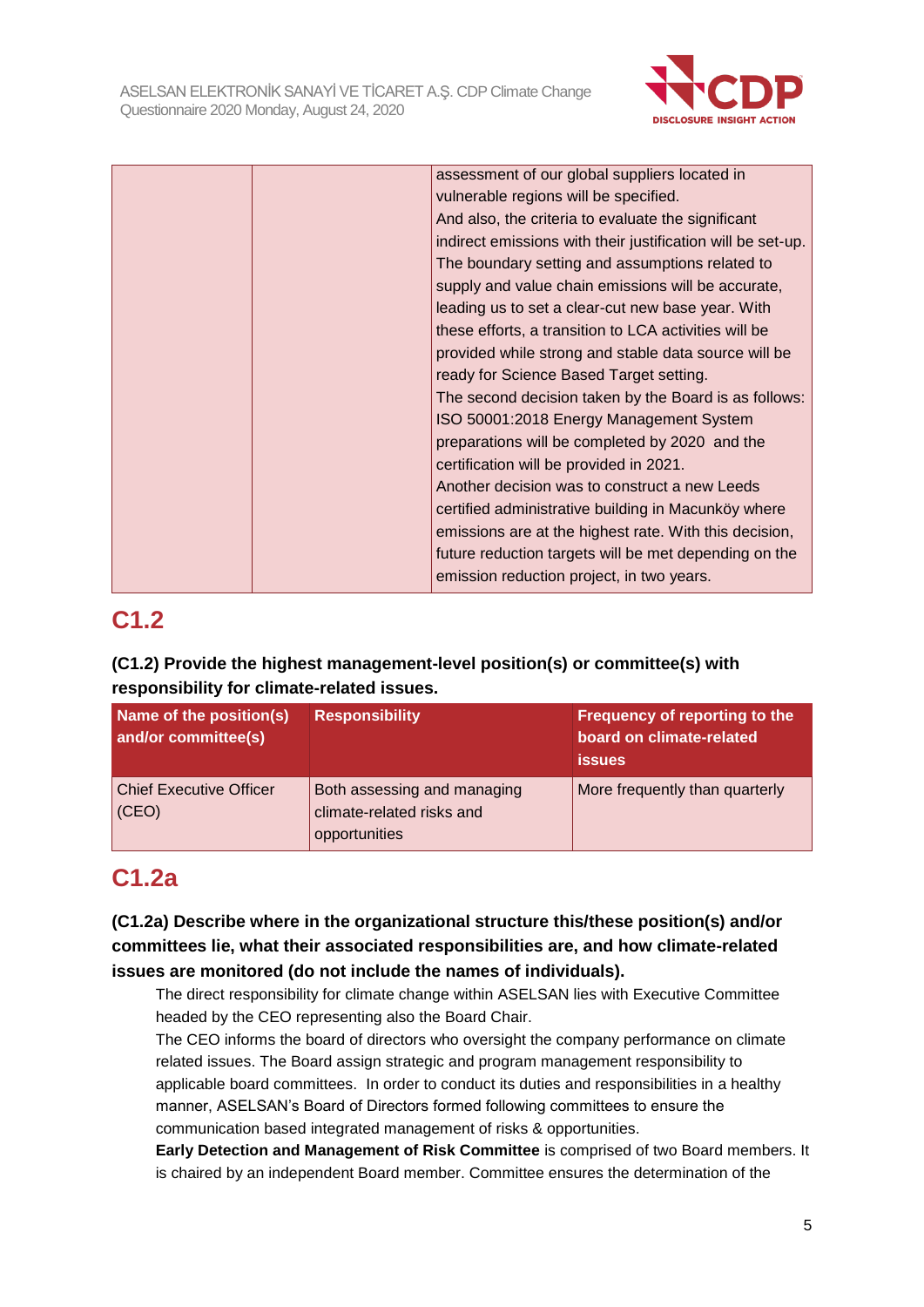

|  | assessment of our global suppliers located in               |
|--|-------------------------------------------------------------|
|  | vulnerable regions will be specified.                       |
|  | And also, the criteria to evaluate the significant          |
|  | indirect emissions with their justification will be set-up. |
|  | The boundary setting and assumptions related to             |
|  | supply and value chain emissions will be accurate,          |
|  | leading us to set a clear-cut new base year. With           |
|  | these efforts, a transition to LCA activities will be       |
|  | provided while strong and stable data source will be        |
|  | ready for Science Based Target setting.                     |
|  | The second decision taken by the Board is as follows:       |
|  | ISO 50001:2018 Energy Management System                     |
|  | preparations will be completed by 2020 and the              |
|  | certification will be provided in 2021.                     |
|  | Another decision was to construct a new Leeds               |
|  | certified administrative building in Macunköy where         |
|  | emissions are at the highest rate. With this decision,      |
|  | future reduction targets will be met depending on the       |
|  | emission reduction project, in two years.                   |

# **C1.2**

## **(C1.2) Provide the highest management-level position(s) or committee(s) with responsibility for climate-related issues.**

| Name of the position(s)<br>and/or committee(s) | <b>Responsibility</b>                                                     | Frequency of reporting to the<br>board on climate-related<br><b>issues</b> |
|------------------------------------------------|---------------------------------------------------------------------------|----------------------------------------------------------------------------|
| <b>Chief Executive Officer</b><br>(CEO)        | Both assessing and managing<br>climate-related risks and<br>opportunities | More frequently than quarterly                                             |

# **C1.2a**

## **(C1.2a) Describe where in the organizational structure this/these position(s) and/or committees lie, what their associated responsibilities are, and how climate-related issues are monitored (do not include the names of individuals).**

The direct responsibility for climate change within ASELSAN lies with Executive Committee headed by the CEO representing also the Board Chair.

The CEO informs the board of directors who oversight the company performance on climate related issues. The Board assign strategic and program management responsibility to applicable board committees. In order to conduct its duties and responsibilities in a healthy manner, ASELSAN's Board of Directors formed following committees to ensure the communication based integrated management of risks & opportunities.

**Early Detection and Management of Risk Committee** is comprised of two Board members. It is chaired by an independent Board member. Committee ensures the determination of the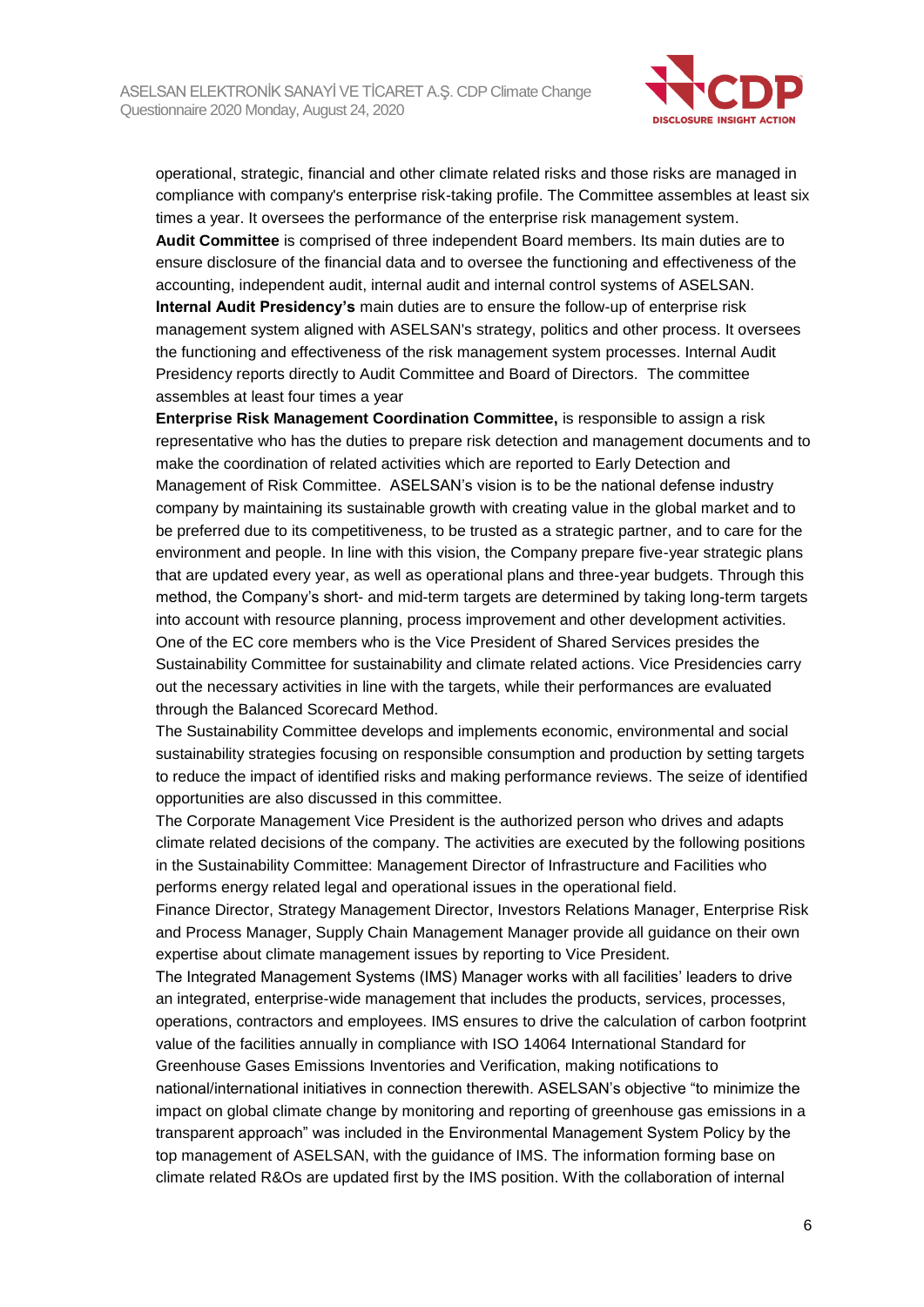

operational, strategic, financial and other climate related risks and those risks are managed in compliance with company's enterprise risk-taking profile. The Committee assembles at least six times a year. It oversees the performance of the enterprise risk management system. **Audit Committee** is comprised of three independent Board members. Its main duties are to ensure disclosure of the financial data and to oversee the functioning and effectiveness of the accounting, independent audit, internal audit and internal control systems of ASELSAN. **Internal Audit Presidency's** main duties are to ensure the follow-up of enterprise risk management system aligned with ASELSAN's strategy, politics and other process. It oversees the functioning and effectiveness of the risk management system processes. Internal Audit Presidency reports directly to Audit Committee and Board of Directors. The committee assembles at least four times a year

**Enterprise Risk Management Coordination Committee,** is responsible to assign a risk representative who has the duties to prepare risk detection and management documents and to make the coordination of related activities which are reported to Early Detection and Management of Risk Committee. ASELSAN's vision is to be the national defense industry company by maintaining its sustainable growth with creating value in the global market and to be preferred due to its competitiveness, to be trusted as a strategic partner, and to care for the environment and people. In line with this vision, the Company prepare five-year strategic plans that are updated every year, as well as operational plans and three-year budgets. Through this method, the Company's short- and mid-term targets are determined by taking long-term targets into account with resource planning, process improvement and other development activities. One of the EC core members who is the Vice President of Shared Services presides the Sustainability Committee for sustainability and climate related actions. Vice Presidencies carry out the necessary activities in line with the targets, while their performances are evaluated through the Balanced Scorecard Method.

The Sustainability Committee develops and implements economic, environmental and social sustainability strategies focusing on responsible consumption and production by setting targets to reduce the impact of identified risks and making performance reviews. The seize of identified opportunities are also discussed in this committee.

The Corporate Management Vice President is the authorized person who drives and adapts climate related decisions of the company. The activities are executed by the following positions in the Sustainability Committee: Management Director of Infrastructure and Facilities who performs energy related legal and operational issues in the operational field.

Finance Director, Strategy Management Director, Investors Relations Manager, Enterprise Risk and Process Manager, Supply Chain Management Manager provide all guidance on their own expertise about climate management issues by reporting to Vice President.

The Integrated Management Systems (IMS) Manager works with all facilities' leaders to drive an integrated, enterprise-wide management that includes the products, services, processes, operations, contractors and employees. IMS ensures to drive the calculation of carbon footprint value of the facilities annually in compliance with ISO 14064 International Standard for Greenhouse Gases Emissions Inventories and Verification, making notifications to national/international initiatives in connection therewith. ASELSAN's objective "to minimize the impact on global climate change by monitoring and reporting of greenhouse gas emissions in a transparent approach" was included in the Environmental Management System Policy by the top management of ASELSAN, with the guidance of IMS. The information forming base on climate related R&Os are updated first by the IMS position. With the collaboration of internal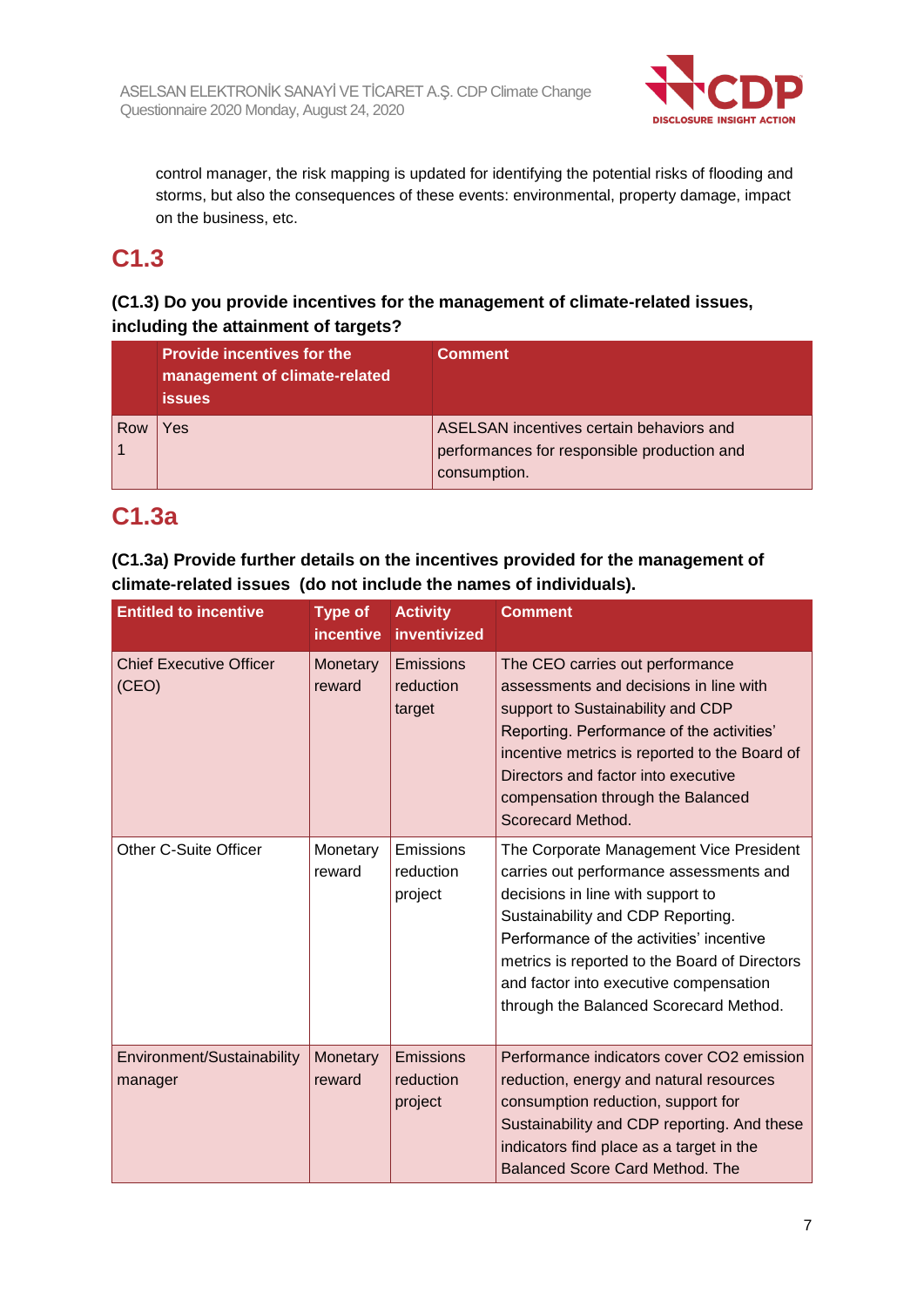

control manager, the risk mapping is updated for identifying the potential risks of flooding and storms, but also the consequences of these events: environmental, property damage, impact on the business, etc.

# **C1.3**

## **(C1.3) Do you provide incentives for the management of climate-related issues, including the attainment of targets?**

|     | <b>Provide incentives for the</b><br>management of climate-related<br><b>issues</b> | <b>Comment</b>                                                                          |
|-----|-------------------------------------------------------------------------------------|-----------------------------------------------------------------------------------------|
| Row | Yes                                                                                 | ASELSAN incentives certain behaviors and<br>performances for responsible production and |
|     |                                                                                     | consumption.                                                                            |

# **C1.3a**

**(C1.3a) Provide further details on the incentives provided for the management of climate-related issues (do not include the names of individuals).**

| <b>Entitled to incentive</b>            | <b>Type of</b><br>incentive | <b>Activity</b><br>inventivized         | <b>Comment</b>                                                                                                                                                                                                                                                                                                                                |
|-----------------------------------------|-----------------------------|-----------------------------------------|-----------------------------------------------------------------------------------------------------------------------------------------------------------------------------------------------------------------------------------------------------------------------------------------------------------------------------------------------|
| <b>Chief Executive Officer</b><br>(CEO) | Monetary<br>reward          | <b>Emissions</b><br>reduction<br>target | The CEO carries out performance<br>assessments and decisions in line with<br>support to Sustainability and CDP<br>Reporting. Performance of the activities'<br>incentive metrics is reported to the Board of<br>Directors and factor into executive<br>compensation through the Balanced<br>Scorecard Method.                                 |
| Other C-Suite Officer                   | Monetary<br>reward          | Emissions<br>reduction<br>project       | The Corporate Management Vice President<br>carries out performance assessments and<br>decisions in line with support to<br>Sustainability and CDP Reporting.<br>Performance of the activities' incentive<br>metrics is reported to the Board of Directors<br>and factor into executive compensation<br>through the Balanced Scorecard Method. |
| Environment/Sustainability<br>manager   | Monetary<br>reward          | Emissions<br>reduction<br>project       | Performance indicators cover CO2 emission<br>reduction, energy and natural resources<br>consumption reduction, support for<br>Sustainability and CDP reporting. And these<br>indicators find place as a target in the<br><b>Balanced Score Card Method. The</b>                                                                               |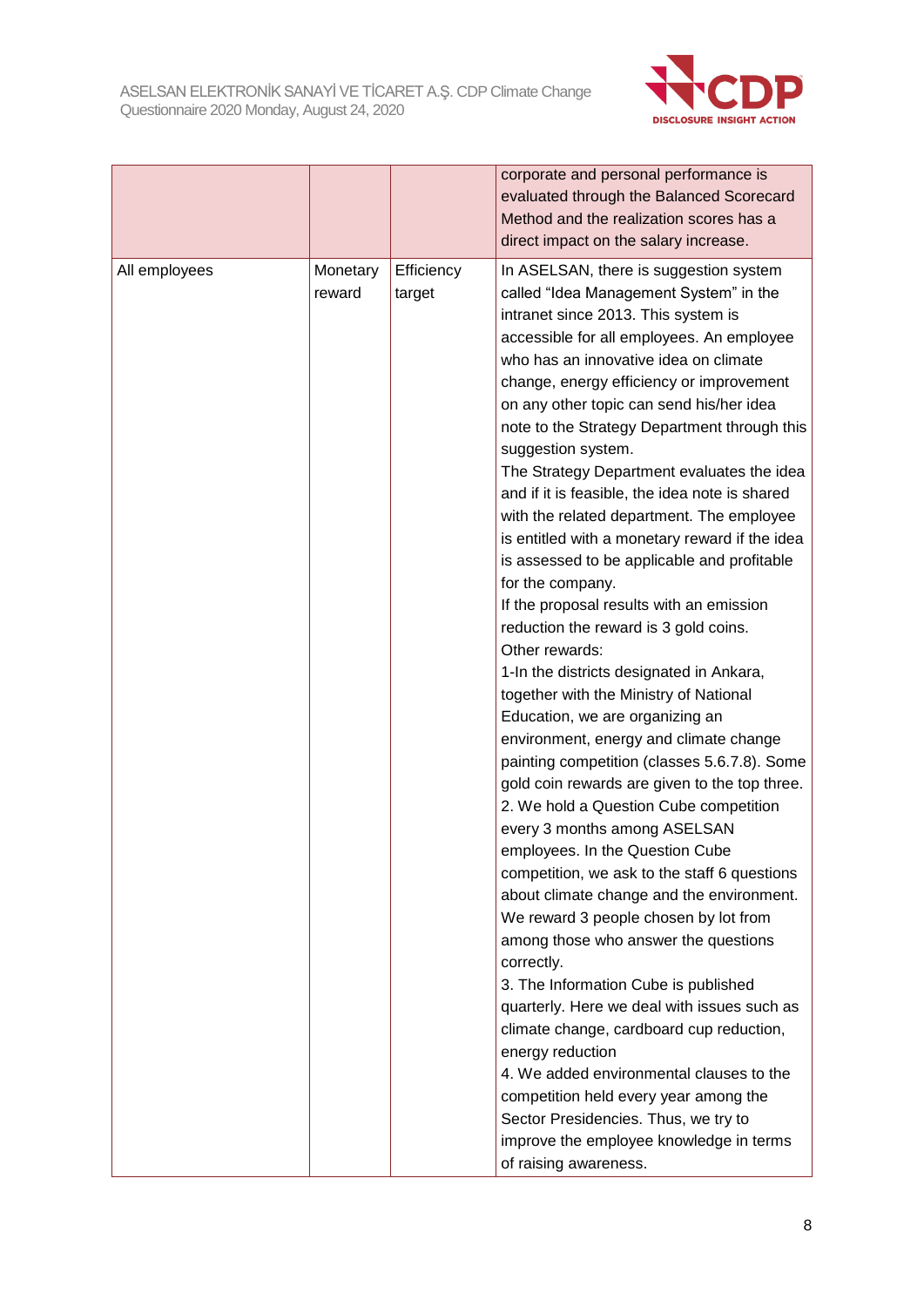

|               |                    |                      | corporate and personal performance is<br>evaluated through the Balanced Scorecard<br>Method and the realization scores has a<br>direct impact on the salary increase.                                                                                                                                                                                                                                                                                                                                                                                                                                                                                                                                                                                                                                                                                                                                                                                                                                                                                                                                                                                                                                                                                                                                                                                                                                                                                                                                                                                                                                                                                                                     |
|---------------|--------------------|----------------------|-------------------------------------------------------------------------------------------------------------------------------------------------------------------------------------------------------------------------------------------------------------------------------------------------------------------------------------------------------------------------------------------------------------------------------------------------------------------------------------------------------------------------------------------------------------------------------------------------------------------------------------------------------------------------------------------------------------------------------------------------------------------------------------------------------------------------------------------------------------------------------------------------------------------------------------------------------------------------------------------------------------------------------------------------------------------------------------------------------------------------------------------------------------------------------------------------------------------------------------------------------------------------------------------------------------------------------------------------------------------------------------------------------------------------------------------------------------------------------------------------------------------------------------------------------------------------------------------------------------------------------------------------------------------------------------------|
| All employees | Monetary<br>reward | Efficiency<br>target | In ASELSAN, there is suggestion system<br>called "Idea Management System" in the<br>intranet since 2013. This system is<br>accessible for all employees. An employee<br>who has an innovative idea on climate<br>change, energy efficiency or improvement<br>on any other topic can send his/her idea<br>note to the Strategy Department through this<br>suggestion system.<br>The Strategy Department evaluates the idea<br>and if it is feasible, the idea note is shared<br>with the related department. The employee<br>is entitled with a monetary reward if the idea<br>is assessed to be applicable and profitable<br>for the company.<br>If the proposal results with an emission<br>reduction the reward is 3 gold coins.<br>Other rewards:<br>1-In the districts designated in Ankara,<br>together with the Ministry of National<br>Education, we are organizing an<br>environment, energy and climate change<br>painting competition (classes 5.6.7.8). Some<br>gold coin rewards are given to the top three.<br>2. We hold a Question Cube competition<br>every 3 months among ASELSAN<br>employees. In the Question Cube<br>competition, we ask to the staff 6 questions<br>about climate change and the environment.<br>We reward 3 people chosen by lot from<br>among those who answer the questions<br>correctly.<br>3. The Information Cube is published<br>quarterly. Here we deal with issues such as<br>climate change, cardboard cup reduction,<br>energy reduction<br>4. We added environmental clauses to the<br>competition held every year among the<br>Sector Presidencies. Thus, we try to<br>improve the employee knowledge in terms<br>of raising awareness. |
|               |                    |                      |                                                                                                                                                                                                                                                                                                                                                                                                                                                                                                                                                                                                                                                                                                                                                                                                                                                                                                                                                                                                                                                                                                                                                                                                                                                                                                                                                                                                                                                                                                                                                                                                                                                                                           |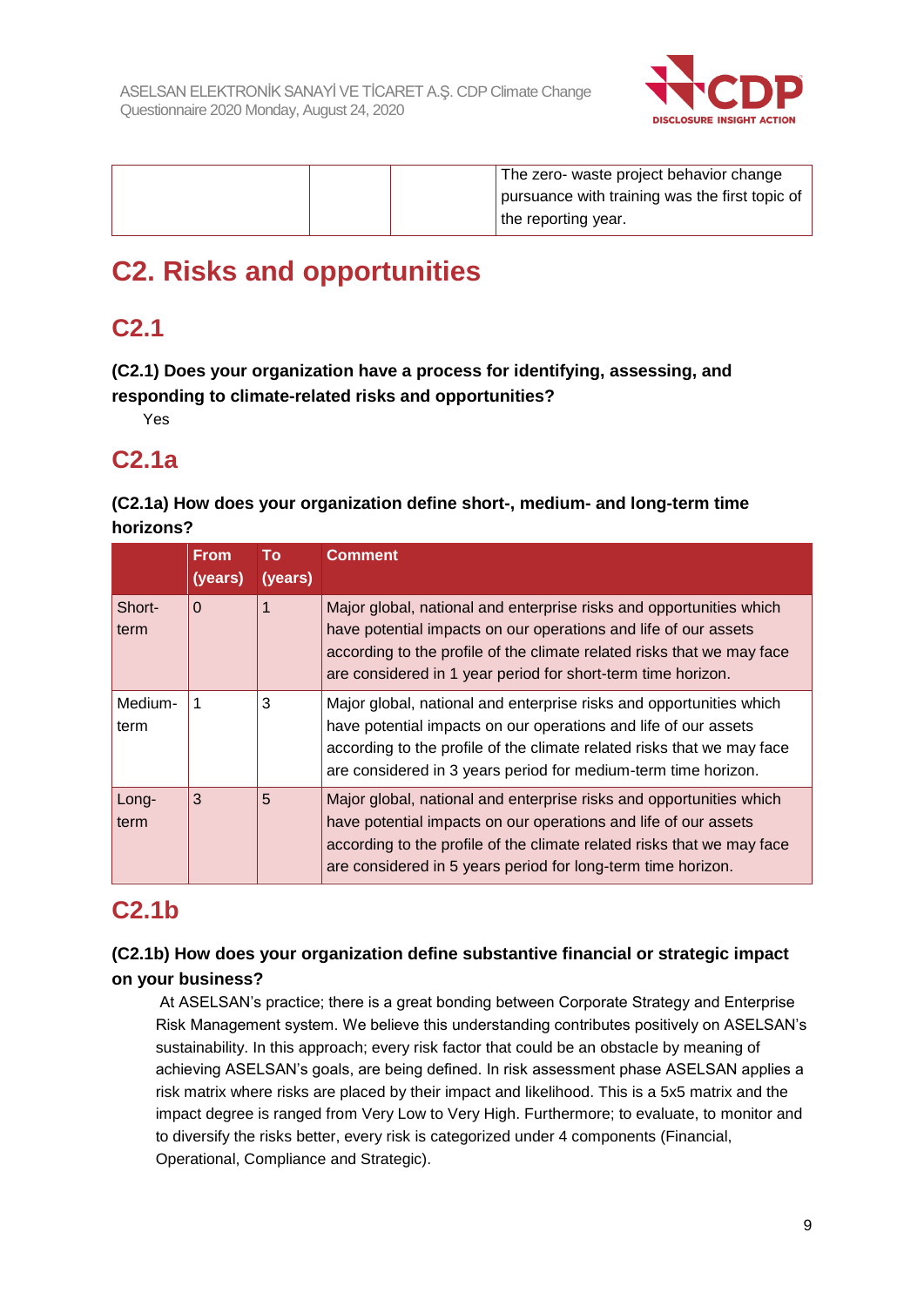

|  | The zero- waste project behavior change        |
|--|------------------------------------------------|
|  | pursuance with training was the first topic of |
|  | the reporting year.                            |

# **C2. Risks and opportunities**

# **C2.1**

**(C2.1) Does your organization have a process for identifying, assessing, and responding to climate-related risks and opportunities?**

Yes

# **C2.1a**

**(C2.1a) How does your organization define short-, medium- and long-term time horizons?**

|                 | <b>From</b><br>(years) | То<br>(years) | <b>Comment</b>                                                                                                                                                                                                                                                                     |
|-----------------|------------------------|---------------|------------------------------------------------------------------------------------------------------------------------------------------------------------------------------------------------------------------------------------------------------------------------------------|
| Short-<br>term  | $\Omega$               | 1             | Major global, national and enterprise risks and opportunities which<br>have potential impacts on our operations and life of our assets<br>according to the profile of the climate related risks that we may face<br>are considered in 1 year period for short-term time horizon.   |
| Medium-<br>term | 1                      | 3             | Major global, national and enterprise risks and opportunities which<br>have potential impacts on our operations and life of our assets<br>according to the profile of the climate related risks that we may face<br>are considered in 3 years period for medium-term time horizon. |
| Long-<br>term   | 3                      | 5             | Major global, national and enterprise risks and opportunities which<br>have potential impacts on our operations and life of our assets<br>according to the profile of the climate related risks that we may face<br>are considered in 5 years period for long-term time horizon.   |

# **C2.1b**

## **(C2.1b) How does your organization define substantive financial or strategic impact on your business?**

At ASELSAN's practice; there is a great bonding between Corporate Strategy and Enterprise Risk Management system. We believe this understanding contributes positively on ASELSAN's sustainability. In this approach; every risk factor that could be an obstacle by meaning of achieving ASELSAN's goals, are being defined. In risk assessment phase ASELSAN applies a risk matrix where risks are placed by their impact and likelihood. This is a 5x5 matrix and the impact degree is ranged from Very Low to Very High. Furthermore; to evaluate, to monitor and to diversify the risks better, every risk is categorized under 4 components (Financial, Operational, Compliance and Strategic).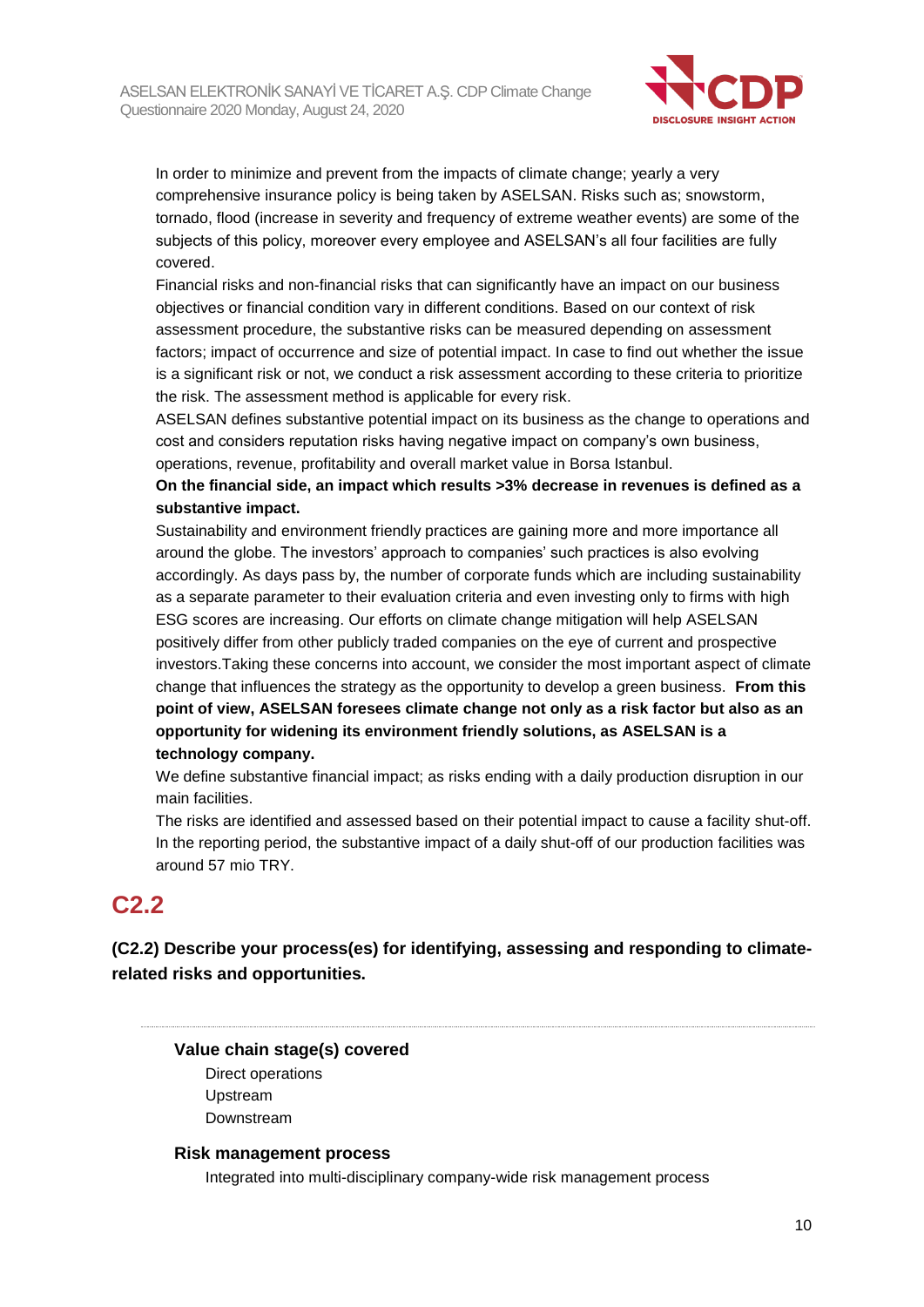

In order to minimize and prevent from the impacts of climate change; yearly a very comprehensive insurance policy is being taken by ASELSAN. Risks such as; snowstorm, tornado, flood (increase in severity and frequency of extreme weather events) are some of the subjects of this policy, moreover every employee and ASELSAN's all four facilities are fully covered.

Financial risks and non-financial risks that can significantly have an impact on our business objectives or financial condition vary in different conditions. Based on our context of risk assessment procedure, the substantive risks can be measured depending on assessment factors; impact of occurrence and size of potential impact. In case to find out whether the issue is a significant risk or not, we conduct a risk assessment according to these criteria to prioritize the risk. The assessment method is applicable for every risk.

ASELSAN defines substantive potential impact on its business as the change to operations and cost and considers reputation risks having negative impact on company's own business, operations, revenue, profitability and overall market value in Borsa Istanbul.

## **On the financial side, an impact which results >3% decrease in revenues is defined as a substantive impact.**

Sustainability and environment friendly practices are gaining more and more importance all around the globe. The investors' approach to companies' such practices is also evolving accordingly. As days pass by, the number of corporate funds which are including sustainability as a separate parameter to their evaluation criteria and even investing only to firms with high ESG scores are increasing. Our efforts on climate change mitigation will help ASELSAN positively differ from other publicly traded companies on the eye of current and prospective investors.Taking these concerns into account, we consider the most important aspect of climate change that influences the strategy as the opportunity to develop a green business. **From this point of view, ASELSAN foresees climate change not only as a risk factor but also as an opportunity for widening its environment friendly solutions, as ASELSAN is a technology company.**

We define substantive financial impact; as risks ending with a daily production disruption in our main facilities.

The risks are identified and assessed based on their potential impact to cause a facility shut-off. In the reporting period, the substantive impact of a daily shut-off of our production facilities was around 57 mio TRY.

# **C2.2**

**(C2.2) Describe your process(es) for identifying, assessing and responding to climaterelated risks and opportunities.**

**Value chain stage(s) covered** Direct operations Upstream Downstream

#### **Risk management process**

Integrated into multi-disciplinary company-wide risk management process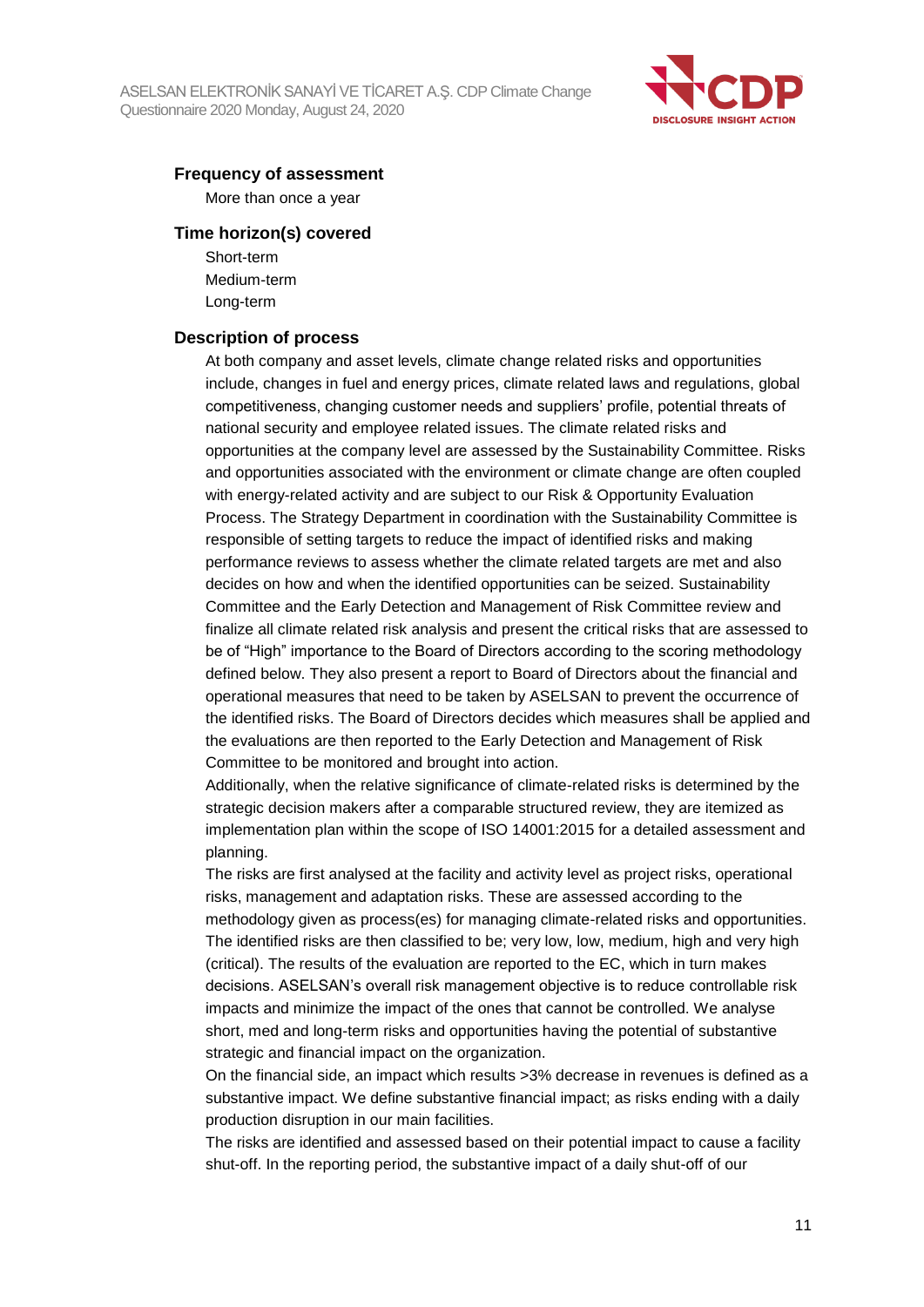

#### **Frequency of assessment**

More than once a year

#### **Time horizon(s) covered**

Short-term Medium-term Long-term

#### **Description of process**

At both company and asset levels, climate change related risks and opportunities include, changes in fuel and energy prices, climate related laws and regulations, global competitiveness, changing customer needs and suppliers' profile, potential threats of national security and employee related issues. The climate related risks and opportunities at the company level are assessed by the Sustainability Committee. Risks and opportunities associated with the environment or climate change are often coupled with energy-related activity and are subject to our Risk & Opportunity Evaluation Process. The Strategy Department in coordination with the Sustainability Committee is responsible of setting targets to reduce the impact of identified risks and making performance reviews to assess whether the climate related targets are met and also decides on how and when the identified opportunities can be seized. Sustainability Committee and the Early Detection and Management of Risk Committee review and finalize all climate related risk analysis and present the critical risks that are assessed to be of "High" importance to the Board of Directors according to the scoring methodology defined below. They also present a report to Board of Directors about the financial and operational measures that need to be taken by ASELSAN to prevent the occurrence of the identified risks. The Board of Directors decides which measures shall be applied and the evaluations are then reported to the Early Detection and Management of Risk Committee to be monitored and brought into action.

Additionally, when the relative significance of climate-related risks is determined by the strategic decision makers after a comparable structured review, they are itemized as implementation plan within the scope of ISO 14001:2015 for a detailed assessment and planning.

The risks are first analysed at the facility and activity level as project risks, operational risks, management and adaptation risks. These are assessed according to the methodology given as process(es) for managing climate-related risks and opportunities. The identified risks are then classified to be; very low, low, medium, high and very high (critical). The results of the evaluation are reported to the EC, which in turn makes decisions. ASELSAN's overall risk management objective is to reduce controllable risk impacts and minimize the impact of the ones that cannot be controlled. We analyse short, med and long-term risks and opportunities having the potential of substantive strategic and financial impact on the organization.

On the financial side, an impact which results >3% decrease in revenues is defined as a substantive impact. We define substantive financial impact; as risks ending with a daily production disruption in our main facilities.

The risks are identified and assessed based on their potential impact to cause a facility shut-off. In the reporting period, the substantive impact of a daily shut-off of our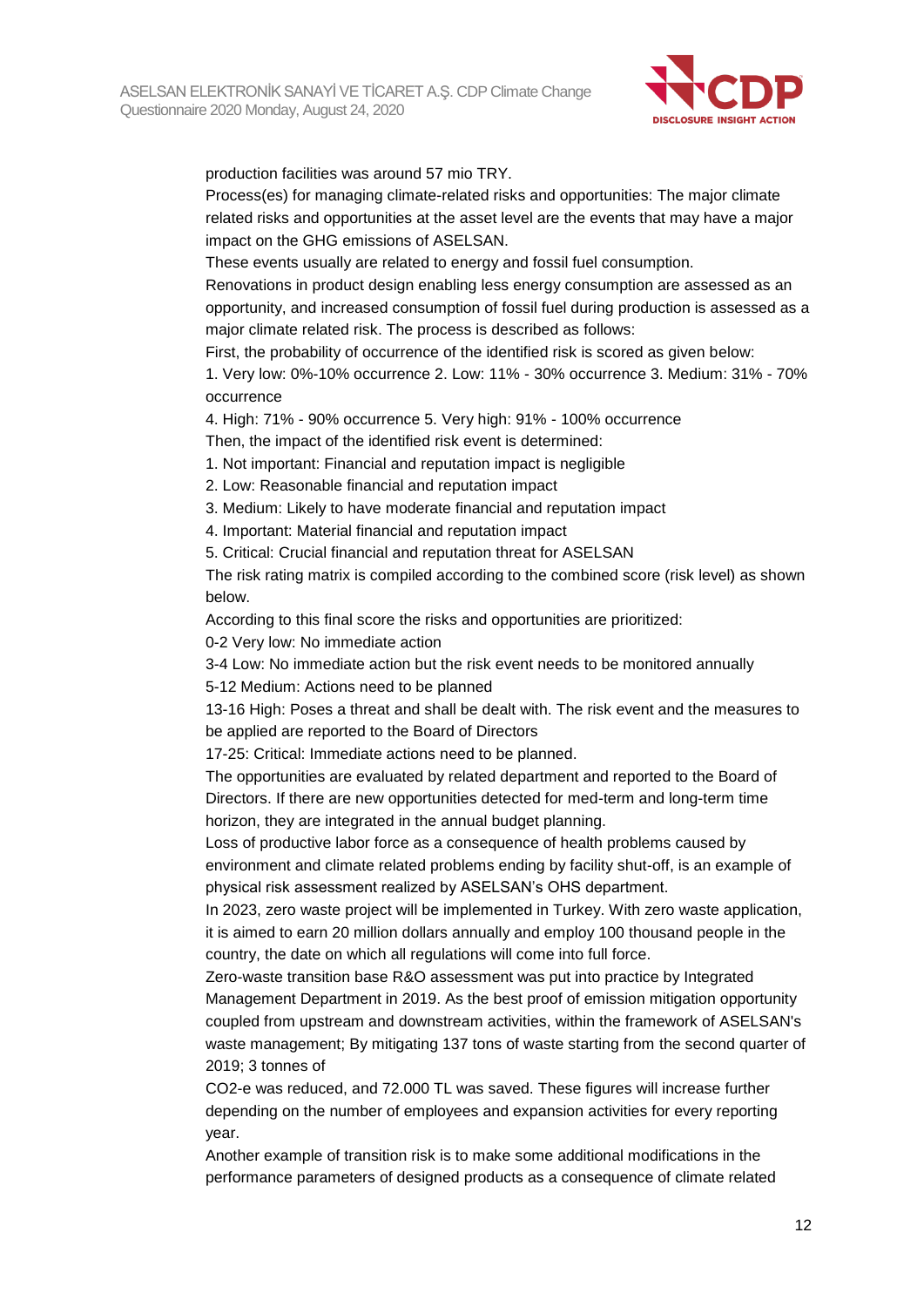

production facilities was around 57 mio TRY.

Process(es) for managing climate-related risks and opportunities: The major climate related risks and opportunities at the asset level are the events that may have a major impact on the GHG emissions of ASELSAN.

These events usually are related to energy and fossil fuel consumption.

Renovations in product design enabling less energy consumption are assessed as an opportunity, and increased consumption of fossil fuel during production is assessed as a major climate related risk. The process is described as follows:

First, the probability of occurrence of the identified risk is scored as given below:

1. Very low: 0%-10% occurrence 2. Low: 11% - 30% occurrence 3. Medium: 31% - 70% occurrence

4. High: 71% - 90% occurrence 5. Very high: 91% - 100% occurrence Then, the impact of the identified risk event is determined:

1. Not important: Financial and reputation impact is negligible

2. Low: Reasonable financial and reputation impact

3. Medium: Likely to have moderate financial and reputation impact

4. Important: Material financial and reputation impact

5. Critical: Crucial financial and reputation threat for ASELSAN

The risk rating matrix is compiled according to the combined score (risk level) as shown below.

According to this final score the risks and opportunities are prioritized:

0-2 Very low: No immediate action

3-4 Low: No immediate action but the risk event needs to be monitored annually 5-12 Medium: Actions need to be planned

13-16 High: Poses a threat and shall be dealt with. The risk event and the measures to be applied are reported to the Board of Directors

17-25: Critical: Immediate actions need to be planned.

The opportunities are evaluated by related department and reported to the Board of Directors. If there are new opportunities detected for med-term and long-term time horizon, they are integrated in the annual budget planning.

Loss of productive labor force as a consequence of health problems caused by environment and climate related problems ending by facility shut-off, is an example of physical risk assessment realized by ASELSAN's OHS department.

In 2023, zero waste project will be implemented in Turkey. With zero waste application, it is aimed to earn 20 million dollars annually and employ 100 thousand people in the country, the date on which all regulations will come into full force.

Zero-waste transition base R&O assessment was put into practice by Integrated Management Department in 2019. As the best proof of emission mitigation opportunity coupled from upstream and downstream activities, within the framework of ASELSAN's waste management; By mitigating 137 tons of waste starting from the second quarter of 2019; 3 tonnes of

CO2-e was reduced, and 72.000 TL was saved. These figures will increase further depending on the number of employees and expansion activities for every reporting year.

Another example of transition risk is to make some additional modifications in the performance parameters of designed products as a consequence of climate related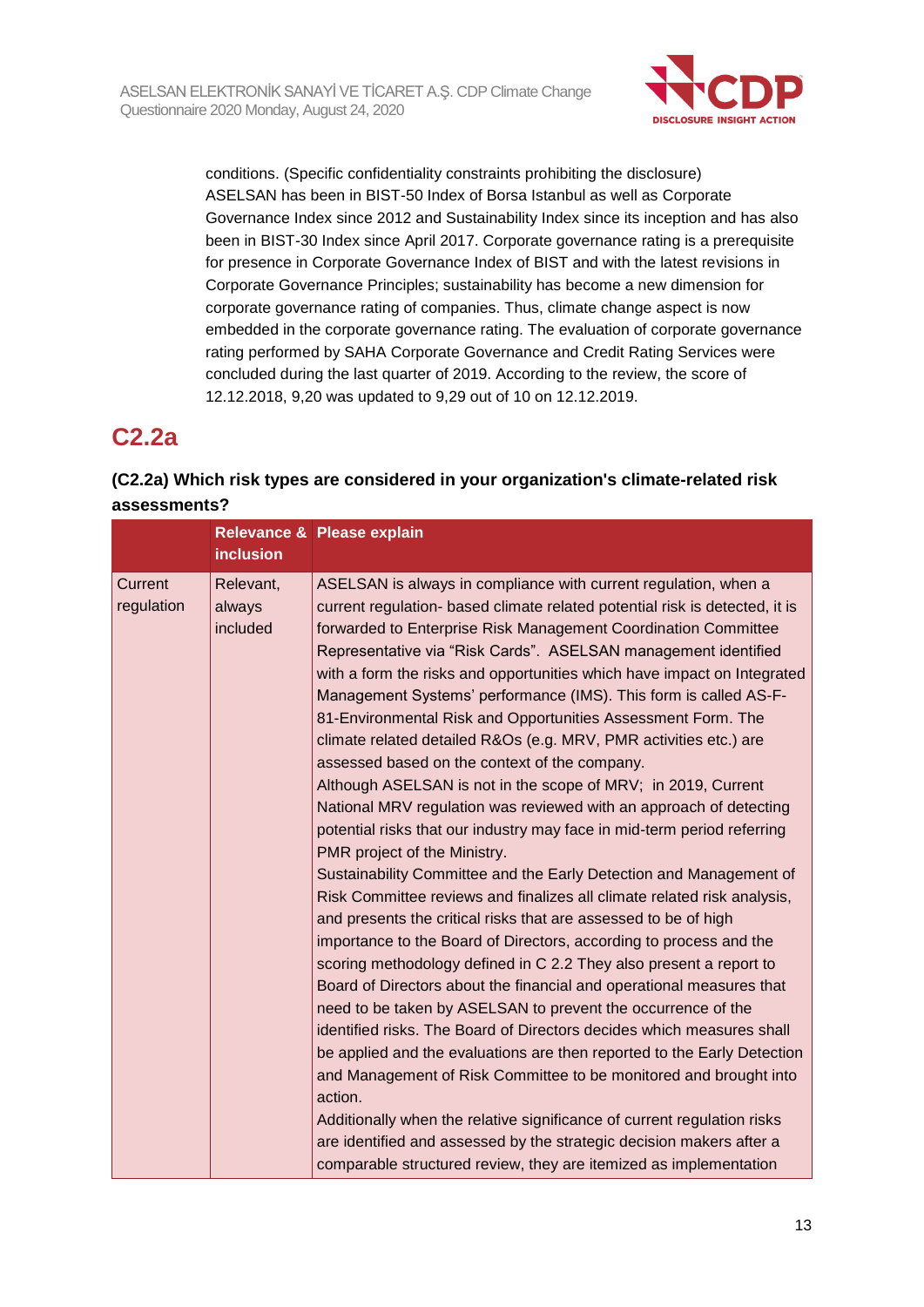

conditions. (Specific confidentiality constraints prohibiting the disclosure) ASELSAN has been in BIST-50 Index of Borsa Istanbul as well as Corporate Governance Index since 2012 and Sustainability Index since its inception and has also been in BIST-30 Index since April 2017. Corporate governance rating is a prerequisite for presence in Corporate Governance Index of BIST and with the latest revisions in Corporate Governance Principles; sustainability has become a new dimension for corporate governance rating of companies. Thus, climate change aspect is now embedded in the corporate governance rating. The evaluation of corporate governance rating performed by SAHA Corporate Governance and Credit Rating Services were concluded during the last quarter of 2019. According to the review, the score of 12.12.2018, 9,20 was updated to 9,29 out of 10 on 12.12.2019.

# **C2.2a**

## **(C2.2a) Which risk types are considered in your organization's climate-related risk assessments?**

|                       | <b>inclusion</b>                | Relevance & Please explain                                                                                                                                                                                                                                                                                                                                                                                                                                                                                                                                                                                                                                                                                                                                                                                                                                                                                                                                                                                                                                                                                                                                                                                                                                                                                                                                                                                                                                                                                                                                                                                                                                                                                                                                                                                                                    |
|-----------------------|---------------------------------|-----------------------------------------------------------------------------------------------------------------------------------------------------------------------------------------------------------------------------------------------------------------------------------------------------------------------------------------------------------------------------------------------------------------------------------------------------------------------------------------------------------------------------------------------------------------------------------------------------------------------------------------------------------------------------------------------------------------------------------------------------------------------------------------------------------------------------------------------------------------------------------------------------------------------------------------------------------------------------------------------------------------------------------------------------------------------------------------------------------------------------------------------------------------------------------------------------------------------------------------------------------------------------------------------------------------------------------------------------------------------------------------------------------------------------------------------------------------------------------------------------------------------------------------------------------------------------------------------------------------------------------------------------------------------------------------------------------------------------------------------------------------------------------------------------------------------------------------------|
| Current<br>regulation | Relevant,<br>always<br>included | ASELSAN is always in compliance with current regulation, when a<br>current regulation- based climate related potential risk is detected, it is<br>forwarded to Enterprise Risk Management Coordination Committee<br>Representative via "Risk Cards". ASELSAN management identified<br>with a form the risks and opportunities which have impact on Integrated<br>Management Systems' performance (IMS). This form is called AS-F-<br>81-Environmental Risk and Opportunities Assessment Form. The<br>climate related detailed R&Os (e.g. MRV, PMR activities etc.) are<br>assessed based on the context of the company.<br>Although ASELSAN is not in the scope of MRV; in 2019, Current<br>National MRV regulation was reviewed with an approach of detecting<br>potential risks that our industry may face in mid-term period referring<br>PMR project of the Ministry.<br>Sustainability Committee and the Early Detection and Management of<br>Risk Committee reviews and finalizes all climate related risk analysis,<br>and presents the critical risks that are assessed to be of high<br>importance to the Board of Directors, according to process and the<br>scoring methodology defined in C 2.2 They also present a report to<br>Board of Directors about the financial and operational measures that<br>need to be taken by ASELSAN to prevent the occurrence of the<br>identified risks. The Board of Directors decides which measures shall<br>be applied and the evaluations are then reported to the Early Detection<br>and Management of Risk Committee to be monitored and brought into<br>action.<br>Additionally when the relative significance of current regulation risks<br>are identified and assessed by the strategic decision makers after a<br>comparable structured review, they are itemized as implementation |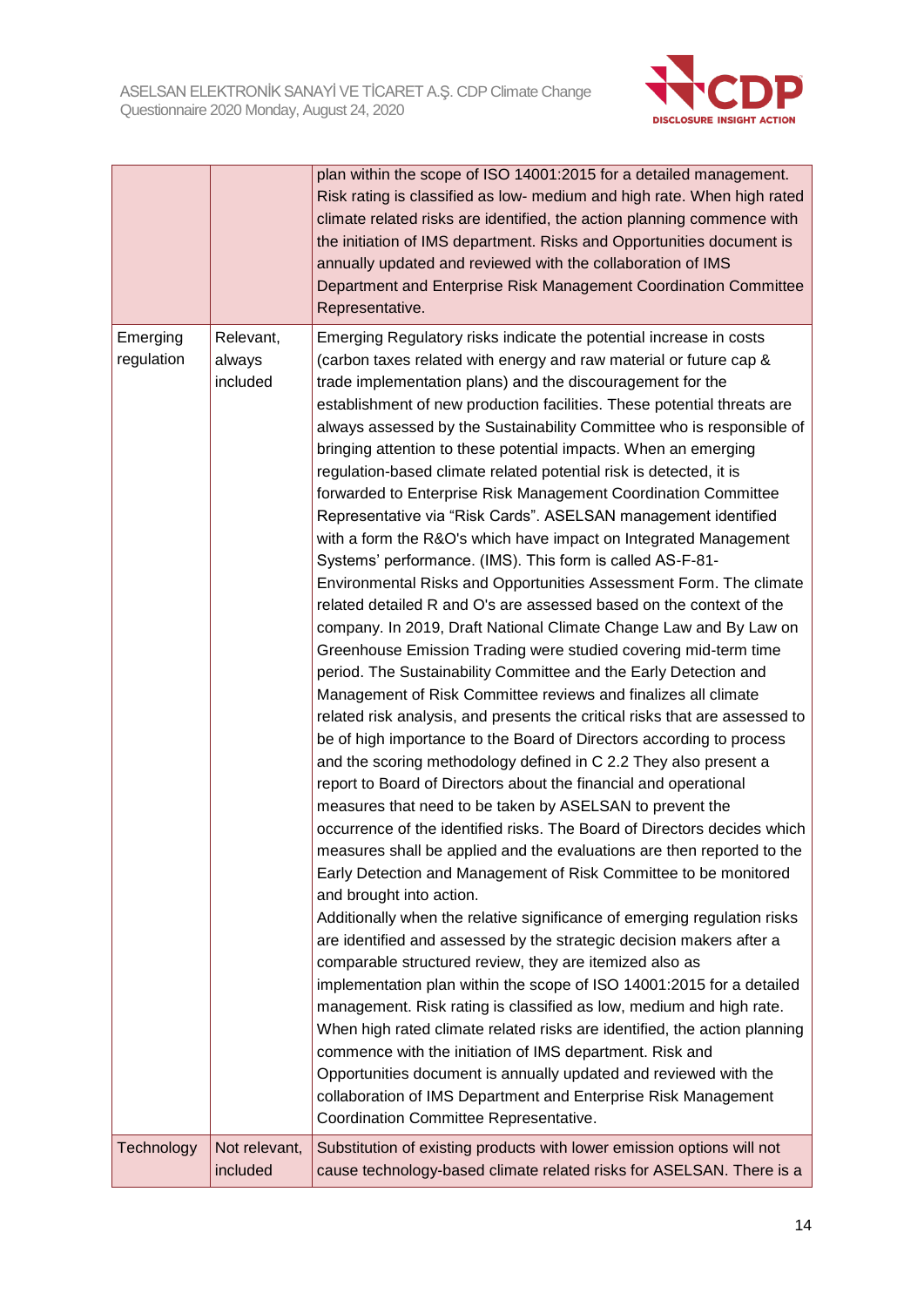

|                        |                                 | plan within the scope of ISO 14001:2015 for a detailed management.<br>Risk rating is classified as low- medium and high rate. When high rated<br>climate related risks are identified, the action planning commence with<br>the initiation of IMS department. Risks and Opportunities document is<br>annually updated and reviewed with the collaboration of IMS<br>Department and Enterprise Risk Management Coordination Committee<br>Representative.                                                                                                                                                                                                                                                                                                                                                                                                                                                                                                                                                                                                                                                                                                                                                                                                                                                                                                                                                                                                                                                                                                                                                                                                                                                                                                                                                                                                                                                                                                                                                                                                                                                                                                                                                                                                                                                                                                                                                                                                                                                      |
|------------------------|---------------------------------|--------------------------------------------------------------------------------------------------------------------------------------------------------------------------------------------------------------------------------------------------------------------------------------------------------------------------------------------------------------------------------------------------------------------------------------------------------------------------------------------------------------------------------------------------------------------------------------------------------------------------------------------------------------------------------------------------------------------------------------------------------------------------------------------------------------------------------------------------------------------------------------------------------------------------------------------------------------------------------------------------------------------------------------------------------------------------------------------------------------------------------------------------------------------------------------------------------------------------------------------------------------------------------------------------------------------------------------------------------------------------------------------------------------------------------------------------------------------------------------------------------------------------------------------------------------------------------------------------------------------------------------------------------------------------------------------------------------------------------------------------------------------------------------------------------------------------------------------------------------------------------------------------------------------------------------------------------------------------------------------------------------------------------------------------------------------------------------------------------------------------------------------------------------------------------------------------------------------------------------------------------------------------------------------------------------------------------------------------------------------------------------------------------------------------------------------------------------------------------------------------------------|
| Emerging<br>regulation | Relevant,<br>always<br>included | Emerging Regulatory risks indicate the potential increase in costs<br>(carbon taxes related with energy and raw material or future cap &<br>trade implementation plans) and the discouragement for the<br>establishment of new production facilities. These potential threats are<br>always assessed by the Sustainability Committee who is responsible of<br>bringing attention to these potential impacts. When an emerging<br>regulation-based climate related potential risk is detected, it is<br>forwarded to Enterprise Risk Management Coordination Committee<br>Representative via "Risk Cards". ASELSAN management identified<br>with a form the R&O's which have impact on Integrated Management<br>Systems' performance. (IMS). This form is called AS-F-81-<br>Environmental Risks and Opportunities Assessment Form. The climate<br>related detailed R and O's are assessed based on the context of the<br>company. In 2019, Draft National Climate Change Law and By Law on<br>Greenhouse Emission Trading were studied covering mid-term time<br>period. The Sustainability Committee and the Early Detection and<br>Management of Risk Committee reviews and finalizes all climate<br>related risk analysis, and presents the critical risks that are assessed to<br>be of high importance to the Board of Directors according to process<br>and the scoring methodology defined in C 2.2 They also present a<br>report to Board of Directors about the financial and operational<br>measures that need to be taken by ASELSAN to prevent the<br>occurrence of the identified risks. The Board of Directors decides which<br>measures shall be applied and the evaluations are then reported to the<br>Early Detection and Management of Risk Committee to be monitored<br>and brought into action.<br>Additionally when the relative significance of emerging regulation risks<br>are identified and assessed by the strategic decision makers after a<br>comparable structured review, they are itemized also as<br>implementation plan within the scope of ISO 14001:2015 for a detailed<br>management. Risk rating is classified as low, medium and high rate.<br>When high rated climate related risks are identified, the action planning<br>commence with the initiation of IMS department. Risk and<br>Opportunities document is annually updated and reviewed with the<br>collaboration of IMS Department and Enterprise Risk Management<br>Coordination Committee Representative. |
| Technology             | Not relevant,<br>included       | Substitution of existing products with lower emission options will not<br>cause technology-based climate related risks for ASELSAN. There is a                                                                                                                                                                                                                                                                                                                                                                                                                                                                                                                                                                                                                                                                                                                                                                                                                                                                                                                                                                                                                                                                                                                                                                                                                                                                                                                                                                                                                                                                                                                                                                                                                                                                                                                                                                                                                                                                                                                                                                                                                                                                                                                                                                                                                                                                                                                                                               |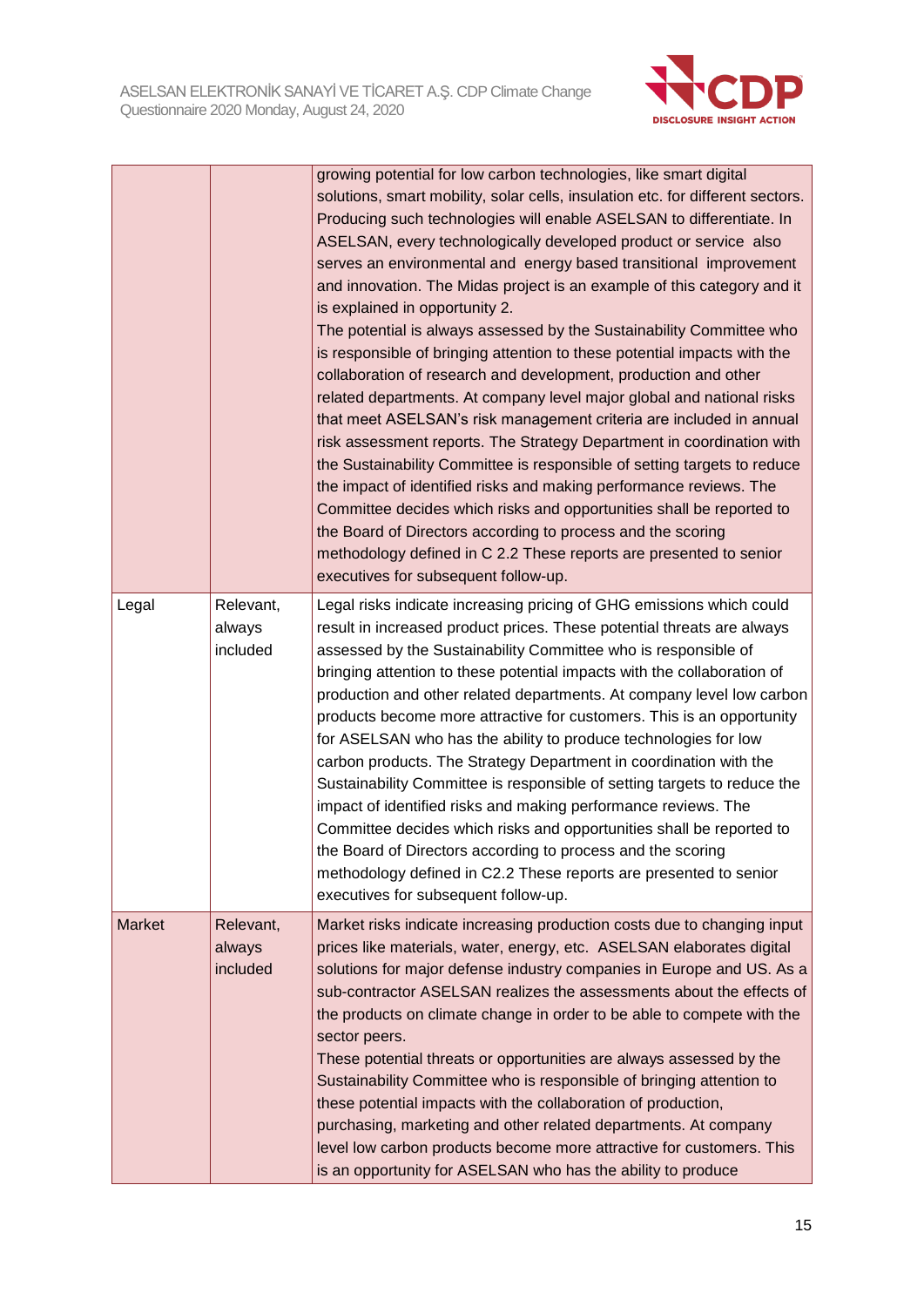

|               |                                 | growing potential for low carbon technologies, like smart digital<br>solutions, smart mobility, solar cells, insulation etc. for different sectors.<br>Producing such technologies will enable ASELSAN to differentiate. In<br>ASELSAN, every technologically developed product or service also<br>serves an environmental and energy based transitional improvement<br>and innovation. The Midas project is an example of this category and it<br>is explained in opportunity 2.<br>The potential is always assessed by the Sustainability Committee who<br>is responsible of bringing attention to these potential impacts with the<br>collaboration of research and development, production and other<br>related departments. At company level major global and national risks<br>that meet ASELSAN's risk management criteria are included in annual<br>risk assessment reports. The Strategy Department in coordination with<br>the Sustainability Committee is responsible of setting targets to reduce<br>the impact of identified risks and making performance reviews. The<br>Committee decides which risks and opportunities shall be reported to<br>the Board of Directors according to process and the scoring<br>methodology defined in C 2.2 These reports are presented to senior<br>executives for subsequent follow-up. |
|---------------|---------------------------------|------------------------------------------------------------------------------------------------------------------------------------------------------------------------------------------------------------------------------------------------------------------------------------------------------------------------------------------------------------------------------------------------------------------------------------------------------------------------------------------------------------------------------------------------------------------------------------------------------------------------------------------------------------------------------------------------------------------------------------------------------------------------------------------------------------------------------------------------------------------------------------------------------------------------------------------------------------------------------------------------------------------------------------------------------------------------------------------------------------------------------------------------------------------------------------------------------------------------------------------------------------------------------------------------------------------------------------------|
| Legal         | Relevant,<br>always<br>included | Legal risks indicate increasing pricing of GHG emissions which could<br>result in increased product prices. These potential threats are always<br>assessed by the Sustainability Committee who is responsible of<br>bringing attention to these potential impacts with the collaboration of<br>production and other related departments. At company level low carbon<br>products become more attractive for customers. This is an opportunity<br>for ASELSAN who has the ability to produce technologies for low<br>carbon products. The Strategy Department in coordination with the<br>Sustainability Committee is responsible of setting targets to reduce the<br>impact of identified risks and making performance reviews. The<br>Committee decides which risks and opportunities shall be reported to<br>the Board of Directors according to process and the scoring<br>methodology defined in C2.2 These reports are presented to senior<br>executives for subsequent follow-up.                                                                                                                                                                                                                                                                                                                                                  |
| <b>Market</b> | Relevant,<br>always<br>included | Market risks indicate increasing production costs due to changing input<br>prices like materials, water, energy, etc. ASELSAN elaborates digital<br>solutions for major defense industry companies in Europe and US. As a<br>sub-contractor ASELSAN realizes the assessments about the effects of<br>the products on climate change in order to be able to compete with the<br>sector peers.<br>These potential threats or opportunities are always assessed by the<br>Sustainability Committee who is responsible of bringing attention to<br>these potential impacts with the collaboration of production,<br>purchasing, marketing and other related departments. At company<br>level low carbon products become more attractive for customers. This<br>is an opportunity for ASELSAN who has the ability to produce                                                                                                                                                                                                                                                                                                                                                                                                                                                                                                                  |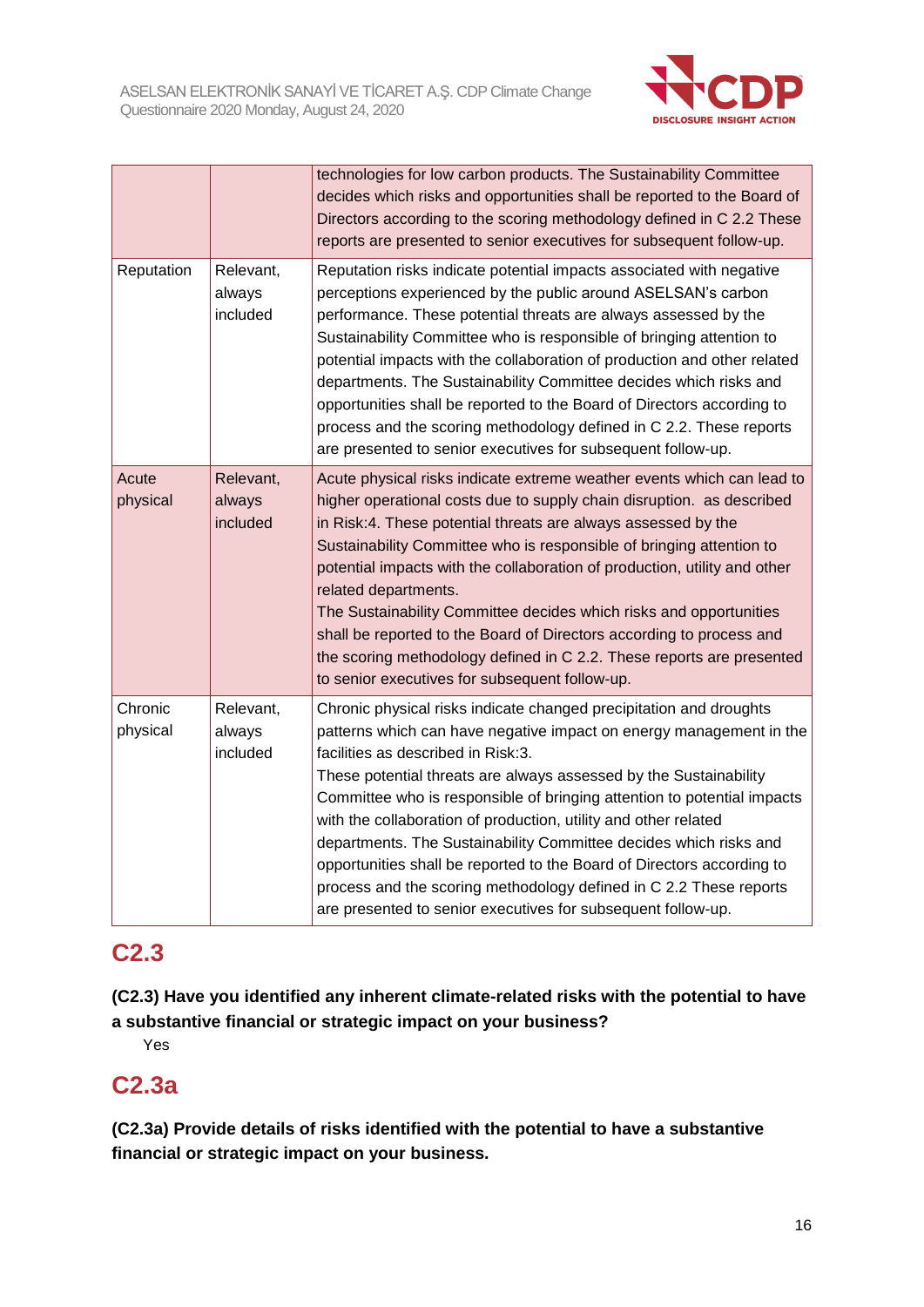

|                     |                                 | technologies for low carbon products. The Sustainability Committee<br>decides which risks and opportunities shall be reported to the Board of<br>Directors according to the scoring methodology defined in C 2.2 These<br>reports are presented to senior executives for subsequent follow-up.                                                                                                                                                                                                                                                                                                                                                                                          |
|---------------------|---------------------------------|-----------------------------------------------------------------------------------------------------------------------------------------------------------------------------------------------------------------------------------------------------------------------------------------------------------------------------------------------------------------------------------------------------------------------------------------------------------------------------------------------------------------------------------------------------------------------------------------------------------------------------------------------------------------------------------------|
| Reputation          | Relevant,<br>always<br>included | Reputation risks indicate potential impacts associated with negative<br>perceptions experienced by the public around ASELSAN's carbon<br>performance. These potential threats are always assessed by the<br>Sustainability Committee who is responsible of bringing attention to<br>potential impacts with the collaboration of production and other related<br>departments. The Sustainability Committee decides which risks and<br>opportunities shall be reported to the Board of Directors according to<br>process and the scoring methodology defined in C 2.2. These reports<br>are presented to senior executives for subsequent follow-up.                                      |
| Acute<br>physical   | Relevant,<br>always<br>included | Acute physical risks indicate extreme weather events which can lead to<br>higher operational costs due to supply chain disruption. as described<br>in Risk:4. These potential threats are always assessed by the<br>Sustainability Committee who is responsible of bringing attention to<br>potential impacts with the collaboration of production, utility and other<br>related departments.<br>The Sustainability Committee decides which risks and opportunities<br>shall be reported to the Board of Directors according to process and<br>the scoring methodology defined in C 2.2. These reports are presented<br>to senior executives for subsequent follow-up.                  |
| Chronic<br>physical | Relevant,<br>always<br>included | Chronic physical risks indicate changed precipitation and droughts<br>patterns which can have negative impact on energy management in the<br>facilities as described in Risk:3.<br>These potential threats are always assessed by the Sustainability<br>Committee who is responsible of bringing attention to potential impacts<br>with the collaboration of production, utility and other related<br>departments. The Sustainability Committee decides which risks and<br>opportunities shall be reported to the Board of Directors according to<br>process and the scoring methodology defined in C 2.2 These reports<br>are presented to senior executives for subsequent follow-up. |

# **C2.3**

**(C2.3) Have you identified any inherent climate-related risks with the potential to have a substantive financial or strategic impact on your business?**

Yes

# **C2.3a**

**(C2.3a) Provide details of risks identified with the potential to have a substantive financial or strategic impact on your business.**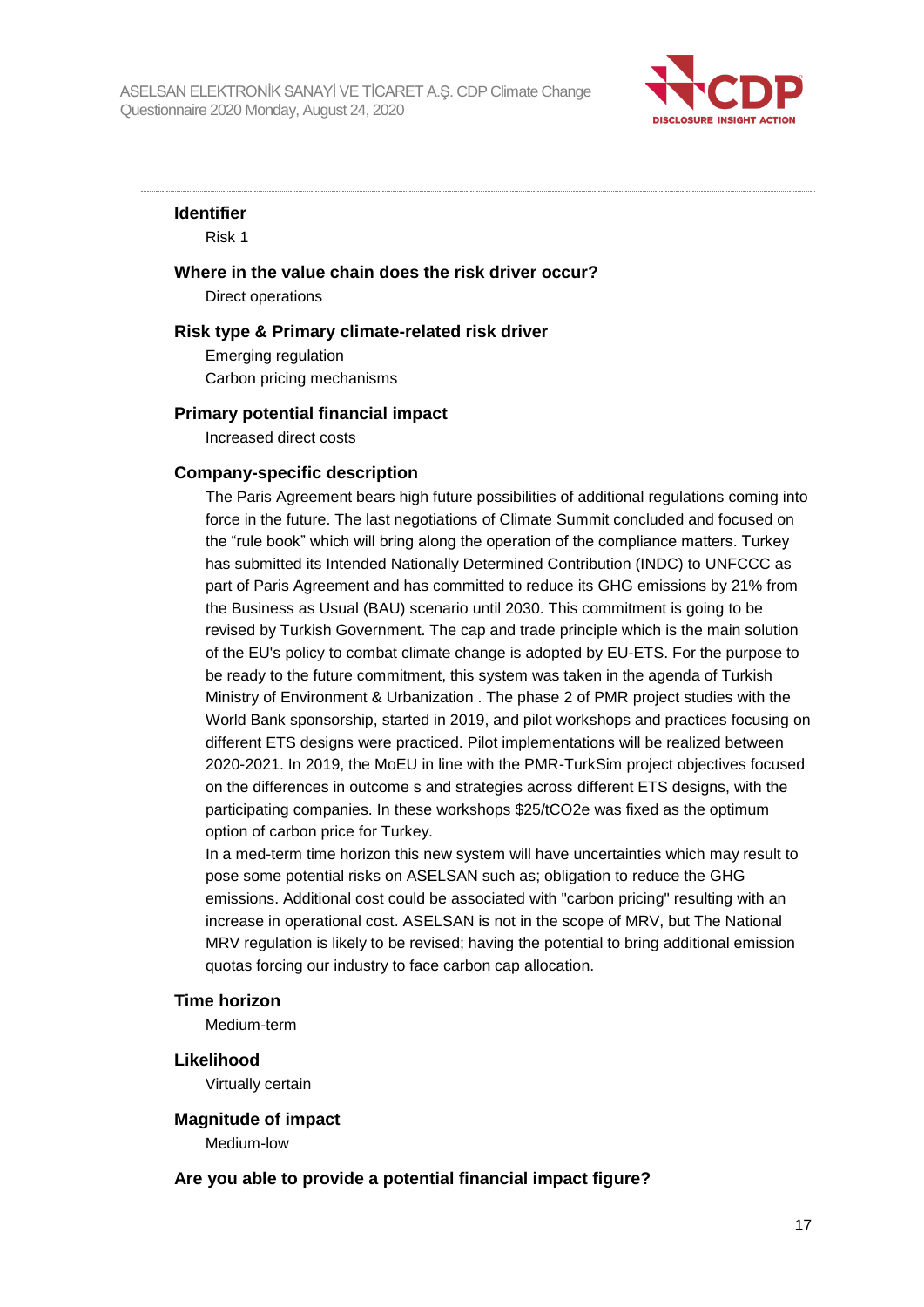

#### **Identifier**

Risk 1

#### **Where in the value chain does the risk driver occur?**

Direct operations

#### **Risk type & Primary climate-related risk driver**

Emerging regulation Carbon pricing mechanisms

#### **Primary potential financial impact**

Increased direct costs

#### **Company-specific description**

The Paris Agreement bears high future possibilities of additional regulations coming into force in the future. The last negotiations of Climate Summit concluded and focused on the "rule book" which will bring along the operation of the compliance matters. Turkey has submitted its Intended Nationally Determined Contribution (INDC) to UNFCCC as part of Paris Agreement and has committed to reduce its GHG emissions by 21% from the Business as Usual (BAU) scenario until 2030. This commitment is going to be revised by Turkish Government. The cap and trade principle which is the main solution of the EU's policy to combat climate change is adopted by EU-ETS. For the purpose to be ready to the future commitment, this system was taken in the agenda of Turkish Ministry of Environment & Urbanization . The phase 2 of PMR project studies with the World Bank sponsorship, started in 2019, and pilot workshops and practices focusing on different ETS designs were practiced. Pilot implementations will be realized between 2020-2021. In 2019, the MoEU in line with the PMR-TurkSim project objectives focused on the differences in outcome s and strategies across different ETS designs, with the participating companies. In these workshops \$25/tCO2e was fixed as the optimum option of carbon price for Turkey.

In a med-term time horizon this new system will have uncertainties which may result to pose some potential risks on ASELSAN such as; obligation to reduce the GHG emissions. Additional cost could be associated with "carbon pricing" resulting with an increase in operational cost. ASELSAN is not in the scope of MRV, but The National MRV regulation is likely to be revised; having the potential to bring additional emission quotas forcing our industry to face carbon cap allocation.

#### **Time horizon**

Medium-term

#### **Likelihood**

Virtually certain

#### **Magnitude of impact**

Medium-low

#### **Are you able to provide a potential financial impact figure?**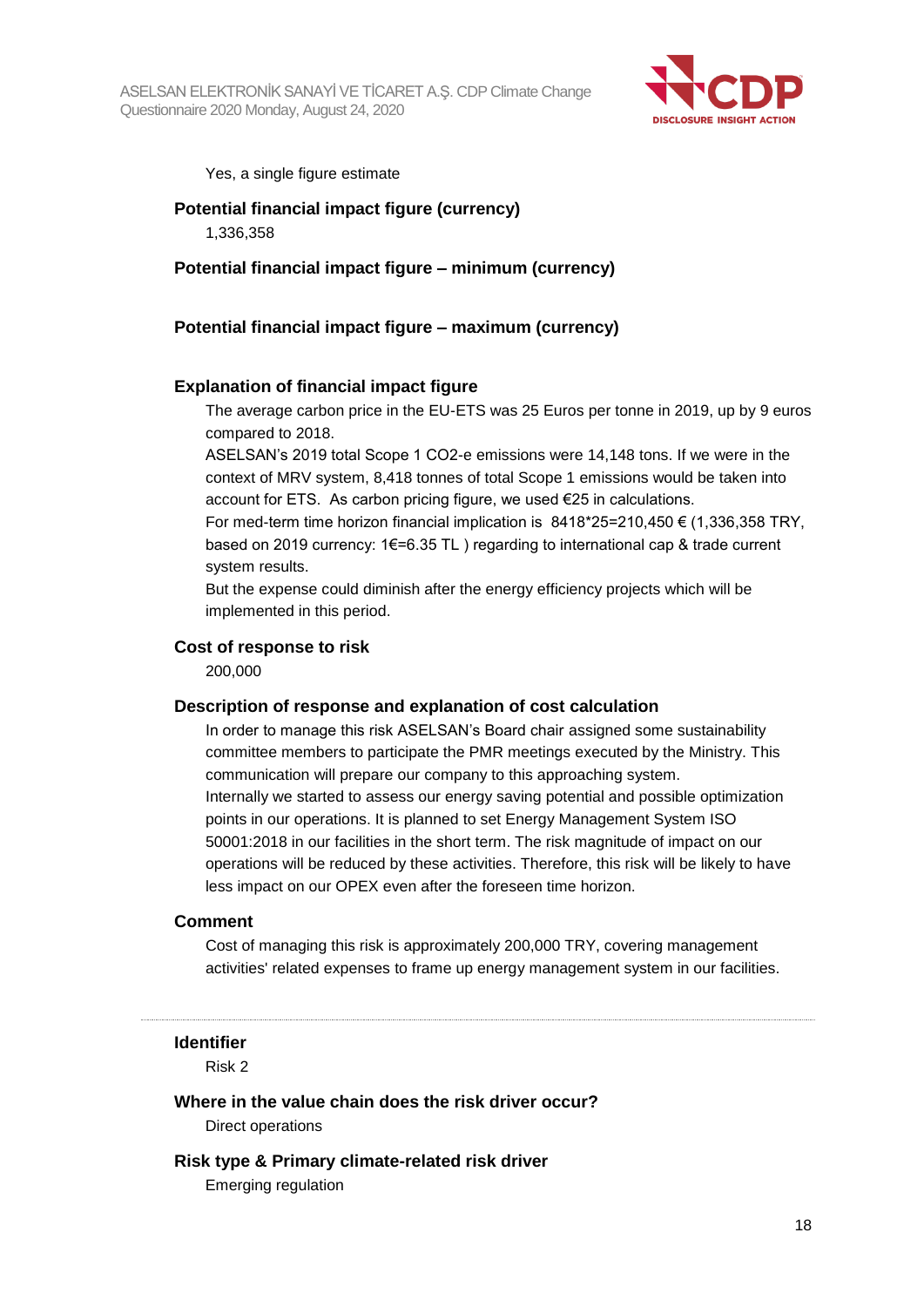

Yes, a single figure estimate

#### **Potential financial impact figure (currency)**

1,336,358

#### **Potential financial impact figure – minimum (currency)**

#### **Potential financial impact figure – maximum (currency)**

#### **Explanation of financial impact figure**

The average carbon price in the EU-ETS was 25 Euros per tonne in 2019, up by 9 euros compared to 2018.

ASELSAN's 2019 total Scope 1 CO2-e emissions were 14,148 tons. If we were in the context of MRV system, 8,418 tonnes of total Scope 1 emissions would be taken into account for ETS. As carbon pricing figure, we used €25 in calculations.

For med-term time horizon financial implication is  $8418*25=210.450 € (1.336.358 TRY)$ . based on 2019 currency: 1€=6.35 TL ) regarding to international cap & trade current system results.

But the expense could diminish after the energy efficiency projects which will be implemented in this period.

#### **Cost of response to risk**

200,000

#### **Description of response and explanation of cost calculation**

In order to manage this risk ASELSAN's Board chair assigned some sustainability committee members to participate the PMR meetings executed by the Ministry. This communication will prepare our company to this approaching system. Internally we started to assess our energy saving potential and possible optimization points in our operations. It is planned to set Energy Management System ISO 50001:2018 in our facilities in the short term. The risk magnitude of impact on our operations will be reduced by these activities. Therefore, this risk will be likely to have less impact on our OPEX even after the foreseen time horizon.

#### **Comment**

Cost of managing this risk is approximately 200,000 TRY, covering management activities' related expenses to frame up energy management system in our facilities.

**Identifier**

Risk 2

#### **Where in the value chain does the risk driver occur?**

Direct operations

#### **Risk type & Primary climate-related risk driver**

Emerging regulation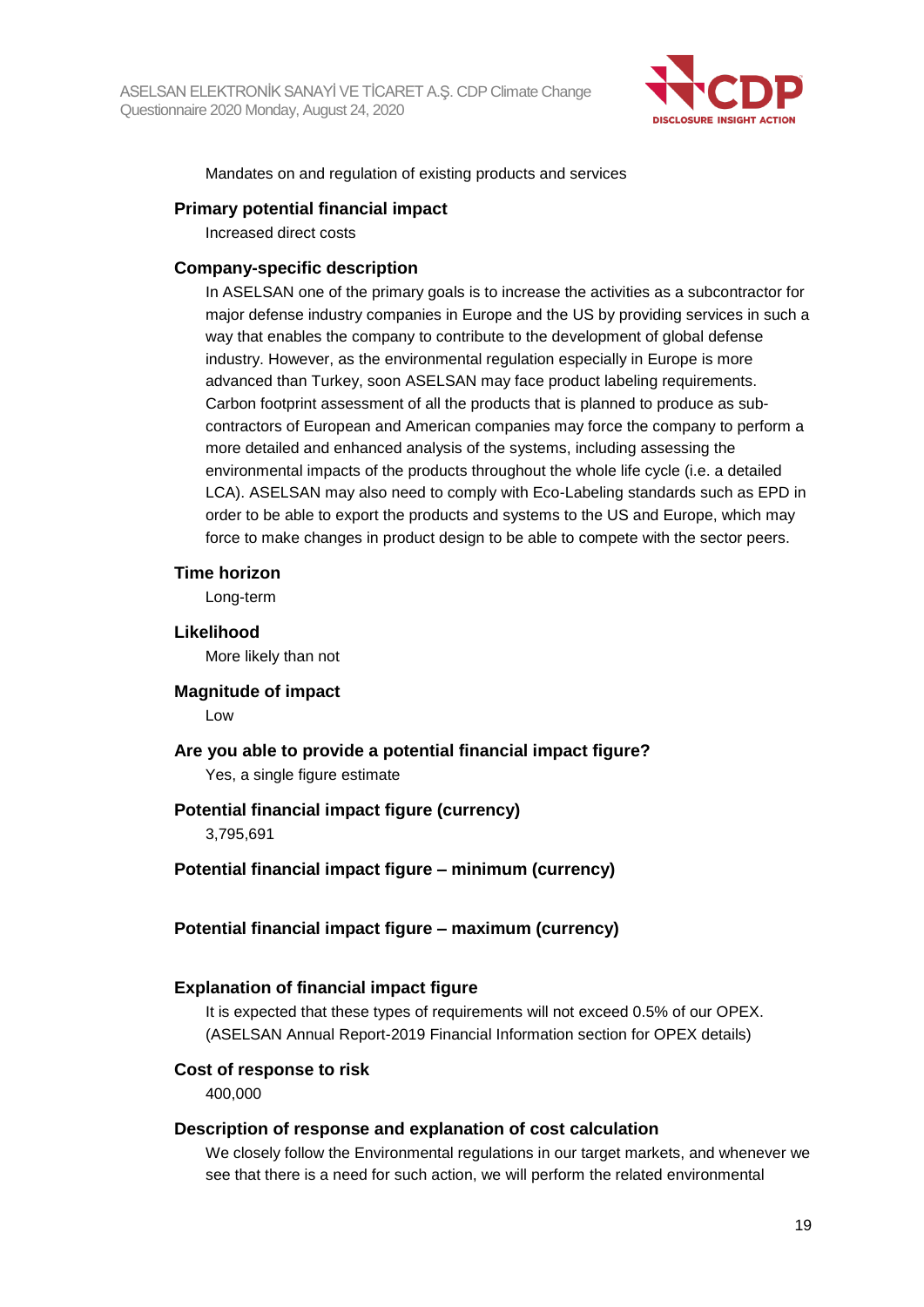

Mandates on and regulation of existing products and services

#### **Primary potential financial impact**

Increased direct costs

#### **Company-specific description**

In ASELSAN one of the primary goals is to increase the activities as a subcontractor for major defense industry companies in Europe and the US by providing services in such a way that enables the company to contribute to the development of global defense industry. However, as the environmental regulation especially in Europe is more advanced than Turkey, soon ASELSAN may face product labeling requirements. Carbon footprint assessment of all the products that is planned to produce as subcontractors of European and American companies may force the company to perform a more detailed and enhanced analysis of the systems, including assessing the environmental impacts of the products throughout the whole life cycle (i.e. a detailed LCA). ASELSAN may also need to comply with Eco-Labeling standards such as EPD in order to be able to export the products and systems to the US and Europe, which may force to make changes in product design to be able to compete with the sector peers.

#### **Time horizon**

Long-term

#### **Likelihood**

More likely than not

## **Magnitude of impact**

Low

## **Are you able to provide a potential financial impact figure?** Yes, a single figure estimate

#### **Potential financial impact figure (currency)**

3,795,691

#### **Potential financial impact figure – minimum (currency)**

#### **Potential financial impact figure – maximum (currency)**

#### **Explanation of financial impact figure**

It is expected that these types of requirements will not exceed 0.5% of our OPEX. (ASELSAN Annual Report-2019 Financial Information section for OPEX details)

#### **Cost of response to risk**

400,000

#### **Description of response and explanation of cost calculation**

We closely follow the Environmental regulations in our target markets, and whenever we see that there is a need for such action, we will perform the related environmental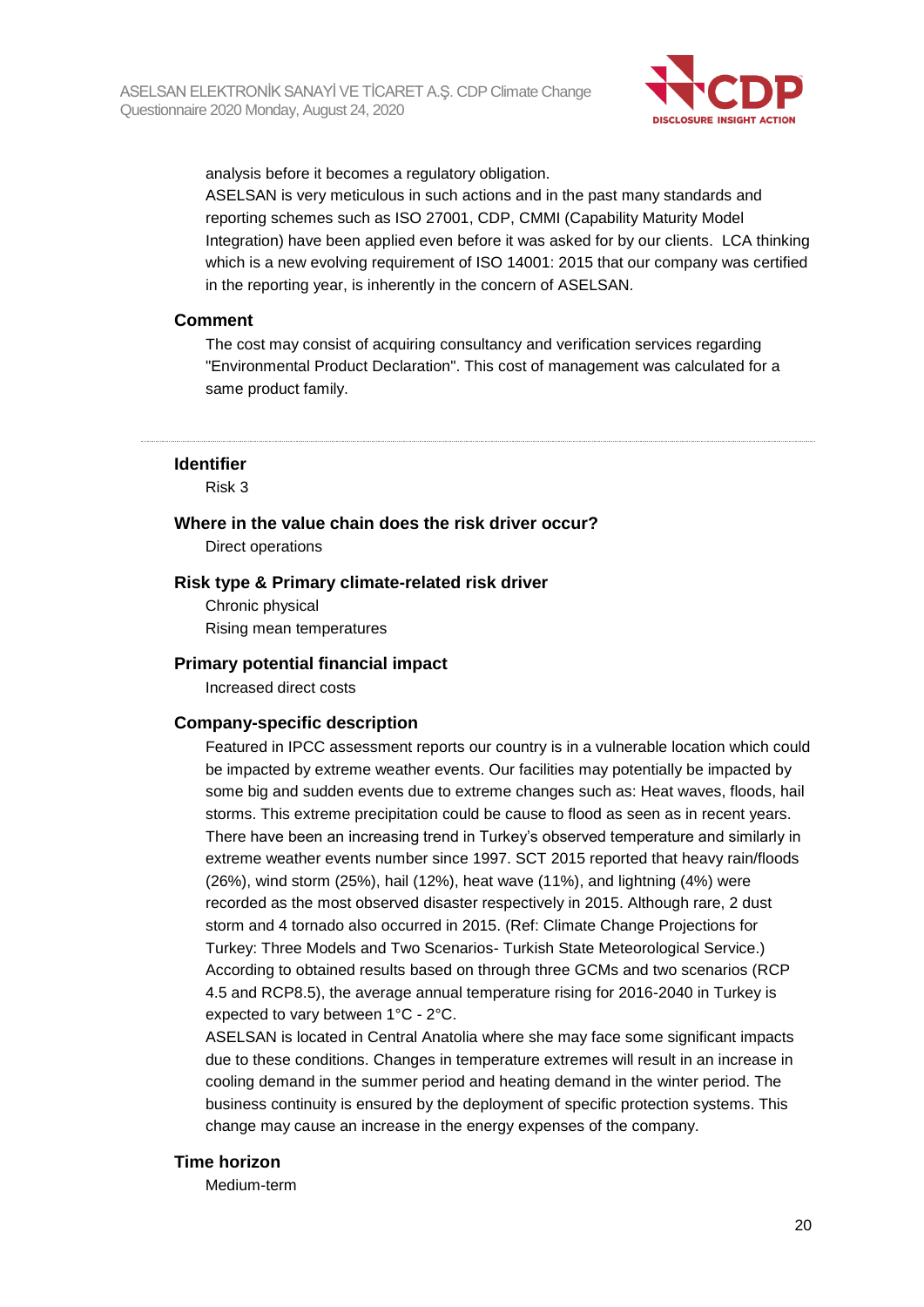

analysis before it becomes a regulatory obligation.

ASELSAN is very meticulous in such actions and in the past many standards and reporting schemes such as ISO 27001, CDP, CMMI (Capability Maturity Model Integration) have been applied even before it was asked for by our clients. LCA thinking which is a new evolving requirement of ISO 14001: 2015 that our company was certified in the reporting year, is inherently in the concern of ASELSAN.

#### **Comment**

The cost may consist of acquiring consultancy and verification services regarding "Environmental Product Declaration". This cost of management was calculated for a same product family.

#### **Identifier**

Risk 3

#### **Where in the value chain does the risk driver occur?**

Direct operations

#### **Risk type & Primary climate-related risk driver**

Chronic physical Rising mean temperatures

#### **Primary potential financial impact**

Increased direct costs

#### **Company-specific description**

Featured in IPCC assessment reports our country is in a vulnerable location which could be impacted by extreme weather events. Our facilities may potentially be impacted by some big and sudden events due to extreme changes such as: Heat waves, floods, hail storms. This extreme precipitation could be cause to flood as seen as in recent years. There have been an increasing trend in Turkey's observed temperature and similarly in extreme weather events number since 1997. SCT 2015 reported that heavy rain/floods (26%), wind storm (25%), hail (12%), heat wave (11%), and lightning (4%) were recorded as the most observed disaster respectively in 2015. Although rare, 2 dust storm and 4 tornado also occurred in 2015. (Ref: Climate Change Projections for Turkey: Three Models and Two Scenarios- Turkish State Meteorological Service.) According to obtained results based on through three GCMs and two scenarios (RCP 4.5 and RCP8.5), the average annual temperature rising for 2016-2040 in Turkey is expected to vary between 1°C - 2°C.

ASELSAN is located in Central Anatolia where she may face some significant impacts due to these conditions. Changes in temperature extremes will result in an increase in cooling demand in the summer period and heating demand in the winter period. The business continuity is ensured by the deployment of specific protection systems. This change may cause an increase in the energy expenses of the company.

#### **Time horizon**

Medium-term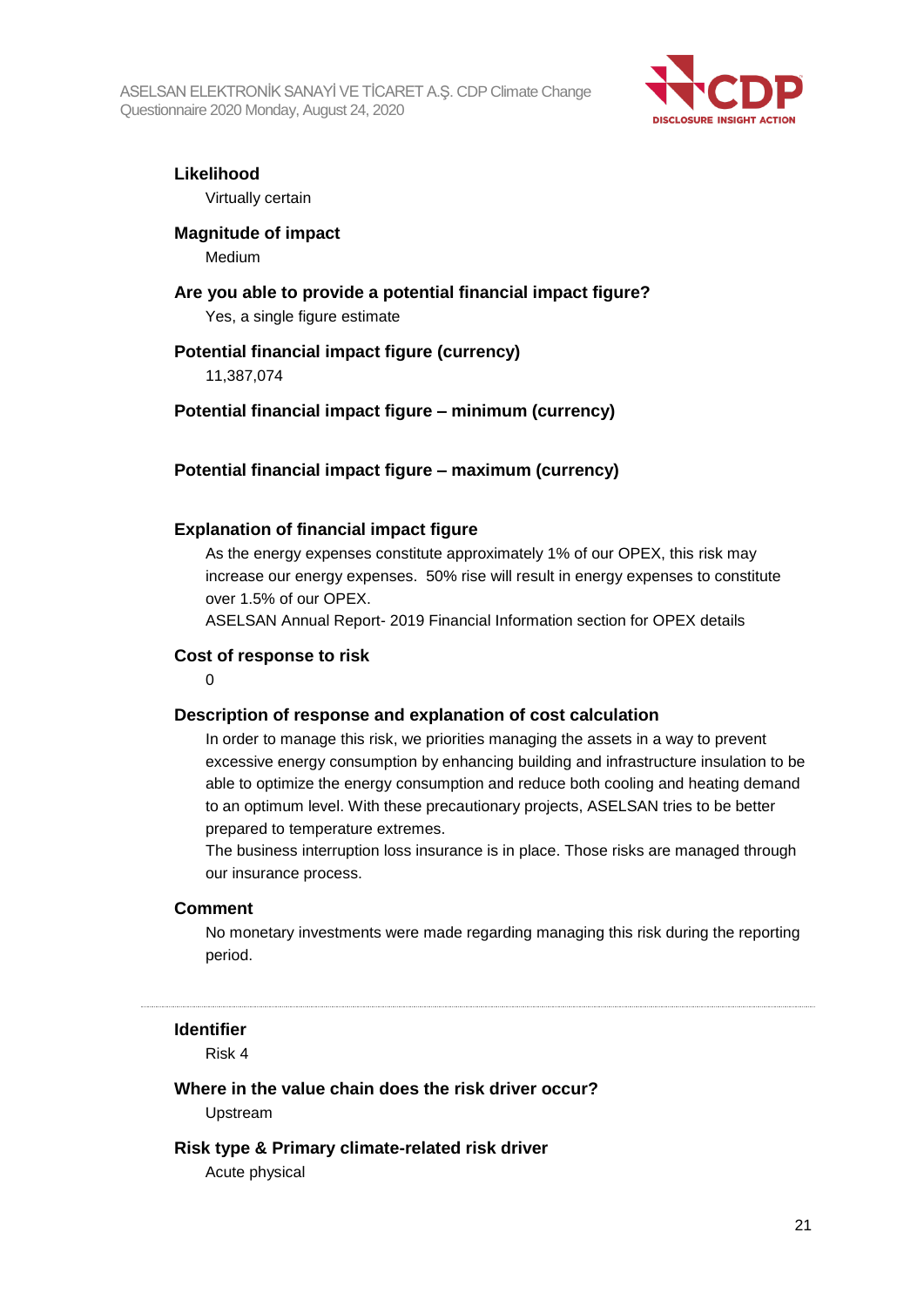

# **Likelihood**

Virtually certain

## **Magnitude of impact**

Medium

## **Are you able to provide a potential financial impact figure?** Yes, a single figure estimate

## **Potential financial impact figure (currency)**

11,387,074

## **Potential financial impact figure – minimum (currency)**

## **Potential financial impact figure – maximum (currency)**

## **Explanation of financial impact figure**

As the energy expenses constitute approximately 1% of our OPEX, this risk may increase our energy expenses. 50% rise will result in energy expenses to constitute over 1.5% of our OPEX.

ASELSAN Annual Report- 2019 Financial Information section for OPEX details

#### **Cost of response to risk**

 $\Omega$ 

#### **Description of response and explanation of cost calculation**

In order to manage this risk, we priorities managing the assets in a way to prevent excessive energy consumption by enhancing building and infrastructure insulation to be able to optimize the energy consumption and reduce both cooling and heating demand to an optimum level. With these precautionary projects, ASELSAN tries to be better prepared to temperature extremes.

The business interruption loss insurance is in place. Those risks are managed through our insurance process.

#### **Comment**

No monetary investments were made regarding managing this risk during the reporting period.

#### **Identifier**

Risk 4

#### **Where in the value chain does the risk driver occur?**

Upstream

#### **Risk type & Primary climate-related risk driver**

Acute physical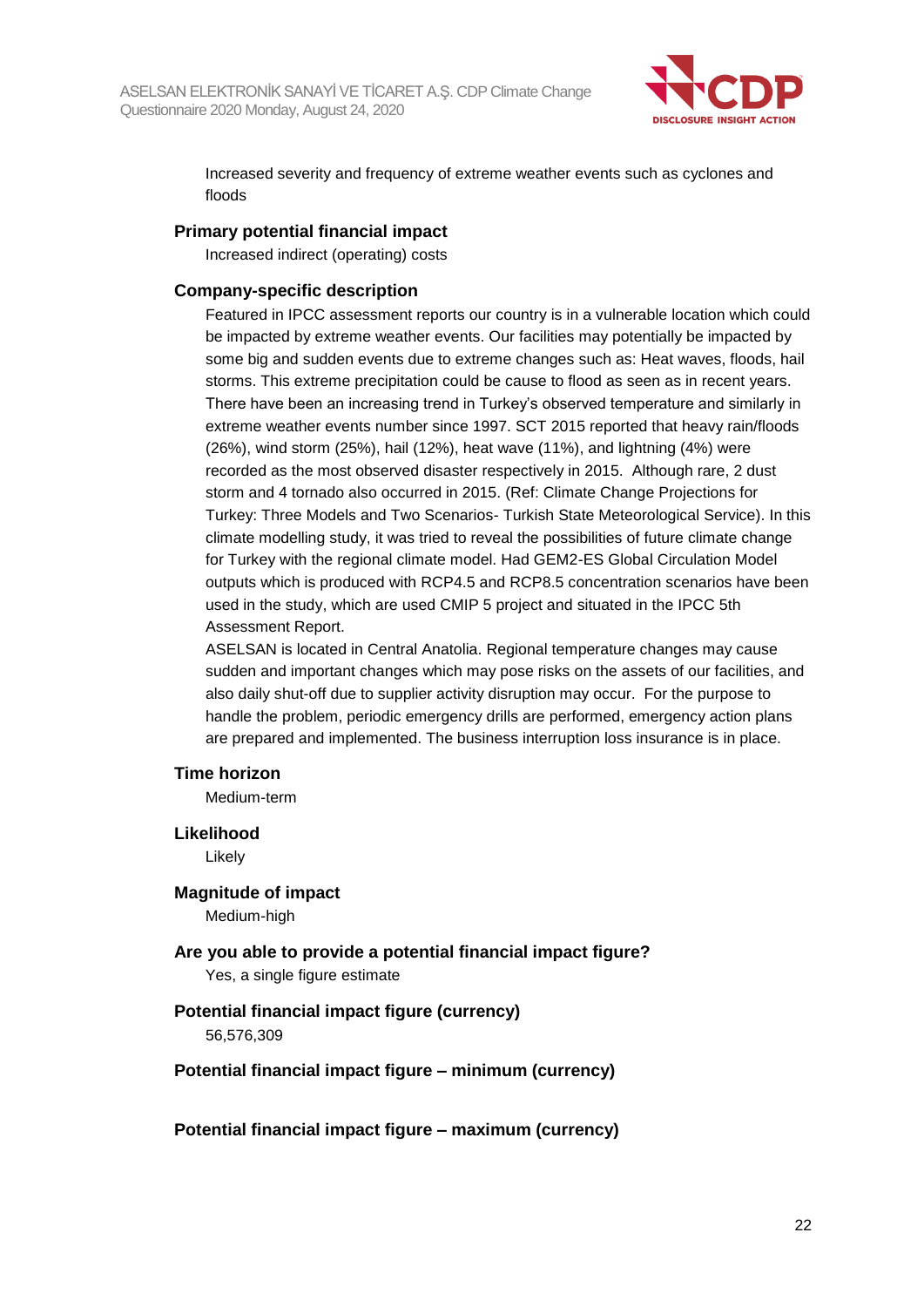

Increased severity and frequency of extreme weather events such as cyclones and floods

#### **Primary potential financial impact**

Increased indirect (operating) costs

#### **Company-specific description**

Featured in IPCC assessment reports our country is in a vulnerable location which could be impacted by extreme weather events. Our facilities may potentially be impacted by some big and sudden events due to extreme changes such as: Heat waves, floods, hail storms. This extreme precipitation could be cause to flood as seen as in recent years. There have been an increasing trend in Turkey's observed temperature and similarly in extreme weather events number since 1997. SCT 2015 reported that heavy rain/floods (26%), wind storm (25%), hail (12%), heat wave (11%), and lightning (4%) were recorded as the most observed disaster respectively in 2015. Although rare, 2 dust storm and 4 tornado also occurred in 2015. (Ref: Climate Change Projections for Turkey: Three Models and Two Scenarios- Turkish State Meteorological Service). In this climate modelling study, it was tried to reveal the possibilities of future climate change for Turkey with the regional climate model. Had GEM2-ES Global Circulation Model outputs which is produced with RCP4.5 and RCP8.5 concentration scenarios have been used in the study, which are used CMIP 5 project and situated in the IPCC 5th Assessment Report.

ASELSAN is located in Central Anatolia. Regional temperature changes may cause sudden and important changes which may pose risks on the assets of our facilities, and also daily shut-off due to supplier activity disruption may occur. For the purpose to handle the problem, periodic emergency drills are performed, emergency action plans are prepared and implemented. The business interruption loss insurance is in place.

#### **Time horizon**

Medium-term

#### **Likelihood**

Likely

#### **Magnitude of impact**

Medium-high

#### **Are you able to provide a potential financial impact figure?**

Yes, a single figure estimate

#### **Potential financial impact figure (currency)**

56,576,309

#### **Potential financial impact figure – minimum (currency)**

**Potential financial impact figure – maximum (currency)**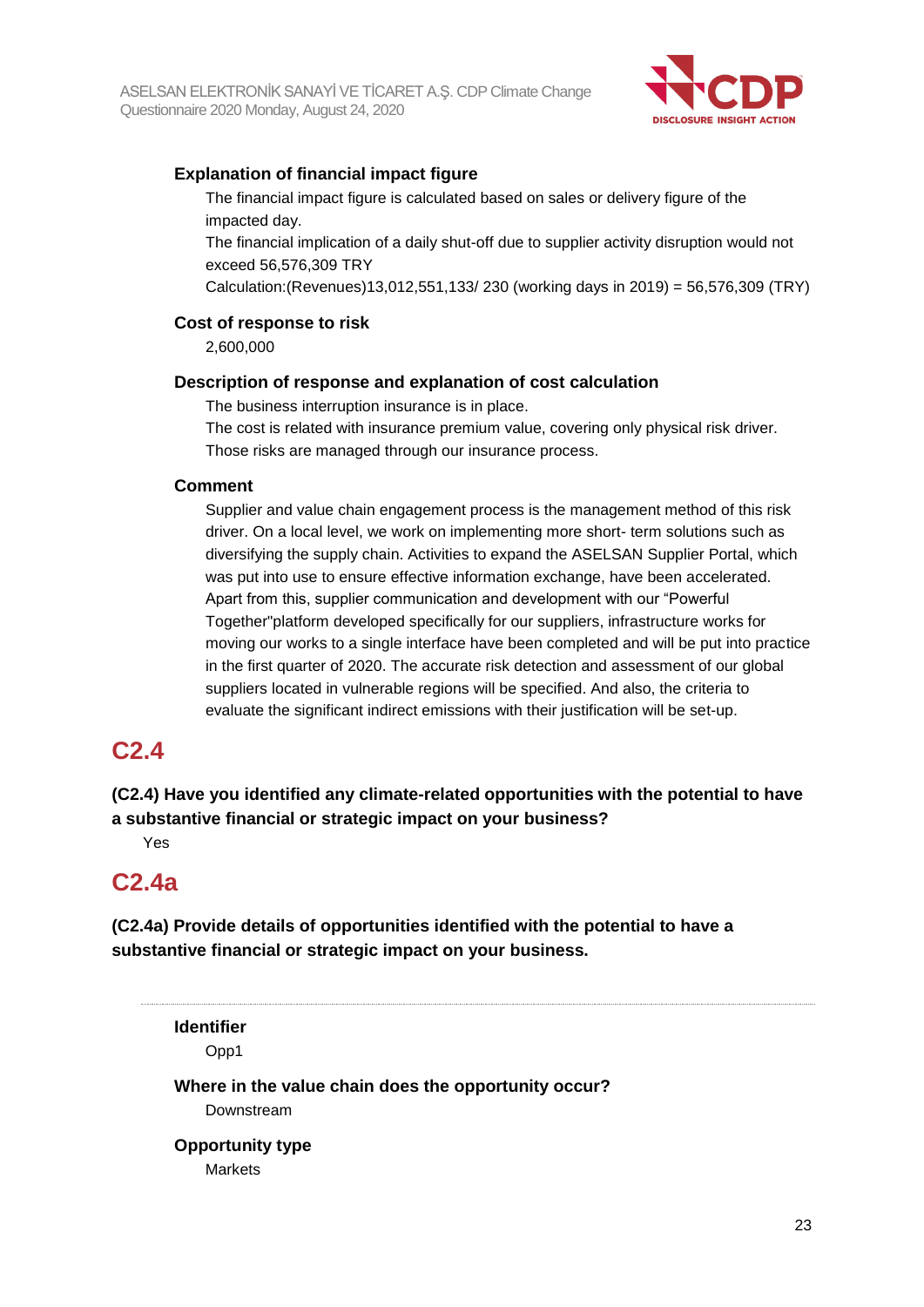

## **Explanation of financial impact figure**

The financial impact figure is calculated based on sales or delivery figure of the impacted day.

The financial implication of a daily shut-off due to supplier activity disruption would not exceed 56,576,309 TRY

Calculation:(Revenues)13,012,551,133/ 230 (working days in 2019) = 56,576,309 (TRY)

#### **Cost of response to risk**

2,600,000

#### **Description of response and explanation of cost calculation**

The business interruption insurance is in place.

The cost is related with insurance premium value, covering only physical risk driver. Those risks are managed through our insurance process.

#### **Comment**

Supplier and value chain engagement process is the management method of this risk driver. On a local level, we work on implementing more short- term solutions such as diversifying the supply chain. Activities to expand the ASELSAN Supplier Portal, which was put into use to ensure effective information exchange, have been accelerated. Apart from this, supplier communication and development with our "Powerful Together"platform developed specifically for our suppliers, infrastructure works for moving our works to a single interface have been completed and will be put into practice in the first quarter of 2020. The accurate risk detection and assessment of our global suppliers located in vulnerable regions will be specified. And also, the criteria to evaluate the significant indirect emissions with their justification will be set-up.

## **C2.4**

## **(C2.4) Have you identified any climate-related opportunities with the potential to have a substantive financial or strategic impact on your business?**

Yes

# **C2.4a**

**(C2.4a) Provide details of opportunities identified with the potential to have a substantive financial or strategic impact on your business.**

**Identifier** Opp1 **Where in the value chain does the opportunity occur?** Downstream **Opportunity type** Markets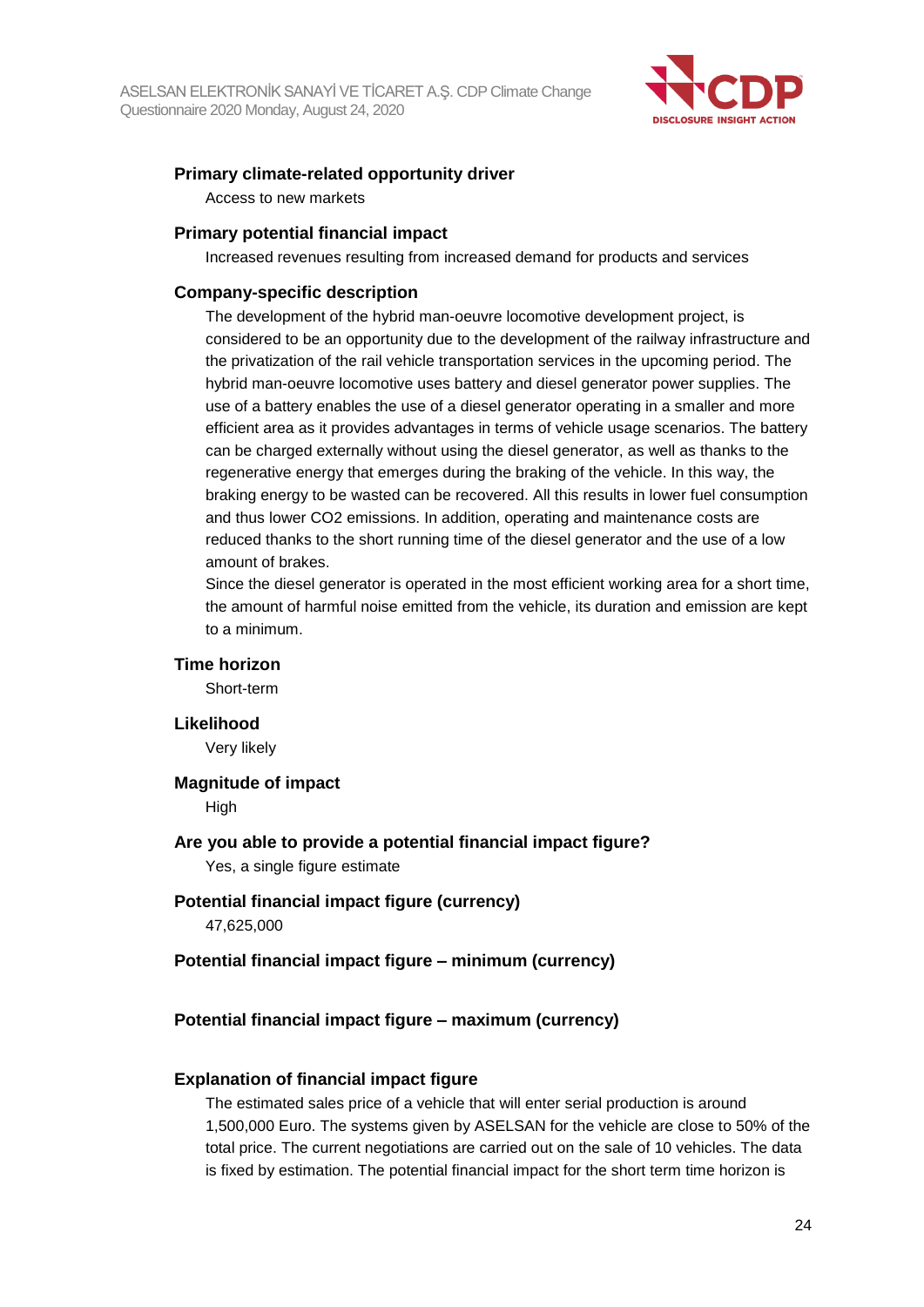

#### **Primary climate-related opportunity driver**

Access to new markets

#### **Primary potential financial impact**

Increased revenues resulting from increased demand for products and services

#### **Company-specific description**

The development of the hybrid man-oeuvre locomotive development project, is considered to be an opportunity due to the development of the railway infrastructure and the privatization of the rail vehicle transportation services in the upcoming period. The hybrid man-oeuvre locomotive uses battery and diesel generator power supplies. The use of a battery enables the use of a diesel generator operating in a smaller and more efficient area as it provides advantages in terms of vehicle usage scenarios. The battery can be charged externally without using the diesel generator, as well as thanks to the regenerative energy that emerges during the braking of the vehicle. In this way, the braking energy to be wasted can be recovered. All this results in lower fuel consumption and thus lower CO2 emissions. In addition, operating and maintenance costs are reduced thanks to the short running time of the diesel generator and the use of a low amount of brakes.

Since the diesel generator is operated in the most efficient working area for a short time, the amount of harmful noise emitted from the vehicle, its duration and emission are kept to a minimum.

#### **Time horizon**

Short-term

#### **Likelihood**

Very likely

#### **Magnitude of impact**

High

#### **Are you able to provide a potential financial impact figure?**

Yes, a single figure estimate

#### **Potential financial impact figure (currency)**

47,625,000

#### **Potential financial impact figure – minimum (currency)**

#### **Potential financial impact figure – maximum (currency)**

#### **Explanation of financial impact figure**

The estimated sales price of a vehicle that will enter serial production is around 1,500,000 Euro. The systems given by ASELSAN for the vehicle are close to 50% of the total price. The current negotiations are carried out on the sale of 10 vehicles. The data is fixed by estimation. The potential financial impact for the short term time horizon is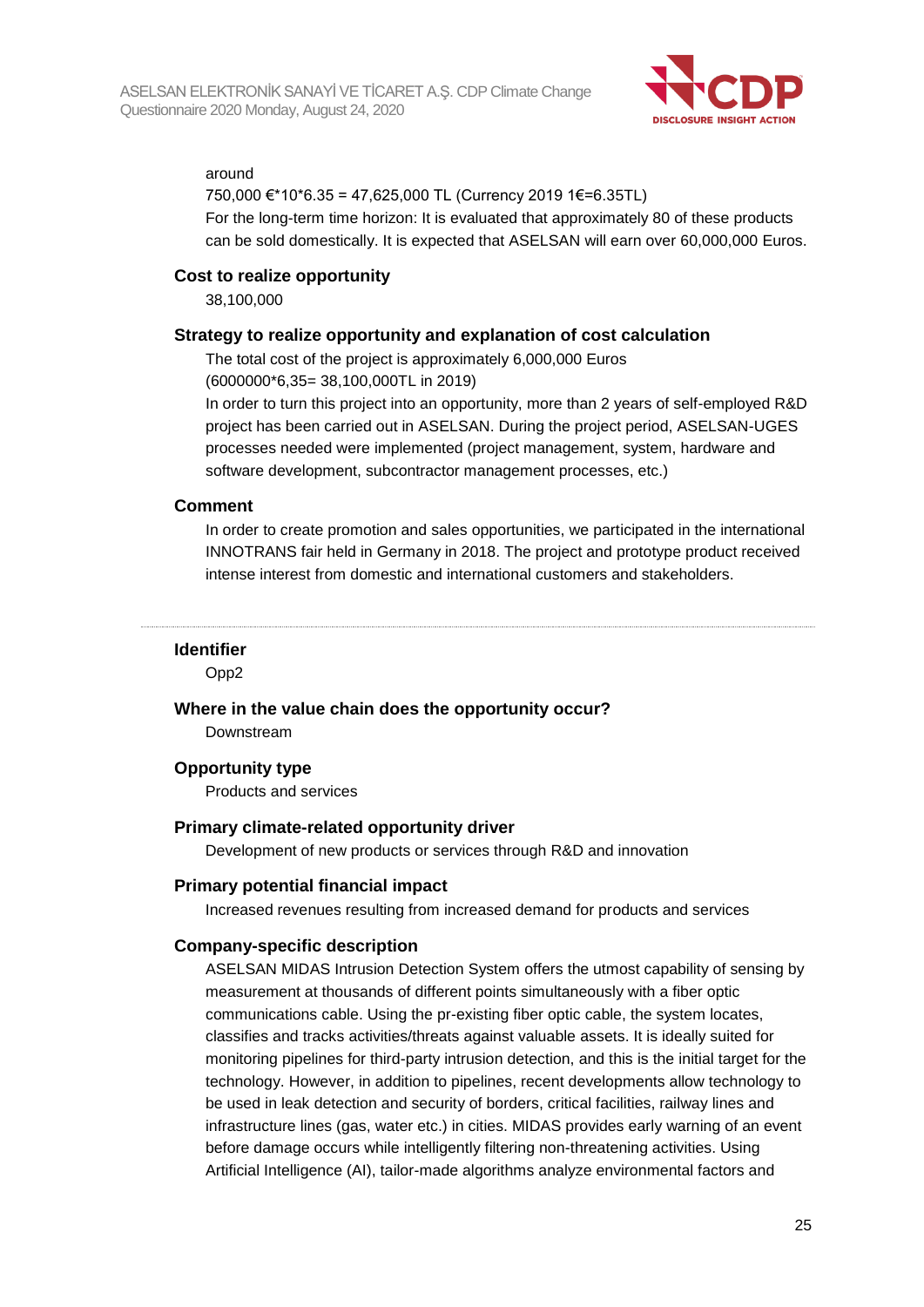

#### around

750,000 €\*10\*6.35 = 47,625,000 TL (Currency 2019 1€=6.35TL) For the long-term time horizon: It is evaluated that approximately 80 of these products can be sold domestically. It is expected that ASELSAN will earn over 60,000,000 Euros.

## **Cost to realize opportunity**

38,100,000

#### **Strategy to realize opportunity and explanation of cost calculation**

The total cost of the project is approximately 6,000,000 Euros

(6000000\*6,35= 38,100,000TL in 2019)

In order to turn this project into an opportunity, more than 2 years of self-employed R&D project has been carried out in ASELSAN. During the project period, ASELSAN-UGES processes needed were implemented (project management, system, hardware and software development, subcontractor management processes, etc.)

#### **Comment**

In order to create promotion and sales opportunities, we participated in the international INNOTRANS fair held in Germany in 2018. The project and prototype product received intense interest from domestic and international customers and stakeholders.

#### **Identifier**

Opp2

#### **Where in the value chain does the opportunity occur?**

Downstream

#### **Opportunity type**

Products and services

#### **Primary climate-related opportunity driver**

Development of new products or services through R&D and innovation

#### **Primary potential financial impact**

Increased revenues resulting from increased demand for products and services

#### **Company-specific description**

ASELSAN MIDAS Intrusion Detection System offers the utmost capability of sensing by measurement at thousands of different points simultaneously with a fiber optic communications cable. Using the pr-existing fiber optic cable, the system locates, classifies and tracks activities/threats against valuable assets. It is ideally suited for monitoring pipelines for third-party intrusion detection, and this is the initial target for the technology. However, in addition to pipelines, recent developments allow technology to be used in leak detection and security of borders, critical facilities, railway lines and infrastructure lines (gas, water etc.) in cities. MIDAS provides early warning of an event before damage occurs while intelligently filtering non-threatening activities. Using Artificial Intelligence (AI), tailor-made algorithms analyze environmental factors and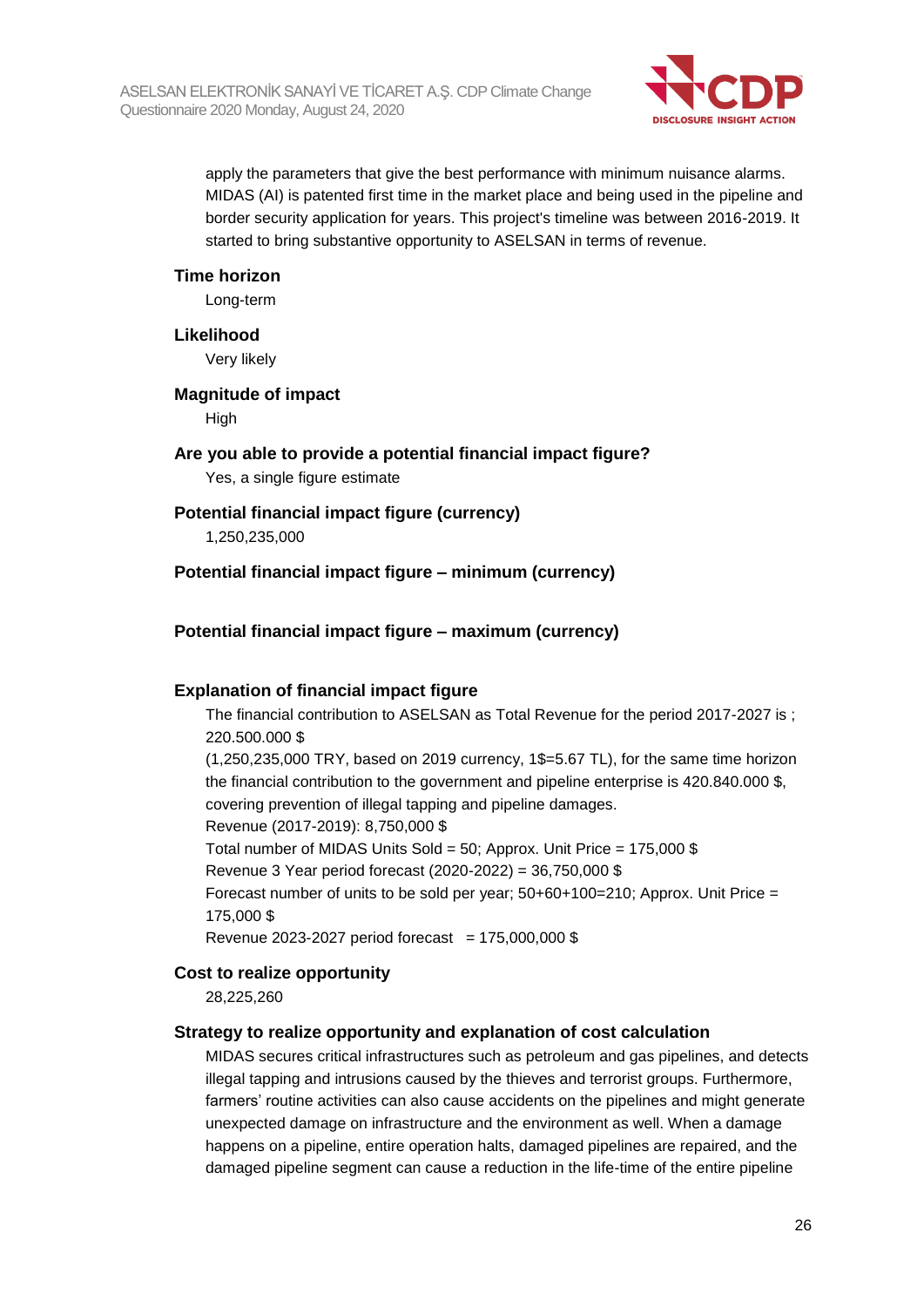

apply the parameters that give the best performance with minimum nuisance alarms. MIDAS (AI) is patented first time in the market place and being used in the pipeline and border security application for years. This project's timeline was between 2016-2019. It started to bring substantive opportunity to ASELSAN in terms of revenue.

#### **Time horizon**

Long-term

#### **Likelihood**

Very likely

## **Magnitude of impact**

High

## **Are you able to provide a potential financial impact figure?**

Yes, a single figure estimate

## **Potential financial impact figure (currency)**

1,250,235,000

## **Potential financial impact figure – minimum (currency)**

## **Potential financial impact figure – maximum (currency)**

#### **Explanation of financial impact figure**

The financial contribution to ASELSAN as Total Revenue for the period 2017-2027 is ; 220.500.000 \$ (1,250,235,000 TRY, based on 2019 currency, 1\$=5.67 TL), for the same time horizon the financial contribution to the government and pipeline enterprise is 420.840.000 \$, covering prevention of illegal tapping and pipeline damages. Revenue (2017-2019): 8,750,000 \$ Total number of MIDAS Units Sold = 50; Approx. Unit Price = 175,000 \$ Revenue 3 Year period forecast (2020-2022) = 36,750,000 \$ Forecast number of units to be sold per year;  $50+60+100=210$ ; Approx. Unit Price = 175,000 \$ Revenue 2023-2027 period forecast =  $175,000,000$  \$

#### **Cost to realize opportunity**

28,225,260

#### **Strategy to realize opportunity and explanation of cost calculation**

MIDAS secures critical infrastructures such as petroleum and gas pipelines, and detects illegal tapping and intrusions caused by the thieves and terrorist groups. Furthermore, farmers' routine activities can also cause accidents on the pipelines and might generate unexpected damage on infrastructure and the environment as well. When a damage happens on a pipeline, entire operation halts, damaged pipelines are repaired, and the damaged pipeline segment can cause a reduction in the life-time of the entire pipeline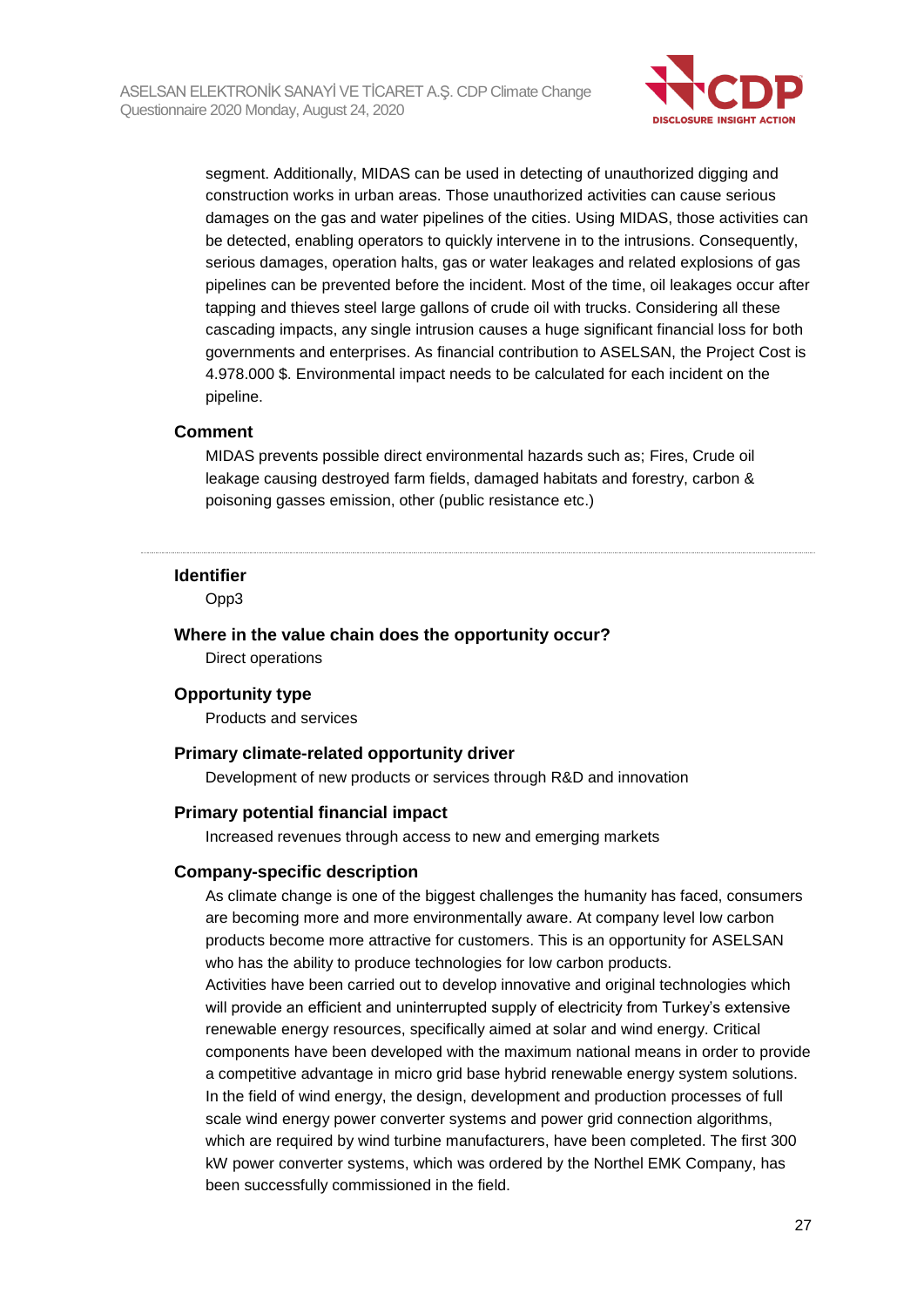

segment. Additionally, MIDAS can be used in detecting of unauthorized digging and construction works in urban areas. Those unauthorized activities can cause serious damages on the gas and water pipelines of the cities. Using MIDAS, those activities can be detected, enabling operators to quickly intervene in to the intrusions. Consequently, serious damages, operation halts, gas or water leakages and related explosions of gas pipelines can be prevented before the incident. Most of the time, oil leakages occur after tapping and thieves steel large gallons of crude oil with trucks. Considering all these cascading impacts, any single intrusion causes a huge significant financial loss for both governments and enterprises. As financial contribution to ASELSAN, the Project Cost is 4.978.000 \$. Environmental impact needs to be calculated for each incident on the pipeline.

#### **Comment**

MIDAS prevents possible direct environmental hazards such as; Fires, Crude oil leakage causing destroyed farm fields, damaged habitats and forestry, carbon & poisoning gasses emission, other (public resistance etc.)

#### **Identifier**

Opp3

**Where in the value chain does the opportunity occur?** Direct operations

#### **Opportunity type**

Products and services

#### **Primary climate-related opportunity driver**

Development of new products or services through R&D and innovation

#### **Primary potential financial impact**

Increased revenues through access to new and emerging markets

#### **Company-specific description**

As climate change is one of the biggest challenges the humanity has faced, consumers are becoming more and more environmentally aware. At company level low carbon products become more attractive for customers. This is an opportunity for ASELSAN who has the ability to produce technologies for low carbon products. Activities have been carried out to develop innovative and original technologies which will provide an efficient and uninterrupted supply of electricity from Turkey's extensive renewable energy resources, specifically aimed at solar and wind energy. Critical components have been developed with the maximum national means in order to provide a competitive advantage in micro grid base hybrid renewable energy system solutions. In the field of wind energy, the design, development and production processes of full scale wind energy power converter systems and power grid connection algorithms, which are required by wind turbine manufacturers, have been completed. The first 300 kW power converter systems, which was ordered by the Northel EMK Company, has been successfully commissioned in the field.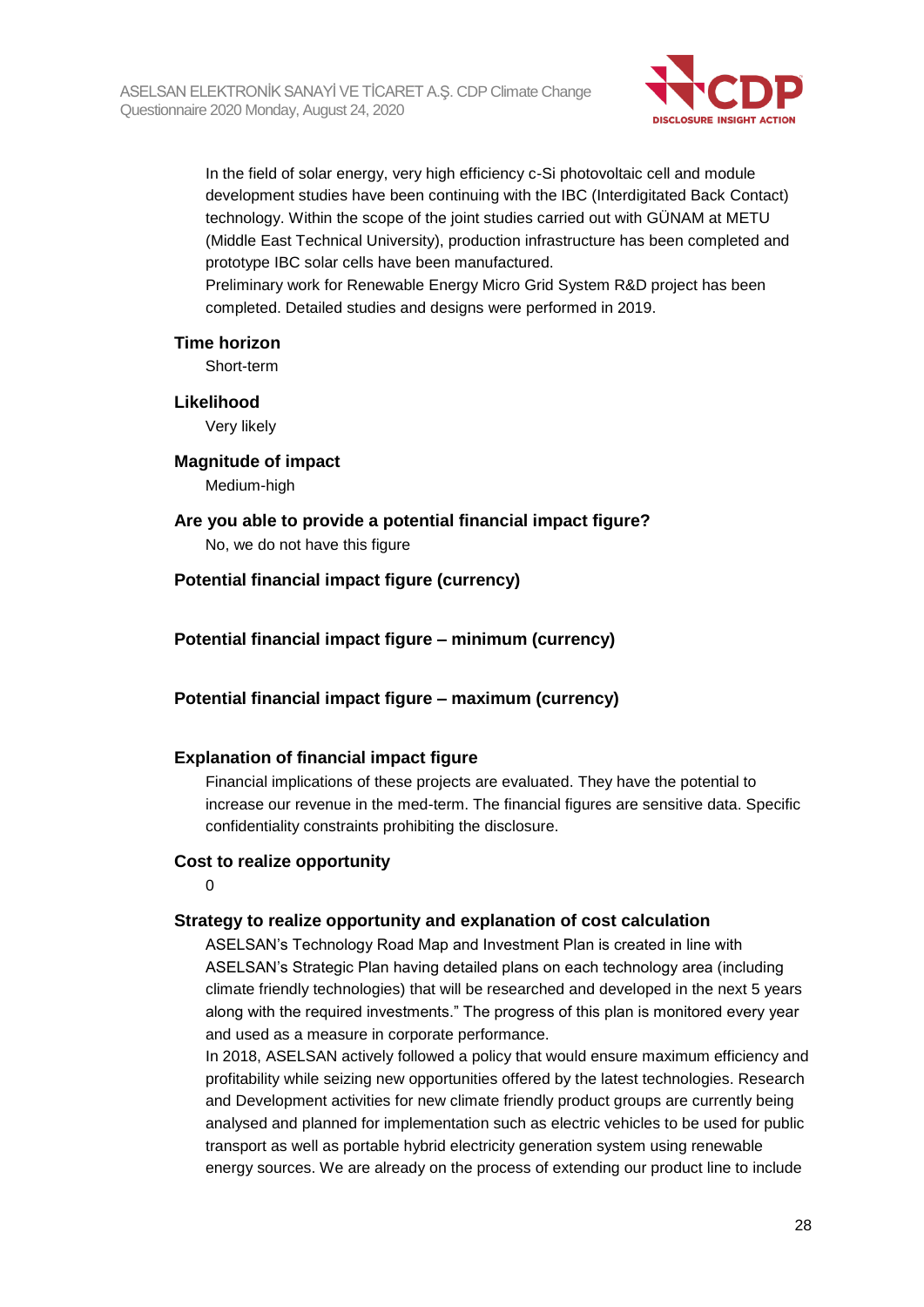

In the field of solar energy, very high efficiency c-Si photovoltaic cell and module development studies have been continuing with the IBC (Interdigitated Back Contact) technology. Within the scope of the joint studies carried out with GÜNAM at METU (Middle East Technical University), production infrastructure has been completed and prototype IBC solar cells have been manufactured.

Preliminary work for Renewable Energy Micro Grid System R&D project has been completed. Detailed studies and designs were performed in 2019.

#### **Time horizon**

Short-term

#### **Likelihood**

Very likely

#### **Magnitude of impact**

Medium-high

#### **Are you able to provide a potential financial impact figure?** No, we do not have this figure

## **Potential financial impact figure (currency)**

**Potential financial impact figure – minimum (currency)**

## **Potential financial impact figure – maximum (currency)**

#### **Explanation of financial impact figure**

Financial implications of these projects are evaluated. They have the potential to increase our revenue in the med-term. The financial figures are sensitive data. Specific confidentiality constraints prohibiting the disclosure.

#### **Cost to realize opportunity**

 $\Omega$ 

#### **Strategy to realize opportunity and explanation of cost calculation**

ASELSAN's Technology Road Map and Investment Plan is created in line with ASELSAN's Strategic Plan having detailed plans on each technology area (including climate friendly technologies) that will be researched and developed in the next 5 years along with the required investments." The progress of this plan is monitored every year and used as a measure in corporate performance.

In 2018, ASELSAN actively followed a policy that would ensure maximum efficiency and profitability while seizing new opportunities offered by the latest technologies. Research and Development activities for new climate friendly product groups are currently being analysed and planned for implementation such as electric vehicles to be used for public transport as well as portable hybrid electricity generation system using renewable energy sources. We are already on the process of extending our product line to include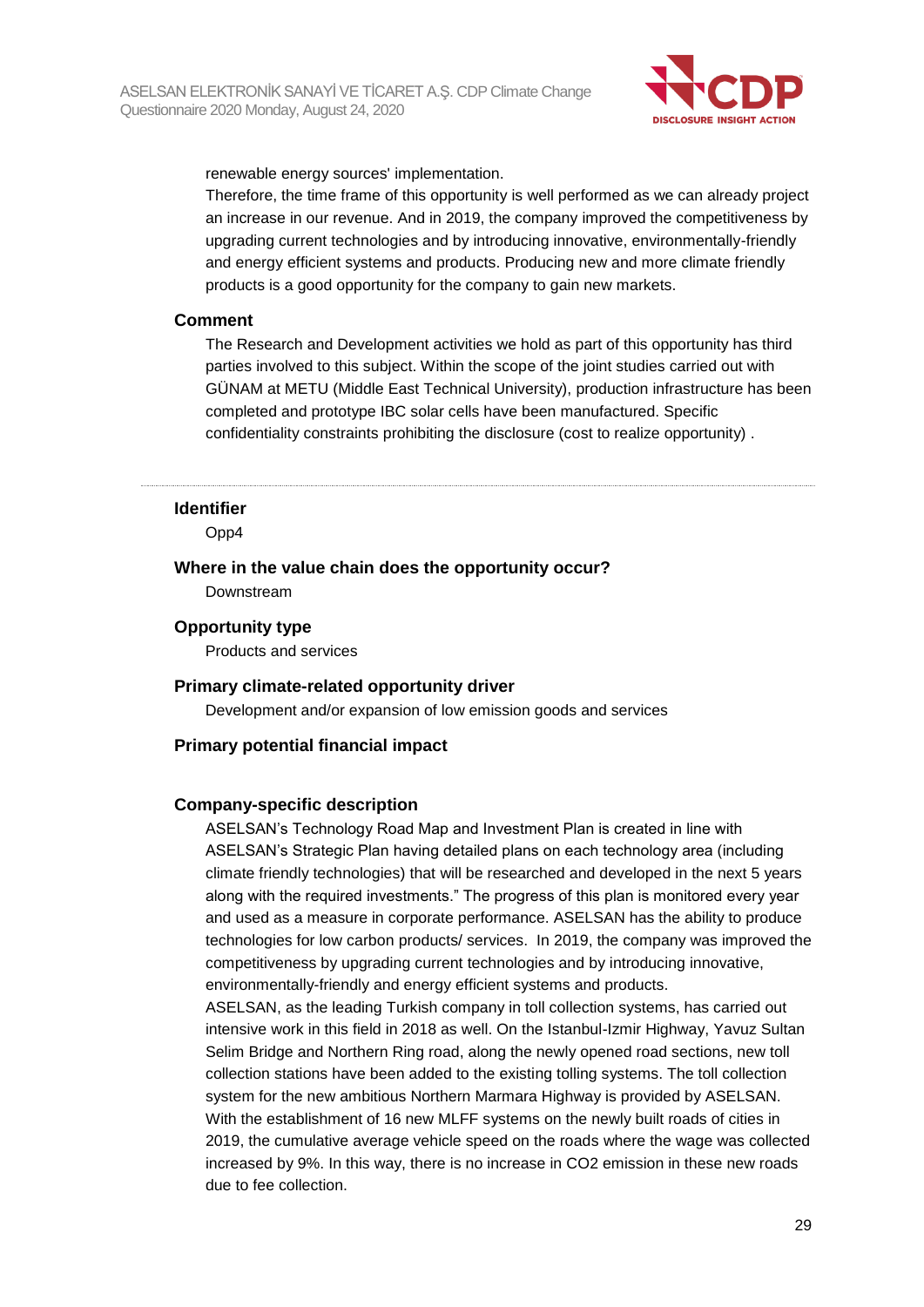

renewable energy sources' implementation.

Therefore, the time frame of this opportunity is well performed as we can already project an increase in our revenue. And in 2019, the company improved the competitiveness by upgrading current technologies and by introducing innovative, environmentally-friendly and energy efficient systems and products. Producing new and more climate friendly products is a good opportunity for the company to gain new markets.

#### **Comment**

The Research and Development activities we hold as part of this opportunity has third parties involved to this subject. Within the scope of the joint studies carried out with GÜNAM at METU (Middle East Technical University), production infrastructure has been completed and prototype IBC solar cells have been manufactured. Specific confidentiality constraints prohibiting the disclosure (cost to realize opportunity) .

#### **Identifier**

Opp4

#### **Where in the value chain does the opportunity occur?** Downstream

#### **Opportunity type**

Products and services

#### **Primary climate-related opportunity driver**

Development and/or expansion of low emission goods and services

#### **Primary potential financial impact**

#### **Company-specific description**

ASELSAN's Technology Road Map and Investment Plan is created in line with ASELSAN's Strategic Plan having detailed plans on each technology area (including climate friendly technologies) that will be researched and developed in the next 5 years along with the required investments." The progress of this plan is monitored every year and used as a measure in corporate performance. ASELSAN has the ability to produce technologies for low carbon products/ services. In 2019, the company was improved the competitiveness by upgrading current technologies and by introducing innovative, environmentally-friendly and energy efficient systems and products.

ASELSAN, as the leading Turkish company in toll collection systems, has carried out intensive work in this field in 2018 as well. On the Istanbul-Izmir Highway, Yavuz Sultan Selim Bridge and Northern Ring road, along the newly opened road sections, new toll collection stations have been added to the existing tolling systems. The toll collection system for the new ambitious Northern Marmara Highway is provided by ASELSAN. With the establishment of 16 new MLFF systems on the newly built roads of cities in 2019, the cumulative average vehicle speed on the roads where the wage was collected increased by 9%. In this way, there is no increase in CO2 emission in these new roads due to fee collection.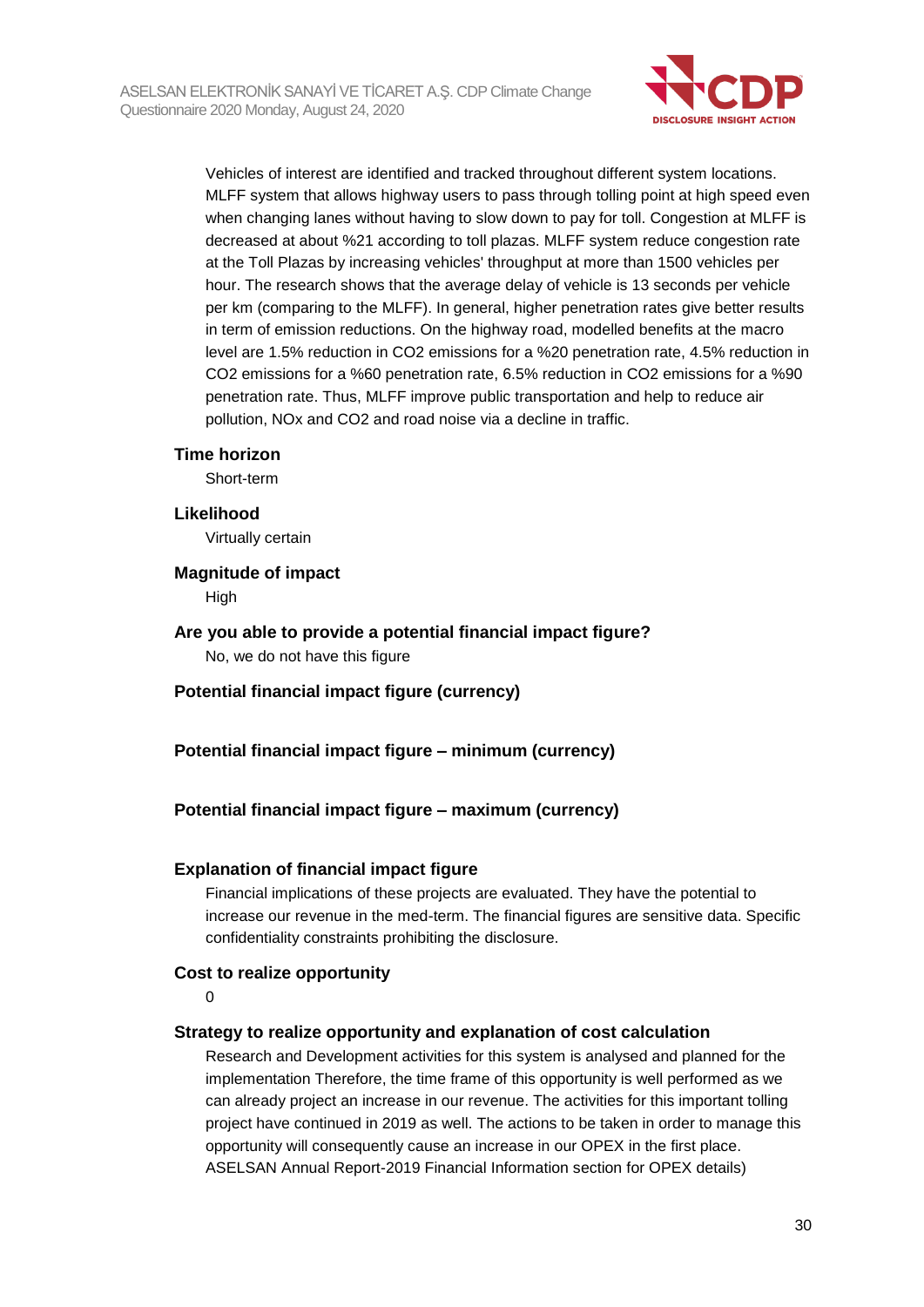

Vehicles of interest are identified and tracked throughout different system locations. MLFF system that allows highway users to pass through tolling point at high speed even when changing lanes without having to slow down to pay for toll. Congestion at MLFF is decreased at about %21 according to toll plazas. MLFF system reduce congestion rate at the Toll Plazas by increasing vehicles' throughput at more than 1500 vehicles per hour. The research shows that the average delay of vehicle is 13 seconds per vehicle per km (comparing to the MLFF). In general, higher penetration rates give better results in term of emission reductions. On the highway road, modelled benefits at the macro level are 1.5% reduction in CO2 emissions for a %20 penetration rate, 4.5% reduction in CO2 emissions for a %60 penetration rate, 6.5% reduction in CO2 emissions for a %90 penetration rate. Thus, MLFF improve public transportation and help to reduce air pollution, NOx and CO2 and road noise via a decline in traffic.

#### **Time horizon**

Short-term

#### **Likelihood**

Virtually certain

#### **Magnitude of impact**

High

#### **Are you able to provide a potential financial impact figure?** No, we do not have this figure

**Potential financial impact figure (currency)**

#### **Potential financial impact figure – minimum (currency)**

#### **Potential financial impact figure – maximum (currency)**

#### **Explanation of financial impact figure**

Financial implications of these projects are evaluated. They have the potential to increase our revenue in the med-term. The financial figures are sensitive data. Specific confidentiality constraints prohibiting the disclosure.

#### **Cost to realize opportunity**

 $\Omega$ 

#### **Strategy to realize opportunity and explanation of cost calculation**

Research and Development activities for this system is analysed and planned for the implementation Therefore, the time frame of this opportunity is well performed as we can already project an increase in our revenue. The activities for this important tolling project have continued in 2019 as well. The actions to be taken in order to manage this opportunity will consequently cause an increase in our OPEX in the first place. ASELSAN Annual Report-2019 Financial Information section for OPEX details)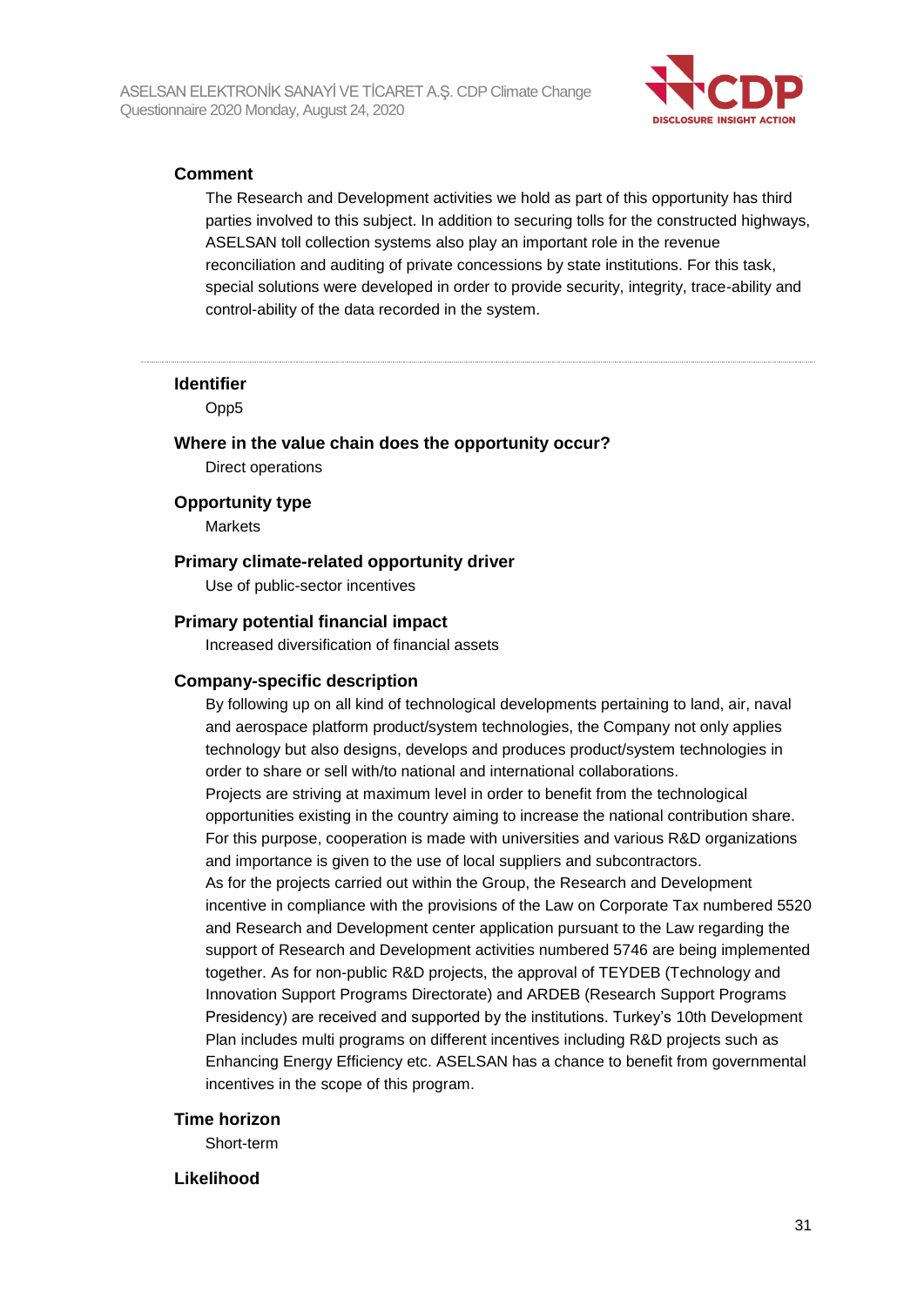

#### **Comment**

The Research and Development activities we hold as part of this opportunity has third parties involved to this subject. In addition to securing tolls for the constructed highways, ASELSAN toll collection systems also play an important role in the revenue reconciliation and auditing of private concessions by state institutions. For this task, special solutions were developed in order to provide security, integrity, trace-ability and control-ability of the data recorded in the system.

#### **Identifier**

Opp5

## **Where in the value chain does the opportunity occur?**

Direct operations

#### **Opportunity type**

Markets

#### **Primary climate-related opportunity driver**

Use of public-sector incentives

#### **Primary potential financial impact**

Increased diversification of financial assets

#### **Company-specific description**

By following up on all kind of technological developments pertaining to land, air, naval and aerospace platform product/system technologies, the Company not only applies technology but also designs, develops and produces product/system technologies in order to share or sell with/to national and international collaborations. Projects are striving at maximum level in order to benefit from the technological opportunities existing in the country aiming to increase the national contribution share. For this purpose, cooperation is made with universities and various R&D organizations and importance is given to the use of local suppliers and subcontractors. As for the projects carried out within the Group, the Research and Development incentive in compliance with the provisions of the Law on Corporate Tax numbered 5520 and Research and Development center application pursuant to the Law regarding the support of Research and Development activities numbered 5746 are being implemented together. As for non-public R&D projects, the approval of TEYDEB (Technology and Innovation Support Programs Directorate) and ARDEB (Research Support Programs Presidency) are received and supported by the institutions. Turkey's 10th Development Plan includes multi programs on different incentives including R&D projects such as Enhancing Energy Efficiency etc. ASELSAN has a chance to benefit from governmental incentives in the scope of this program.

#### **Time horizon**

Short-term

#### **Likelihood**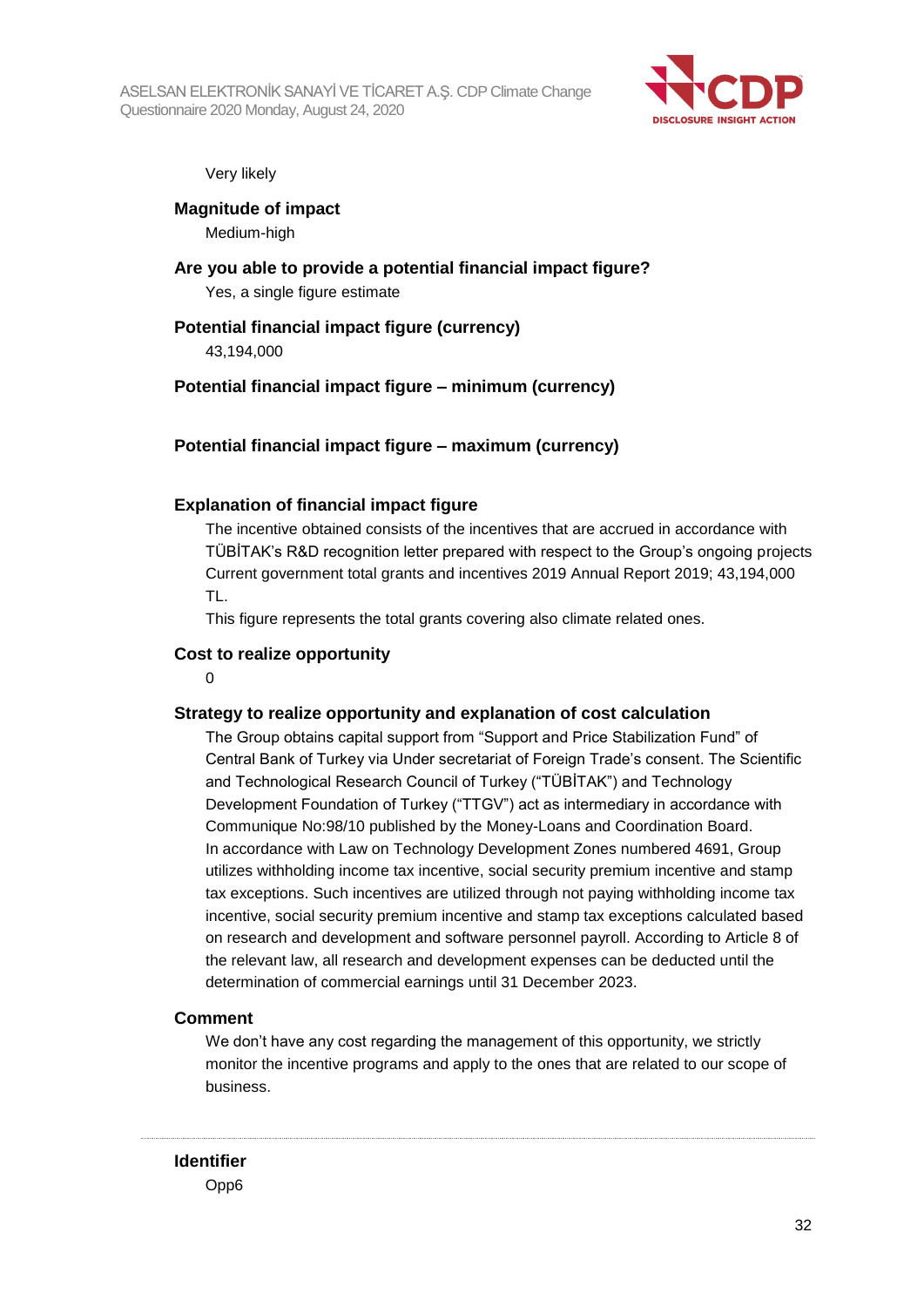

#### Very likely

**Magnitude of impact** Medium-high

**Are you able to provide a potential financial impact figure?** Yes, a single figure estimate

#### **Potential financial impact figure (currency)**

43,194,000

#### **Potential financial impact figure – minimum (currency)**

#### **Potential financial impact figure – maximum (currency)**

#### **Explanation of financial impact figure**

The incentive obtained consists of the incentives that are accrued in accordance with TÜBİTAK's R&D recognition letter prepared with respect to the Group's ongoing projects Current government total grants and incentives 2019 Annual Report 2019; 43,194,000 TL.

This figure represents the total grants covering also climate related ones.

#### **Cost to realize opportunity**

 $\Omega$ 

#### **Strategy to realize opportunity and explanation of cost calculation**

The Group obtains capital support from "Support and Price Stabilization Fund" of Central Bank of Turkey via Under secretariat of Foreign Trade's consent. The Scientific and Technological Research Council of Turkey ("TÜBİTAK") and Technology Development Foundation of Turkey ("TTGV") act as intermediary in accordance with Communique No:98/10 published by the Money-Loans and Coordination Board. In accordance with Law on Technology Development Zones numbered 4691, Group utilizes withholding income tax incentive, social security premium incentive and stamp tax exceptions. Such incentives are utilized through not paying withholding income tax incentive, social security premium incentive and stamp tax exceptions calculated based on research and development and software personnel payroll. According to Article 8 of the relevant law, all research and development expenses can be deducted until the determination of commercial earnings until 31 December 2023.

#### **Comment**

We don't have any cost regarding the management of this opportunity, we strictly monitor the incentive programs and apply to the ones that are related to our scope of business.

#### **Identifier** Opp6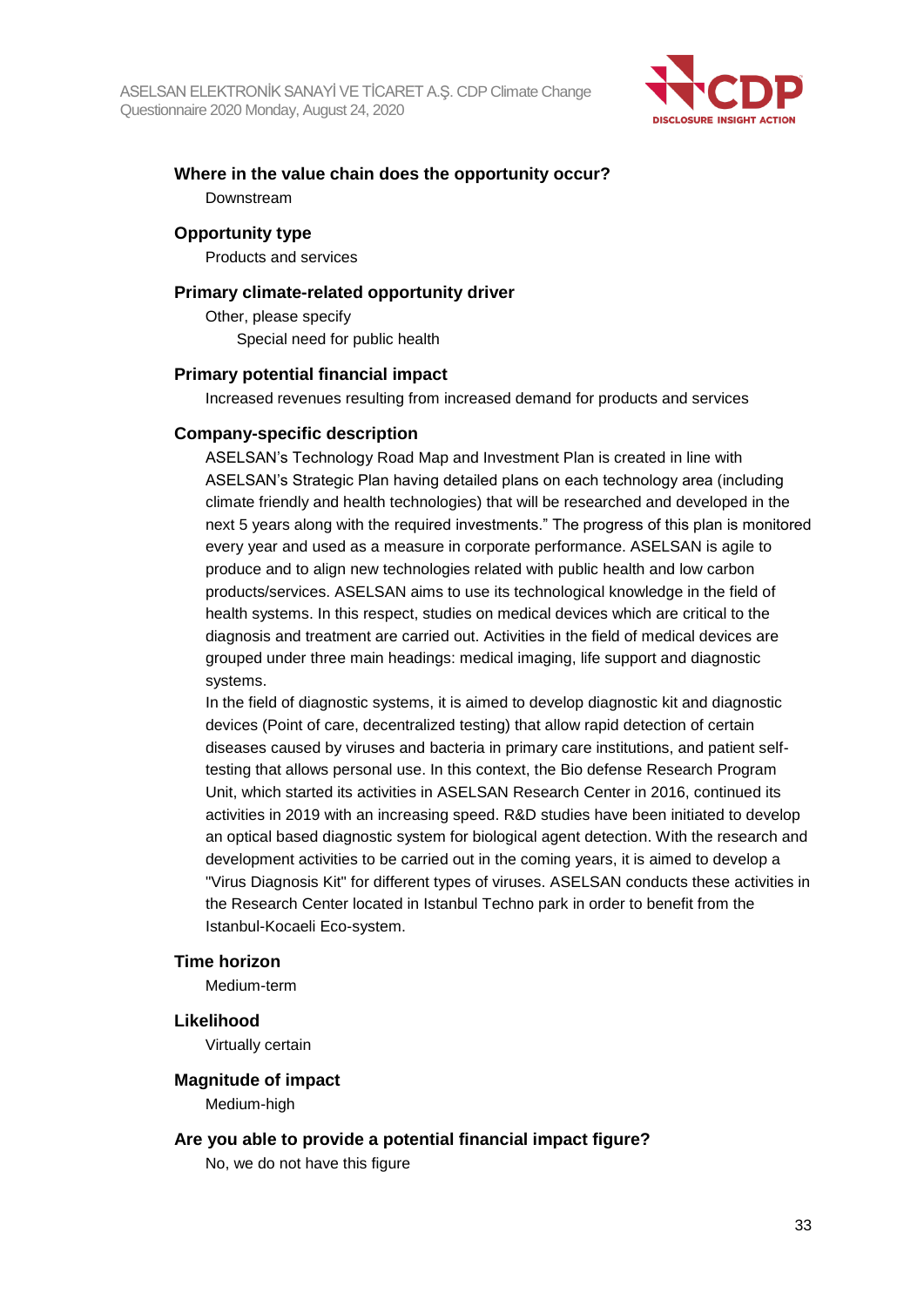

## **Where in the value chain does the opportunity occur?** Downstream

#### **Opportunity type**

Products and services

#### **Primary climate-related opportunity driver**

Other, please specify Special need for public health

#### **Primary potential financial impact**

Increased revenues resulting from increased demand for products and services

#### **Company-specific description**

ASELSAN's Technology Road Map and Investment Plan is created in line with ASELSAN's Strategic Plan having detailed plans on each technology area (including climate friendly and health technologies) that will be researched and developed in the next 5 years along with the required investments." The progress of this plan is monitored every year and used as a measure in corporate performance. ASELSAN is agile to produce and to align new technologies related with public health and low carbon products/services. ASELSAN aims to use its technological knowledge in the field of health systems. In this respect, studies on medical devices which are critical to the diagnosis and treatment are carried out. Activities in the field of medical devices are grouped under three main headings: medical imaging, life support and diagnostic systems.

In the field of diagnostic systems, it is aimed to develop diagnostic kit and diagnostic devices (Point of care, decentralized testing) that allow rapid detection of certain diseases caused by viruses and bacteria in primary care institutions, and patient selftesting that allows personal use. In this context, the Bio defense Research Program Unit, which started its activities in ASELSAN Research Center in 2016, continued its activities in 2019 with an increasing speed. R&D studies have been initiated to develop an optical based diagnostic system for biological agent detection. With the research and development activities to be carried out in the coming years, it is aimed to develop a "Virus Diagnosis Kit" for different types of viruses. ASELSAN conducts these activities in the Research Center located in Istanbul Techno park in order to benefit from the Istanbul-Kocaeli Eco-system.

#### **Time horizon**

Medium-term

#### **Likelihood**

Virtually certain

#### **Magnitude of impact**

Medium-high

#### **Are you able to provide a potential financial impact figure?**

No, we do not have this figure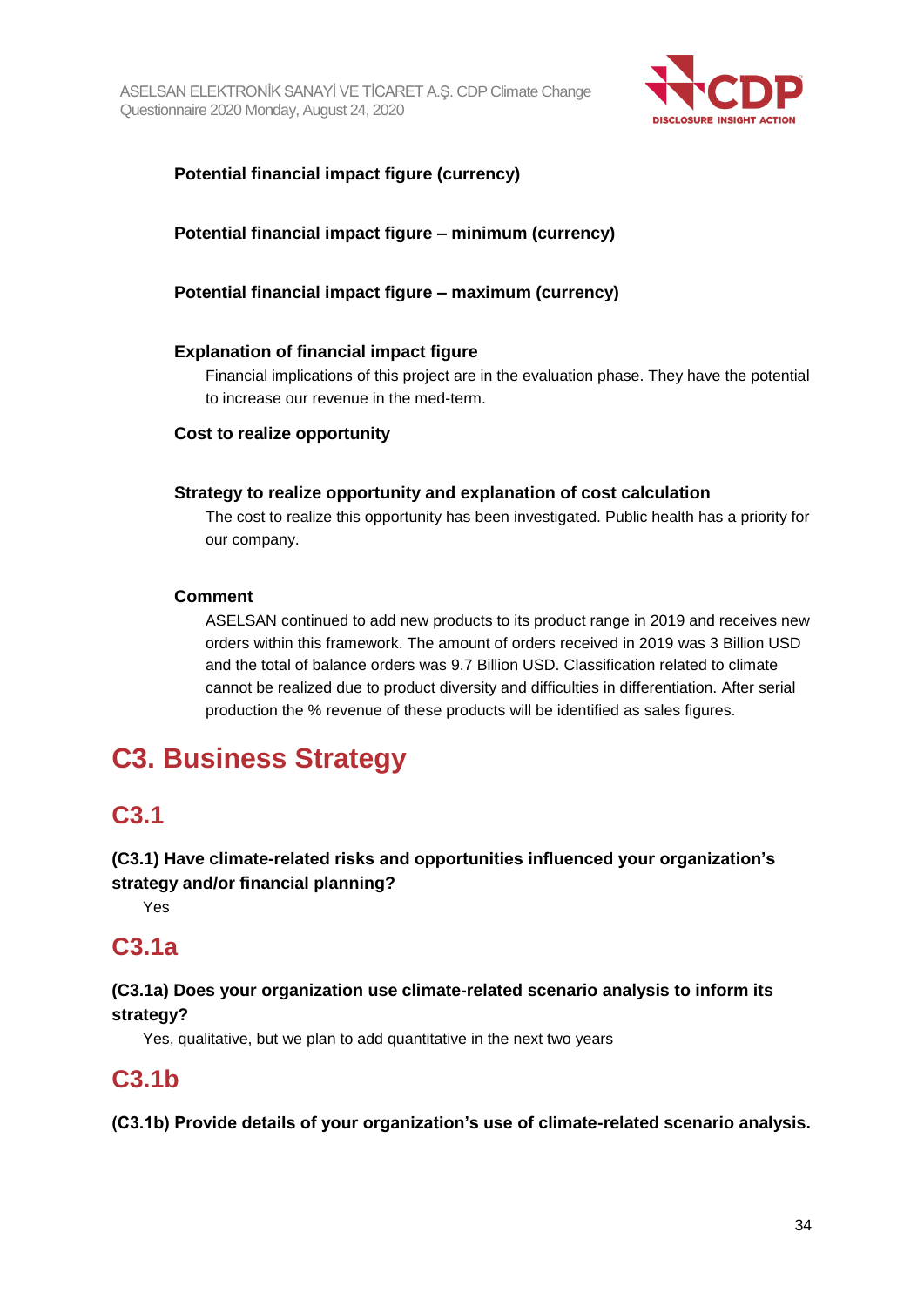

## **Potential financial impact figure (currency)**

## **Potential financial impact figure – minimum (currency)**

## **Potential financial impact figure – maximum (currency)**

#### **Explanation of financial impact figure**

Financial implications of this project are in the evaluation phase. They have the potential to increase our revenue in the med-term.

#### **Cost to realize opportunity**

#### **Strategy to realize opportunity and explanation of cost calculation**

The cost to realize this opportunity has been investigated. Public health has a priority for our company.

#### **Comment**

ASELSAN continued to add new products to its product range in 2019 and receives new orders within this framework. The amount of orders received in 2019 was 3 Billion USD and the total of balance orders was 9.7 Billion USD. Classification related to climate cannot be realized due to product diversity and difficulties in differentiation. After serial production the % revenue of these products will be identified as sales figures.

# **C3. Business Strategy**

## **C3.1**

## **(C3.1) Have climate-related risks and opportunities influenced your organization's strategy and/or financial planning?**

Yes

# **C3.1a**

## **(C3.1a) Does your organization use climate-related scenario analysis to inform its strategy?**

Yes, qualitative, but we plan to add quantitative in the next two years

## **C3.1b**

**(C3.1b) Provide details of your organization's use of climate-related scenario analysis.**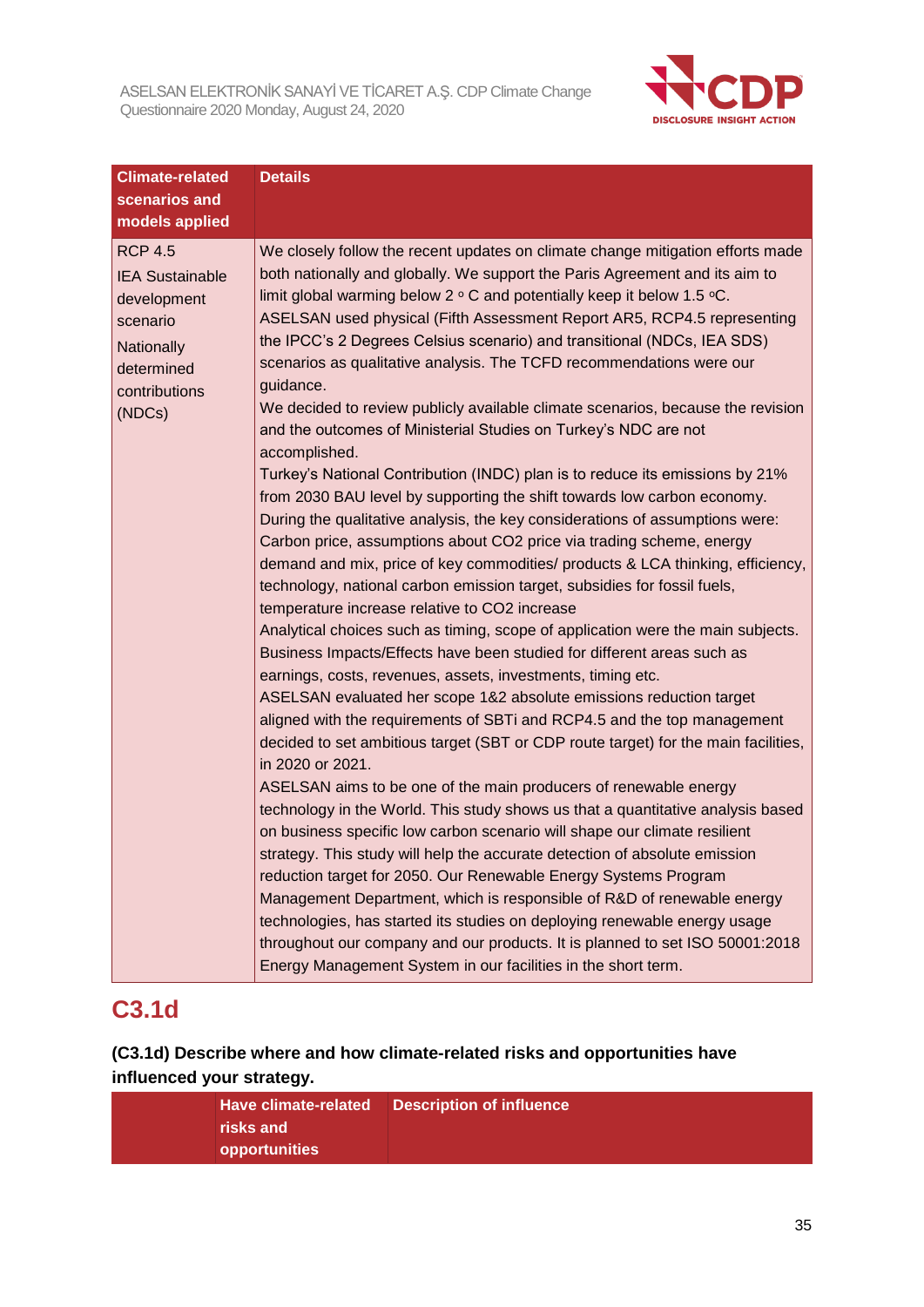

| <b>Climate-related</b>                                                                                                            | <b>Details</b>                                                                                                                                                                                                                                                                                                                                                                                                                                                                                                                                                                                                                                                                                                                                                                                                                                                                                                                                                                                                                                                                                                                                                                                                                                                                                                                                                                                                                                                                                                                                                                                                                                                                                                                                                                                                                                                                                                                                                                                                                                                                                                                                                                                                                                                                                                                                                                                 |
|-----------------------------------------------------------------------------------------------------------------------------------|------------------------------------------------------------------------------------------------------------------------------------------------------------------------------------------------------------------------------------------------------------------------------------------------------------------------------------------------------------------------------------------------------------------------------------------------------------------------------------------------------------------------------------------------------------------------------------------------------------------------------------------------------------------------------------------------------------------------------------------------------------------------------------------------------------------------------------------------------------------------------------------------------------------------------------------------------------------------------------------------------------------------------------------------------------------------------------------------------------------------------------------------------------------------------------------------------------------------------------------------------------------------------------------------------------------------------------------------------------------------------------------------------------------------------------------------------------------------------------------------------------------------------------------------------------------------------------------------------------------------------------------------------------------------------------------------------------------------------------------------------------------------------------------------------------------------------------------------------------------------------------------------------------------------------------------------------------------------------------------------------------------------------------------------------------------------------------------------------------------------------------------------------------------------------------------------------------------------------------------------------------------------------------------------------------------------------------------------------------------------------------------------|
| scenarios and                                                                                                                     |                                                                                                                                                                                                                                                                                                                                                                                                                                                                                                                                                                                                                                                                                                                                                                                                                                                                                                                                                                                                                                                                                                                                                                                                                                                                                                                                                                                                                                                                                                                                                                                                                                                                                                                                                                                                                                                                                                                                                                                                                                                                                                                                                                                                                                                                                                                                                                                                |
| models applied                                                                                                                    |                                                                                                                                                                                                                                                                                                                                                                                                                                                                                                                                                                                                                                                                                                                                                                                                                                                                                                                                                                                                                                                                                                                                                                                                                                                                                                                                                                                                                                                                                                                                                                                                                                                                                                                                                                                                                                                                                                                                                                                                                                                                                                                                                                                                                                                                                                                                                                                                |
| <b>RCP 4.5</b><br><b>IEA Sustainable</b><br>development<br>scenario<br><b>Nationally</b><br>determined<br>contributions<br>(NDCs) | We closely follow the recent updates on climate change mitigation efforts made<br>both nationally and globally. We support the Paris Agreement and its aim to<br>limit global warming below $2 \circ C$ and potentially keep it below 1.5 $\circ C$ .<br>ASELSAN used physical (Fifth Assessment Report AR5, RCP4.5 representing<br>the IPCC's 2 Degrees Celsius scenario) and transitional (NDCs, IEA SDS)<br>scenarios as qualitative analysis. The TCFD recommendations were our<br>guidance.<br>We decided to review publicly available climate scenarios, because the revision<br>and the outcomes of Ministerial Studies on Turkey's NDC are not<br>accomplished.<br>Turkey's National Contribution (INDC) plan is to reduce its emissions by 21%<br>from 2030 BAU level by supporting the shift towards low carbon economy.<br>During the qualitative analysis, the key considerations of assumptions were:<br>Carbon price, assumptions about CO2 price via trading scheme, energy<br>demand and mix, price of key commodities/ products & LCA thinking, efficiency,<br>technology, national carbon emission target, subsidies for fossil fuels,<br>temperature increase relative to CO2 increase<br>Analytical choices such as timing, scope of application were the main subjects.<br>Business Impacts/Effects have been studied for different areas such as<br>earnings, costs, revenues, assets, investments, timing etc.<br>ASELSAN evaluated her scope 1&2 absolute emissions reduction target<br>aligned with the requirements of SBTi and RCP4.5 and the top management<br>decided to set ambitious target (SBT or CDP route target) for the main facilities,<br>in 2020 or 2021.<br>ASELSAN aims to be one of the main producers of renewable energy<br>technology in the World. This study shows us that a quantitative analysis based<br>on business specific low carbon scenario will shape our climate resilient<br>strategy. This study will help the accurate detection of absolute emission<br>reduction target for 2050. Our Renewable Energy Systems Program<br>Management Department, which is responsible of R&D of renewable energy<br>technologies, has started its studies on deploying renewable energy usage<br>throughout our company and our products. It is planned to set ISO 50001:2018<br>Energy Management System in our facilities in the short term. |

# **C3.1d**

## **(C3.1d) Describe where and how climate-related risks and opportunities have influenced your strategy.**

|               | Have climate-related  Description of influence |
|---------------|------------------------------------------------|
| risks and     |                                                |
| opportunities |                                                |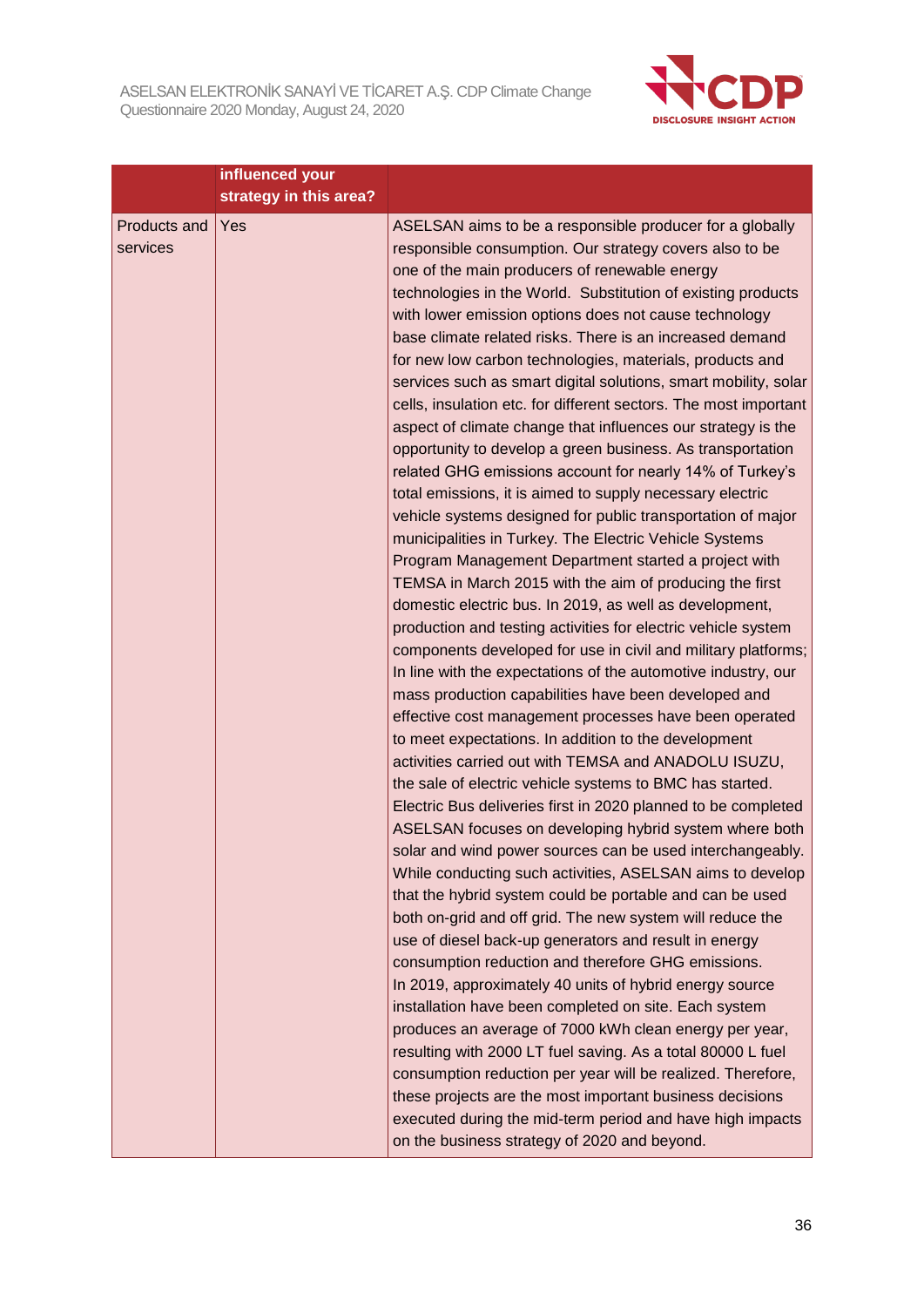

|                          | influenced your<br>strategy in this area? |                                                                                                                                                                                                                                                                                                                                                                                                                                                                                                                                                                                                                                                                                                                                                                                                                                                                                                                                                                                                                                                                                                                                                                                                                                                                                                                                                                                                                                                                                                                                                                                                                                                                                                                                                                                                                                                                                                                                                                                                                                                                                                                                                                                                                                                                                                                                                                                                                                                                                                                                                               |
|--------------------------|-------------------------------------------|---------------------------------------------------------------------------------------------------------------------------------------------------------------------------------------------------------------------------------------------------------------------------------------------------------------------------------------------------------------------------------------------------------------------------------------------------------------------------------------------------------------------------------------------------------------------------------------------------------------------------------------------------------------------------------------------------------------------------------------------------------------------------------------------------------------------------------------------------------------------------------------------------------------------------------------------------------------------------------------------------------------------------------------------------------------------------------------------------------------------------------------------------------------------------------------------------------------------------------------------------------------------------------------------------------------------------------------------------------------------------------------------------------------------------------------------------------------------------------------------------------------------------------------------------------------------------------------------------------------------------------------------------------------------------------------------------------------------------------------------------------------------------------------------------------------------------------------------------------------------------------------------------------------------------------------------------------------------------------------------------------------------------------------------------------------------------------------------------------------------------------------------------------------------------------------------------------------------------------------------------------------------------------------------------------------------------------------------------------------------------------------------------------------------------------------------------------------------------------------------------------------------------------------------------------------|
| Products and<br>services | <b>Yes</b>                                | ASELSAN aims to be a responsible producer for a globally<br>responsible consumption. Our strategy covers also to be<br>one of the main producers of renewable energy<br>technologies in the World. Substitution of existing products<br>with lower emission options does not cause technology<br>base climate related risks. There is an increased demand<br>for new low carbon technologies, materials, products and<br>services such as smart digital solutions, smart mobility, solar<br>cells, insulation etc. for different sectors. The most important<br>aspect of climate change that influences our strategy is the<br>opportunity to develop a green business. As transportation<br>related GHG emissions account for nearly 14% of Turkey's<br>total emissions, it is aimed to supply necessary electric<br>vehicle systems designed for public transportation of major<br>municipalities in Turkey. The Electric Vehicle Systems<br>Program Management Department started a project with<br>TEMSA in March 2015 with the aim of producing the first<br>domestic electric bus. In 2019, as well as development,<br>production and testing activities for electric vehicle system<br>components developed for use in civil and military platforms;<br>In line with the expectations of the automotive industry, our<br>mass production capabilities have been developed and<br>effective cost management processes have been operated<br>to meet expectations. In addition to the development<br>activities carried out with TEMSA and ANADOLU ISUZU,<br>the sale of electric vehicle systems to BMC has started.<br>Electric Bus deliveries first in 2020 planned to be completed<br>ASELSAN focuses on developing hybrid system where both<br>solar and wind power sources can be used interchangeably.<br>While conducting such activities, ASELSAN aims to develop<br>that the hybrid system could be portable and can be used<br>both on-grid and off grid. The new system will reduce the<br>use of diesel back-up generators and result in energy<br>consumption reduction and therefore GHG emissions.<br>In 2019, approximately 40 units of hybrid energy source<br>installation have been completed on site. Each system<br>produces an average of 7000 kWh clean energy per year,<br>resulting with 2000 LT fuel saving. As a total 80000 L fuel<br>consumption reduction per year will be realized. Therefore,<br>these projects are the most important business decisions<br>executed during the mid-term period and have high impacts |
|                          |                                           | on the business strategy of 2020 and beyond.                                                                                                                                                                                                                                                                                                                                                                                                                                                                                                                                                                                                                                                                                                                                                                                                                                                                                                                                                                                                                                                                                                                                                                                                                                                                                                                                                                                                                                                                                                                                                                                                                                                                                                                                                                                                                                                                                                                                                                                                                                                                                                                                                                                                                                                                                                                                                                                                                                                                                                                  |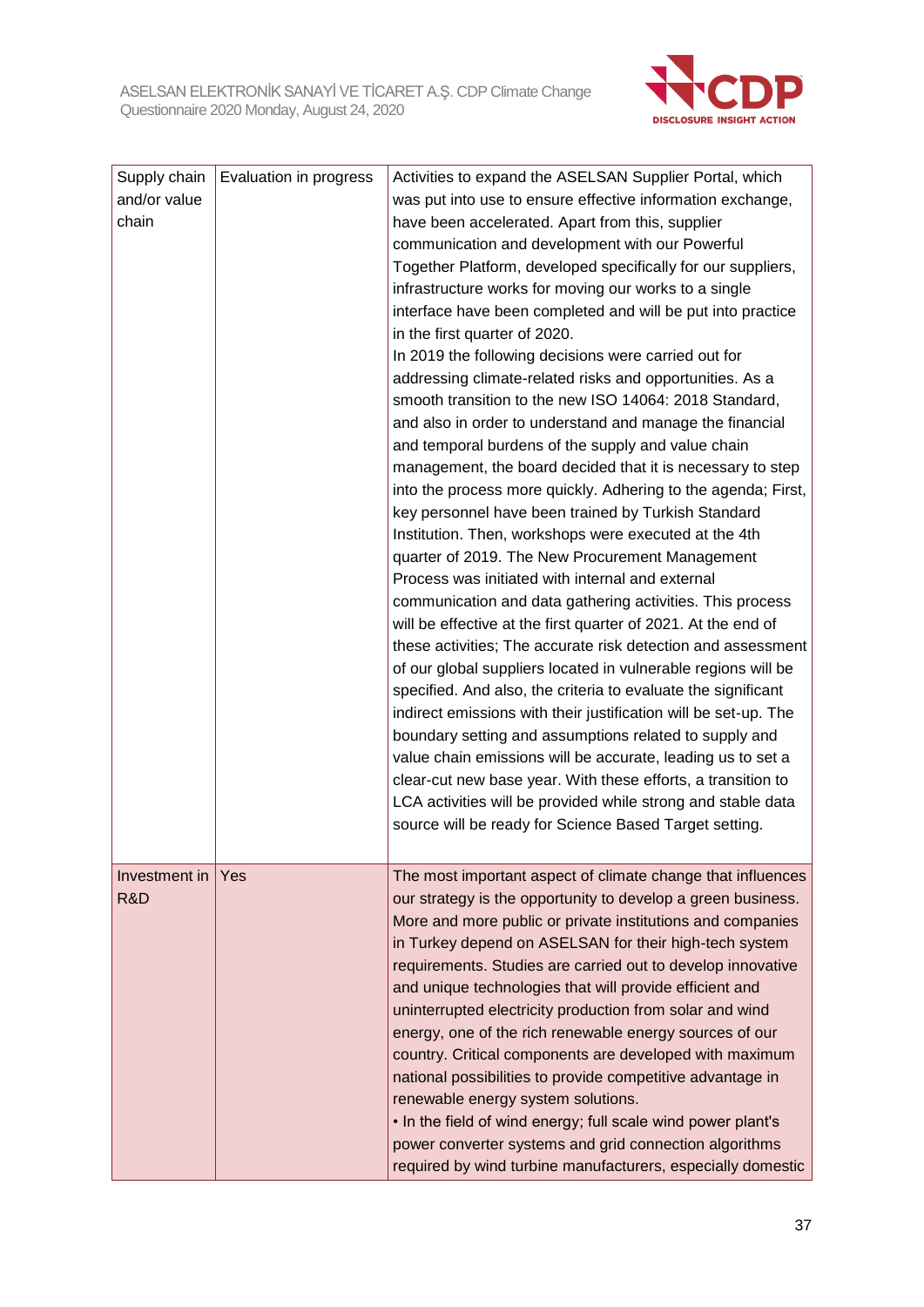

| Supply chain<br>and/or value<br>chain | Evaluation in progress | Activities to expand the ASELSAN Supplier Portal, which<br>was put into use to ensure effective information exchange,<br>have been accelerated. Apart from this, supplier<br>communication and development with our Powerful<br>Together Platform, developed specifically for our suppliers,<br>infrastructure works for moving our works to a single<br>interface have been completed and will be put into practice<br>in the first quarter of 2020.<br>In 2019 the following decisions were carried out for<br>addressing climate-related risks and opportunities. As a<br>smooth transition to the new ISO 14064: 2018 Standard,<br>and also in order to understand and manage the financial<br>and temporal burdens of the supply and value chain<br>management, the board decided that it is necessary to step<br>into the process more quickly. Adhering to the agenda; First,<br>key personnel have been trained by Turkish Standard<br>Institution. Then, workshops were executed at the 4th<br>quarter of 2019. The New Procurement Management<br>Process was initiated with internal and external<br>communication and data gathering activities. This process<br>will be effective at the first quarter of 2021. At the end of<br>these activities; The accurate risk detection and assessment<br>of our global suppliers located in vulnerable regions will be<br>specified. And also, the criteria to evaluate the significant<br>indirect emissions with their justification will be set-up. The<br>boundary setting and assumptions related to supply and<br>value chain emissions will be accurate, leading us to set a<br>clear-cut new base year. With these efforts, a transition to |
|---------------------------------------|------------------------|---------------------------------------------------------------------------------------------------------------------------------------------------------------------------------------------------------------------------------------------------------------------------------------------------------------------------------------------------------------------------------------------------------------------------------------------------------------------------------------------------------------------------------------------------------------------------------------------------------------------------------------------------------------------------------------------------------------------------------------------------------------------------------------------------------------------------------------------------------------------------------------------------------------------------------------------------------------------------------------------------------------------------------------------------------------------------------------------------------------------------------------------------------------------------------------------------------------------------------------------------------------------------------------------------------------------------------------------------------------------------------------------------------------------------------------------------------------------------------------------------------------------------------------------------------------------------------------------------------------------------------------------------------------------------------------------------------|
|                                       |                        | LCA activities will be provided while strong and stable data<br>source will be ready for Science Based Target setting.                                                                                                                                                                                                                                                                                                                                                                                                                                                                                                                                                                                                                                                                                                                                                                                                                                                                                                                                                                                                                                                                                                                                                                                                                                                                                                                                                                                                                                                                                                                                                                                  |
| Investment in<br>R&D                  | Yes                    | The most important aspect of climate change that influences<br>our strategy is the opportunity to develop a green business.<br>More and more public or private institutions and companies<br>in Turkey depend on ASELSAN for their high-tech system<br>requirements. Studies are carried out to develop innovative<br>and unique technologies that will provide efficient and<br>uninterrupted electricity production from solar and wind<br>energy, one of the rich renewable energy sources of our<br>country. Critical components are developed with maximum<br>national possibilities to provide competitive advantage in<br>renewable energy system solutions.<br>. In the field of wind energy; full scale wind power plant's<br>power converter systems and grid connection algorithms<br>required by wind turbine manufacturers, especially domestic                                                                                                                                                                                                                                                                                                                                                                                                                                                                                                                                                                                                                                                                                                                                                                                                                                            |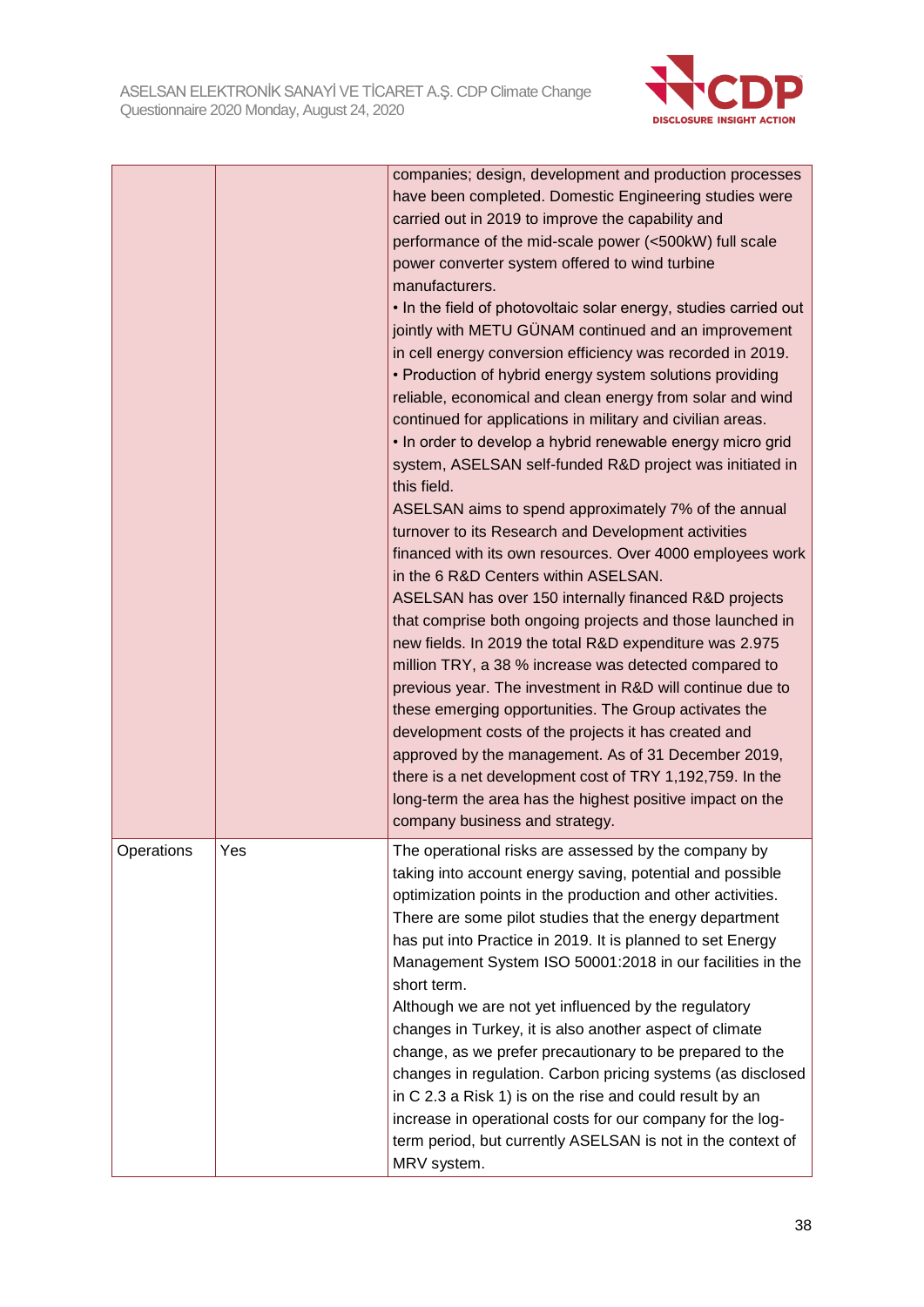

|            |     | companies; design, development and production processes<br>have been completed. Domestic Engineering studies were<br>carried out in 2019 to improve the capability and<br>performance of the mid-scale power (<500kW) full scale<br>power converter system offered to wind turbine<br>manufacturers.<br>. In the field of photovoltaic solar energy, studies carried out<br>jointly with METU GÜNAM continued and an improvement<br>in cell energy conversion efficiency was recorded in 2019.<br>• Production of hybrid energy system solutions providing<br>reliable, economical and clean energy from solar and wind<br>continued for applications in military and civilian areas.<br>. In order to develop a hybrid renewable energy micro grid<br>system, ASELSAN self-funded R&D project was initiated in<br>this field.<br>ASELSAN aims to spend approximately 7% of the annual<br>turnover to its Research and Development activities<br>financed with its own resources. Over 4000 employees work<br>in the 6 R&D Centers within ASELSAN.<br>ASELSAN has over 150 internally financed R&D projects<br>that comprise both ongoing projects and those launched in<br>new fields. In 2019 the total R&D expenditure was 2.975<br>million TRY, a 38 % increase was detected compared to<br>previous year. The investment in R&D will continue due to<br>these emerging opportunities. The Group activates the<br>development costs of the projects it has created and<br>approved by the management. As of 31 December 2019,<br>there is a net development cost of TRY 1,192,759. In the<br>long-term the area has the highest positive impact on the<br>company business and strategy. |
|------------|-----|----------------------------------------------------------------------------------------------------------------------------------------------------------------------------------------------------------------------------------------------------------------------------------------------------------------------------------------------------------------------------------------------------------------------------------------------------------------------------------------------------------------------------------------------------------------------------------------------------------------------------------------------------------------------------------------------------------------------------------------------------------------------------------------------------------------------------------------------------------------------------------------------------------------------------------------------------------------------------------------------------------------------------------------------------------------------------------------------------------------------------------------------------------------------------------------------------------------------------------------------------------------------------------------------------------------------------------------------------------------------------------------------------------------------------------------------------------------------------------------------------------------------------------------------------------------------------------------------------------------------------------------------------------------------------------------------|
| Operations | Yes | The operational risks are assessed by the company by<br>taking into account energy saving, potential and possible<br>optimization points in the production and other activities.<br>There are some pilot studies that the energy department<br>has put into Practice in 2019. It is planned to set Energy<br>Management System ISO 50001:2018 in our facilities in the<br>short term.<br>Although we are not yet influenced by the regulatory<br>changes in Turkey, it is also another aspect of climate<br>change, as we prefer precautionary to be prepared to the<br>changes in regulation. Carbon pricing systems (as disclosed<br>in C 2.3 a Risk 1) is on the rise and could result by an<br>increase in operational costs for our company for the log-<br>term period, but currently ASELSAN is not in the context of<br>MRV system.                                                                                                                                                                                                                                                                                                                                                                                                                                                                                                                                                                                                                                                                                                                                                                                                                                                  |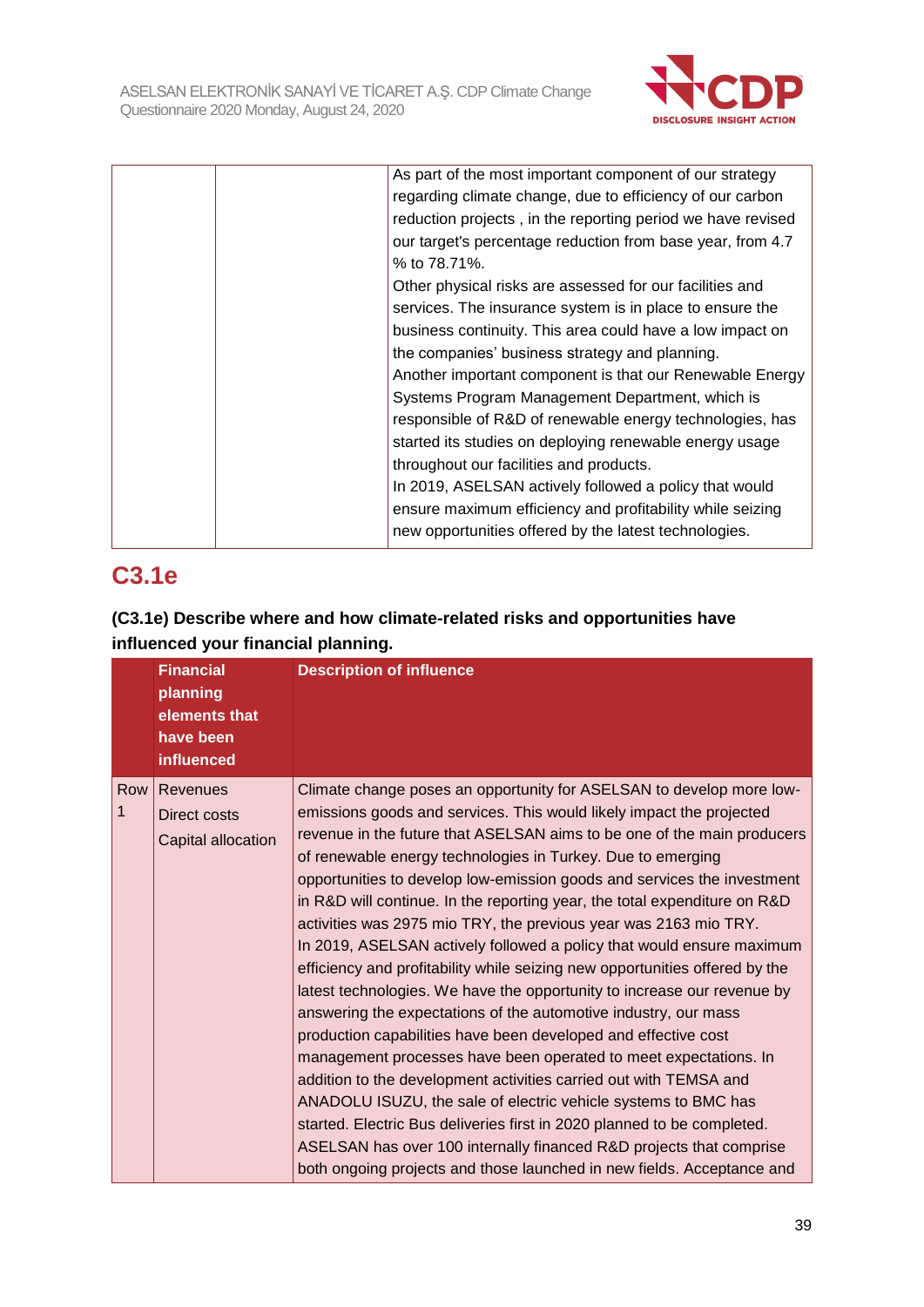

| As part of the most important component of our strategy     |
|-------------------------------------------------------------|
| regarding climate change, due to efficiency of our carbon   |
| reduction projects, in the reporting period we have revised |
| our target's percentage reduction from base year, from 4.7  |
| % to 78.71%.                                                |
| Other physical risks are assessed for our facilities and    |
| services. The insurance system is in place to ensure the    |
| business continuity. This area could have a low impact on   |
| the companies' business strategy and planning.              |
| Another important component is that our Renewable Energy    |
| Systems Program Management Department, which is             |
| responsible of R&D of renewable energy technologies, has    |
| started its studies on deploying renewable energy usage     |
| throughout our facilities and products.                     |
| In 2019, ASELSAN actively followed a policy that would      |
| ensure maximum efficiency and profitability while seizing   |
| new opportunities offered by the latest technologies.       |
|                                                             |

# **C3.1e**

## **(C3.1e) Describe where and how climate-related risks and opportunities have influenced your financial planning.**

|          | <b>Financial</b><br>planning<br>elements that<br>have been<br>influenced | <b>Description of influence</b>                                                                                                                                                                                                                                                                                                                                                                                                                                                                                                                                                                                                                                                                                                                                                                                                                                                                                                                                                                                                                                                                                                                                                                                                                                                                                                   |
|----------|--------------------------------------------------------------------------|-----------------------------------------------------------------------------------------------------------------------------------------------------------------------------------------------------------------------------------------------------------------------------------------------------------------------------------------------------------------------------------------------------------------------------------------------------------------------------------------------------------------------------------------------------------------------------------------------------------------------------------------------------------------------------------------------------------------------------------------------------------------------------------------------------------------------------------------------------------------------------------------------------------------------------------------------------------------------------------------------------------------------------------------------------------------------------------------------------------------------------------------------------------------------------------------------------------------------------------------------------------------------------------------------------------------------------------|
| Row<br>1 | Revenues<br><b>Direct costs</b><br>Capital allocation                    | Climate change poses an opportunity for ASELSAN to develop more low-<br>emissions goods and services. This would likely impact the projected<br>revenue in the future that ASELSAN aims to be one of the main producers<br>of renewable energy technologies in Turkey. Due to emerging<br>opportunities to develop low-emission goods and services the investment<br>in R&D will continue. In the reporting year, the total expenditure on R&D<br>activities was 2975 mio TRY, the previous year was 2163 mio TRY.<br>In 2019, ASELSAN actively followed a policy that would ensure maximum<br>efficiency and profitability while seizing new opportunities offered by the<br>latest technologies. We have the opportunity to increase our revenue by<br>answering the expectations of the automotive industry, our mass<br>production capabilities have been developed and effective cost<br>management processes have been operated to meet expectations. In<br>addition to the development activities carried out with TEMSA and<br>ANADOLU ISUZU, the sale of electric vehicle systems to BMC has<br>started. Electric Bus deliveries first in 2020 planned to be completed.<br>ASELSAN has over 100 internally financed R&D projects that comprise<br>both ongoing projects and those launched in new fields. Acceptance and |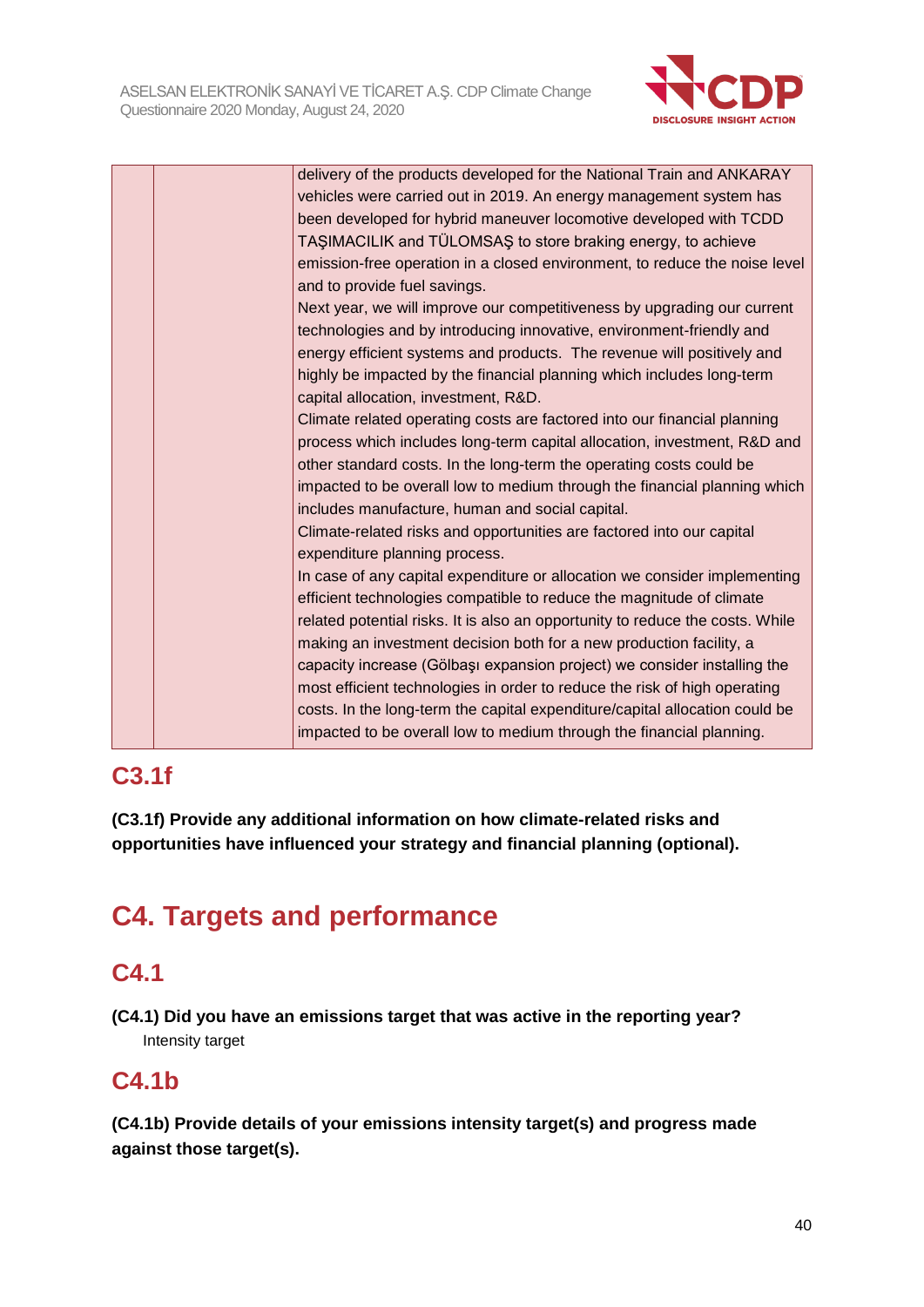

| delivery of the products developed for the National Train and ANKARAY         |
|-------------------------------------------------------------------------------|
| vehicles were carried out in 2019. An energy management system has            |
| been developed for hybrid maneuver locomotive developed with TCDD             |
| TAŞIMACILIK and TÜLOMSAŞ to store braking energy, to achieve                  |
| emission-free operation in a closed environment, to reduce the noise level    |
| and to provide fuel savings.                                                  |
| Next year, we will improve our competitiveness by upgrading our current       |
| technologies and by introducing innovative, environment-friendly and          |
| energy efficient systems and products. The revenue will positively and        |
| highly be impacted by the financial planning which includes long-term         |
| capital allocation, investment, R&D.                                          |
| Climate related operating costs are factored into our financial planning      |
| process which includes long-term capital allocation, investment, R&D and      |
| other standard costs. In the long-term the operating costs could be           |
| impacted to be overall low to medium through the financial planning which     |
| includes manufacture, human and social capital.                               |
| Climate-related risks and opportunities are factored into our capital         |
| expenditure planning process.                                                 |
| In case of any capital expenditure or allocation we consider implementing     |
| efficient technologies compatible to reduce the magnitude of climate          |
| related potential risks. It is also an opportunity to reduce the costs. While |
| making an investment decision both for a new production facility, a           |
| capacity increase (Gölbaşı expansion project) we consider installing the      |
| most efficient technologies in order to reduce the risk of high operating     |
| costs. In the long-term the capital expenditure/capital allocation could be   |
| impacted to be overall low to medium through the financial planning.          |
|                                                                               |

## **C3.1f**

**(C3.1f) Provide any additional information on how climate-related risks and opportunities have influenced your strategy and financial planning (optional).**

# **C4. Targets and performance**

## **C4.1**

**(C4.1) Did you have an emissions target that was active in the reporting year?** Intensity target

## **C4.1b**

**(C4.1b) Provide details of your emissions intensity target(s) and progress made against those target(s).**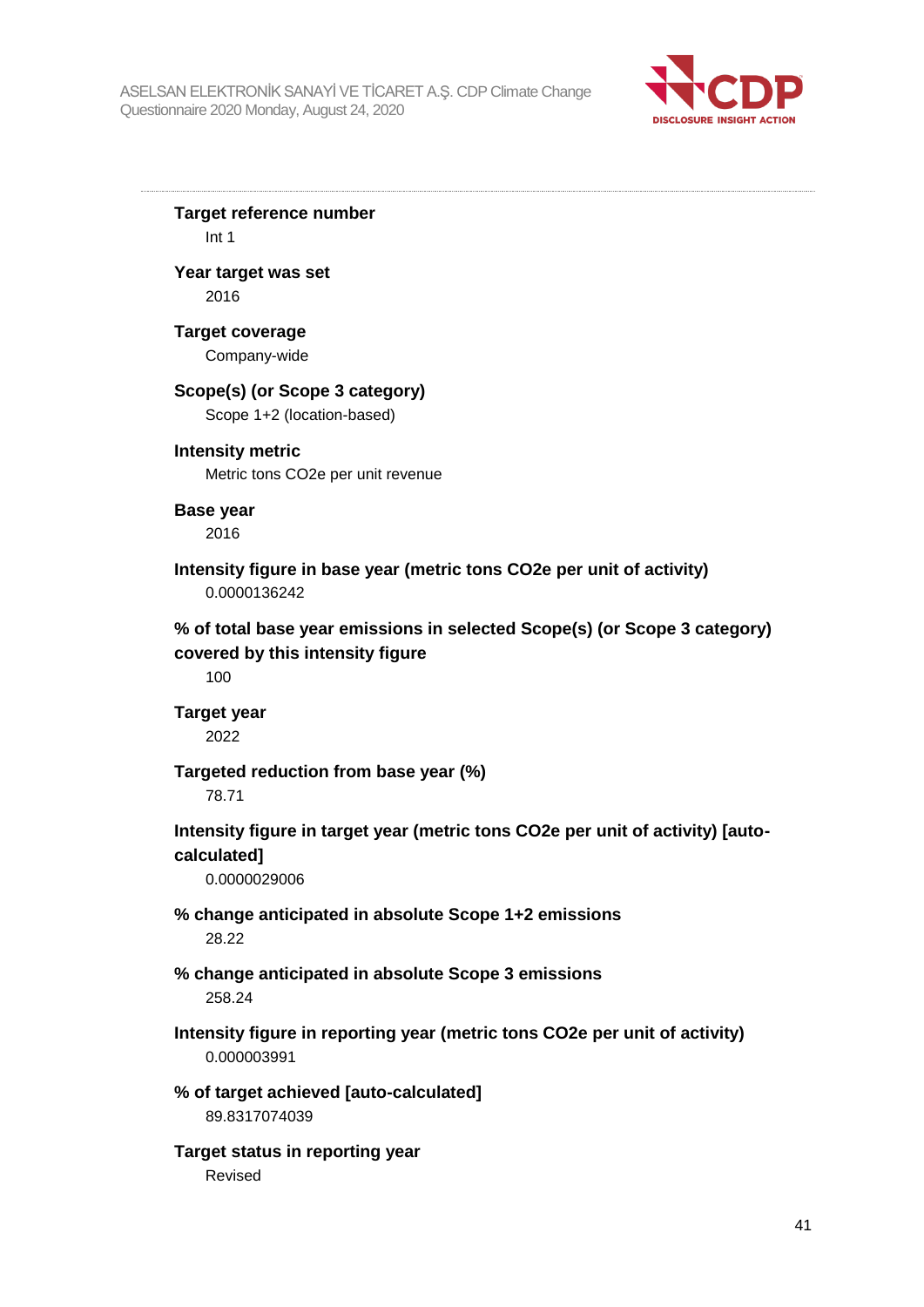

**Target reference number** Int 1 **Year target was set** 2016 **Target coverage** Company-wide **Scope(s) (or Scope 3 category)** Scope 1+2 (location-based) **Intensity metric** Metric tons CO2e per unit revenue **Base year** 2016 **Intensity figure in base year (metric tons CO2e per unit of activity)** 0.0000136242 **% of total base year emissions in selected Scope(s) (or Scope 3 category) covered by this intensity figure** 100 **Target year** 2022 **Targeted reduction from base year (%)** 78.71 **Intensity figure in target year (metric tons CO2e per unit of activity) [autocalculated]** 0.0000029006 **% change anticipated in absolute Scope 1+2 emissions** 28.22 **% change anticipated in absolute Scope 3 emissions** 258.24 **Intensity figure in reporting year (metric tons CO2e per unit of activity)** 0.000003991 **% of target achieved [auto-calculated]** 89.8317074039 **Target status in reporting year** Revised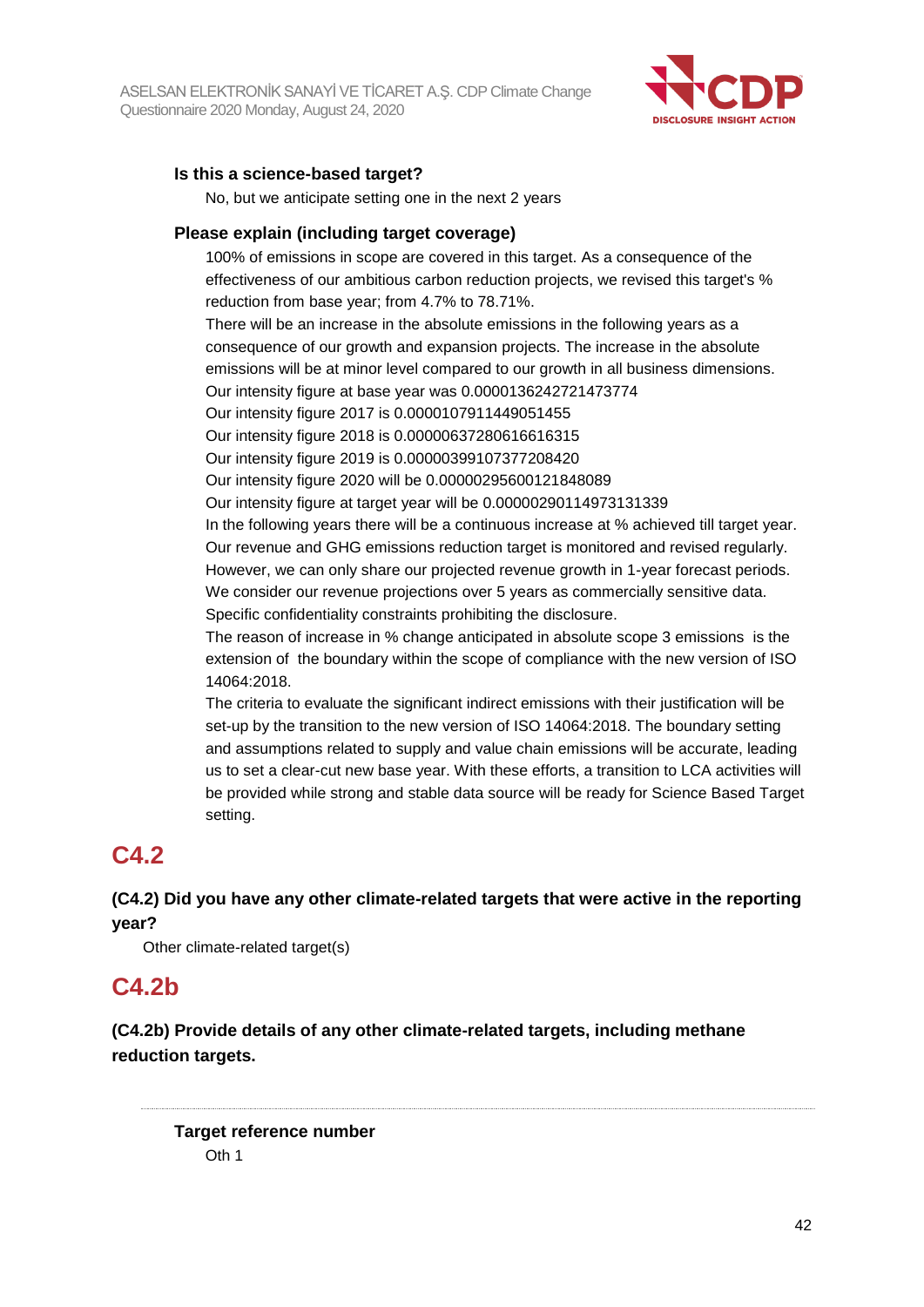

## **Is this a science-based target?**

No, but we anticipate setting one in the next 2 years

### **Please explain (including target coverage)**

100% of emissions in scope are covered in this target. As a consequence of the effectiveness of our ambitious carbon reduction projects, we revised this target's % reduction from base year; from 4.7% to 78.71%.

There will be an increase in the absolute emissions in the following years as a consequence of our growth and expansion projects. The increase in the absolute emissions will be at minor level compared to our growth in all business dimensions. Our intensity figure at base year was 0.0000136242721473774

Our intensity figure 2017 is 0.0000107911449051455 Our intensity figure 2018 is 0.00000637280616616315

Our intensity figure 2019 is 0.00000399107377208420

Our intensity figure 2020 will be 0.00000295600121848089

Our intensity figure at target year will be 0.00000290114973131339

In the following years there will be a continuous increase at % achieved till target year. Our revenue and GHG emissions reduction target is monitored and revised regularly. However, we can only share our projected revenue growth in 1-year forecast periods. We consider our revenue projections over 5 years as commercially sensitive data. Specific confidentiality constraints prohibiting the disclosure.

The reason of increase in % change anticipated in absolute scope 3 emissions is the extension of the boundary within the scope of compliance with the new version of ISO 14064:2018.

The criteria to evaluate the significant indirect emissions with their justification will be set-up by the transition to the new version of ISO 14064:2018. The boundary setting and assumptions related to supply and value chain emissions will be accurate, leading us to set a clear-cut new base year. With these efforts, a transition to LCA activities will be provided while strong and stable data source will be ready for Science Based Target setting.

## **C4.2**

**(C4.2) Did you have any other climate-related targets that were active in the reporting year?**

Other climate-related target(s)

## **C4.2b**

**(C4.2b) Provide details of any other climate-related targets, including methane reduction targets.**

**Target reference number**  $Oth 1$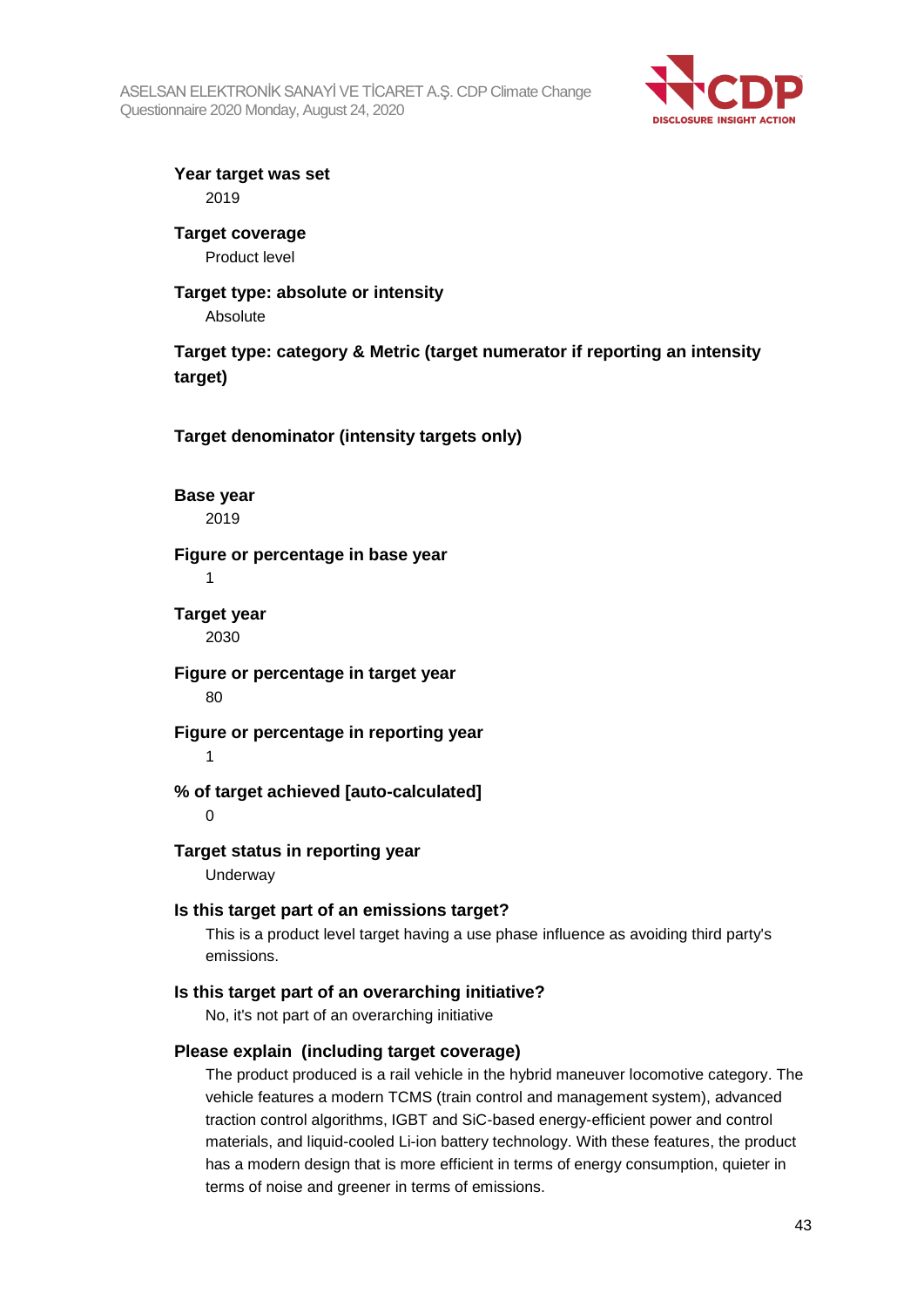

**Year target was set** 2019

**Target coverage** Product level

#### **Target type: absolute or intensity** Absolute

**Target type: category & Metric (target numerator if reporting an intensity target)**

**Target denominator (intensity targets only)**

**Base year** 2019

## **Figure or percentage in base year**

1

#### **Target year** 2030

**Figure or percentage in target year** 80

**Figure or percentage in reporting year** 1

**% of target achieved [auto-calculated]**

 $\Omega$ 

## **Target status in reporting year**

Underway

## **Is this target part of an emissions target?**

This is a product level target having a use phase influence as avoiding third party's emissions.

## **Is this target part of an overarching initiative?**

No, it's not part of an overarching initiative

#### **Please explain (including target coverage)**

The product produced is a rail vehicle in the hybrid maneuver locomotive category. The vehicle features a modern TCMS (train control and management system), advanced traction control algorithms, IGBT and SiC-based energy-efficient power and control materials, and liquid-cooled Li-ion battery technology. With these features, the product has a modern design that is more efficient in terms of energy consumption, quieter in terms of noise and greener in terms of emissions.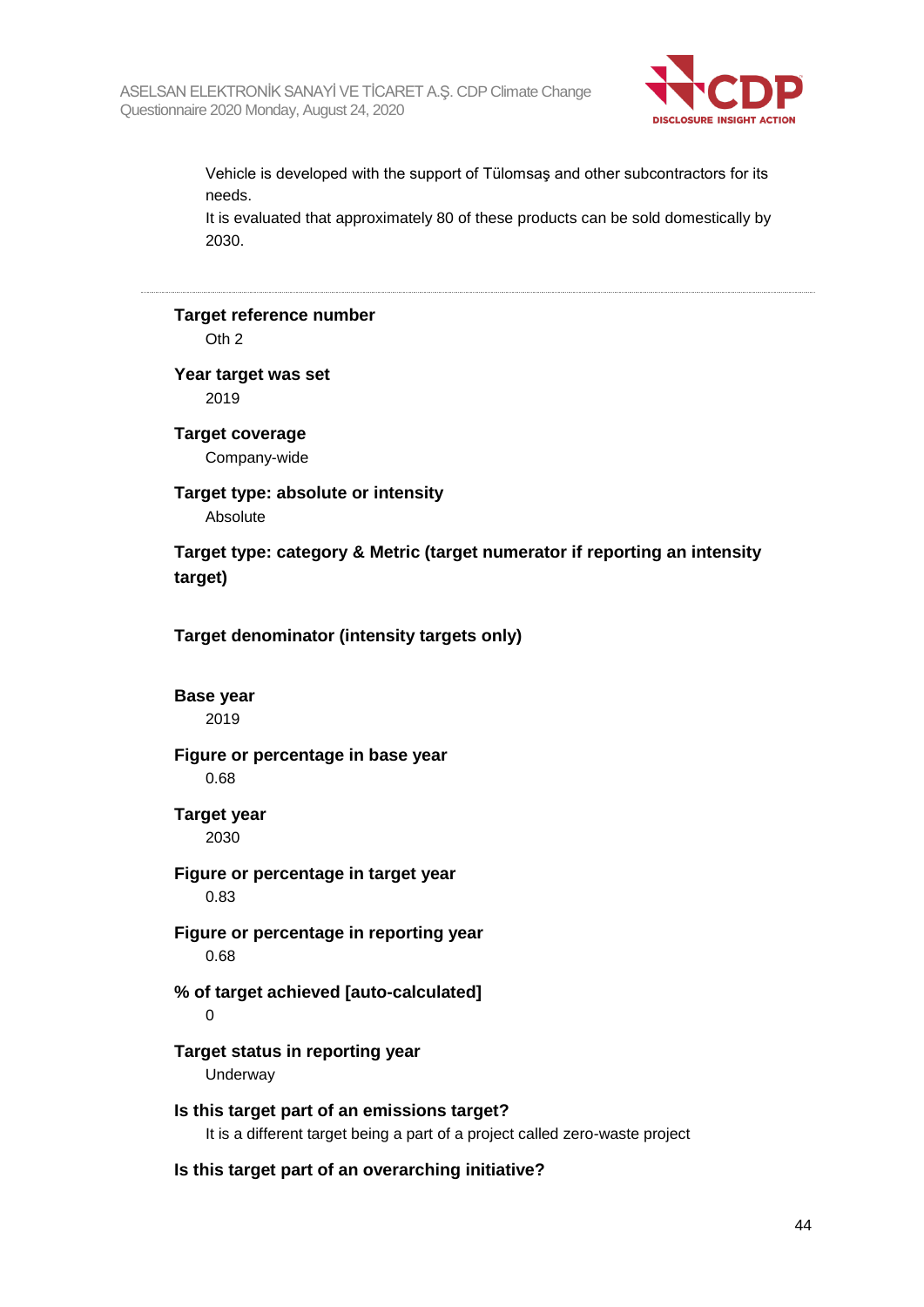

Vehicle is developed with the support of Tülomsaş and other subcontractors for its needs.

It is evaluated that approximately 80 of these products can be sold domestically by 2030.

## **Target reference number**

Oth 2

## **Year target was set**

2019

## **Target coverage** Company-wide

#### **Target type: absolute or intensity** Absolute

**Target type: category & Metric (target numerator if reporting an intensity target)**

**Target denominator (intensity targets only)**

#### **Base year**

2019

## **Figure or percentage in base year**

0.68

## **Target year**

2030

## **Figure or percentage in target year**

0.83

### **Figure or percentage in reporting year** 0.68

## **% of target achieved [auto-calculated]**

 $\Omega$ 

## **Target status in reporting year**

Underway

#### **Is this target part of an emissions target?** It is a different target being a part of a project called zero-waste project

## **Is this target part of an overarching initiative?**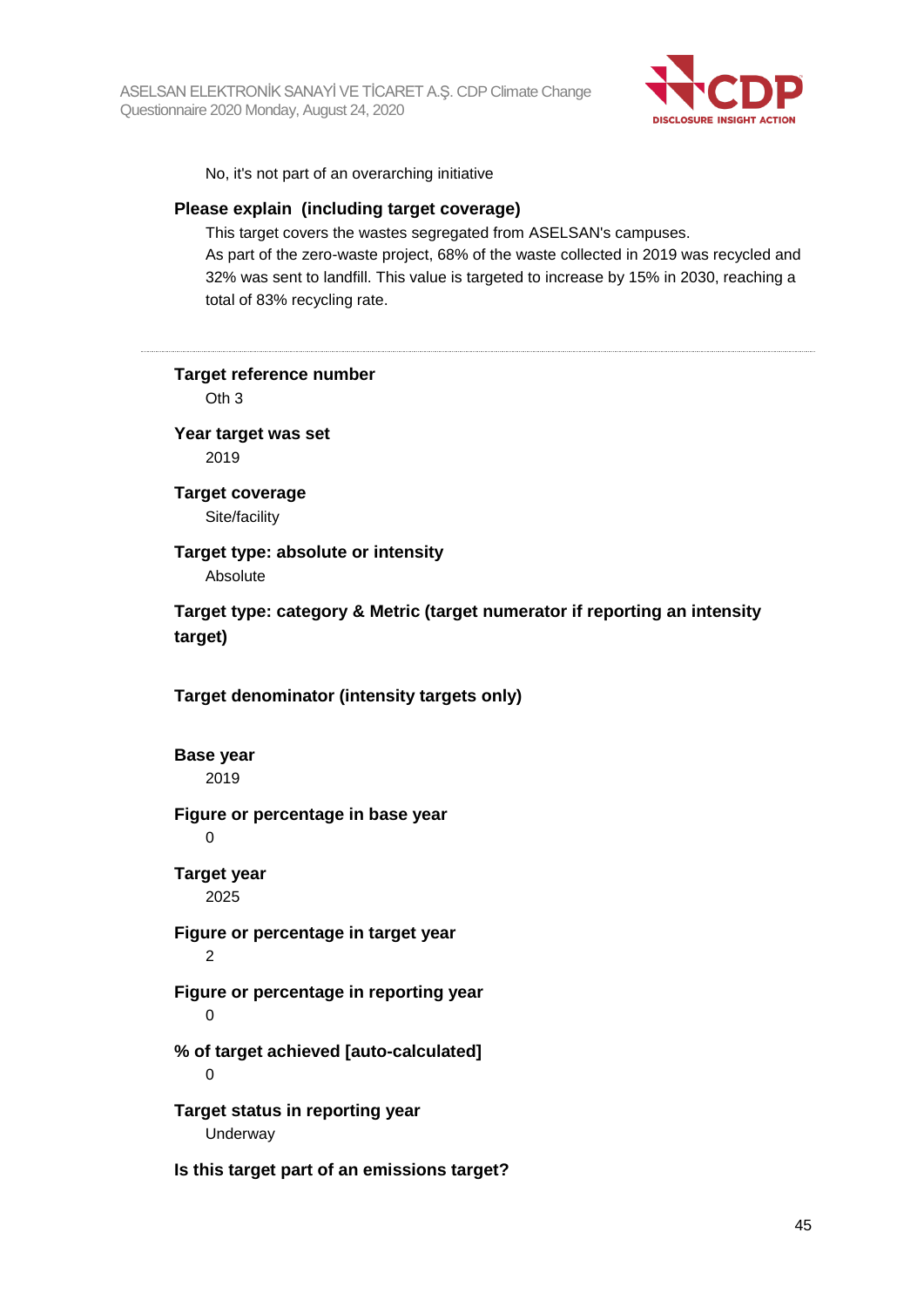

No, it's not part of an overarching initiative

#### **Please explain (including target coverage)**

This target covers the wastes segregated from ASELSAN's campuses. As part of the zero-waste project, 68% of the waste collected in 2019 was recycled and 32% was sent to landfill. This value is targeted to increase by 15% in 2030, reaching a total of 83% recycling rate.

| Target reference number<br>Oth <sub>3</sub>                                           |
|---------------------------------------------------------------------------------------|
| Year target was set<br>2019                                                           |
| <b>Target coverage</b><br>Site/facility                                               |
| Target type: absolute or intensity<br>Absolute                                        |
| Target type: category & Metric (target numerator if reporting an intensity<br>target) |
| Target denominator (intensity targets only)                                           |
| <b>Base year</b><br>2019                                                              |
| Figure or percentage in base year<br>$\Omega$                                         |
| <b>Target year</b><br>2025                                                            |
| Figure or percentage in target year<br>$\overline{2}$                                 |
| Figure or percentage in reporting year<br>$\mathbf 0$                                 |
| % of target achieved [auto-calculated]<br>0                                           |
| Target status in reporting year<br>Underway                                           |
| Is this target part of an emissions target?                                           |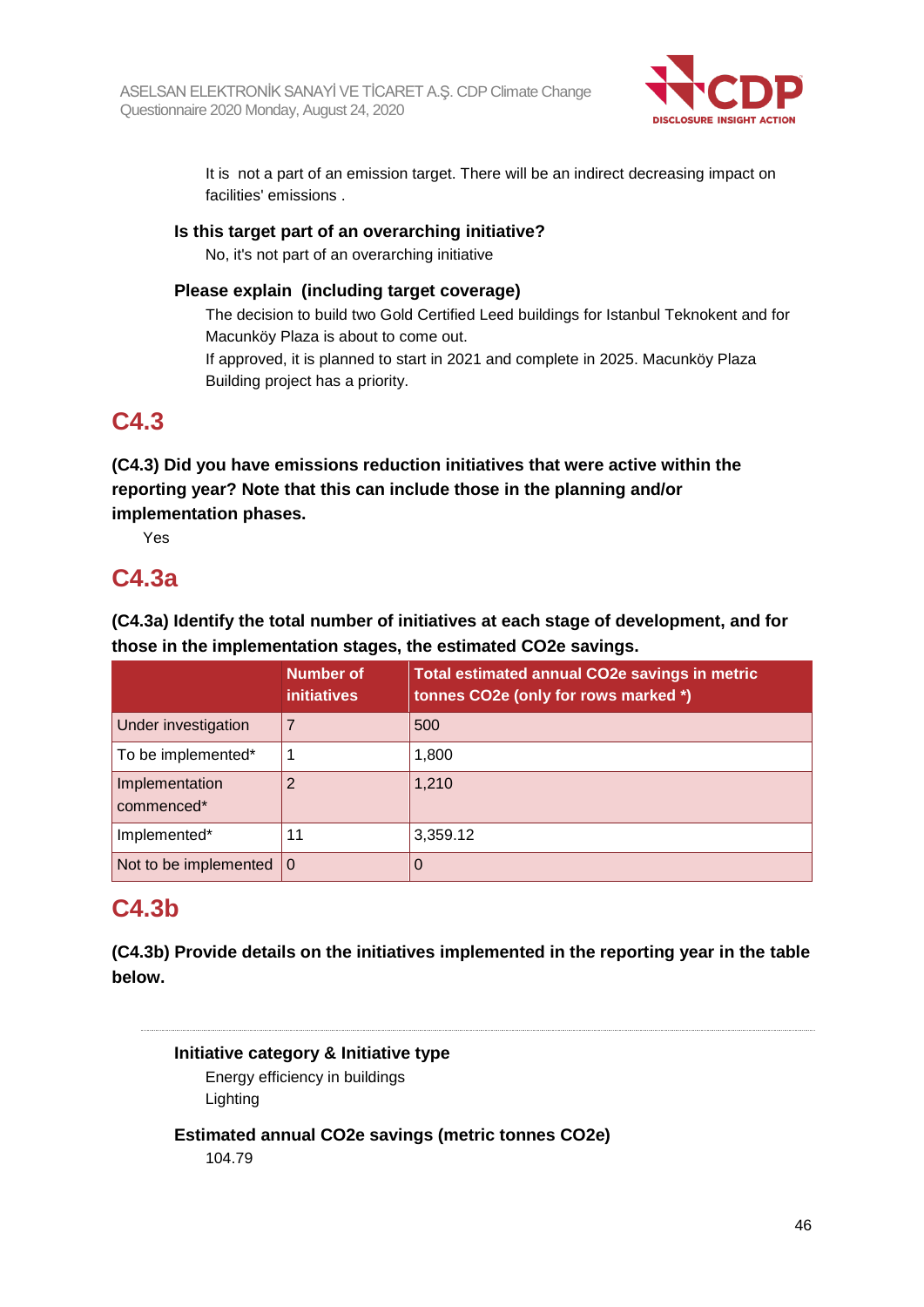

It is not a part of an emission target. There will be an indirect decreasing impact on facilities' emissions .

### **Is this target part of an overarching initiative?**

No, it's not part of an overarching initiative

### **Please explain (including target coverage)**

The decision to build two Gold Certified Leed buildings for Istanbul Teknokent and for Macunköy Plaza is about to come out.

If approved, it is planned to start in 2021 and complete in 2025. Macunköy Plaza Building project has a priority.

## **C4.3**

**(C4.3) Did you have emissions reduction initiatives that were active within the reporting year? Note that this can include those in the planning and/or implementation phases.**

Yes

## **C4.3a**

**(C4.3a) Identify the total number of initiatives at each stage of development, and for those in the implementation stages, the estimated CO2e savings.**

|                                   | <b>Number of</b><br><b>initiatives</b> | Total estimated annual CO2e savings in metric<br>tonnes CO2e (only for rows marked *) |
|-----------------------------------|----------------------------------------|---------------------------------------------------------------------------------------|
| Under investigation               |                                        | 500                                                                                   |
| To be implemented*                |                                        | 1,800                                                                                 |
| Implementation<br>commenced*      | 2                                      | 1,210                                                                                 |
| Implemented*                      | 11                                     | 3,359.12                                                                              |
| Not to be implemented $ 0\rangle$ |                                        | O                                                                                     |

## **C4.3b**

**(C4.3b) Provide details on the initiatives implemented in the reporting year in the table below.**

**Initiative category & Initiative type**

Energy efficiency in buildings Lighting

**Estimated annual CO2e savings (metric tonnes CO2e)**

104.79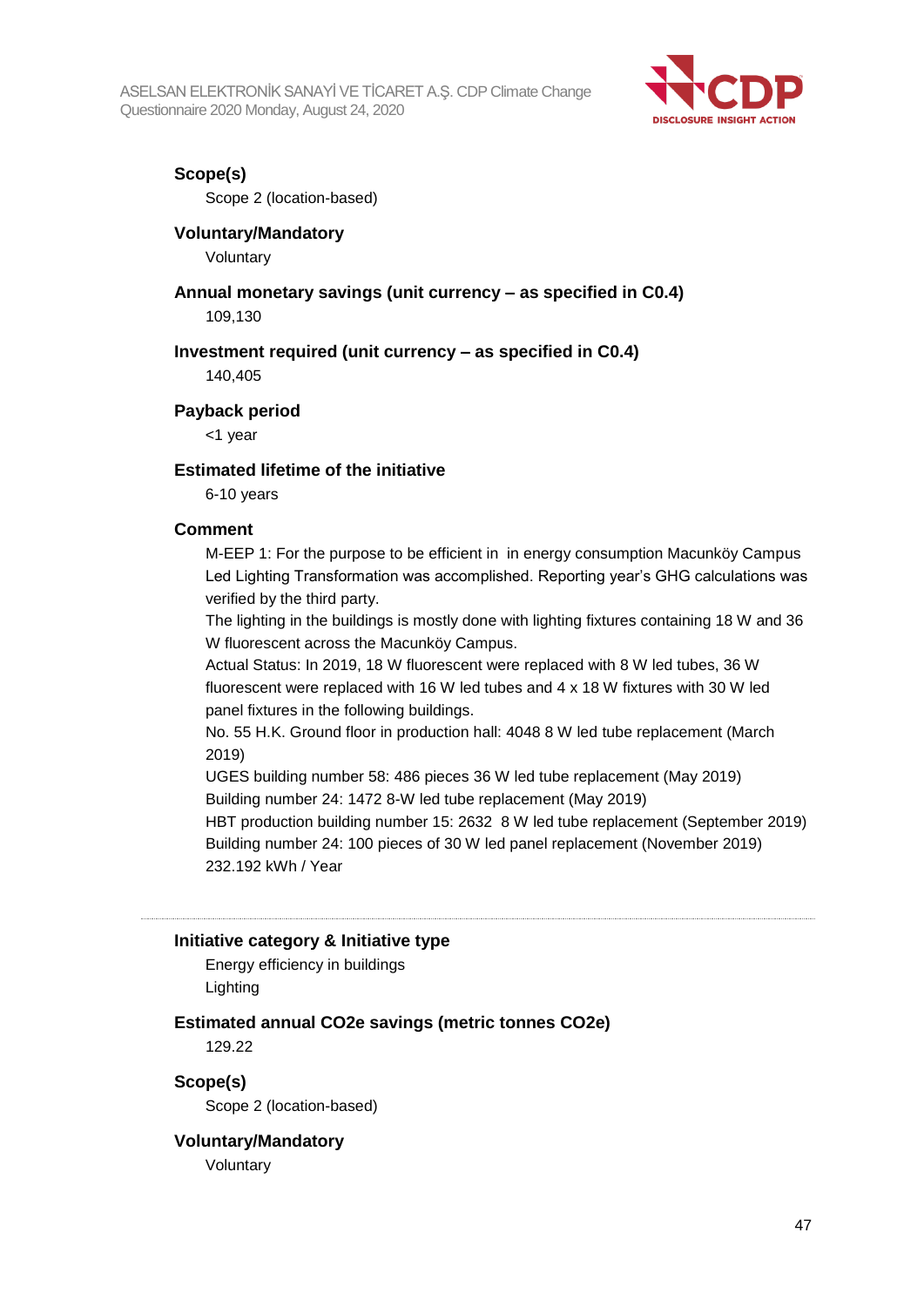

#### **Scope(s)**

Scope 2 (location-based)

#### **Voluntary/Mandatory**

Voluntary

## **Annual monetary savings (unit currency – as specified in C0.4)**

109,130

#### **Investment required (unit currency – as specified in C0.4)**

140,405

#### **Payback period**

<1 year

#### **Estimated lifetime of the initiative**

6-10 years

#### **Comment**

M-EEP 1: For the purpose to be efficient in in energy consumption Macunköy Campus Led Lighting Transformation was accomplished. Reporting year's GHG calculations was verified by the third party.

The lighting in the buildings is mostly done with lighting fixtures containing 18 W and 36 W fluorescent across the Macunköy Campus.

Actual Status: In 2019, 18 W fluorescent were replaced with 8 W led tubes, 36 W fluorescent were replaced with 16 W led tubes and 4 x 18 W fixtures with 30 W led panel fixtures in the following buildings.

No. 55 H.K. Ground floor in production hall: 4048 8 W led tube replacement (March 2019)

UGES building number 58: 486 pieces 36 W led tube replacement (May 2019) Building number 24: 1472 8-W led tube replacement (May 2019)

HBT production building number 15: 2632 8 W led tube replacement (September 2019) Building number 24: 100 pieces of 30 W led panel replacement (November 2019) 232.192 kWh / Year

#### **Initiative category & Initiative type**

Energy efficiency in buildings Lighting

#### **Estimated annual CO2e savings (metric tonnes CO2e)**

129.22

**Scope(s)**

Scope 2 (location-based)

#### **Voluntary/Mandatory**

Voluntary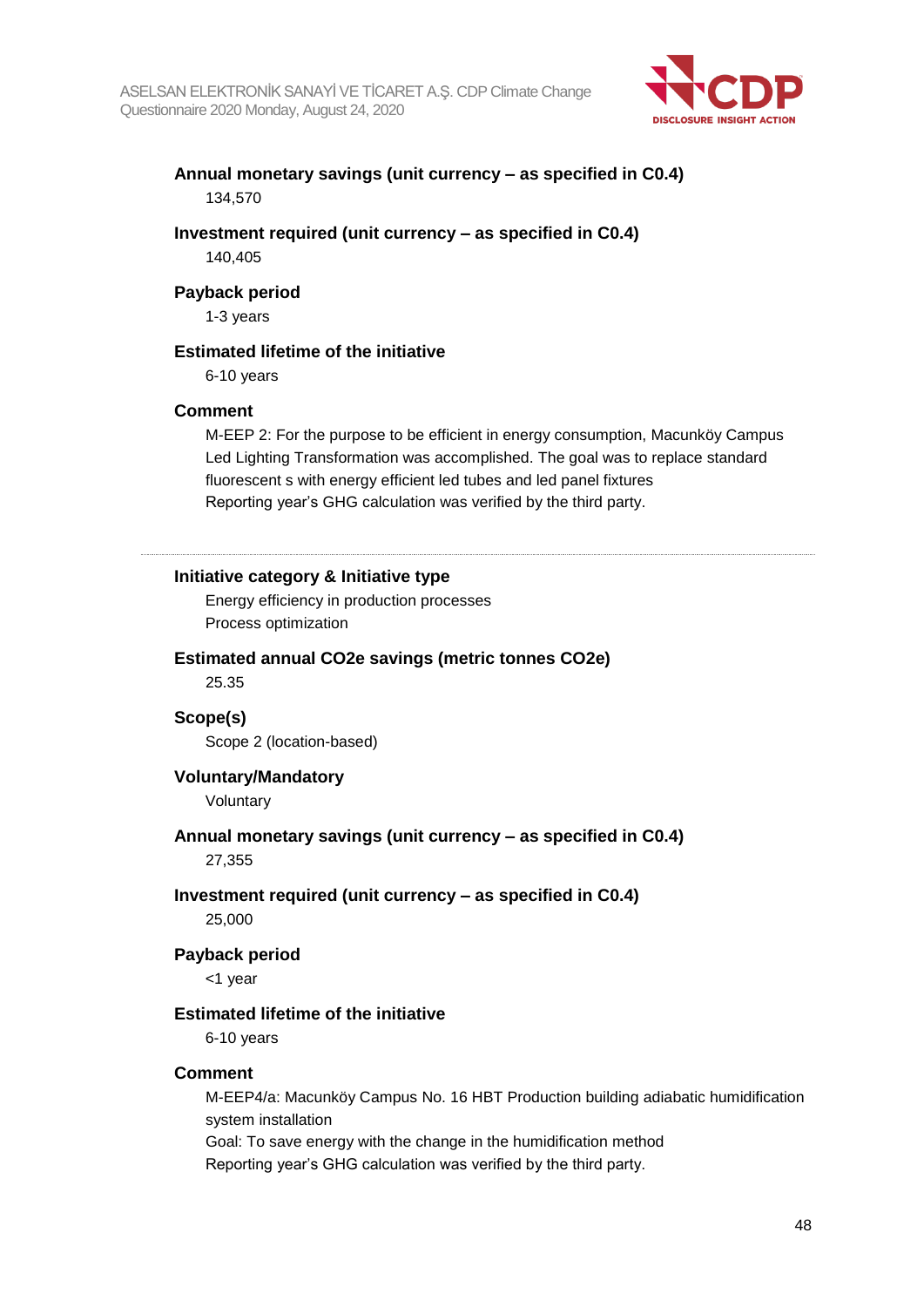

### **Annual monetary savings (unit currency – as specified in C0.4)** 134,570

#### **Investment required (unit currency – as specified in C0.4)** 140,405

#### **Payback period**

1-3 years

### **Estimated lifetime of the initiative**

6-10 years

#### **Comment**

M-EEP 2: For the purpose to be efficient in energy consumption, Macunköy Campus Led Lighting Transformation was accomplished. The goal was to replace standard fluorescent s with energy efficient led tubes and led panel fixtures Reporting year's GHG calculation was verified by the third party.

### **Initiative category & Initiative type**

Energy efficiency in production processes Process optimization

#### **Estimated annual CO2e savings (metric tonnes CO2e)**

25.35

### **Scope(s)** Scope 2 (location-based)

#### **Voluntary/Mandatory**

Voluntary

## **Annual monetary savings (unit currency – as specified in C0.4)**

27,355

#### **Investment required (unit currency – as specified in C0.4)**

25,000

#### **Payback period**

<1 year

#### **Estimated lifetime of the initiative**

6-10 years

#### **Comment**

M-EEP4/a: Macunköy Campus No. 16 HBT Production building adiabatic humidification system installation

Goal: To save energy with the change in the humidification method

Reporting year's GHG calculation was verified by the third party.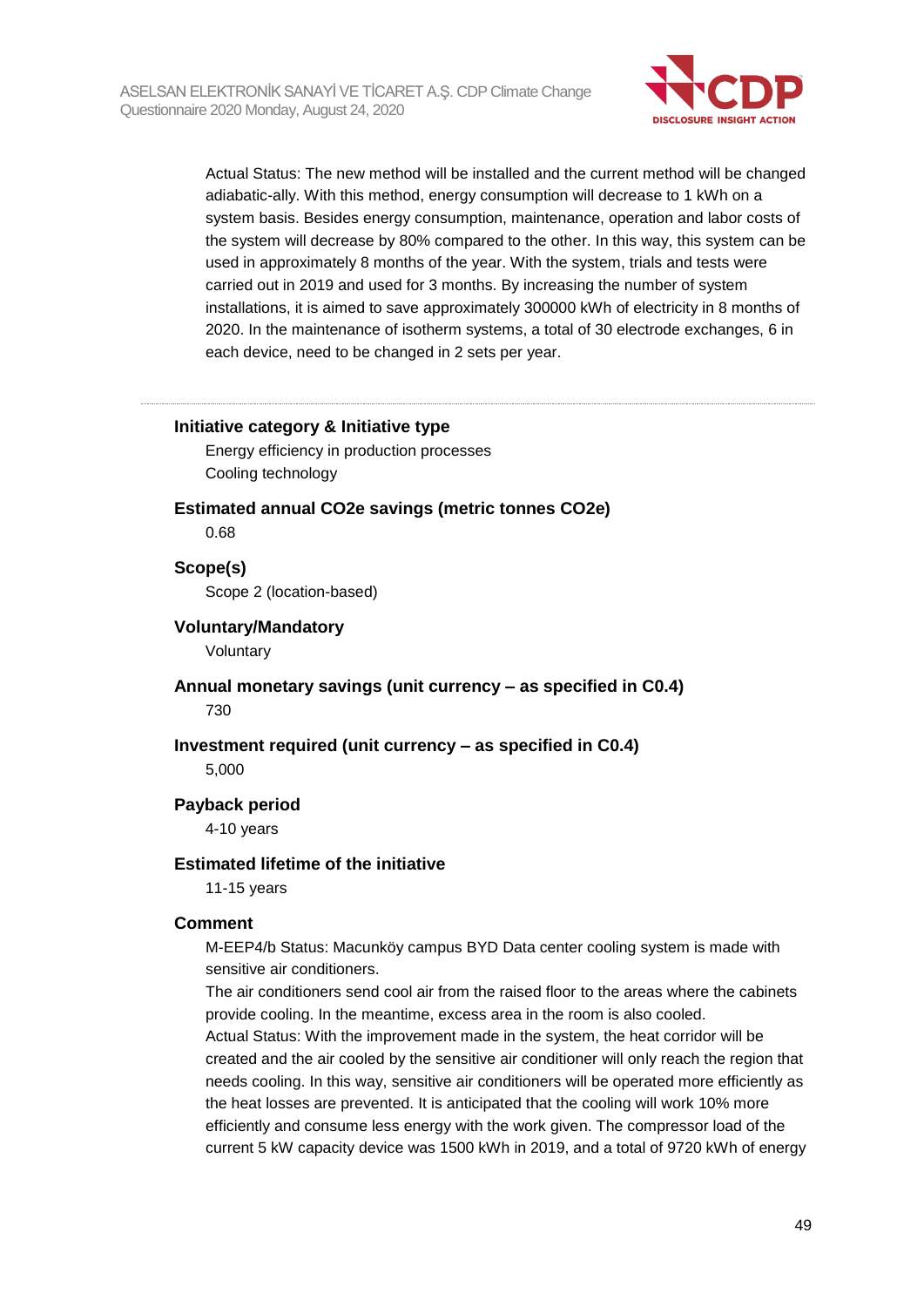

Actual Status: The new method will be installed and the current method will be changed adiabatic-ally. With this method, energy consumption will decrease to 1 kWh on a system basis. Besides energy consumption, maintenance, operation and labor costs of the system will decrease by 80% compared to the other. In this way, this system can be used in approximately 8 months of the year. With the system, trials and tests were carried out in 2019 and used for 3 months. By increasing the number of system installations, it is aimed to save approximately 300000 kWh of electricity in 8 months of 2020. In the maintenance of isotherm systems, a total of 30 electrode exchanges, 6 in each device, need to be changed in 2 sets per year.

#### **Initiative category & Initiative type**

Energy efficiency in production processes Cooling technology

#### **Estimated annual CO2e savings (metric tonnes CO2e)**

0.68

#### **Scope(s)**

Scope 2 (location-based)

#### **Voluntary/Mandatory**

Voluntary

**Annual monetary savings (unit currency – as specified in C0.4)** 730

#### **Investment required (unit currency – as specified in C0.4)** 5,000

#### **Payback period**

4-10 years

#### **Estimated lifetime of the initiative**

11-15 years

#### **Comment**

M-EEP4/b Status: Macunköy campus BYD Data center cooling system is made with sensitive air conditioners.

The air conditioners send cool air from the raised floor to the areas where the cabinets provide cooling. In the meantime, excess area in the room is also cooled. Actual Status: With the improvement made in the system, the heat corridor will be created and the air cooled by the sensitive air conditioner will only reach the region that needs cooling. In this way, sensitive air conditioners will be operated more efficiently as the heat losses are prevented. It is anticipated that the cooling will work 10% more efficiently and consume less energy with the work given. The compressor load of the current 5 kW capacity device was 1500 kWh in 2019, and a total of 9720 kWh of energy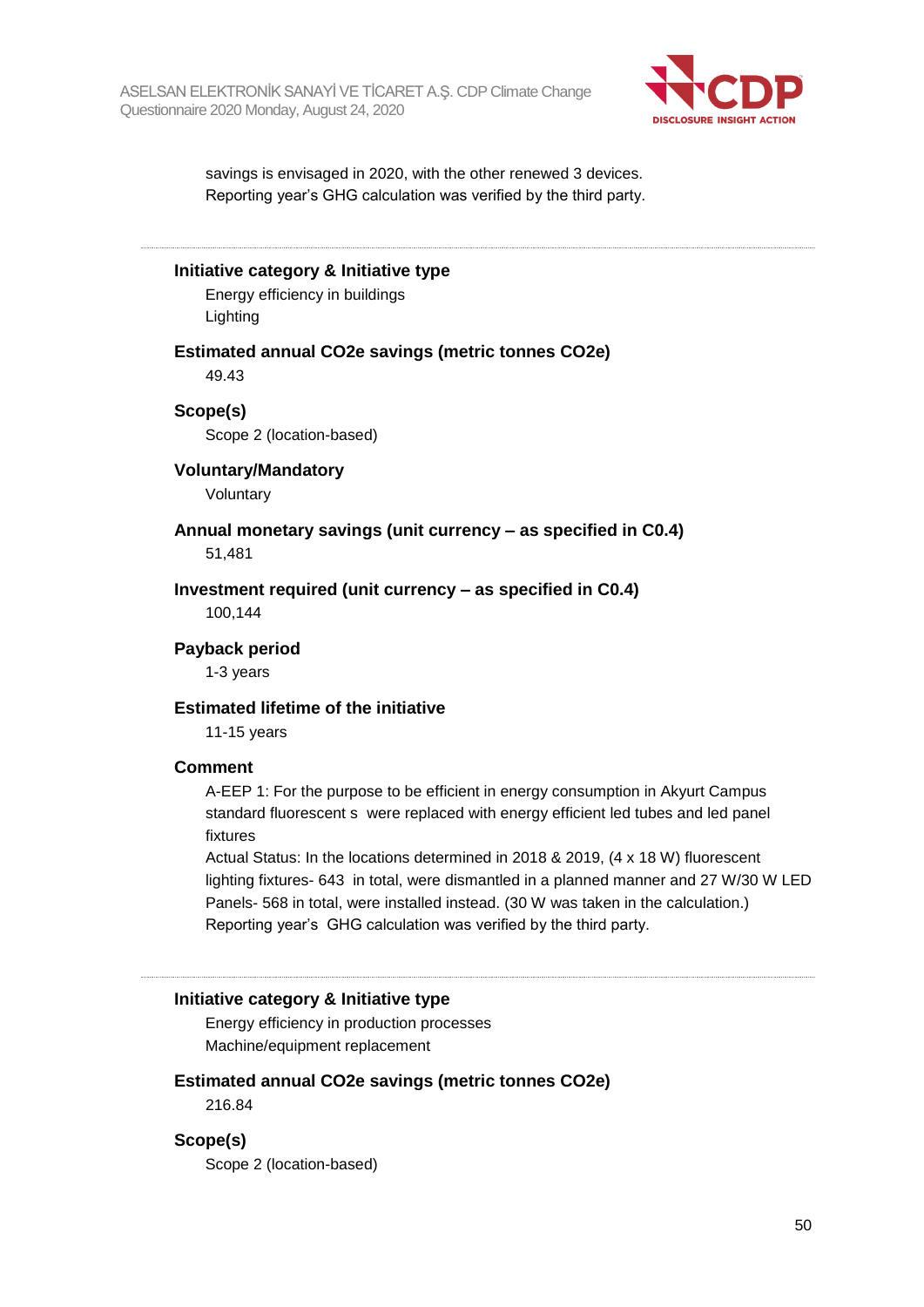

savings is envisaged in 2020, with the other renewed 3 devices. Reporting year's GHG calculation was verified by the third party.

**Initiative category & Initiative type**

Energy efficiency in buildings Lighting

**Estimated annual CO2e savings (metric tonnes CO2e)**

49.43

#### **Scope(s)**

Scope 2 (location-based)

#### **Voluntary/Mandatory**

Voluntary

#### **Annual monetary savings (unit currency – as specified in C0.4)** 51,481

**Investment required (unit currency – as specified in C0.4)** 100,144

**Payback period**

1-3 years

#### **Estimated lifetime of the initiative**

11-15 years

#### **Comment**

A-EEP 1: For the purpose to be efficient in energy consumption in Akyurt Campus standard fluorescent s were replaced with energy efficient led tubes and led panel fixtures

Actual Status: In the locations determined in 2018 & 2019, (4 x 18 W) fluorescent lighting fixtures- 643 in total, were dismantled in a planned manner and 27 W/30 W LED Panels- 568 in total, were installed instead. (30 W was taken in the calculation.) Reporting year's GHG calculation was verified by the third party.

#### **Initiative category & Initiative type**

Energy efficiency in production processes Machine/equipment replacement

#### **Estimated annual CO2e savings (metric tonnes CO2e)**

216.84

#### **Scope(s)**

Scope 2 (location-based)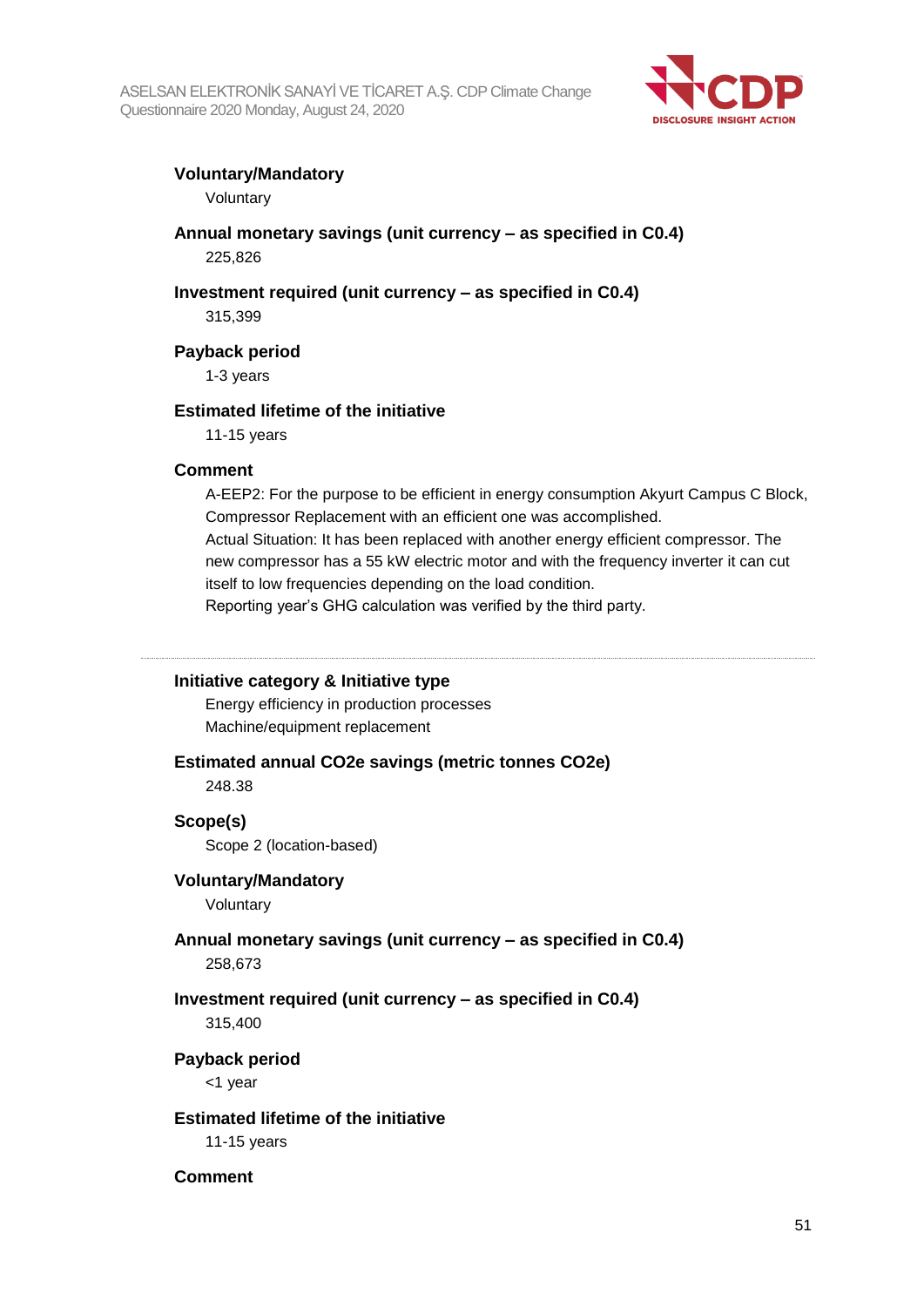

#### **Voluntary/Mandatory**

Voluntary

### **Annual monetary savings (unit currency – as specified in C0.4)** 225,826

### **Investment required (unit currency – as specified in C0.4)**

315,399

#### **Payback period**

1-3 years

#### **Estimated lifetime of the initiative**

11-15 years

#### **Comment**

A-EEP2: For the purpose to be efficient in energy consumption Akyurt Campus C Block, Compressor Replacement with an efficient one was accomplished. Actual Situation: It has been replaced with another energy efficient compressor. The new compressor has a 55 kW electric motor and with the frequency inverter it can cut itself to low frequencies depending on the load condition.

Reporting year's GHG calculation was verified by the third party.

#### **Initiative category & Initiative type**

Energy efficiency in production processes Machine/equipment replacement

#### **Estimated annual CO2e savings (metric tonnes CO2e)**

248.38

#### **Scope(s)**

Scope 2 (location-based)

#### **Voluntary/Mandatory**

Voluntary

## **Annual monetary savings (unit currency – as specified in C0.4)**

258,673

## **Investment required (unit currency – as specified in C0.4)**

315,400

#### **Payback period**

<1 year

#### **Estimated lifetime of the initiative**

11-15 years

#### **Comment**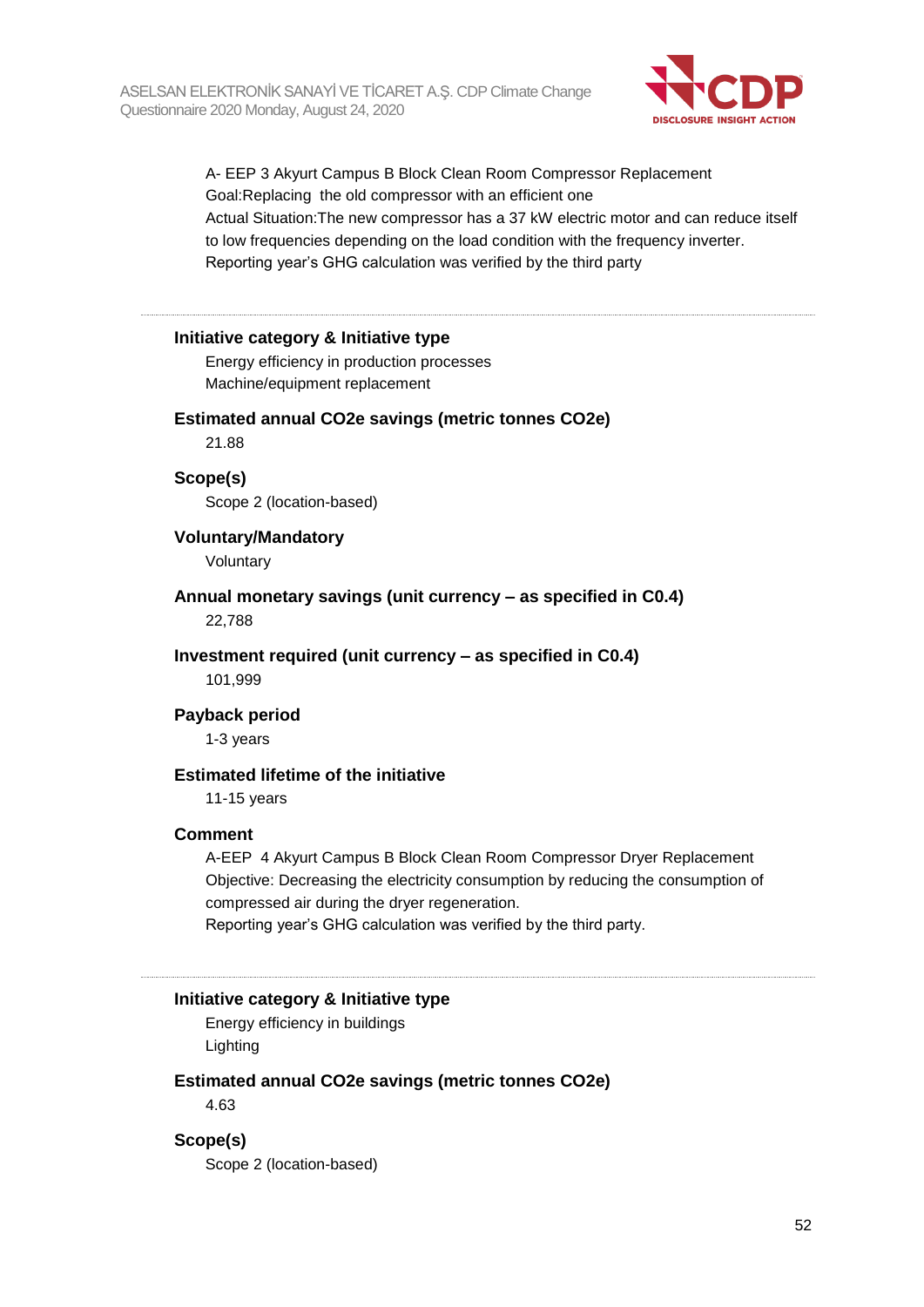

A- EEP 3 Akyurt Campus B Block Clean Room Compressor Replacement Goal:Replacing the old compressor with an efficient one Actual Situation:The new compressor has a 37 kW electric motor and can reduce itself to low frequencies depending on the load condition with the frequency inverter. Reporting year's GHG calculation was verified by the third party

#### **Initiative category & Initiative type**

Energy efficiency in production processes Machine/equipment replacement

#### **Estimated annual CO2e savings (metric tonnes CO2e)**

21.88

#### **Scope(s)**

Scope 2 (location-based)

**Voluntary/Mandatory**

Voluntary

**Annual monetary savings (unit currency – as specified in C0.4)**

22,788

**Investment required (unit currency – as specified in C0.4)**

101,999

#### **Payback period**

1-3 years

#### **Estimated lifetime of the initiative**

11-15 years

#### **Comment**

A-EEP 4 Akyurt Campus B Block Clean Room Compressor Dryer Replacement Objective: Decreasing the electricity consumption by reducing the consumption of compressed air during the dryer regeneration.

Reporting year's GHG calculation was verified by the third party.

#### **Initiative category & Initiative type**

Energy efficiency in buildings Lighting

#### **Estimated annual CO2e savings (metric tonnes CO2e)**

4.63

#### **Scope(s)**

Scope 2 (location-based)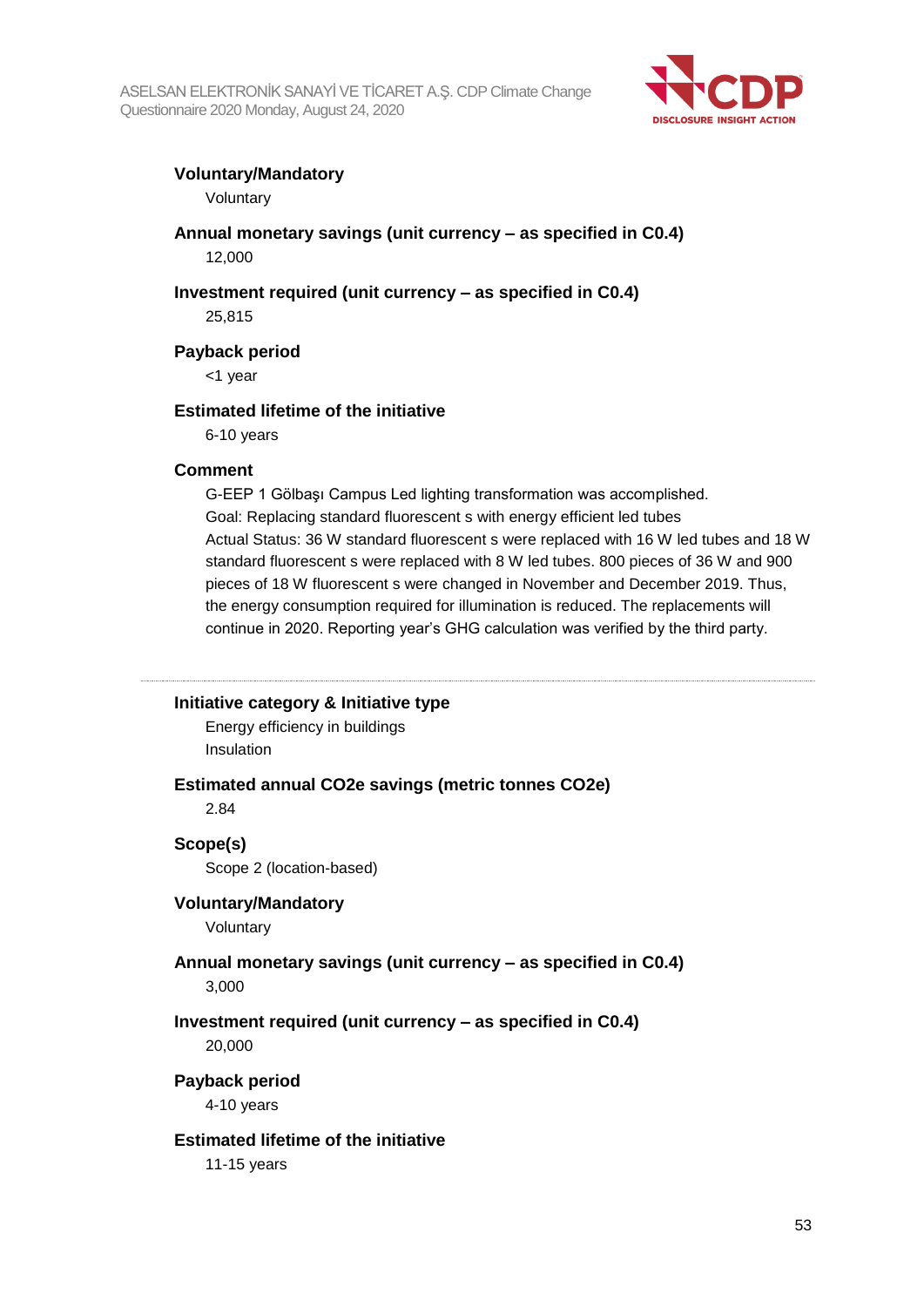

### **Voluntary/Mandatory**

Voluntary

### **Annual monetary savings (unit currency – as specified in C0.4)** 12,000

## **Investment required (unit currency – as specified in C0.4)**

25,815

### **Payback period**

<1 year

### **Estimated lifetime of the initiative**

6-10 years

#### **Comment**

G-EEP 1 Gölbaşı Campus Led lighting transformation was accomplished. Goal: Replacing standard fluorescent s with energy efficient led tubes Actual Status: 36 W standard fluorescent s were replaced with 16 W led tubes and 18 W standard fluorescent s were replaced with 8 W led tubes. 800 pieces of 36 W and 900 pieces of 18 W fluorescent s were changed in November and December 2019. Thus, the energy consumption required for illumination is reduced. The replacements will continue in 2020. Reporting year's GHG calculation was verified by the third party.

#### **Initiative category & Initiative type**

Energy efficiency in buildings Insulation

#### **Estimated annual CO2e savings (metric tonnes CO2e)**

2.84

#### **Scope(s)**

Scope 2 (location-based)

#### **Voluntary/Mandatory**

Voluntary

#### **Annual monetary savings (unit currency – as specified in C0.4)**

3,000

## **Investment required (unit currency – as specified in C0.4)**

20,000

#### **Payback period**

4-10 years

#### **Estimated lifetime of the initiative**

11-15 years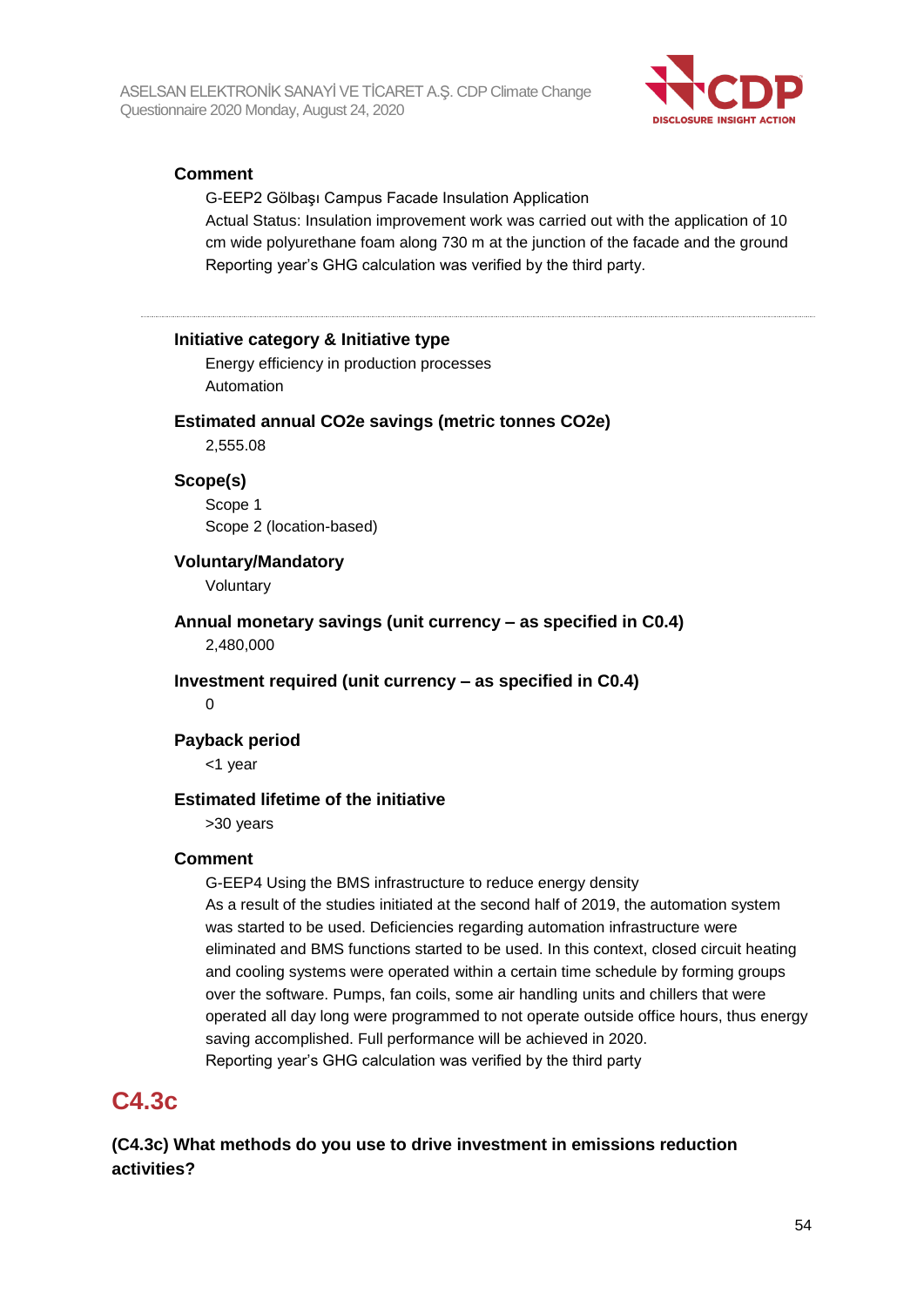

### **Comment**

G-EEP2 Gölbaşı Campus Facade Insulation Application Actual Status: Insulation improvement work was carried out with the application of 10 cm wide polyurethane foam along 730 m at the junction of the facade and the ground Reporting year's GHG calculation was verified by the third party.

#### **Initiative category & Initiative type**

Energy efficiency in production processes Automation

#### **Estimated annual CO2e savings (metric tonnes CO2e)**

2,555.08

#### **Scope(s)**

Scope 1 Scope 2 (location-based)

#### **Voluntary/Mandatory**

Voluntary

**Annual monetary savings (unit currency – as specified in C0.4)** 2,480,000

**Investment required (unit currency – as specified in C0.4)**

0

#### **Payback period**

<1 year

#### **Estimated lifetime of the initiative**

>30 years

#### **Comment**

G-EEP4 Using the BMS infrastructure to reduce energy density As a result of the studies initiated at the second half of 2019, the automation system was started to be used. Deficiencies regarding automation infrastructure were eliminated and BMS functions started to be used. In this context, closed circuit heating and cooling systems were operated within a certain time schedule by forming groups over the software. Pumps, fan coils, some air handling units and chillers that were operated all day long were programmed to not operate outside office hours, thus energy saving accomplished. Full performance will be achieved in 2020. Reporting year's GHG calculation was verified by the third party

## **C4.3c**

**(C4.3c) What methods do you use to drive investment in emissions reduction activities?**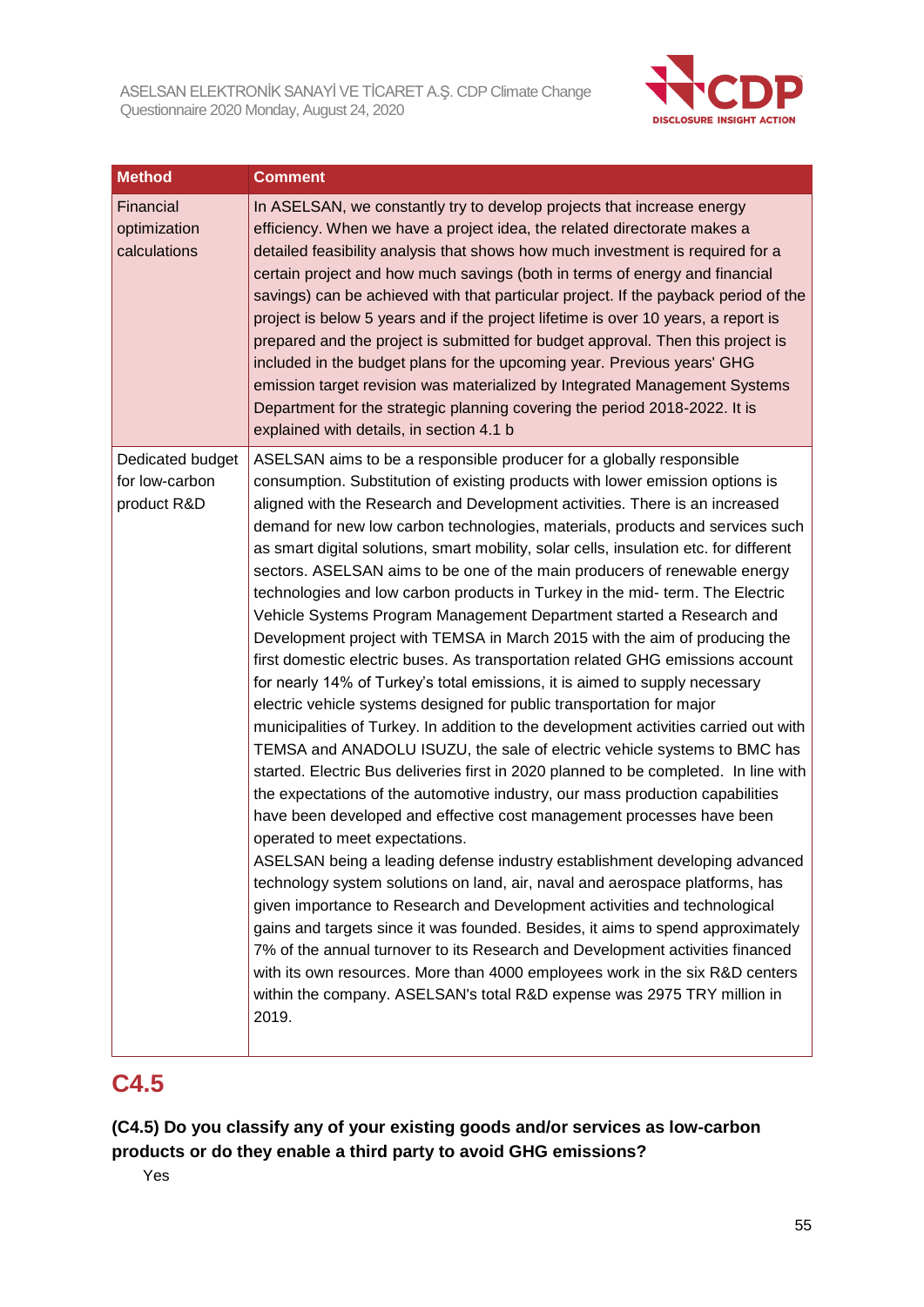

| <b>Method</b>                             | <b>Comment</b>                                                                                                                                                                                                                                                                                                                                                                                                                                                                                                                                                                                                                                                                                                                                                                                                                                                                                                                                                                                                                                                                                                                                                                                                                                                                                                                                                                                                                                                                                                                                                                                                                                                                                                                                                                                                                                                                                                                                   |
|-------------------------------------------|--------------------------------------------------------------------------------------------------------------------------------------------------------------------------------------------------------------------------------------------------------------------------------------------------------------------------------------------------------------------------------------------------------------------------------------------------------------------------------------------------------------------------------------------------------------------------------------------------------------------------------------------------------------------------------------------------------------------------------------------------------------------------------------------------------------------------------------------------------------------------------------------------------------------------------------------------------------------------------------------------------------------------------------------------------------------------------------------------------------------------------------------------------------------------------------------------------------------------------------------------------------------------------------------------------------------------------------------------------------------------------------------------------------------------------------------------------------------------------------------------------------------------------------------------------------------------------------------------------------------------------------------------------------------------------------------------------------------------------------------------------------------------------------------------------------------------------------------------------------------------------------------------------------------------------------------------|
| Financial<br>optimization<br>calculations | In ASELSAN, we constantly try to develop projects that increase energy<br>efficiency. When we have a project idea, the related directorate makes a<br>detailed feasibility analysis that shows how much investment is required for a<br>certain project and how much savings (both in terms of energy and financial<br>savings) can be achieved with that particular project. If the payback period of the<br>project is below 5 years and if the project lifetime is over 10 years, a report is<br>prepared and the project is submitted for budget approval. Then this project is<br>included in the budget plans for the upcoming year. Previous years' GHG<br>emission target revision was materialized by Integrated Management Systems<br>Department for the strategic planning covering the period 2018-2022. It is<br>explained with details, in section 4.1 b                                                                                                                                                                                                                                                                                                                                                                                                                                                                                                                                                                                                                                                                                                                                                                                                                                                                                                                                                                                                                                                                           |
| Dedicated budget                          | ASELSAN aims to be a responsible producer for a globally responsible                                                                                                                                                                                                                                                                                                                                                                                                                                                                                                                                                                                                                                                                                                                                                                                                                                                                                                                                                                                                                                                                                                                                                                                                                                                                                                                                                                                                                                                                                                                                                                                                                                                                                                                                                                                                                                                                             |
| for low-carbon<br>product R&D             | consumption. Substitution of existing products with lower emission options is<br>aligned with the Research and Development activities. There is an increased<br>demand for new low carbon technologies, materials, products and services such<br>as smart digital solutions, smart mobility, solar cells, insulation etc. for different<br>sectors. ASELSAN aims to be one of the main producers of renewable energy<br>technologies and low carbon products in Turkey in the mid- term. The Electric<br>Vehicle Systems Program Management Department started a Research and<br>Development project with TEMSA in March 2015 with the aim of producing the<br>first domestic electric buses. As transportation related GHG emissions account<br>for nearly 14% of Turkey's total emissions, it is aimed to supply necessary<br>electric vehicle systems designed for public transportation for major<br>municipalities of Turkey. In addition to the development activities carried out with<br>TEMSA and ANADOLU ISUZU, the sale of electric vehicle systems to BMC has<br>started. Electric Bus deliveries first in 2020 planned to be completed. In line with<br>the expectations of the automotive industry, our mass production capabilities<br>have been developed and effective cost management processes have been<br>operated to meet expectations.<br>ASELSAN being a leading defense industry establishment developing advanced<br>technology system solutions on land, air, naval and aerospace platforms, has<br>given importance to Research and Development activities and technological<br>gains and targets since it was founded. Besides, it aims to spend approximately<br>7% of the annual turnover to its Research and Development activities financed<br>with its own resources. More than 4000 employees work in the six R&D centers<br>within the company. ASELSAN's total R&D expense was 2975 TRY million in<br>2019. |

## **C4.5**

**(C4.5) Do you classify any of your existing goods and/or services as low-carbon products or do they enable a third party to avoid GHG emissions?**

Yes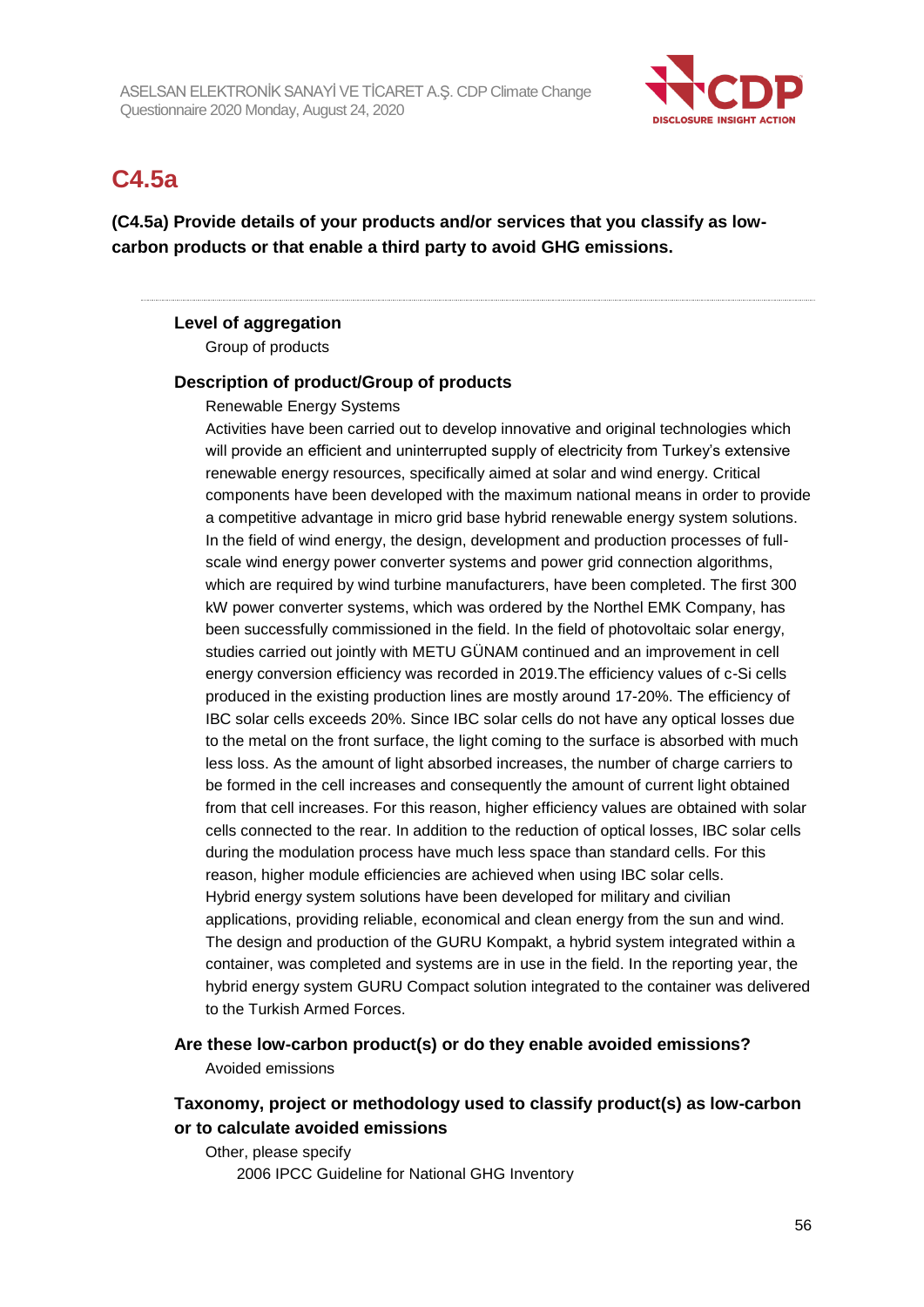

## **C4.5a**

**(C4.5a) Provide details of your products and/or services that you classify as lowcarbon products or that enable a third party to avoid GHG emissions.**

#### **Level of aggregation**

Group of products

#### **Description of product/Group of products**

Renewable Energy Systems

Activities have been carried out to develop innovative and original technologies which will provide an efficient and uninterrupted supply of electricity from Turkey's extensive renewable energy resources, specifically aimed at solar and wind energy. Critical components have been developed with the maximum national means in order to provide a competitive advantage in micro grid base hybrid renewable energy system solutions. In the field of wind energy, the design, development and production processes of fullscale wind energy power converter systems and power grid connection algorithms, which are required by wind turbine manufacturers, have been completed. The first 300 kW power converter systems, which was ordered by the Northel EMK Company, has been successfully commissioned in the field. In the field of photovoltaic solar energy, studies carried out jointly with METU GÜNAM continued and an improvement in cell energy conversion efficiency was recorded in 2019.The efficiency values of c-Si cells produced in the existing production lines are mostly around 17-20%. The efficiency of IBC solar cells exceeds 20%. Since IBC solar cells do not have any optical losses due to the metal on the front surface, the light coming to the surface is absorbed with much less loss. As the amount of light absorbed increases, the number of charge carriers to be formed in the cell increases and consequently the amount of current light obtained from that cell increases. For this reason, higher efficiency values are obtained with solar cells connected to the rear. In addition to the reduction of optical losses, IBC solar cells during the modulation process have much less space than standard cells. For this reason, higher module efficiencies are achieved when using IBC solar cells. Hybrid energy system solutions have been developed for military and civilian applications, providing reliable, economical and clean energy from the sun and wind. The design and production of the GURU Kompakt, a hybrid system integrated within a container, was completed and systems are in use in the field. In the reporting year, the hybrid energy system GURU Compact solution integrated to the container was delivered to the Turkish Armed Forces.

**Are these low-carbon product(s) or do they enable avoided emissions?** Avoided emissions

## **Taxonomy, project or methodology used to classify product(s) as low-carbon or to calculate avoided emissions**

Other, please specify 2006 IPCC Guideline for National GHG Inventory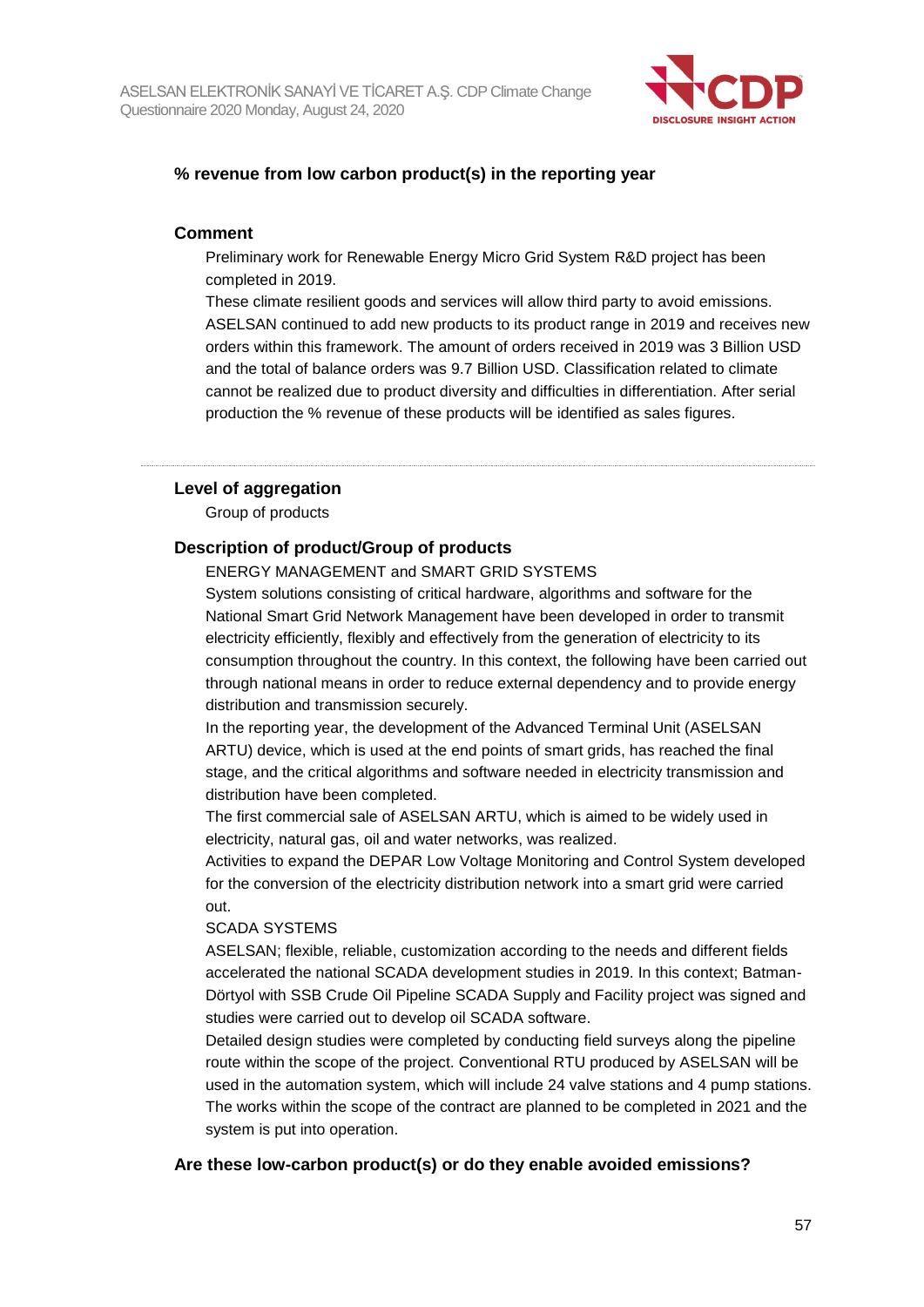

#### **% revenue from low carbon product(s) in the reporting year**

#### **Comment**

Preliminary work for Renewable Energy Micro Grid System R&D project has been completed in 2019.

These climate resilient goods and services will allow third party to avoid emissions. ASELSAN continued to add new products to its product range in 2019 and receives new orders within this framework. The amount of orders received in 2019 was 3 Billion USD and the total of balance orders was 9.7 Billion USD. Classification related to climate cannot be realized due to product diversity and difficulties in differentiation. After serial production the % revenue of these products will be identified as sales figures.

#### **Level of aggregation**

Group of products

#### **Description of product/Group of products**

ENERGY MANAGEMENT and SMART GRID SYSTEMS

System solutions consisting of critical hardware, algorithms and software for the National Smart Grid Network Management have been developed in order to transmit electricity efficiently, flexibly and effectively from the generation of electricity to its consumption throughout the country. In this context, the following have been carried out through national means in order to reduce external dependency and to provide energy distribution and transmission securely.

In the reporting year, the development of the Advanced Terminal Unit (ASELSAN ARTU) device, which is used at the end points of smart grids, has reached the final stage, and the critical algorithms and software needed in electricity transmission and distribution have been completed.

The first commercial sale of ASELSAN ARTU, which is aimed to be widely used in electricity, natural gas, oil and water networks, was realized.

Activities to expand the DEPAR Low Voltage Monitoring and Control System developed for the conversion of the electricity distribution network into a smart grid were carried out.

#### SCADA SYSTEMS

ASELSAN; flexible, reliable, customization according to the needs and different fields accelerated the national SCADA development studies in 2019. In this context; Batman-Dörtyol with SSB Crude Oil Pipeline SCADA Supply and Facility project was signed and studies were carried out to develop oil SCADA software.

Detailed design studies were completed by conducting field surveys along the pipeline route within the scope of the project. Conventional RTU produced by ASELSAN will be used in the automation system, which will include 24 valve stations and 4 pump stations. The works within the scope of the contract are planned to be completed in 2021 and the system is put into operation.

#### **Are these low-carbon product(s) or do they enable avoided emissions?**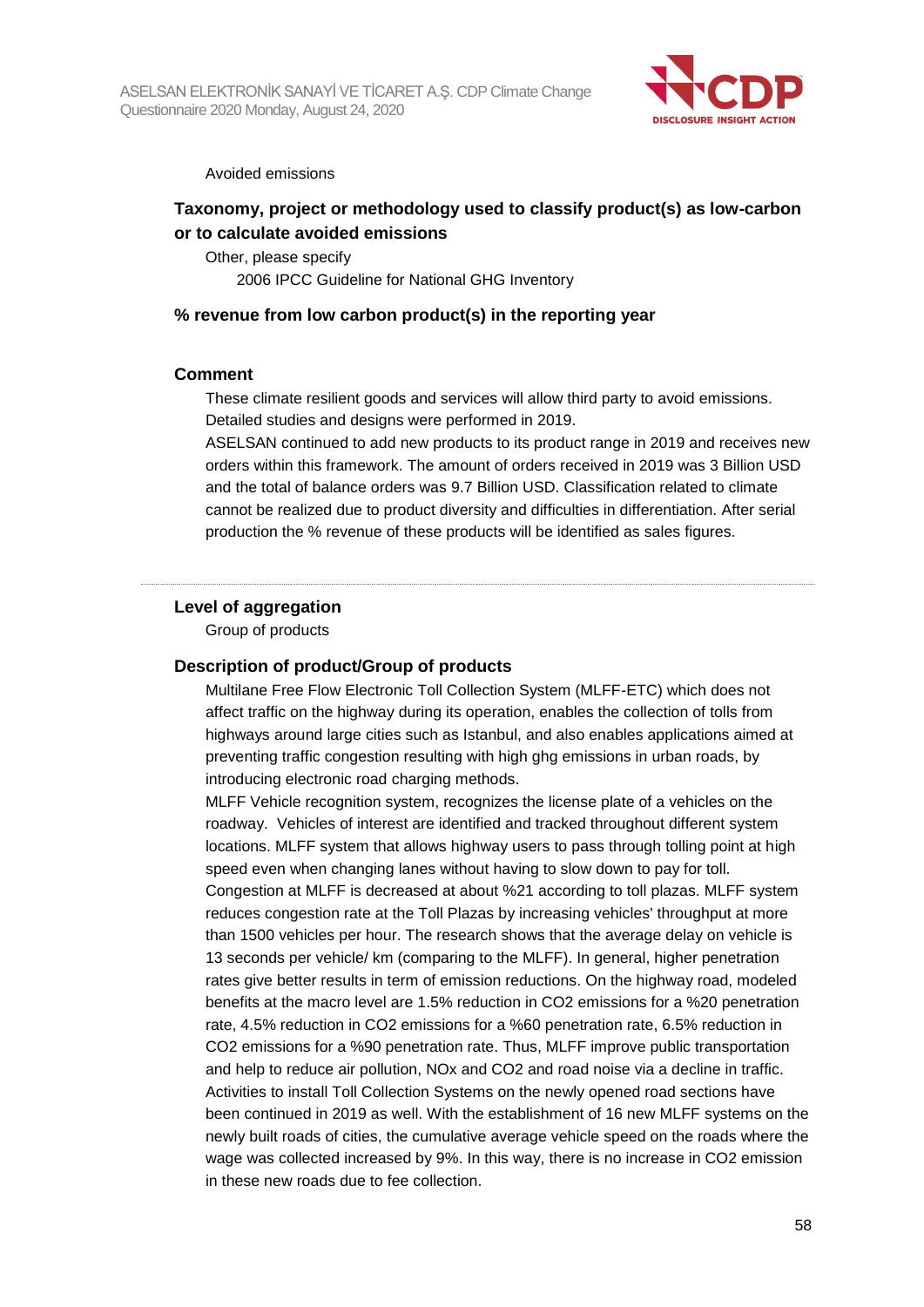

Avoided emissions

## **Taxonomy, project or methodology used to classify product(s) as low-carbon or to calculate avoided emissions**

Other, please specify 2006 IPCC Guideline for National GHG Inventory

#### **% revenue from low carbon product(s) in the reporting year**

#### **Comment**

These climate resilient goods and services will allow third party to avoid emissions. Detailed studies and designs were performed in 2019.

ASELSAN continued to add new products to its product range in 2019 and receives new orders within this framework. The amount of orders received in 2019 was 3 Billion USD and the total of balance orders was 9.7 Billion USD. Classification related to climate cannot be realized due to product diversity and difficulties in differentiation. After serial production the % revenue of these products will be identified as sales figures.

#### **Level of aggregation**

Group of products

#### **Description of product/Group of products**

Multilane Free Flow Electronic Toll Collection System (MLFF-ETC) which does not affect traffic on the highway during its operation, enables the collection of tolls from highways around large cities such as Istanbul, and also enables applications aimed at preventing traffic congestion resulting with high ghg emissions in urban roads, by introducing electronic road charging methods.

MLFF Vehicle recognition system, recognizes the license plate of a vehicles on the roadway. Vehicles of interest are identified and tracked throughout different system locations. MLFF system that allows highway users to pass through tolling point at high speed even when changing lanes without having to slow down to pay for toll. Congestion at MLFF is decreased at about %21 according to toll plazas. MLFF system reduces congestion rate at the Toll Plazas by increasing vehicles' throughput at more than 1500 vehicles per hour. The research shows that the average delay on vehicle is 13 seconds per vehicle/ km (comparing to the MLFF). In general, higher penetration rates give better results in term of emission reductions. On the highway road, modeled benefits at the macro level are 1.5% reduction in CO2 emissions for a %20 penetration rate, 4.5% reduction in CO2 emissions for a %60 penetration rate, 6.5% reduction in CO2 emissions for a %90 penetration rate. Thus, MLFF improve public transportation and help to reduce air pollution, NOx and CO2 and road noise via a decline in traffic. Activities to install Toll Collection Systems on the newly opened road sections have been continued in 2019 as well. With the establishment of 16 new MLFF systems on the newly built roads of cities, the cumulative average vehicle speed on the roads where the wage was collected increased by 9%. In this way, there is no increase in CO2 emission in these new roads due to fee collection.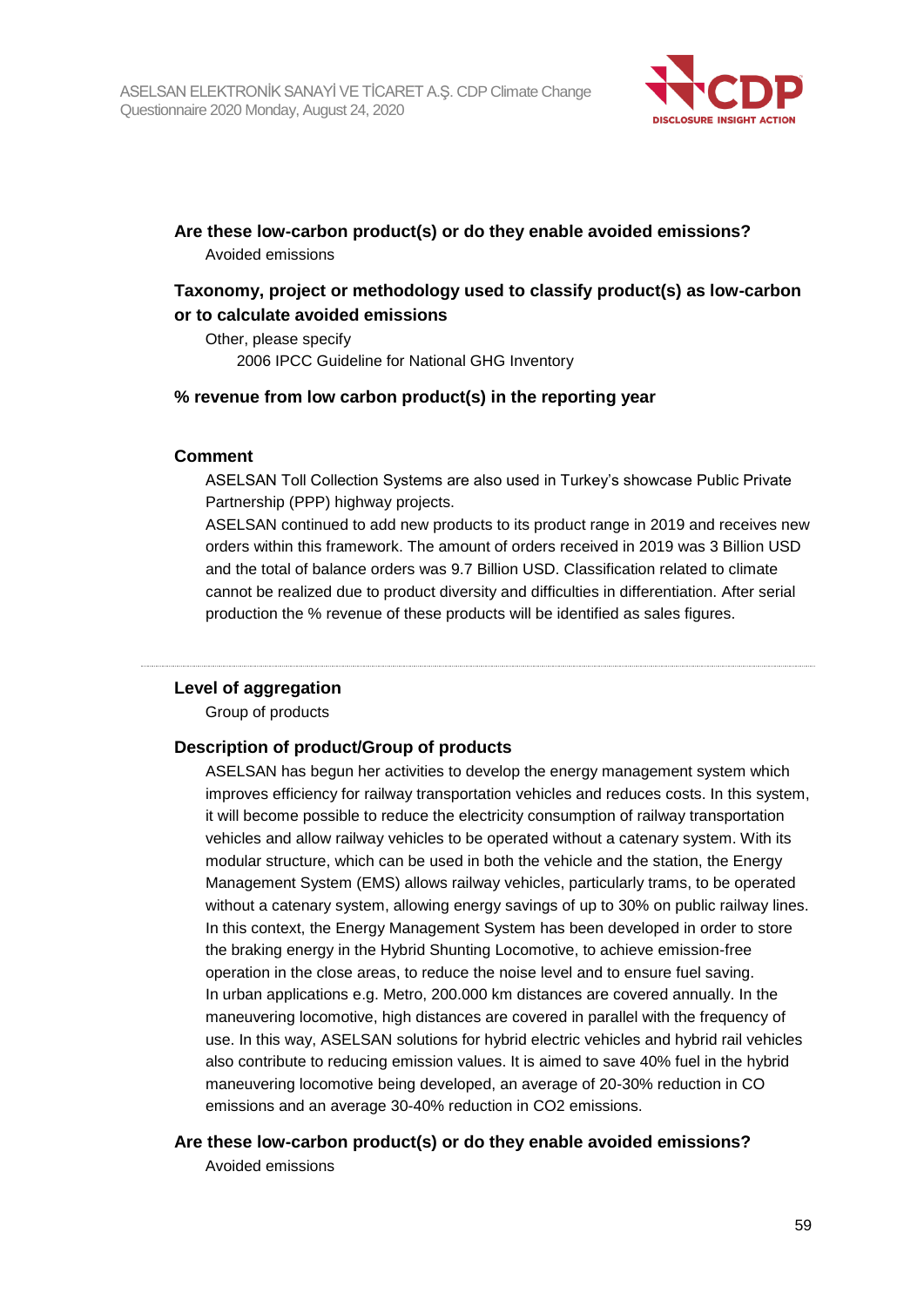

## **Are these low-carbon product(s) or do they enable avoided emissions?**

Avoided emissions

## **Taxonomy, project or methodology used to classify product(s) as low-carbon or to calculate avoided emissions**

Other, please specify 2006 IPCC Guideline for National GHG Inventory

### **% revenue from low carbon product(s) in the reporting year**

#### **Comment**

ASELSAN Toll Collection Systems are also used in Turkey's showcase Public Private Partnership (PPP) highway projects.

ASELSAN continued to add new products to its product range in 2019 and receives new orders within this framework. The amount of orders received in 2019 was 3 Billion USD and the total of balance orders was 9.7 Billion USD. Classification related to climate cannot be realized due to product diversity and difficulties in differentiation. After serial production the % revenue of these products will be identified as sales figures.

#### **Level of aggregation**

Group of products

#### **Description of product/Group of products**

ASELSAN has begun her activities to develop the energy management system which improves efficiency for railway transportation vehicles and reduces costs. In this system, it will become possible to reduce the electricity consumption of railway transportation vehicles and allow railway vehicles to be operated without a catenary system. With its modular structure, which can be used in both the vehicle and the station, the Energy Management System (EMS) allows railway vehicles, particularly trams, to be operated without a catenary system, allowing energy savings of up to 30% on public railway lines. In this context, the Energy Management System has been developed in order to store the braking energy in the Hybrid Shunting Locomotive, to achieve emission-free operation in the close areas, to reduce the noise level and to ensure fuel saving. In urban applications e.g. Metro, 200.000 km distances are covered annually. In the maneuvering locomotive, high distances are covered in parallel with the frequency of use. In this way, ASELSAN solutions for hybrid electric vehicles and hybrid rail vehicles also contribute to reducing emission values. It is aimed to save 40% fuel in the hybrid maneuvering locomotive being developed, an average of 20-30% reduction in CO emissions and an average 30-40% reduction in CO2 emissions.

#### **Are these low-carbon product(s) or do they enable avoided emissions?**

Avoided emissions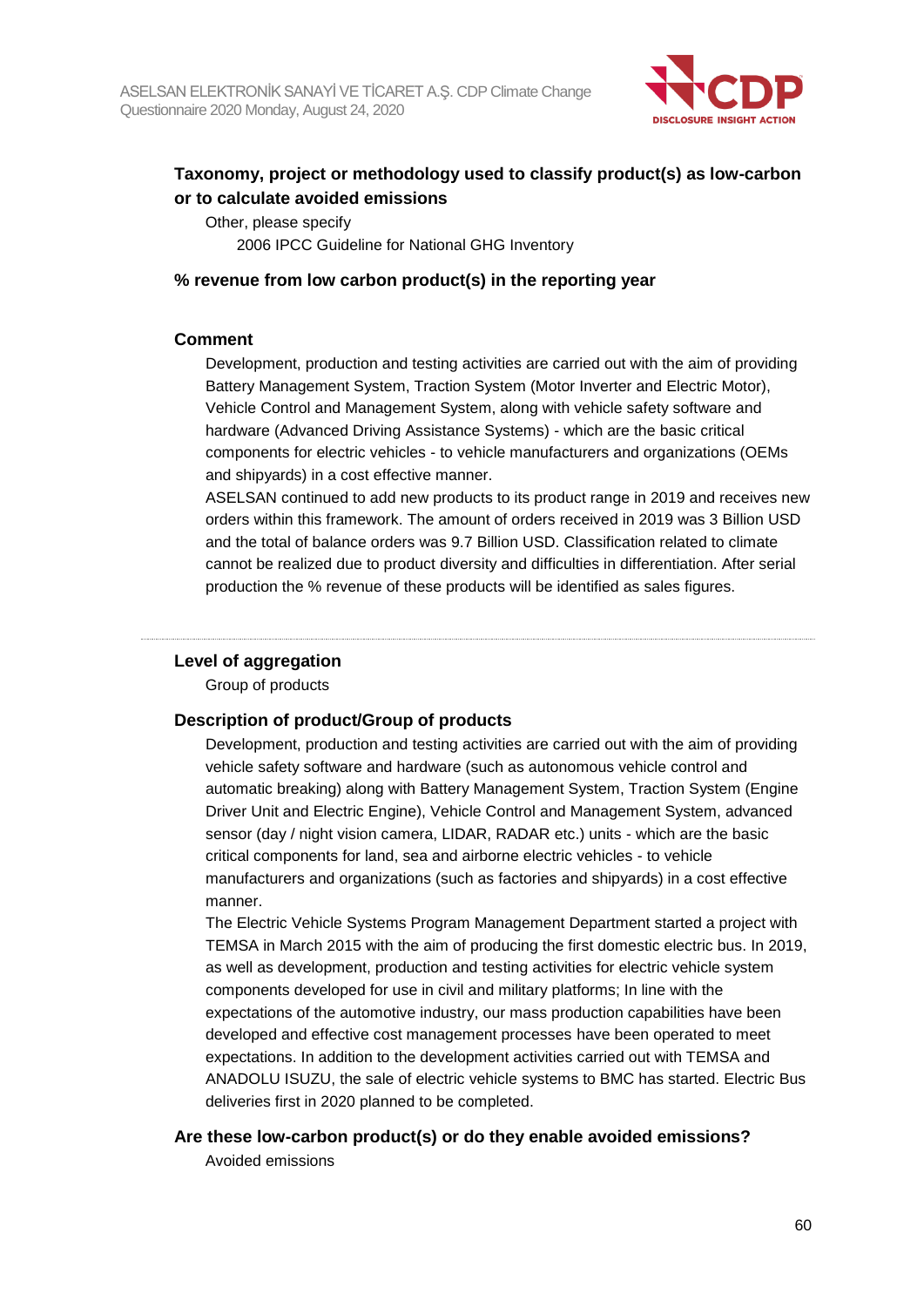

## **Taxonomy, project or methodology used to classify product(s) as low-carbon or to calculate avoided emissions**

Other, please specify 2006 IPCC Guideline for National GHG Inventory

#### **% revenue from low carbon product(s) in the reporting year**

#### **Comment**

Development, production and testing activities are carried out with the aim of providing Battery Management System, Traction System (Motor Inverter and Electric Motor), Vehicle Control and Management System, along with vehicle safety software and hardware (Advanced Driving Assistance Systems) - which are the basic critical components for electric vehicles - to vehicle manufacturers and organizations (OEMs and shipyards) in a cost effective manner.

ASELSAN continued to add new products to its product range in 2019 and receives new orders within this framework. The amount of orders received in 2019 was 3 Billion USD and the total of balance orders was 9.7 Billion USD. Classification related to climate cannot be realized due to product diversity and difficulties in differentiation. After serial production the % revenue of these products will be identified as sales figures.

#### **Level of aggregation**

Group of products

#### **Description of product/Group of products**

Development, production and testing activities are carried out with the aim of providing vehicle safety software and hardware (such as autonomous vehicle control and automatic breaking) along with Battery Management System, Traction System (Engine Driver Unit and Electric Engine), Vehicle Control and Management System, advanced sensor (day / night vision camera, LIDAR, RADAR etc.) units - which are the basic critical components for land, sea and airborne electric vehicles - to vehicle manufacturers and organizations (such as factories and shipyards) in a cost effective manner.

The Electric Vehicle Systems Program Management Department started a project with TEMSA in March 2015 with the aim of producing the first domestic electric bus. In 2019, as well as development, production and testing activities for electric vehicle system components developed for use in civil and military platforms; In line with the expectations of the automotive industry, our mass production capabilities have been developed and effective cost management processes have been operated to meet expectations. In addition to the development activities carried out with TEMSA and ANADOLU ISUZU, the sale of electric vehicle systems to BMC has started. Electric Bus deliveries first in 2020 planned to be completed.

#### **Are these low-carbon product(s) or do they enable avoided emissions?**

Avoided emissions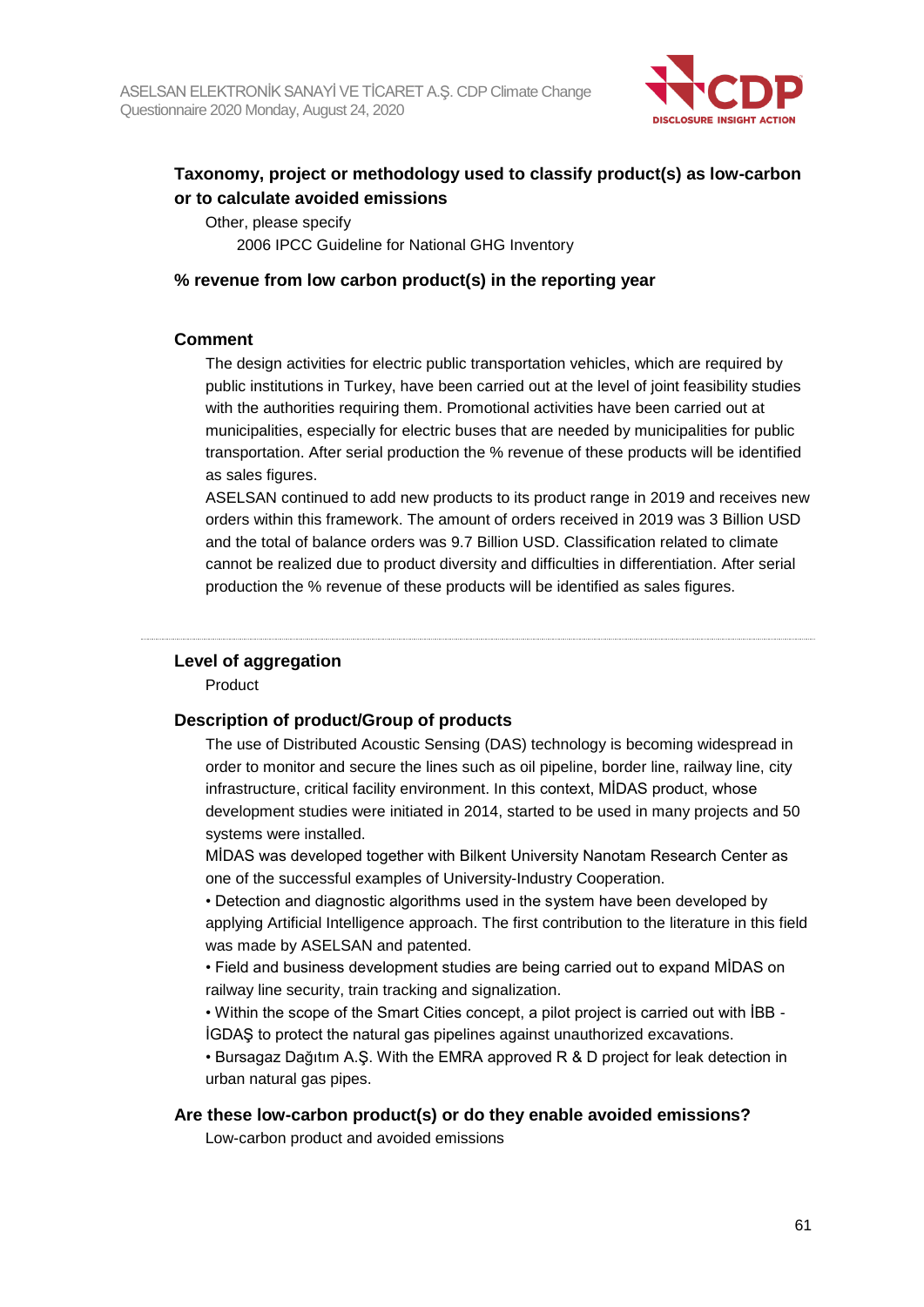

## **Taxonomy, project or methodology used to classify product(s) as low-carbon or to calculate avoided emissions**

Other, please specify 2006 IPCC Guideline for National GHG Inventory

#### **% revenue from low carbon product(s) in the reporting year**

#### **Comment**

The design activities for electric public transportation vehicles, which are required by public institutions in Turkey, have been carried out at the level of joint feasibility studies with the authorities requiring them. Promotional activities have been carried out at municipalities, especially for electric buses that are needed by municipalities for public transportation. After serial production the % revenue of these products will be identified as sales figures.

ASELSAN continued to add new products to its product range in 2019 and receives new orders within this framework. The amount of orders received in 2019 was 3 Billion USD and the total of balance orders was 9.7 Billion USD. Classification related to climate cannot be realized due to product diversity and difficulties in differentiation. After serial production the % revenue of these products will be identified as sales figures.

#### **Level of aggregation**

Product

#### **Description of product/Group of products**

The use of Distributed Acoustic Sensing (DAS) technology is becoming widespread in order to monitor and secure the lines such as oil pipeline, border line, railway line, city infrastructure, critical facility environment. In this context, MİDAS product, whose development studies were initiated in 2014, started to be used in many projects and 50 systems were installed.

MİDAS was developed together with Bilkent University Nanotam Research Center as one of the successful examples of University-Industry Cooperation.

• Detection and diagnostic algorithms used in the system have been developed by applying Artificial Intelligence approach. The first contribution to the literature in this field was made by ASELSAN and patented.

• Field and business development studies are being carried out to expand MİDAS on railway line security, train tracking and signalization.

• Within the scope of the Smart Cities concept, a pilot project is carried out with İBB - İGDAŞ to protect the natural gas pipelines against unauthorized excavations.

• Bursagaz Dağıtım A.Ş. With the EMRA approved R & D project for leak detection in urban natural gas pipes.

#### **Are these low-carbon product(s) or do they enable avoided emissions?**

Low-carbon product and avoided emissions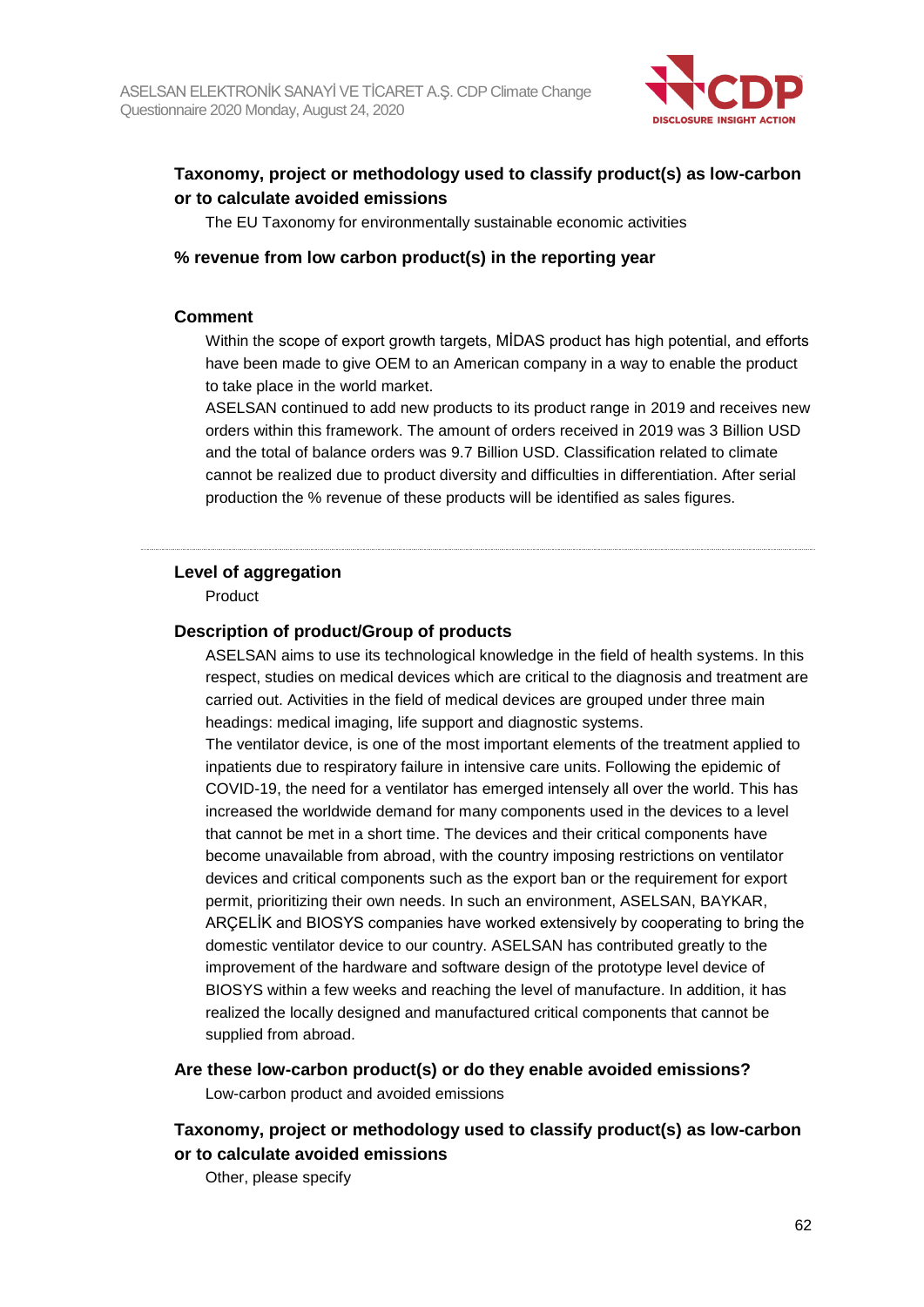

## **Taxonomy, project or methodology used to classify product(s) as low-carbon or to calculate avoided emissions**

The EU Taxonomy for environmentally sustainable economic activities

#### **% revenue from low carbon product(s) in the reporting year**

#### **Comment**

Within the scope of export growth targets, MİDAS product has high potential, and efforts have been made to give OEM to an American company in a way to enable the product to take place in the world market.

ASELSAN continued to add new products to its product range in 2019 and receives new orders within this framework. The amount of orders received in 2019 was 3 Billion USD and the total of balance orders was 9.7 Billion USD. Classification related to climate cannot be realized due to product diversity and difficulties in differentiation. After serial production the % revenue of these products will be identified as sales figures.

#### **Level of aggregation**

Product

#### **Description of product/Group of products**

ASELSAN aims to use its technological knowledge in the field of health systems. In this respect, studies on medical devices which are critical to the diagnosis and treatment are carried out. Activities in the field of medical devices are grouped under three main headings: medical imaging, life support and diagnostic systems.

The ventilator device, is one of the most important elements of the treatment applied to inpatients due to respiratory failure in intensive care units. Following the epidemic of COVID-19, the need for a ventilator has emerged intensely all over the world. This has increased the worldwide demand for many components used in the devices to a level that cannot be met in a short time. The devices and their critical components have become unavailable from abroad, with the country imposing restrictions on ventilator devices and critical components such as the export ban or the requirement for export permit, prioritizing their own needs. In such an environment, ASELSAN, BAYKAR, ARÇELİK and BIOSYS companies have worked extensively by cooperating to bring the domestic ventilator device to our country. ASELSAN has contributed greatly to the improvement of the hardware and software design of the prototype level device of BIOSYS within a few weeks and reaching the level of manufacture. In addition, it has realized the locally designed and manufactured critical components that cannot be supplied from abroad.

**Are these low-carbon product(s) or do they enable avoided emissions?**

Low-carbon product and avoided emissions

### **Taxonomy, project or methodology used to classify product(s) as low-carbon or to calculate avoided emissions**

Other, please specify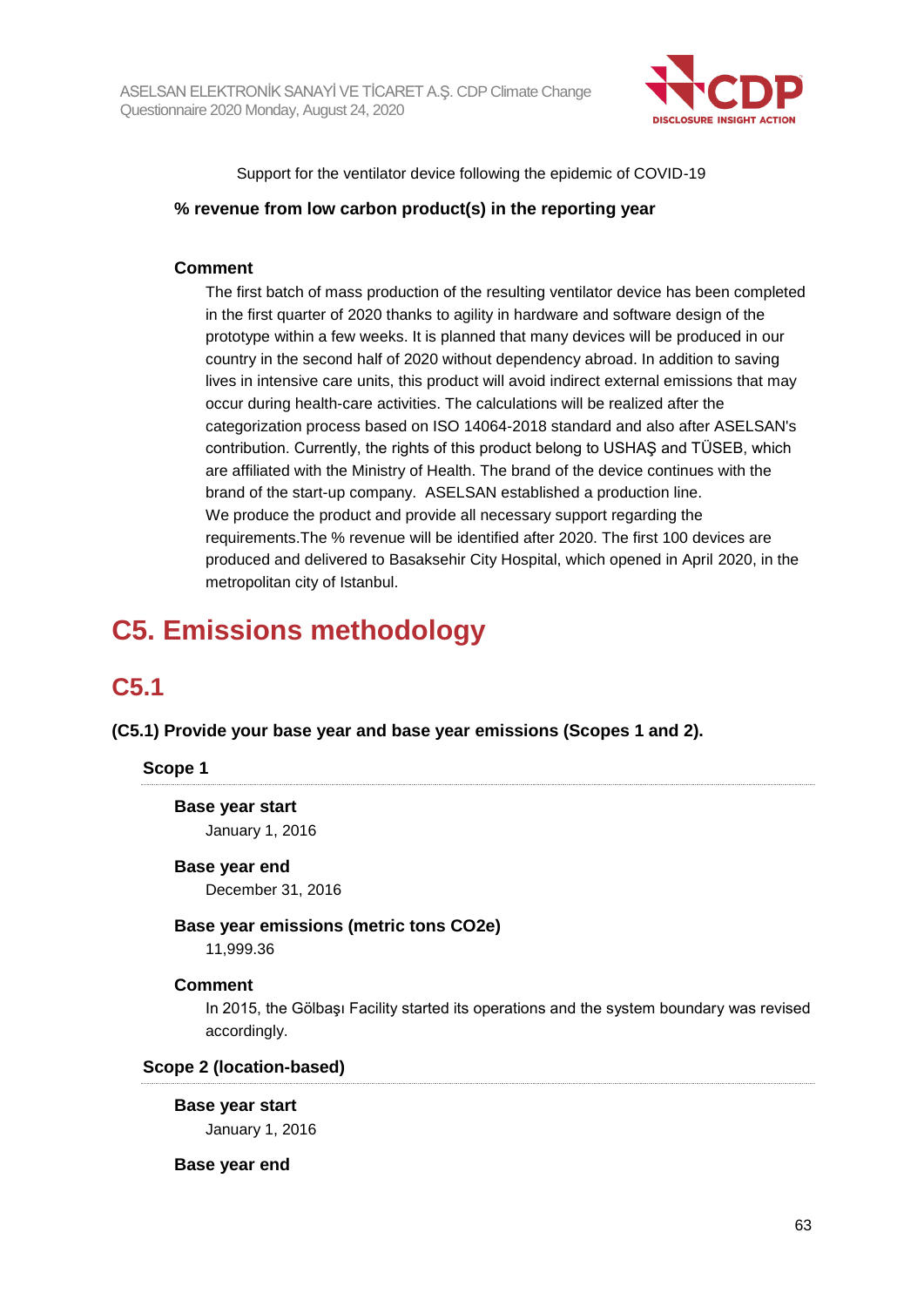

Support for the ventilator device following the epidemic of COVID-19

#### **% revenue from low carbon product(s) in the reporting year**

#### **Comment**

The first batch of mass production of the resulting ventilator device has been completed in the first quarter of 2020 thanks to agility in hardware and software design of the prototype within a few weeks. It is planned that many devices will be produced in our country in the second half of 2020 without dependency abroad. In addition to saving lives in intensive care units, this product will avoid indirect external emissions that may occur during health-care activities. The calculations will be realized after the categorization process based on ISO 14064-2018 standard and also after ASELSAN's contribution. Currently, the rights of this product belong to USHAŞ and TÜSEB, which are affiliated with the Ministry of Health. The brand of the device continues with the brand of the start-up company. ASELSAN established a production line. We produce the product and provide all necessary support regarding the requirements.The % revenue will be identified after 2020. The first 100 devices are produced and delivered to Basaksehir City Hospital, which opened in April 2020, in the metropolitan city of Istanbul.

# **C5. Emissions methodology**

## **C5.1**

**(C5.1) Provide your base year and base year emissions (Scopes 1 and 2).**

#### **Scope 1**

**Base year start** January 1, 2016

#### **Base year end**

December 31, 2016

#### **Base year emissions (metric tons CO2e)**

11,999.36

#### **Comment**

In 2015, the Gölbaşı Facility started its operations and the system boundary was revised accordingly.

#### **Scope 2 (location-based)**

#### **Base year start**

January 1, 2016

#### **Base year end**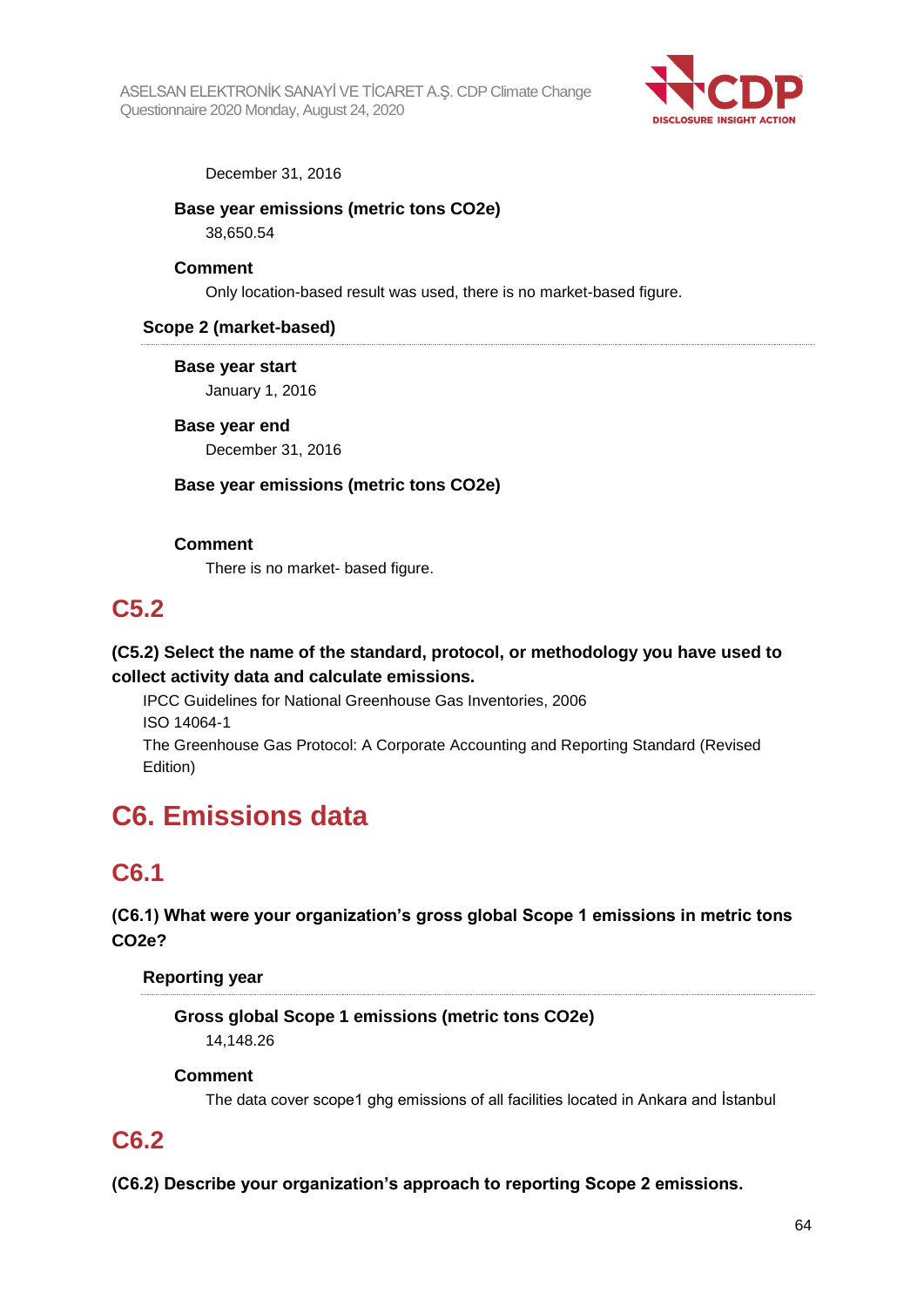

#### December 31, 2016

**Base year emissions (metric tons CO2e)**

38,650.54

#### **Comment**

Only location-based result was used, there is no market-based figure.

#### **Scope 2 (market-based)**

**Base year start**

January 1, 2016

## **Base year end**

December 31, 2016

#### **Base year emissions (metric tons CO2e)**

#### **Comment**

There is no market- based figure.

## **C5.2**

## **(C5.2) Select the name of the standard, protocol, or methodology you have used to collect activity data and calculate emissions.**

IPCC Guidelines for National Greenhouse Gas Inventories, 2006 ISO 14064-1 The Greenhouse Gas Protocol: A Corporate Accounting and Reporting Standard (Revised

Edition)

# **C6. Emissions data**

## **C6.1**

## **(C6.1) What were your organization's gross global Scope 1 emissions in metric tons CO2e?**

#### **Reporting year**

**Gross global Scope 1 emissions (metric tons CO2e)** 14,148.26

#### **Comment**

The data cover scope1 ghg emissions of all facilities located in Ankara and İstanbul

## **C6.2**

**(C6.2) Describe your organization's approach to reporting Scope 2 emissions.**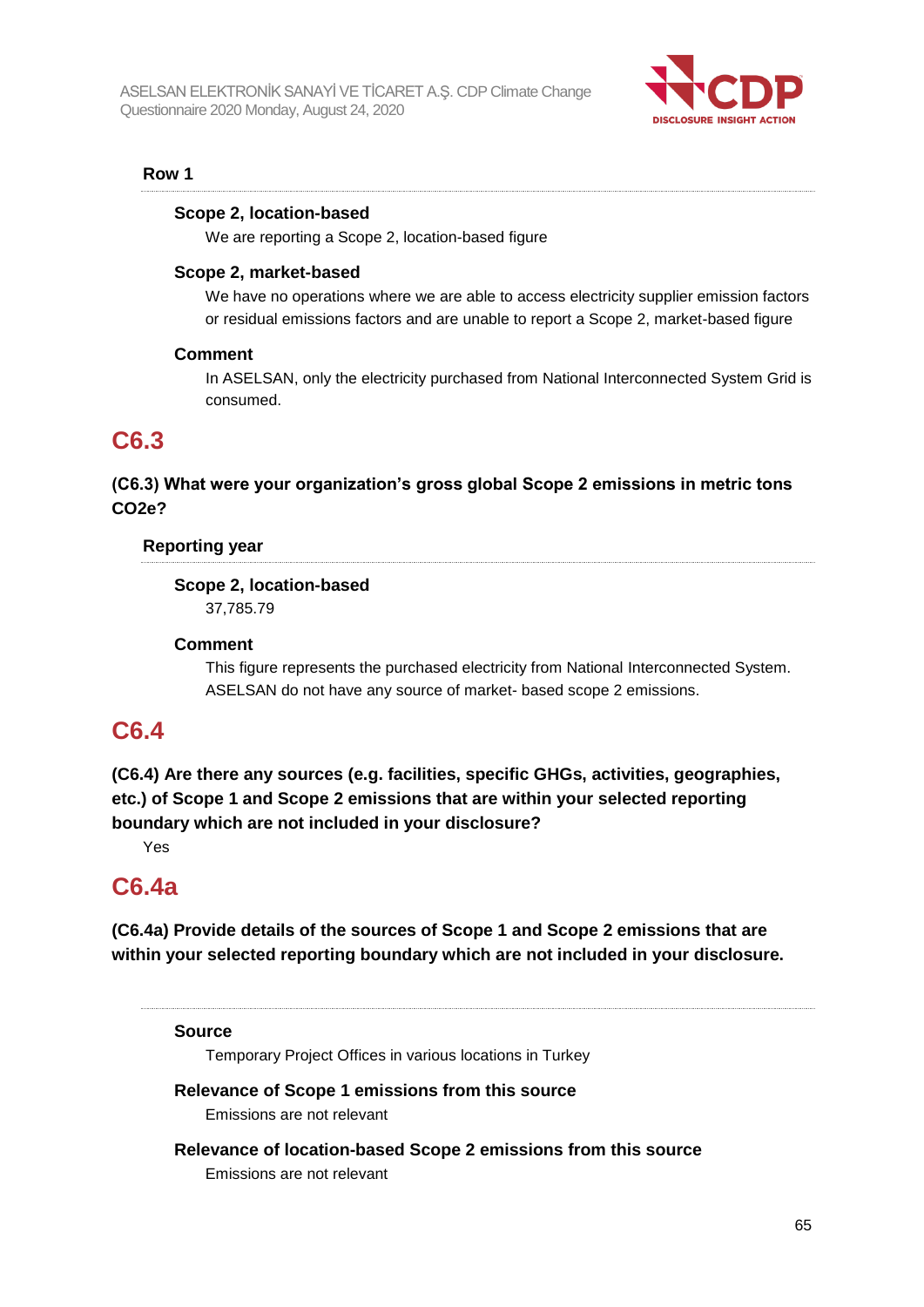

#### **Row 1**

#### **Scope 2, location-based**

We are reporting a Scope 2, location-based figure

#### **Scope 2, market-based**

We have no operations where we are able to access electricity supplier emission factors or residual emissions factors and are unable to report a Scope 2, market-based figure

#### **Comment**

In ASELSAN, only the electricity purchased from National Interconnected System Grid is consumed.

## **C6.3**

## **(C6.3) What were your organization's gross global Scope 2 emissions in metric tons CO2e?**

#### **Reporting year**

**Scope 2, location-based**

37,785.79

#### **Comment**

This figure represents the purchased electricity from National Interconnected System. ASELSAN do not have any source of market- based scope 2 emissions.

## **C6.4**

**(C6.4) Are there any sources (e.g. facilities, specific GHGs, activities, geographies, etc.) of Scope 1 and Scope 2 emissions that are within your selected reporting boundary which are not included in your disclosure?**

Yes

## **C6.4a**

**(C6.4a) Provide details of the sources of Scope 1 and Scope 2 emissions that are within your selected reporting boundary which are not included in your disclosure.**

**Source**

Temporary Project Offices in various locations in Turkey

#### **Relevance of Scope 1 emissions from this source**

Emissions are not relevant

**Relevance of location-based Scope 2 emissions from this source** Emissions are not relevant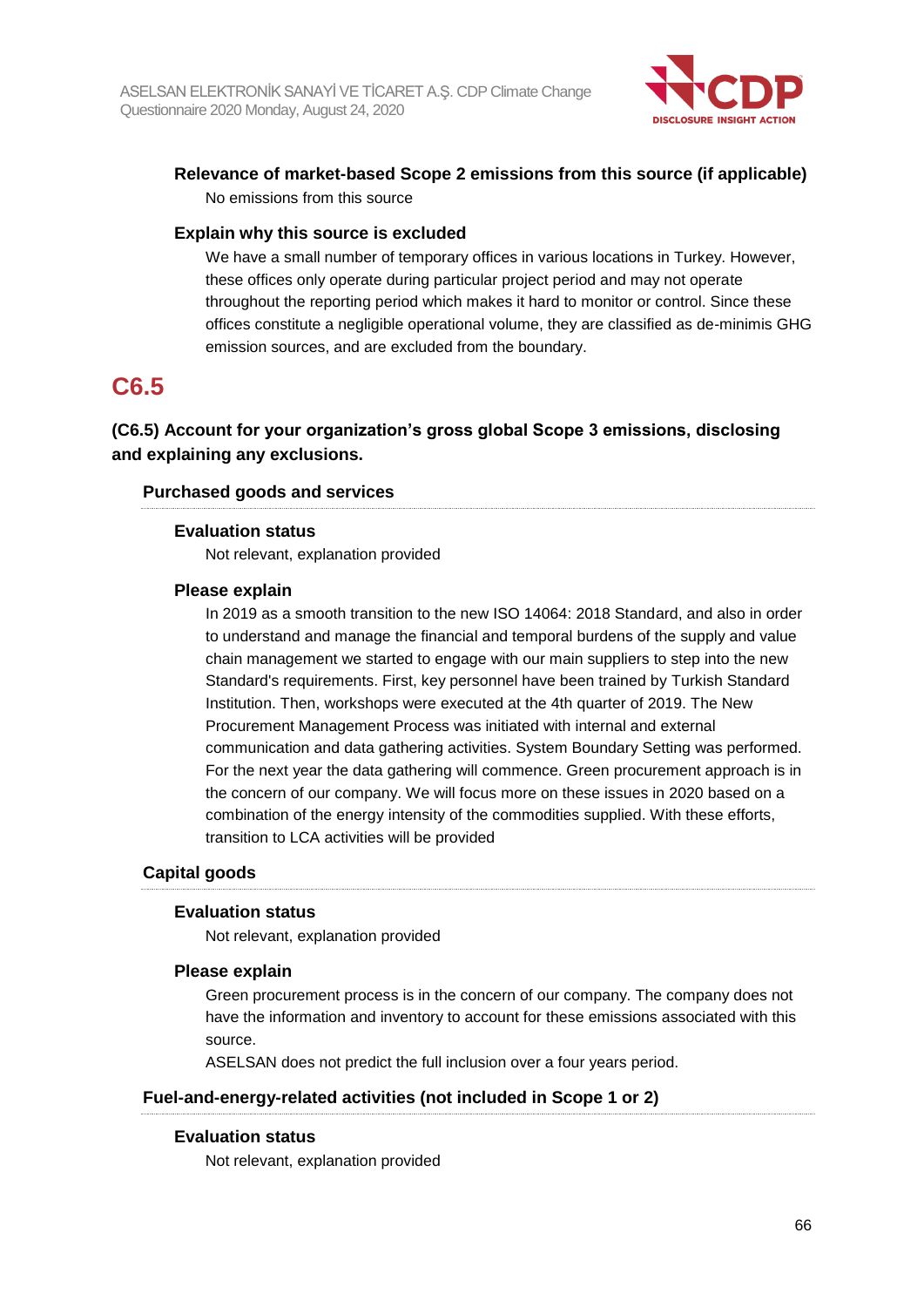

## **Relevance of market-based Scope 2 emissions from this source (if applicable)** No emissions from this source

#### **Explain why this source is excluded**

We have a small number of temporary offices in various locations in Turkey. However, these offices only operate during particular project period and may not operate throughout the reporting period which makes it hard to monitor or control. Since these offices constitute a negligible operational volume, they are classified as de-minimis GHG emission sources, and are excluded from the boundary.

## **C6.5**

## **(C6.5) Account for your organization's gross global Scope 3 emissions, disclosing and explaining any exclusions.**

#### **Purchased goods and services**

#### **Evaluation status**

Not relevant, explanation provided

#### **Please explain**

In 2019 as a smooth transition to the new ISO 14064: 2018 Standard, and also in order to understand and manage the financial and temporal burdens of the supply and value chain management we started to engage with our main suppliers to step into the new Standard's requirements. First, key personnel have been trained by Turkish Standard Institution. Then, workshops were executed at the 4th quarter of 2019. The New Procurement Management Process was initiated with internal and external communication and data gathering activities. System Boundary Setting was performed. For the next year the data gathering will commence. Green procurement approach is in the concern of our company. We will focus more on these issues in 2020 based on a combination of the energy intensity of the commodities supplied. With these efforts, transition to LCA activities will be provided

#### **Capital goods**

#### **Evaluation status**

Not relevant, explanation provided

#### **Please explain**

Green procurement process is in the concern of our company. The company does not have the information and inventory to account for these emissions associated with this source.

ASELSAN does not predict the full inclusion over a four years period.

#### **Fuel-and-energy-related activities (not included in Scope 1 or 2)**

#### **Evaluation status**

Not relevant, explanation provided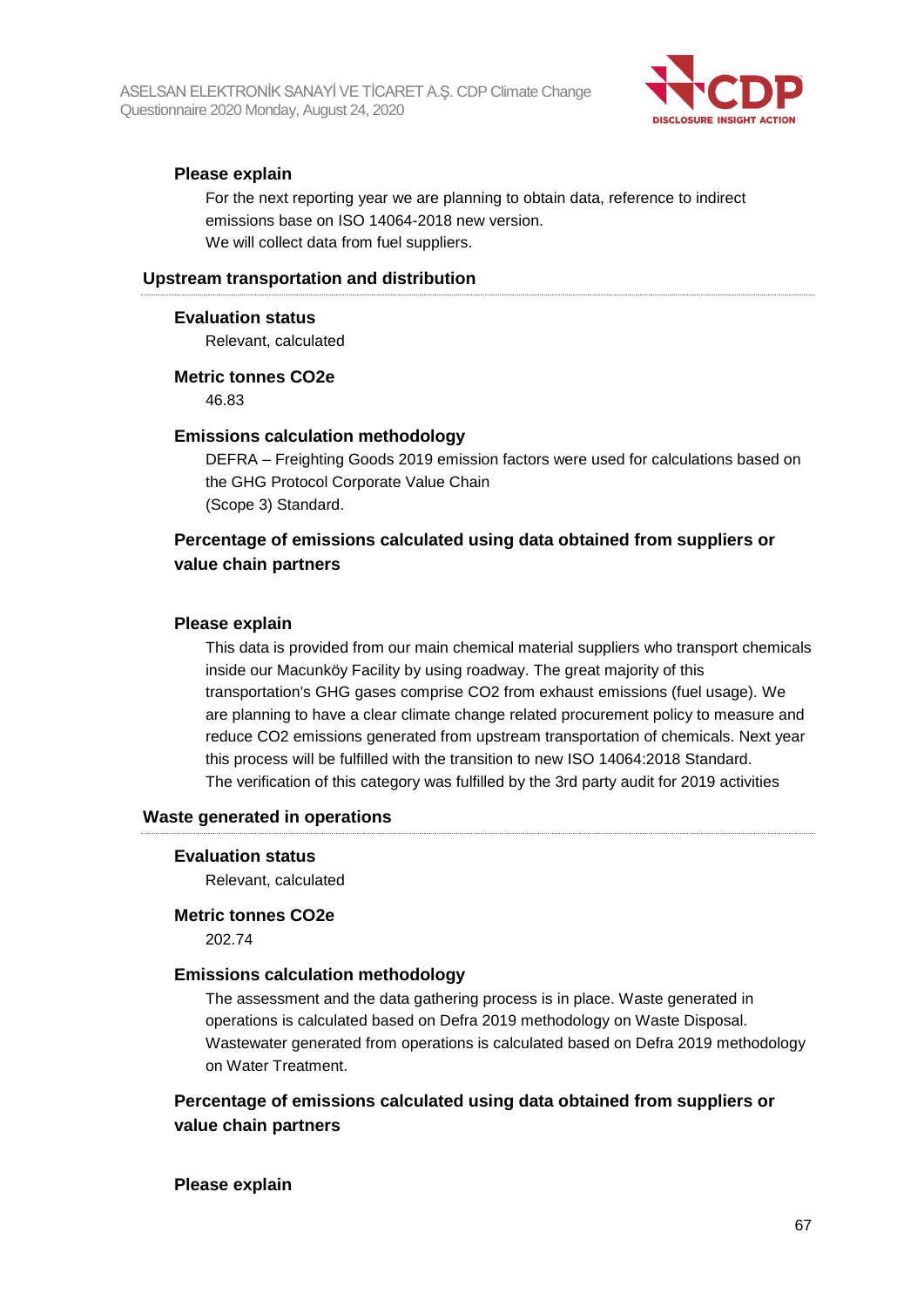

#### **Please explain**

For the next reporting year we are planning to obtain data, reference to indirect emissions base on ISO 14064-2018 new version. We will collect data from fuel suppliers.

#### **Upstream transportation and distribution**

#### **Evaluation status**

Relevant, calculated

#### **Metric tonnes CO2e**

46.83

#### **Emissions calculation methodology**

DEFRA – Freighting Goods 2019 emission factors were used for calculations based on the GHG Protocol Corporate Value Chain (Scope 3) Standard.

## **Percentage of emissions calculated using data obtained from suppliers or value chain partners**

#### **Please explain**

This data is provided from our main chemical material suppliers who transport chemicals inside our Macunköy Facility by using roadway. The great majority of this transportation's GHG gases comprise CO2 from exhaust emissions (fuel usage). We are planning to have a clear climate change related procurement policy to measure and reduce CO2 emissions generated from upstream transportation of chemicals. Next year this process will be fulfilled with the transition to new ISO 14064:2018 Standard. The verification of this category was fulfilled by the 3rd party audit for 2019 activities

#### **Waste generated in operations**

#### **Evaluation status**

Relevant, calculated

#### **Metric tonnes CO2e**

202.74

#### **Emissions calculation methodology**

The assessment and the data gathering process is in place. Waste generated in operations is calculated based on Defra 2019 methodology on Waste Disposal. Wastewater generated from operations is calculated based on Defra 2019 methodology on Water Treatment.

## **Percentage of emissions calculated using data obtained from suppliers or value chain partners**

#### **Please explain**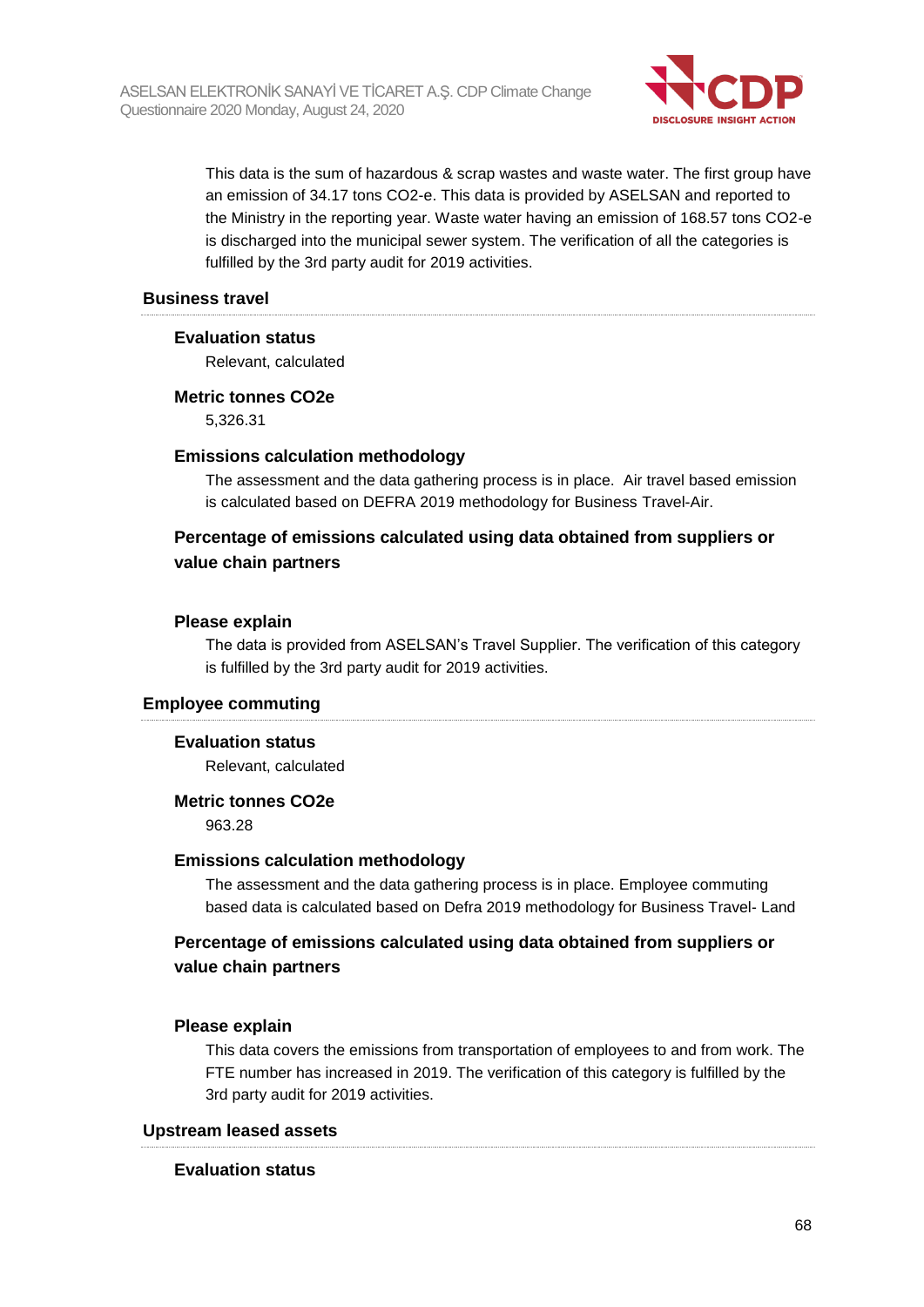

This data is the sum of hazardous & scrap wastes and waste water. The first group have an emission of 34.17 tons CO2-e. This data is provided by ASELSAN and reported to the Ministry in the reporting year. Waste water having an emission of 168.57 tons CO2-e is discharged into the municipal sewer system. The verification of all the categories is fulfilled by the 3rd party audit for 2019 activities.

#### **Business travel**

#### **Evaluation status**

Relevant, calculated

#### **Metric tonnes CO2e**

5,326.31

#### **Emissions calculation methodology**

The assessment and the data gathering process is in place. Air travel based emission is calculated based on DEFRA 2019 methodology for Business Travel-Air.

### **Percentage of emissions calculated using data obtained from suppliers or value chain partners**

#### **Please explain**

The data is provided from ASELSAN's Travel Supplier. The verification of this category is fulfilled by the 3rd party audit for 2019 activities.

#### **Employee commuting**

#### **Evaluation status**

Relevant, calculated

#### **Metric tonnes CO2e**

963.28

#### **Emissions calculation methodology**

The assessment and the data gathering process is in place. Employee commuting based data is calculated based on Defra 2019 methodology for Business Travel- Land

## **Percentage of emissions calculated using data obtained from suppliers or value chain partners**

#### **Please explain**

This data covers the emissions from transportation of employees to and from work. The FTE number has increased in 2019. The verification of this category is fulfilled by the 3rd party audit for 2019 activities.

#### **Upstream leased assets**

#### **Evaluation status**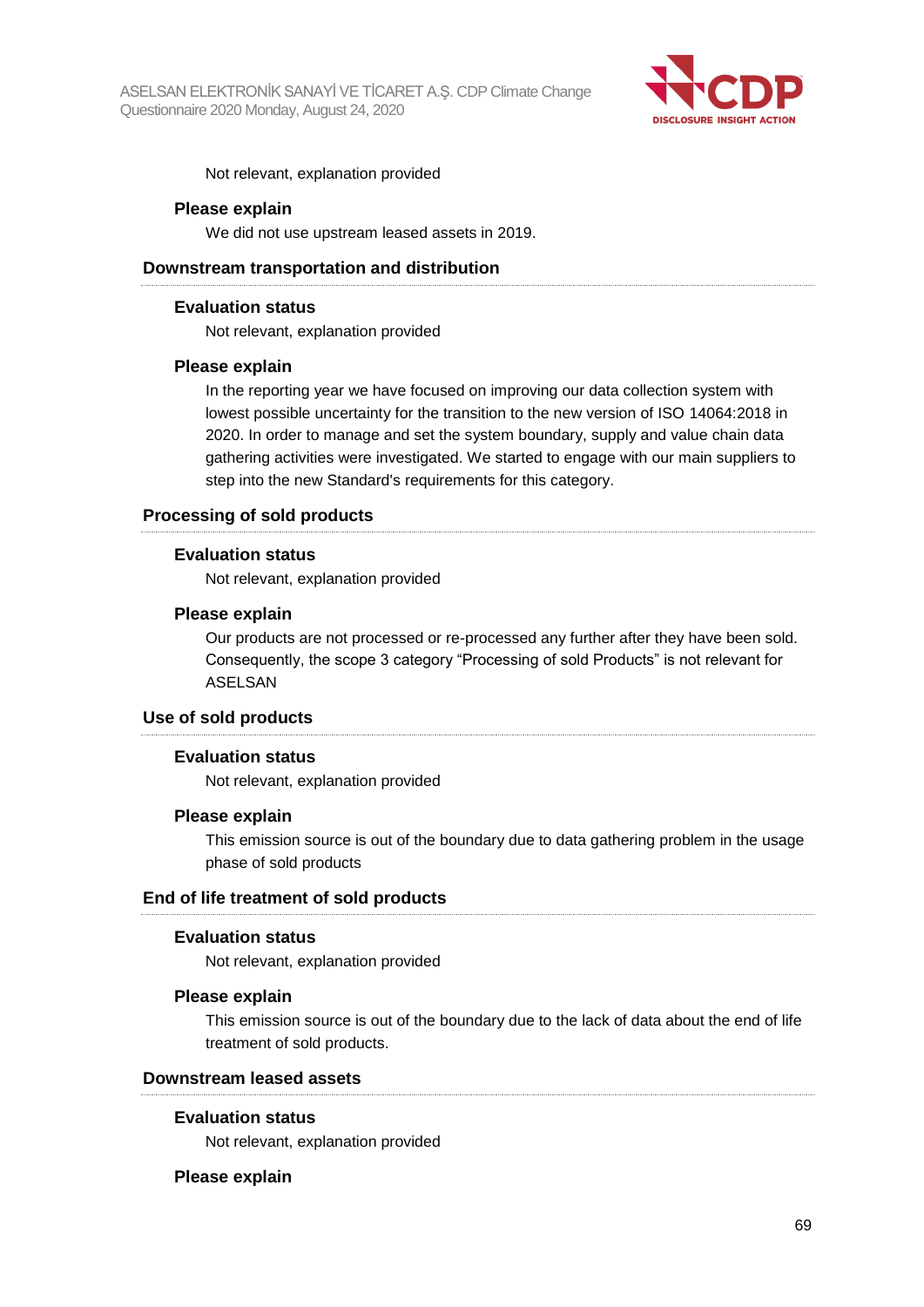

Not relevant, explanation provided

#### **Please explain**

We did not use upstream leased assets in 2019.

#### **Downstream transportation and distribution**

#### **Evaluation status**

Not relevant, explanation provided

#### **Please explain**

In the reporting year we have focused on improving our data collection system with lowest possible uncertainty for the transition to the new version of ISO 14064:2018 in 2020. In order to manage and set the system boundary, supply and value chain data gathering activities were investigated. We started to engage with our main suppliers to step into the new Standard's requirements for this category.

#### **Processing of sold products**

#### **Evaluation status**

Not relevant, explanation provided

#### **Please explain**

Our products are not processed or re-processed any further after they have been sold. Consequently, the scope 3 category "Processing of sold Products" is not relevant for ASELSAN

#### **Use of sold products**

#### **Evaluation status**

Not relevant, explanation provided

#### **Please explain**

This emission source is out of the boundary due to data gathering problem in the usage phase of sold products

#### **End of life treatment of sold products**

#### **Evaluation status**

Not relevant, explanation provided

#### **Please explain**

This emission source is out of the boundary due to the lack of data about the end of life treatment of sold products.

#### **Downstream leased assets**

#### **Evaluation status**

Not relevant, explanation provided

#### **Please explain**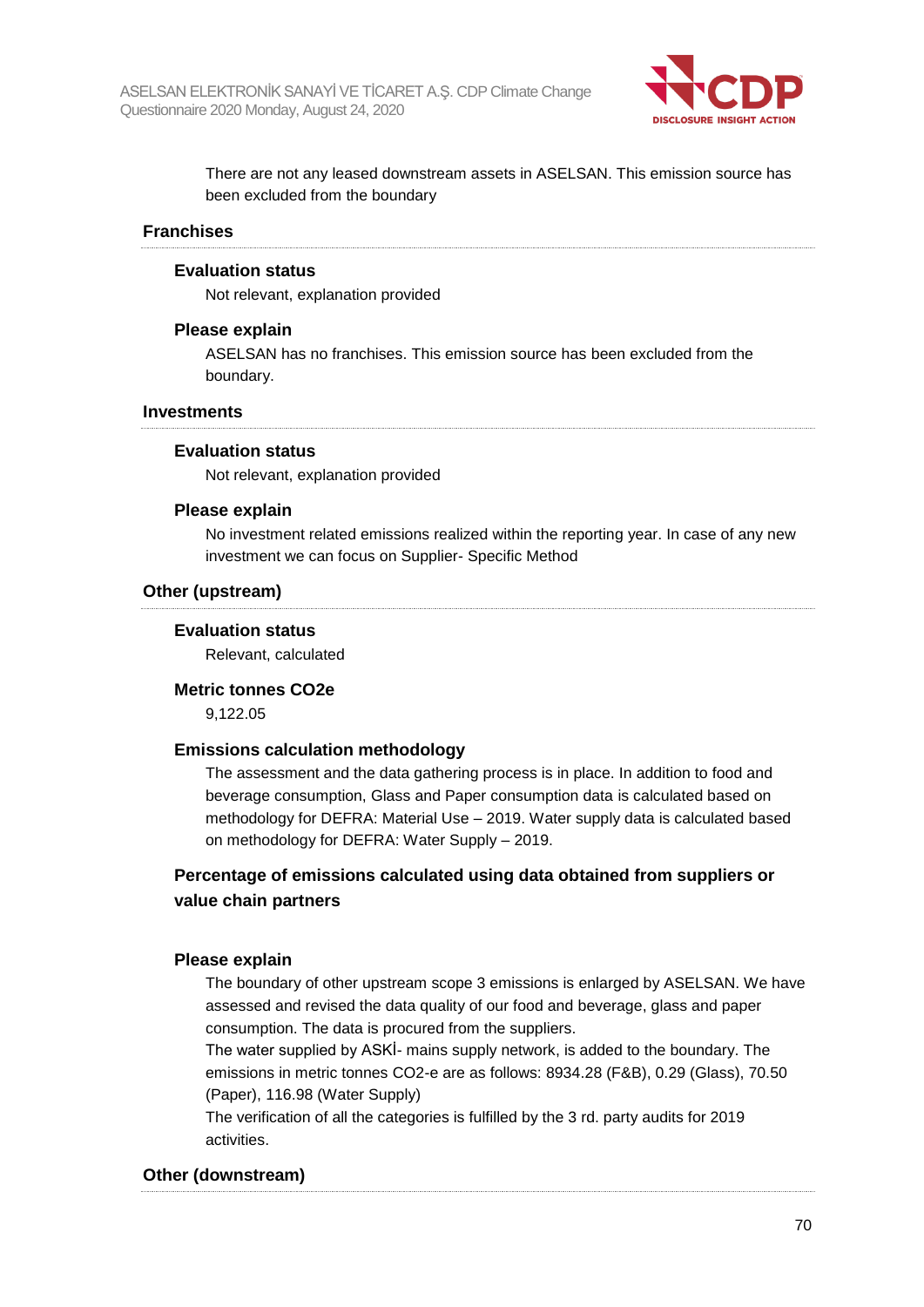

There are not any leased downstream assets in ASELSAN. This emission source has been excluded from the boundary

#### **Franchises**

#### **Evaluation status**

Not relevant, explanation provided

#### **Please explain**

ASELSAN has no franchises. This emission source has been excluded from the boundary.

#### **Investments**

#### **Evaluation status**

Not relevant, explanation provided

#### **Please explain**

No investment related emissions realized within the reporting year. In case of any new investment we can focus on Supplier- Specific Method

#### **Other (upstream)**

#### **Evaluation status**

Relevant, calculated

#### **Metric tonnes CO2e**

9,122.05

#### **Emissions calculation methodology**

The assessment and the data gathering process is in place. In addition to food and beverage consumption, Glass and Paper consumption data is calculated based on methodology for DEFRA: Material Use – 2019. Water supply data is calculated based on methodology for DEFRA: Water Supply – 2019.

### **Percentage of emissions calculated using data obtained from suppliers or value chain partners**

#### **Please explain**

The boundary of other upstream scope 3 emissions is enlarged by ASELSAN. We have assessed and revised the data quality of our food and beverage, glass and paper consumption. The data is procured from the suppliers.

The water supplied by ASKİ- mains supply network, is added to the boundary. The emissions in metric tonnes CO2-e are as follows: 8934.28 (F&B), 0.29 (Glass), 70.50 (Paper), 116.98 (Water Supply)

The verification of all the categories is fulfilled by the 3 rd. party audits for 2019 activities.

#### **Other (downstream)**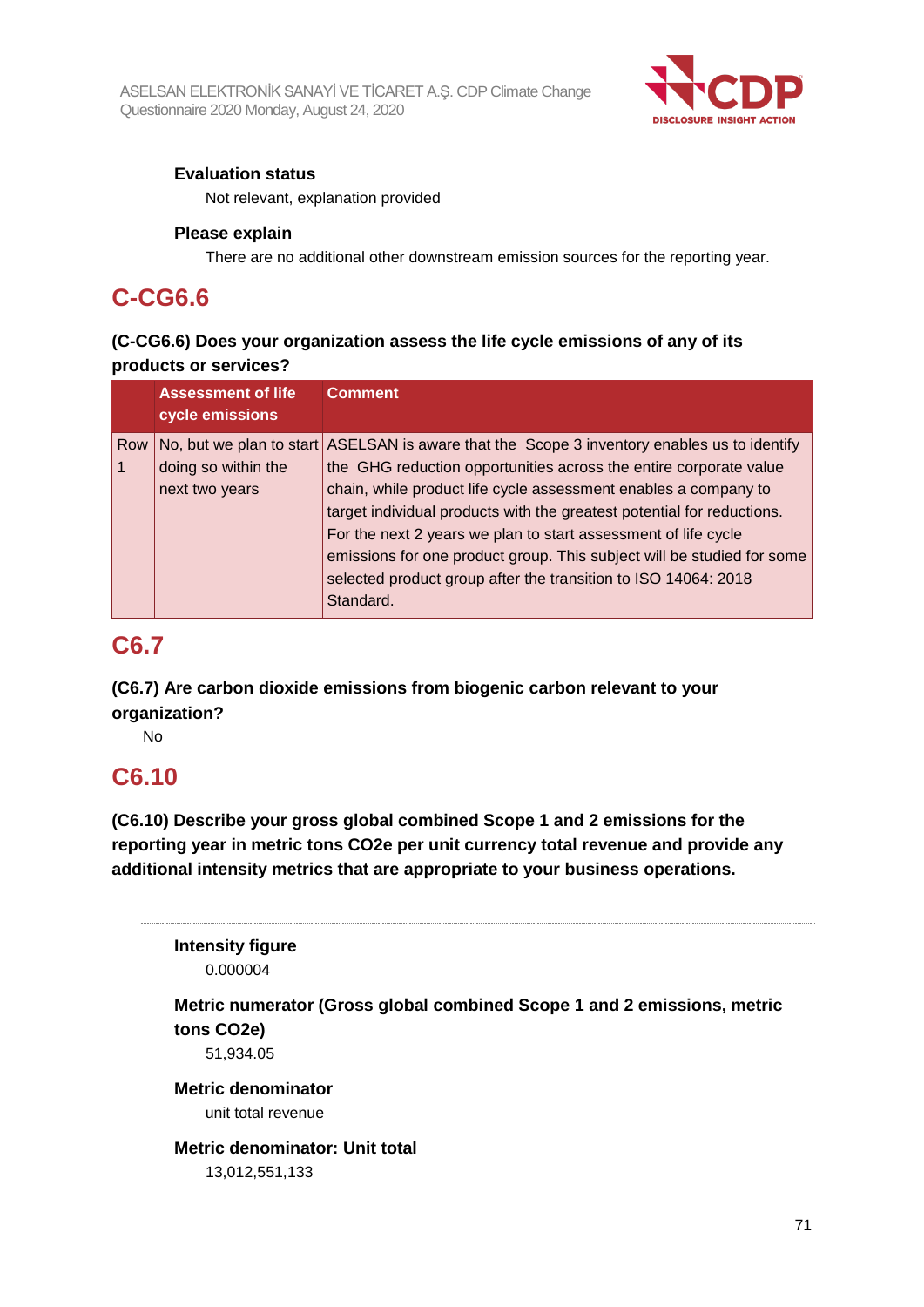

## **Evaluation status**

Not relevant, explanation provided

## **Please explain**

There are no additional other downstream emission sources for the reporting year.

## **C-CG6.6**

## **(C-CG6.6) Does your organization assess the life cycle emissions of any of its products or services?**

|     | <b>Assessment of life</b> | <b>Comment</b>                                                                              |
|-----|---------------------------|---------------------------------------------------------------------------------------------|
|     | cycle emissions           |                                                                                             |
| Row |                           | No, but we plan to start ASELSAN is aware that the Scope 3 inventory enables us to identify |
|     | doing so within the       | the GHG reduction opportunities across the entire corporate value                           |
|     | next two years            | chain, while product life cycle assessment enables a company to                             |
|     |                           | target individual products with the greatest potential for reductions.                      |
|     |                           | For the next 2 years we plan to start assessment of life cycle                              |
|     |                           | emissions for one product group. This subject will be studied for some                      |
|     |                           | selected product group after the transition to ISO 14064: 2018                              |
|     |                           | Standard.                                                                                   |

## **C6.7**

**(C6.7) Are carbon dioxide emissions from biogenic carbon relevant to your organization?**

No

## **C6.10**

**(C6.10) Describe your gross global combined Scope 1 and 2 emissions for the reporting year in metric tons CO2e per unit currency total revenue and provide any additional intensity metrics that are appropriate to your business operations.**

**Intensity figure** 0.000004

**Metric numerator (Gross global combined Scope 1 and 2 emissions, metric tons CO2e)**

51,934.05

**Metric denominator** unit total revenue

### **Metric denominator: Unit total** 13,012,551,133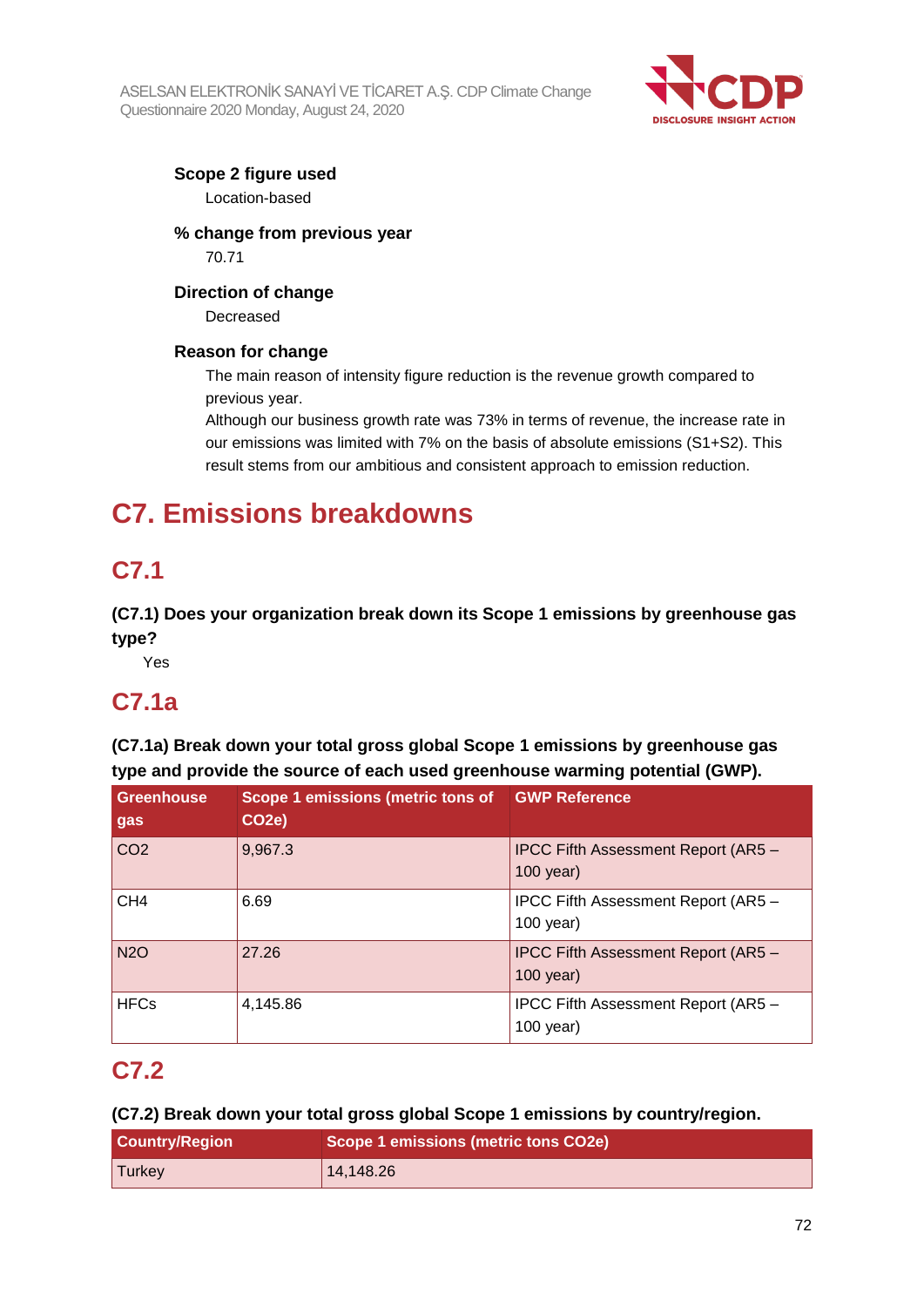

## **Scope 2 figure used**

Location-based

## **% change from previous year** 70.71

## **Direction of change**

Decreased

## **Reason for change**

The main reason of intensity figure reduction is the revenue growth compared to previous year.

Although our business growth rate was 73% in terms of revenue, the increase rate in our emissions was limited with 7% on the basis of absolute emissions (S1+S2). This result stems from our ambitious and consistent approach to emission reduction.

# **C7. Emissions breakdowns**

# **C7.1**

**(C7.1) Does your organization break down its Scope 1 emissions by greenhouse gas type?**

Yes

## **C7.1a**

**(C7.1a) Break down your total gross global Scope 1 emissions by greenhouse gas type and provide the source of each used greenhouse warming potential (GWP).**

| <b>Greenhouse</b><br>gas | Scope 1 emissions (metric tons of GWP Reference<br>CO <sub>2</sub> e) |                                                           |
|--------------------------|-----------------------------------------------------------------------|-----------------------------------------------------------|
| CO <sub>2</sub>          | 9,967.3                                                               | <b>IPCC Fifth Assessment Report (AR5 -</b><br>$100$ year) |
| CH <sub>4</sub>          | 6.69                                                                  | IPCC Fifth Assessment Report (AR5 -<br>$100$ year)        |
| <b>N2O</b>               | 27.26                                                                 | <b>IPCC Fifth Assessment Report (AR5 -</b><br>$100$ year) |
| <b>HFCs</b>              | 4,145.86                                                              | IPCC Fifth Assessment Report (AR5 -<br>$100$ year)        |

# **C7.2**

## **(C7.2) Break down your total gross global Scope 1 emissions by country/region.**

| <b>Country/Region</b> | Scope 1 emissions (metric tons CO2e) |
|-----------------------|--------------------------------------|
| Turkey                | 14,148.26                            |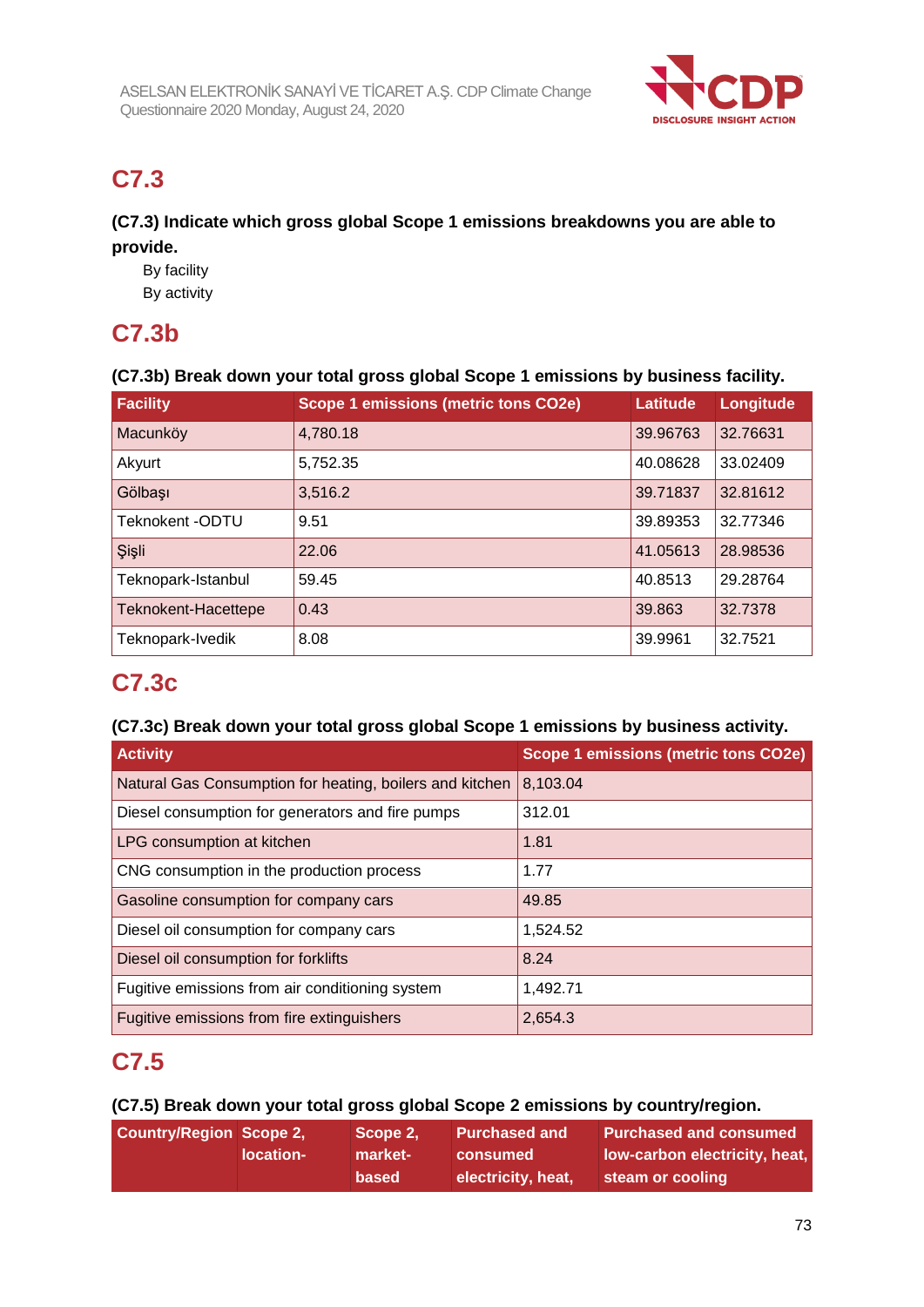

## **C7.3**

## **(C7.3) Indicate which gross global Scope 1 emissions breakdowns you are able to provide.**

By facility

By activity

## **C7.3b**

## **(C7.3b) Break down your total gross global Scope 1 emissions by business facility.**

| <b>Facility</b>     | Scope 1 emissions (metric tons CO2e) | Latitude | Longitude |
|---------------------|--------------------------------------|----------|-----------|
| Macunköy            | 4,780.18                             | 39.96763 | 32.76631  |
| Akyurt              | 5,752.35                             | 40.08628 | 33.02409  |
| Gölbaşı             | 3,516.2                              | 39.71837 | 32.81612  |
| Teknokent - ODTU    | 9.51                                 | 39.89353 | 32.77346  |
| Şişli               | 22.06                                | 41.05613 | 28.98536  |
| Teknopark-Istanbul  | 59.45                                | 40.8513  | 29.28764  |
| Teknokent-Hacettepe | 0.43                                 | 39.863   | 32.7378   |
| Teknopark-Ivedik    | 8.08                                 | 39.9961  | 32.7521   |

## **C7.3c**

## **(C7.3c) Break down your total gross global Scope 1 emissions by business activity.**

| <b>Activity</b>                                          | Scope 1 emissions (metric tons CO2e) |
|----------------------------------------------------------|--------------------------------------|
| Natural Gas Consumption for heating, boilers and kitchen | 8,103.04                             |
| Diesel consumption for generators and fire pumps         | 312.01                               |
| LPG consumption at kitchen                               | 1.81                                 |
| CNG consumption in the production process                | 1.77                                 |
| Gasoline consumption for company cars                    | 49.85                                |
| Diesel oil consumption for company cars                  | 1,524.52                             |
| Diesel oil consumption for forklifts                     | 8.24                                 |
| Fugitive emissions from air conditioning system          | 1,492.71                             |
| Fugitive emissions from fire extinguishers               | 2,654.3                              |

## **C7.5**

## **(C7.5) Break down your total gross global Scope 2 emissions by country/region.**

| <b>Country/Region Scope 2,</b> |           | Scope 2.     | <b>Purchased and</b> | <b>Purchased and consumed</b> |
|--------------------------------|-----------|--------------|----------------------|-------------------------------|
|                                | location- | market-      | consumed             | low-carbon electricity, heat, |
|                                |           | <b>based</b> | electricity, heat,   | steam or cooling              |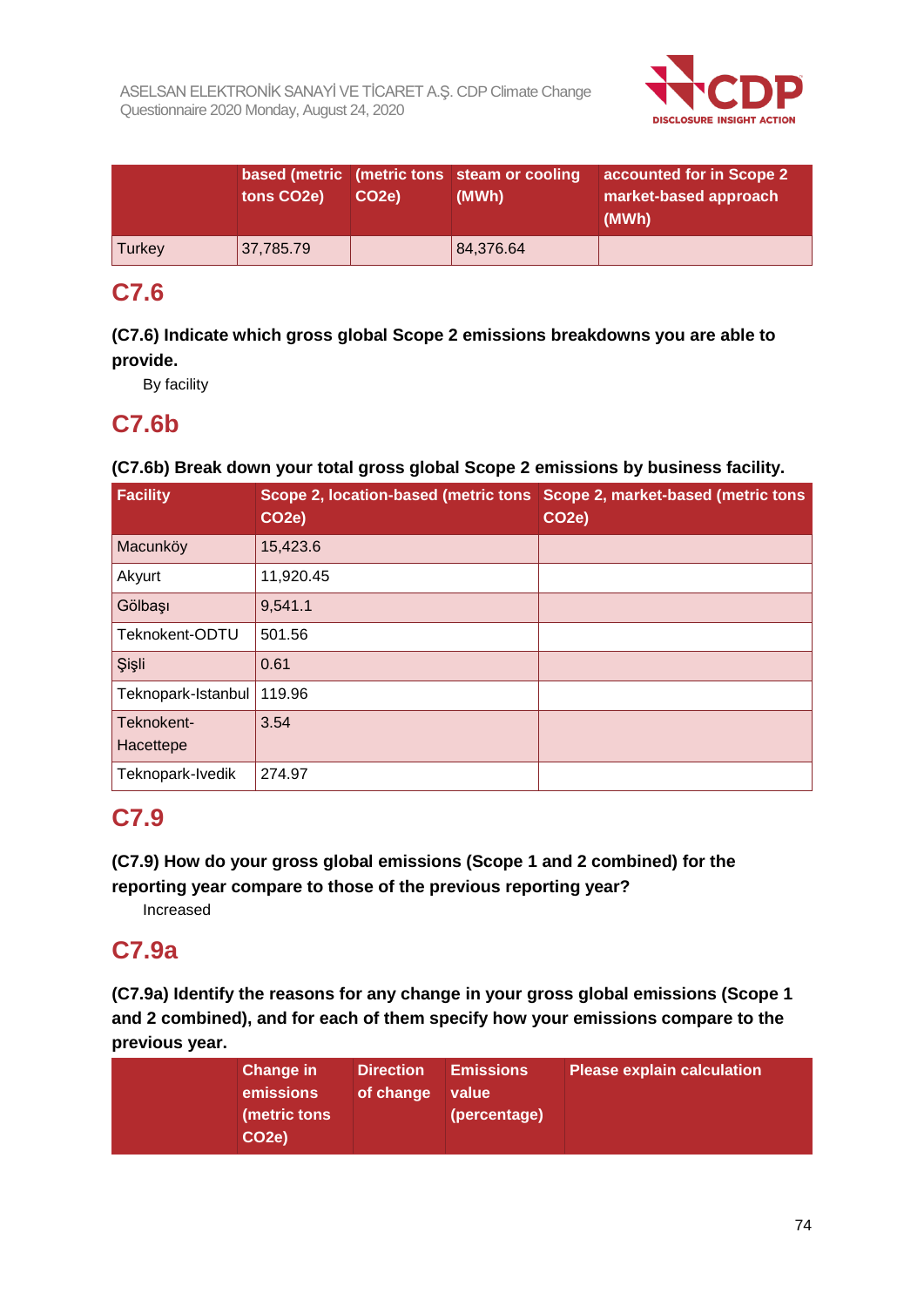

|        | tons CO <sub>2</sub> e) | CO <sub>2</sub> e) | based (metric (metric tons steam or cooling<br>(MWh) | accounted for in Scope 2<br>market-based approach<br>(MWh) |
|--------|-------------------------|--------------------|------------------------------------------------------|------------------------------------------------------------|
| Turkey | 37,785.79               |                    | 84,376.64                                            |                                                            |

## **C7.6**

**(C7.6) Indicate which gross global Scope 2 emissions breakdowns you are able to provide.**

By facility

## **C7.6b**

### **(C7.6b) Break down your total gross global Scope 2 emissions by business facility.**

| <b>Facility</b>         | Scope 2, location-based (metric tons<br>CO <sub>2</sub> e) | Scope 2, market-based (metric tons<br>CO <sub>2</sub> e) |
|-------------------------|------------------------------------------------------------|----------------------------------------------------------|
| Macunköy                | 15,423.6                                                   |                                                          |
| Akyurt                  | 11,920.45                                                  |                                                          |
| Gölbaşı                 | 9,541.1                                                    |                                                          |
| Teknokent-ODTU          | 501.56                                                     |                                                          |
| Şişli                   | 0.61                                                       |                                                          |
| Teknopark-Istanbul      | 119.96                                                     |                                                          |
| Teknokent-<br>Hacettepe | 3.54                                                       |                                                          |
| Teknopark-Ivedik        | 274.97                                                     |                                                          |

## **C7.9**

**(C7.9) How do your gross global emissions (Scope 1 and 2 combined) for the reporting year compare to those of the previous reporting year?**

Increased

## **C7.9a**

**(C7.9a) Identify the reasons for any change in your gross global emissions (Scope 1 and 2 combined), and for each of them specify how your emissions compare to the previous year.**

| Change in<br>emissions<br>(metric tons<br>CO <sub>2</sub> e) | <b>Direction</b><br>of change | <b>Emissions</b><br><b>value</b><br>(percentage) | Please explain calculation |
|--------------------------------------------------------------|-------------------------------|--------------------------------------------------|----------------------------|
|--------------------------------------------------------------|-------------------------------|--------------------------------------------------|----------------------------|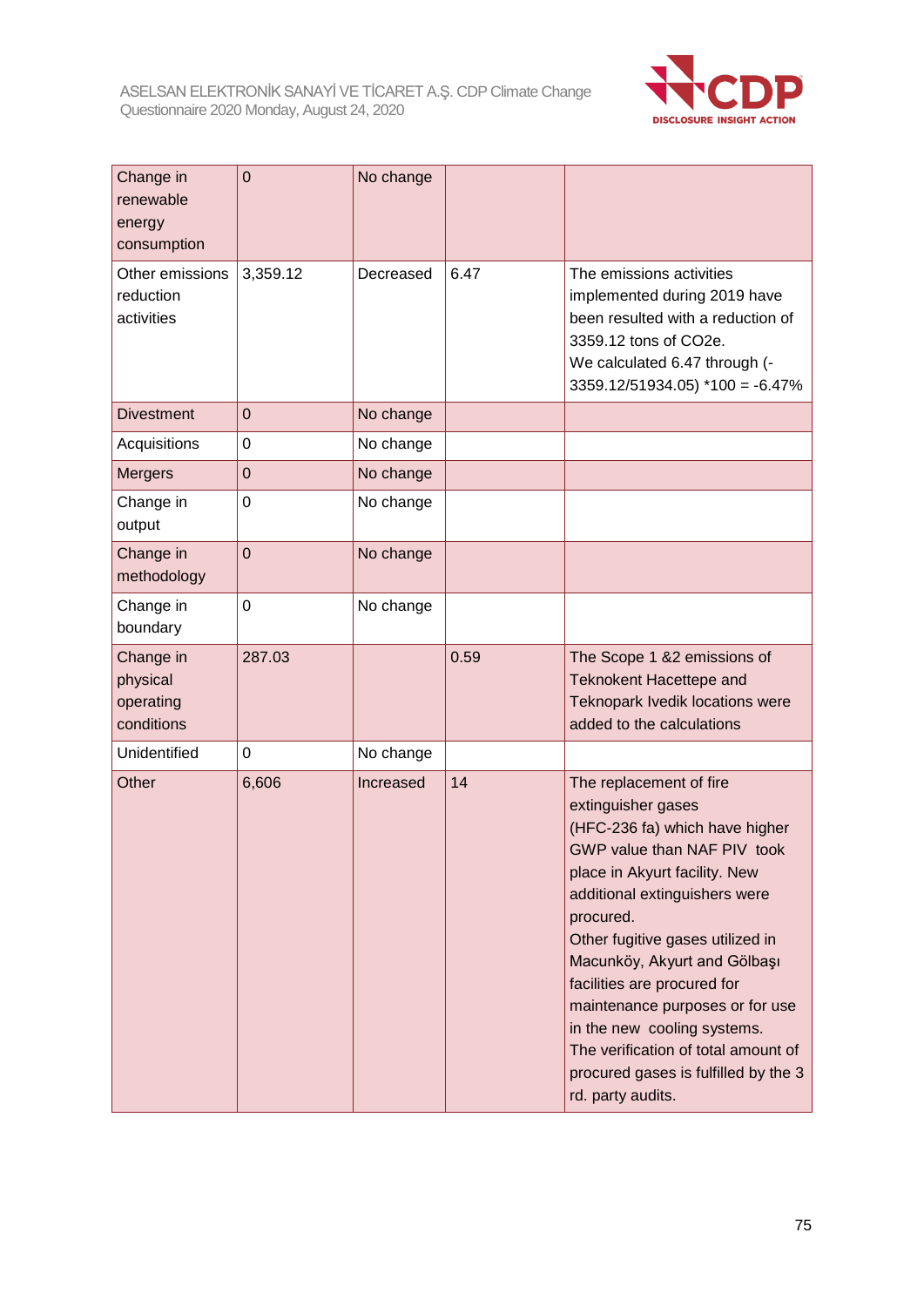

| Change in<br>renewable<br>energy<br>consumption  | $\overline{0}$ | No change |      |                                                                                                                                                                                                                                                                                                                                                                                                                                                                        |
|--------------------------------------------------|----------------|-----------|------|------------------------------------------------------------------------------------------------------------------------------------------------------------------------------------------------------------------------------------------------------------------------------------------------------------------------------------------------------------------------------------------------------------------------------------------------------------------------|
| Other emissions<br>reduction<br>activities       | 3,359.12       | Decreased | 6.47 | The emissions activities<br>implemented during 2019 have<br>been resulted with a reduction of<br>3359.12 tons of CO2e.<br>We calculated 6.47 through (-<br>$3359.12/51934.05$ *100 = -6.47%                                                                                                                                                                                                                                                                            |
| <b>Divestment</b>                                | $\mathbf 0$    | No change |      |                                                                                                                                                                                                                                                                                                                                                                                                                                                                        |
| Acquisitions                                     | 0              | No change |      |                                                                                                                                                                                                                                                                                                                                                                                                                                                                        |
| <b>Mergers</b>                                   | $\mathbf 0$    | No change |      |                                                                                                                                                                                                                                                                                                                                                                                                                                                                        |
| Change in<br>output                              | 0              | No change |      |                                                                                                                                                                                                                                                                                                                                                                                                                                                                        |
| Change in<br>methodology                         | $\overline{0}$ | No change |      |                                                                                                                                                                                                                                                                                                                                                                                                                                                                        |
| Change in<br>boundary                            | $\mathbf 0$    | No change |      |                                                                                                                                                                                                                                                                                                                                                                                                                                                                        |
| Change in<br>physical<br>operating<br>conditions | 287.03         |           | 0.59 | The Scope 1 &2 emissions of<br><b>Teknokent Hacettepe and</b><br>Teknopark Ivedik locations were<br>added to the calculations                                                                                                                                                                                                                                                                                                                                          |
| Unidentified                                     | 0              | No change |      |                                                                                                                                                                                                                                                                                                                                                                                                                                                                        |
| Other                                            | 6,606          | Increased | 14   | The replacement of fire<br>extinguisher gases<br>(HFC-236 fa) which have higher<br>GWP value than NAF PIV took<br>place in Akyurt facility. New<br>additional extinguishers were<br>procured.<br>Other fugitive gases utilized in<br>Macunköy, Akyurt and Gölbaşı<br>facilities are procured for<br>maintenance purposes or for use<br>in the new cooling systems.<br>The verification of total amount of<br>procured gases is fulfilled by the 3<br>rd. party audits. |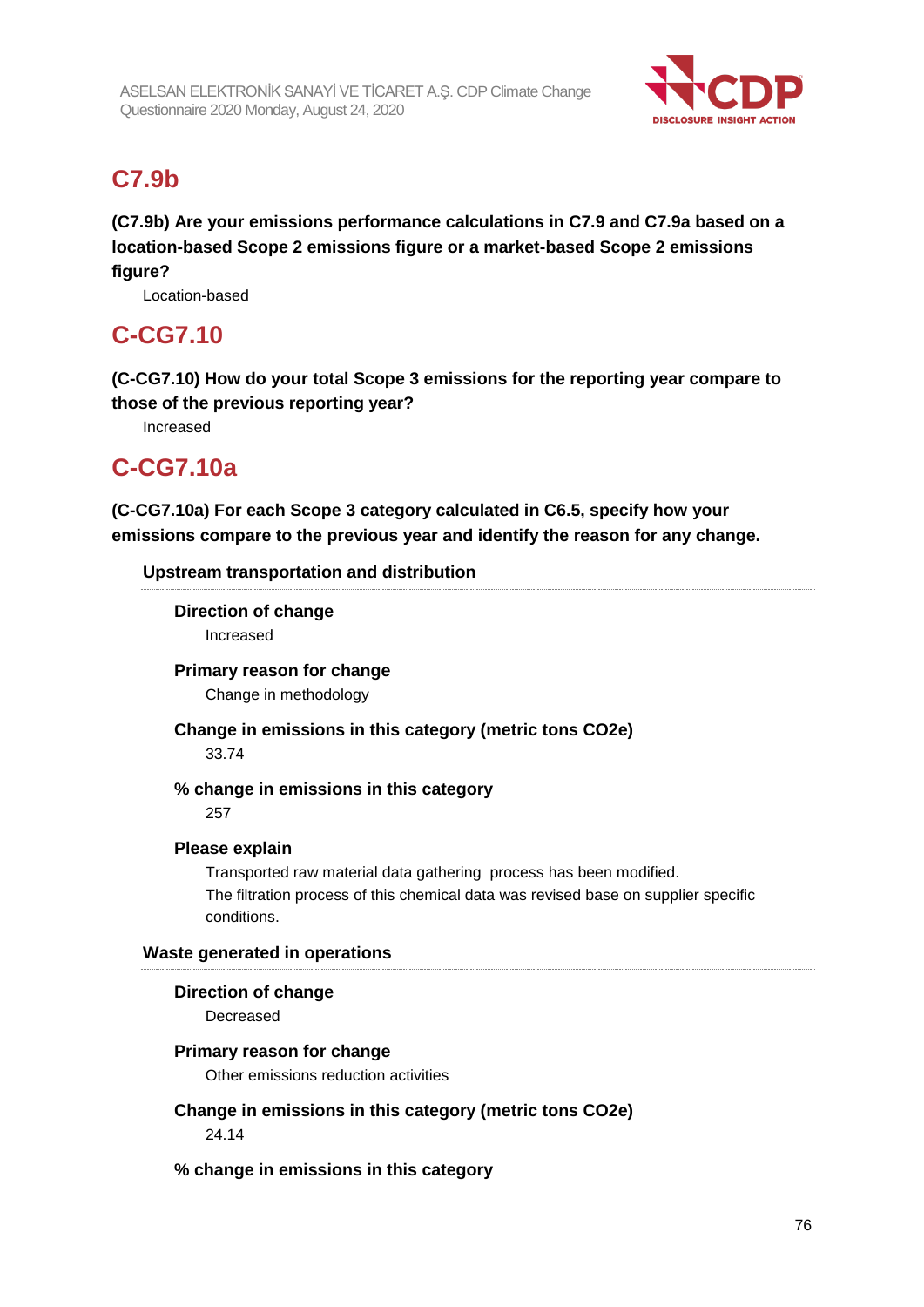

## **C7.9b**

**(C7.9b) Are your emissions performance calculations in C7.9 and C7.9a based on a location-based Scope 2 emissions figure or a market-based Scope 2 emissions figure?**

Location-based

## **C-CG7.10**

**(C-CG7.10) How do your total Scope 3 emissions for the reporting year compare to those of the previous reporting year?**

Increased

## **C-CG7.10a**

**(C-CG7.10a) For each Scope 3 category calculated in C6.5, specify how your emissions compare to the previous year and identify the reason for any change.**

### **Upstream transportation and distribution**

**Direction of change** Increased

**Primary reason for change**

Change in methodology

**Change in emissions in this category (metric tons CO2e)**

33.74

**% change in emissions in this category**

257

### **Please explain**

Transported raw material data gathering process has been modified. The filtration process of this chemical data was revised base on supplier specific conditions.

### **Waste generated in operations**

### **Direction of change**

Decreased

#### **Primary reason for change**

Other emissions reduction activities

## **Change in emissions in this category (metric tons CO2e)**

24.14

**% change in emissions in this category**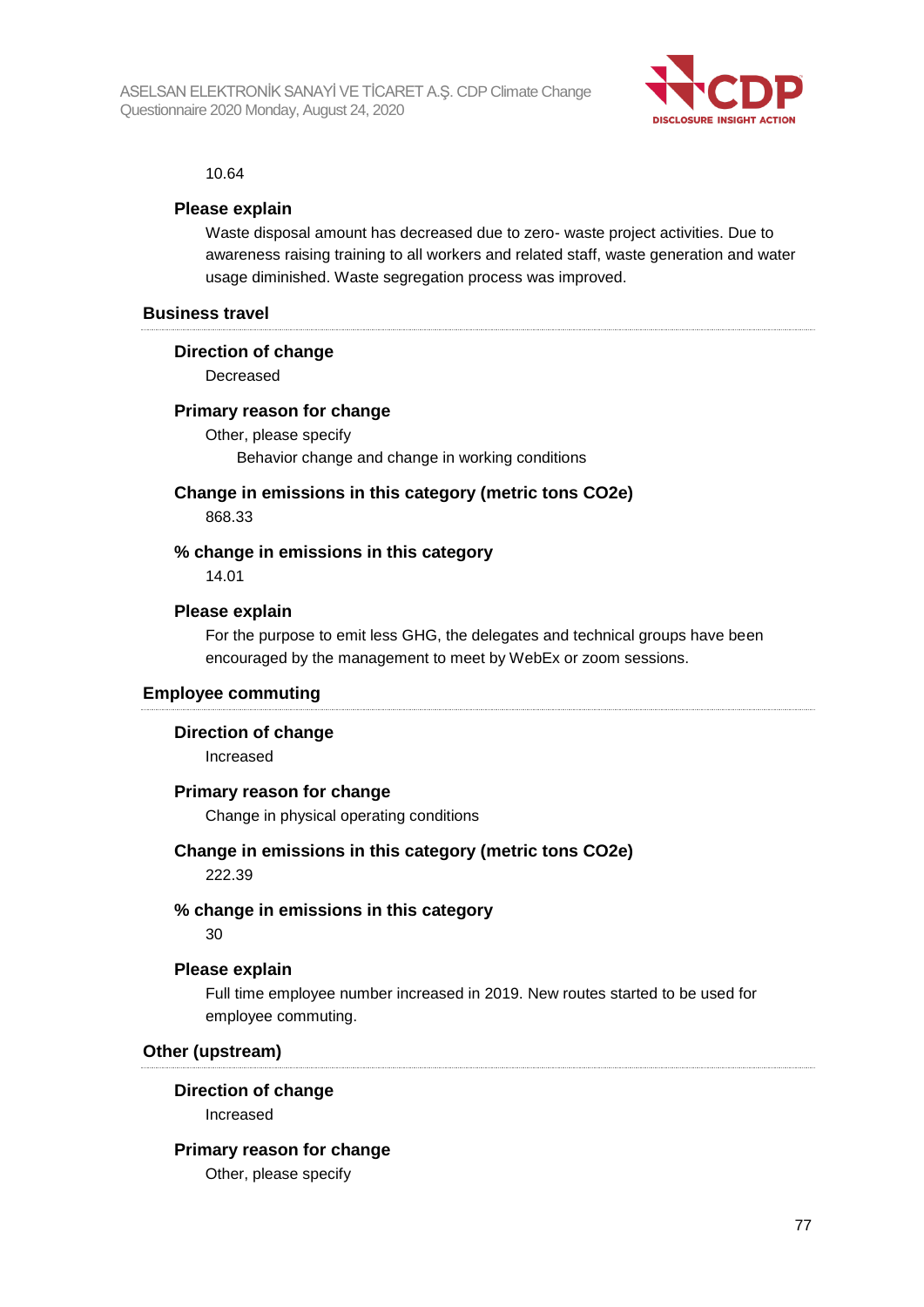

#### 10.64

#### **Please explain**

Waste disposal amount has decreased due to zero- waste project activities. Due to awareness raising training to all workers and related staff, waste generation and water usage diminished. Waste segregation process was improved.

#### **Business travel**

#### **Direction of change**

Decreased

#### **Primary reason for change**

Other, please specify Behavior change and change in working conditions

### **Change in emissions in this category (metric tons CO2e)**

868.33

#### **% change in emissions in this category**

14.01

#### **Please explain**

For the purpose to emit less GHG, the delegates and technical groups have been encouraged by the management to meet by WebEx or zoom sessions.

#### **Employee commuting**

#### **Direction of change**

Increased

#### **Primary reason for change**

Change in physical operating conditions

#### **Change in emissions in this category (metric tons CO2e)**

222.39

#### **% change in emissions in this category**

30

#### **Please explain**

Full time employee number increased in 2019. New routes started to be used for employee commuting.

#### **Other (upstream)**

#### **Direction of change**

Increased

#### **Primary reason for change**

Other, please specify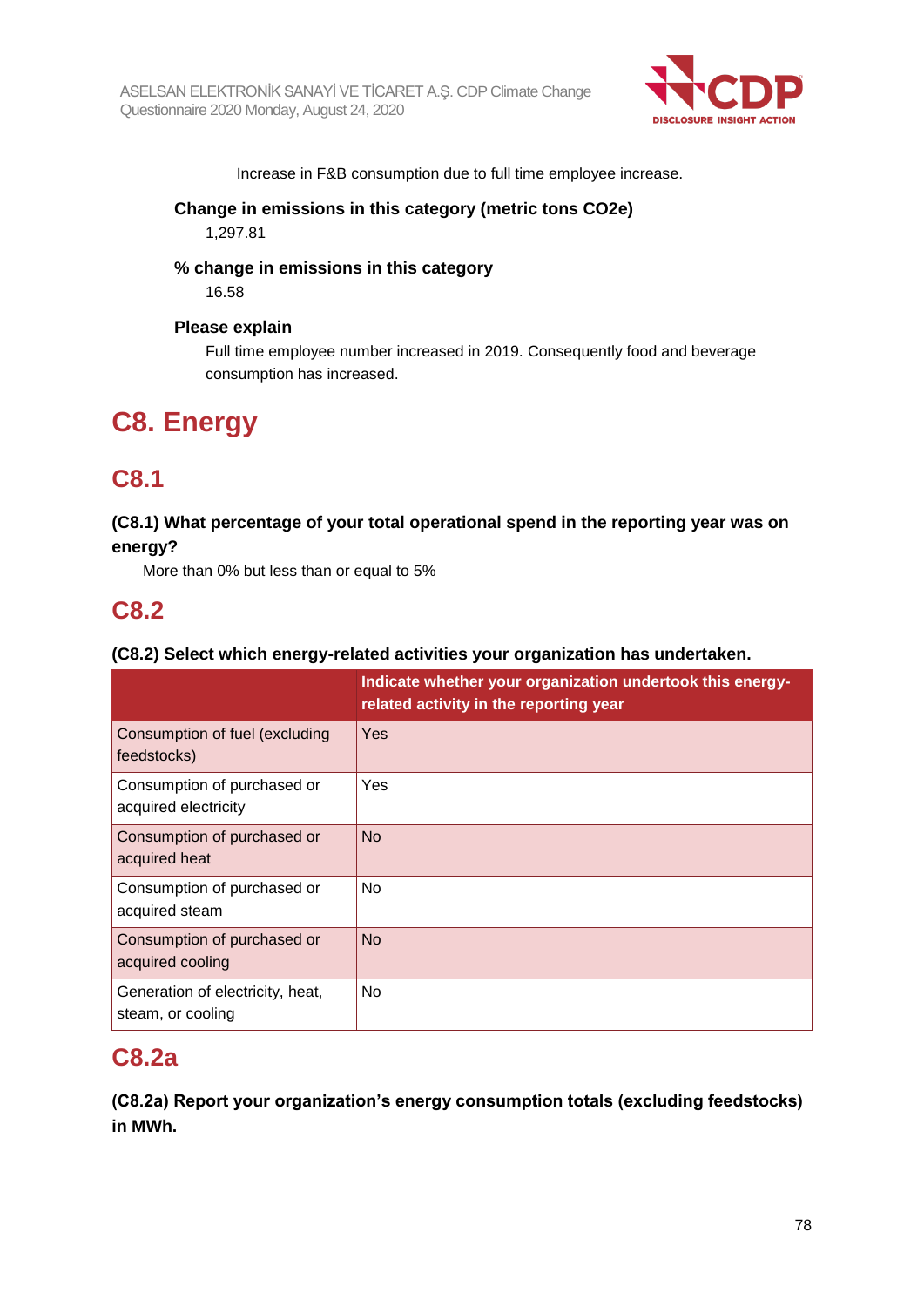

Increase in F&B consumption due to full time employee increase.

### **Change in emissions in this category (metric tons CO2e)**

1,297.81

### **% change in emissions in this category**

16.58

#### **Please explain**

Full time employee number increased in 2019. Consequently food and beverage consumption has increased.

## **C8. Energy**

## **C8.1**

### **(C8.1) What percentage of your total operational spend in the reporting year was on energy?**

More than 0% but less than or equal to 5%

## **C8.2**

### **(C8.2) Select which energy-related activities your organization has undertaken.**

|                                                       | Indicate whether your organization undertook this energy-<br>related activity in the reporting year |
|-------------------------------------------------------|-----------------------------------------------------------------------------------------------------|
| Consumption of fuel (excluding<br>feedstocks)         | Yes                                                                                                 |
| Consumption of purchased or<br>acquired electricity   | Yes                                                                                                 |
| Consumption of purchased or<br>acquired heat          | No                                                                                                  |
| Consumption of purchased or<br>acquired steam         | No.                                                                                                 |
| Consumption of purchased or<br>acquired cooling       | <b>No</b>                                                                                           |
| Generation of electricity, heat,<br>steam, or cooling | No                                                                                                  |

## **C8.2a**

**(C8.2a) Report your organization's energy consumption totals (excluding feedstocks) in MWh.**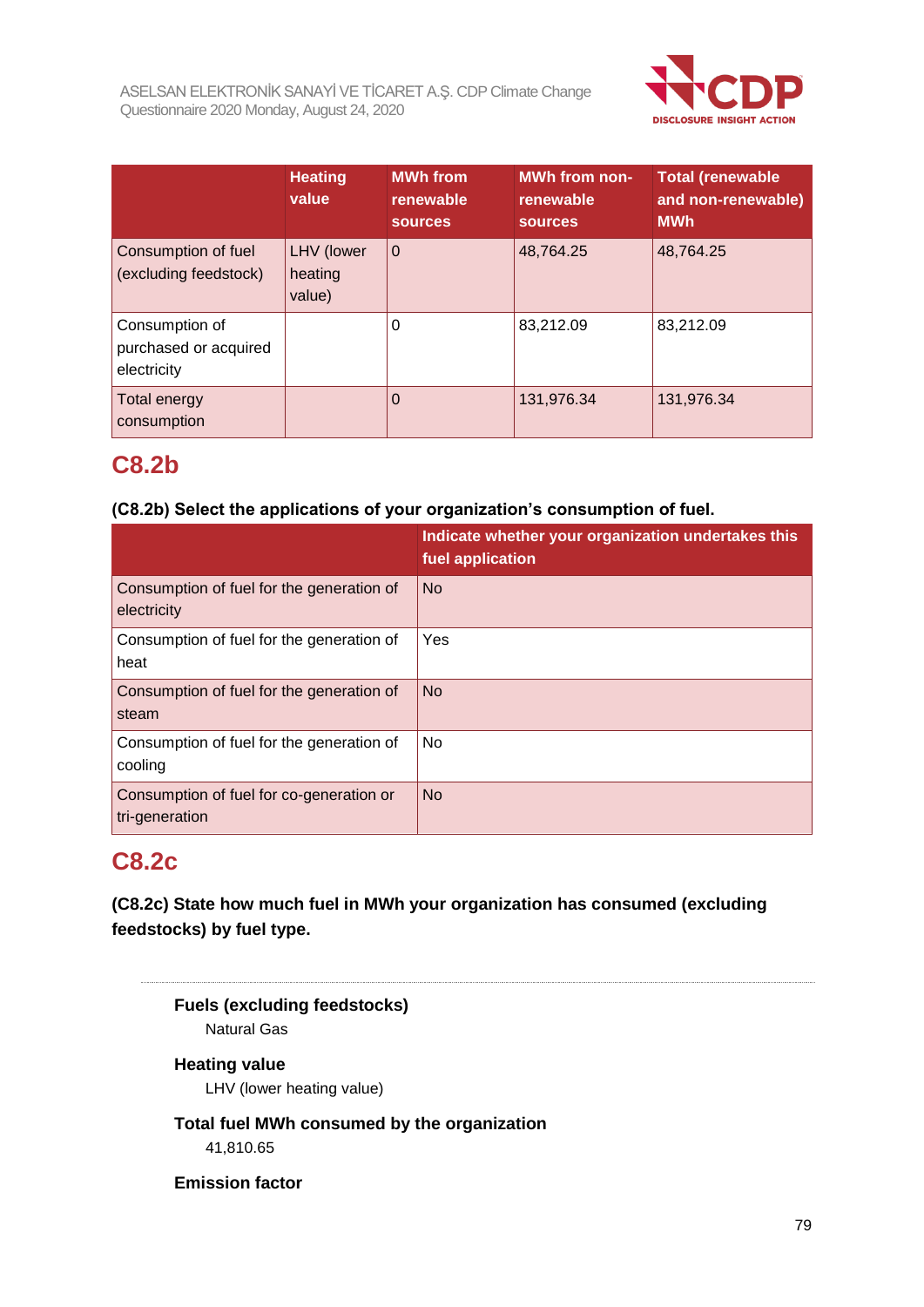

|                                                        | <b>Heating</b><br>value         | <b>MWh from</b><br>renewable<br>sources. | MWh from non-<br>renewable<br><b>sources</b> | <b>Total (renewable</b><br>and non-renewable)<br><b>MWh</b> |
|--------------------------------------------------------|---------------------------------|------------------------------------------|----------------------------------------------|-------------------------------------------------------------|
| Consumption of fuel<br>(excluding feedstock)           | LHV (lower<br>heating<br>value) | $\overline{0}$                           | 48,764.25                                    | 48,764.25                                                   |
| Consumption of<br>purchased or acquired<br>electricity |                                 | 0                                        | 83,212.09                                    | 83,212.09                                                   |
| Total energy<br>consumption                            |                                 | $\Omega$                                 | 131,976.34                                   | 131,976.34                                                  |

## **C8.2b**

### **(C8.2b) Select the applications of your organization's consumption of fuel.**

|                                                            | Indicate whether your organization undertakes this<br>fuel application |
|------------------------------------------------------------|------------------------------------------------------------------------|
| Consumption of fuel for the generation of<br>electricity   | <b>No</b>                                                              |
| Consumption of fuel for the generation of<br>heat          | Yes                                                                    |
| Consumption of fuel for the generation of<br>steam         | <b>No</b>                                                              |
| Consumption of fuel for the generation of<br>cooling       | No                                                                     |
| Consumption of fuel for co-generation or<br>tri-generation | <b>No</b>                                                              |

## **C8.2c**

**(C8.2c) State how much fuel in MWh your organization has consumed (excluding feedstocks) by fuel type.**

**Fuels (excluding feedstocks)** Natural Gas **Heating value** LHV (lower heating value) **Total fuel MWh consumed by the organization** 41,810.65 **Emission factor**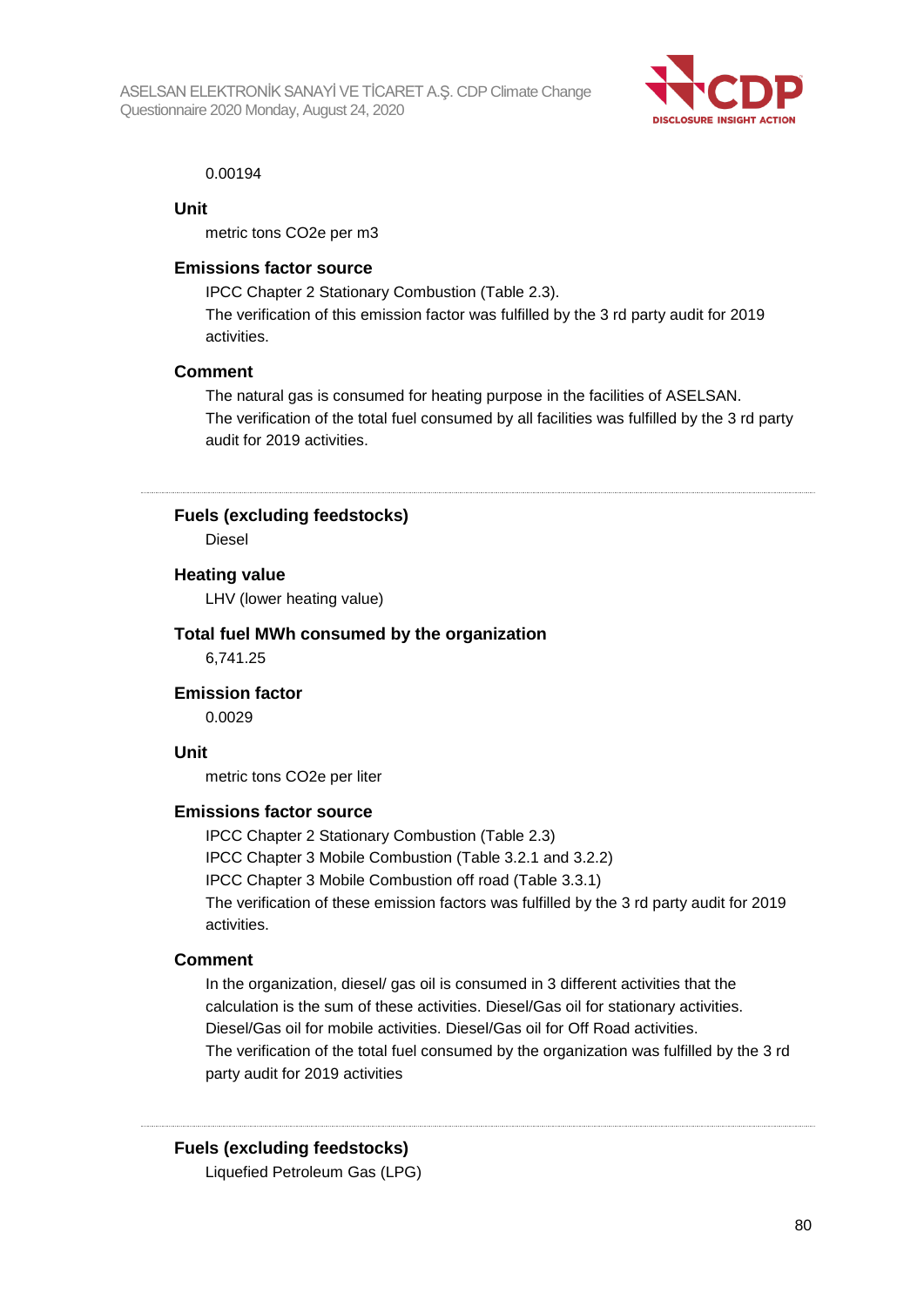

#### 0.00194

#### **Unit**

metric tons CO2e per m3

#### **Emissions factor source**

IPCC Chapter 2 Stationary Combustion (Table 2.3). The verification of this emission factor was fulfilled by the 3 rd party audit for 2019 activities.

#### **Comment**

The natural gas is consumed for heating purpose in the facilities of ASELSAN. The verification of the total fuel consumed by all facilities was fulfilled by the 3 rd party audit for 2019 activities.

**Fuels (excluding feedstocks)**

Diesel

#### **Heating value**

LHV (lower heating value)

#### **Total fuel MWh consumed by the organization**

6,741.25

**Emission factor**

0.0029

#### **Unit**

metric tons CO2e per liter

#### **Emissions factor source**

IPCC Chapter 2 Stationary Combustion (Table 2.3) IPCC Chapter 3 Mobile Combustion (Table 3.2.1 and 3.2.2) IPCC Chapter 3 Mobile Combustion off road (Table 3.3.1) The verification of these emission factors was fulfilled by the 3 rd party audit for 2019 activities.

#### **Comment**

In the organization, diesel/ gas oil is consumed in 3 different activities that the calculation is the sum of these activities. Diesel/Gas oil for stationary activities. Diesel/Gas oil for mobile activities. Diesel/Gas oil for Off Road activities. The verification of the total fuel consumed by the organization was fulfilled by the 3 rd party audit for 2019 activities

#### **Fuels (excluding feedstocks)**

Liquefied Petroleum Gas (LPG)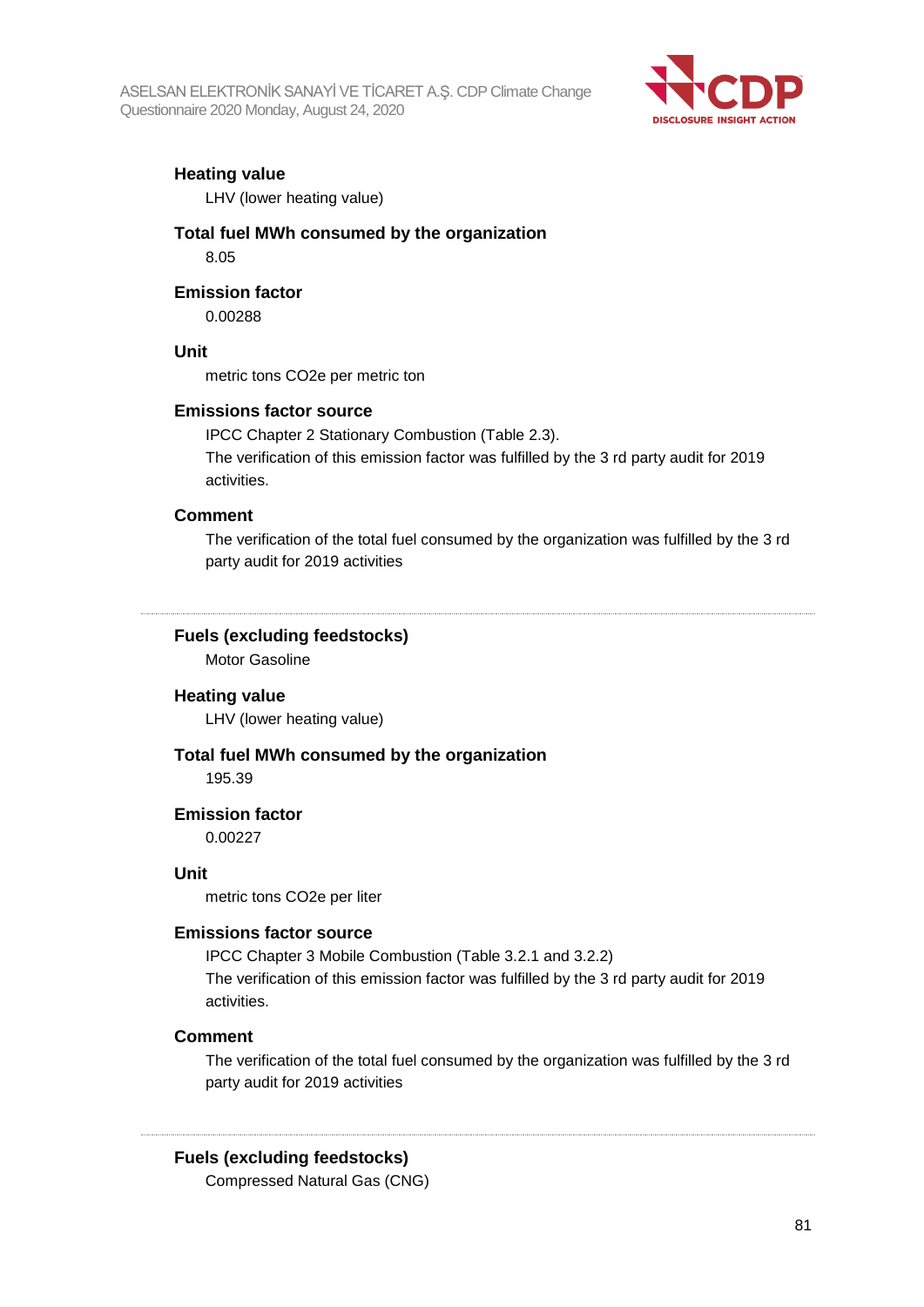

#### **Heating value**

LHV (lower heating value)

#### **Total fuel MWh consumed by the organization** 8.05

#### **Emission factor**

0.00288

#### **Unit**

metric tons CO2e per metric ton

#### **Emissions factor source**

IPCC Chapter 2 Stationary Combustion (Table 2.3). The verification of this emission factor was fulfilled by the 3 rd party audit for 2019 activities.

#### **Comment**

The verification of the total fuel consumed by the organization was fulfilled by the 3 rd party audit for 2019 activities

### **Fuels (excluding feedstocks)**

Motor Gasoline

#### **Heating value**

LHV (lower heating value)

#### **Total fuel MWh consumed by the organization**

195.39

#### **Emission factor**

0.00227

#### **Unit**

metric tons CO2e per liter

#### **Emissions factor source**

IPCC Chapter 3 Mobile Combustion (Table 3.2.1 and 3.2.2) The verification of this emission factor was fulfilled by the 3 rd party audit for 2019 activities.

#### **Comment**

The verification of the total fuel consumed by the organization was fulfilled by the 3 rd party audit for 2019 activities

#### **Fuels (excluding feedstocks)**

Compressed Natural Gas (CNG)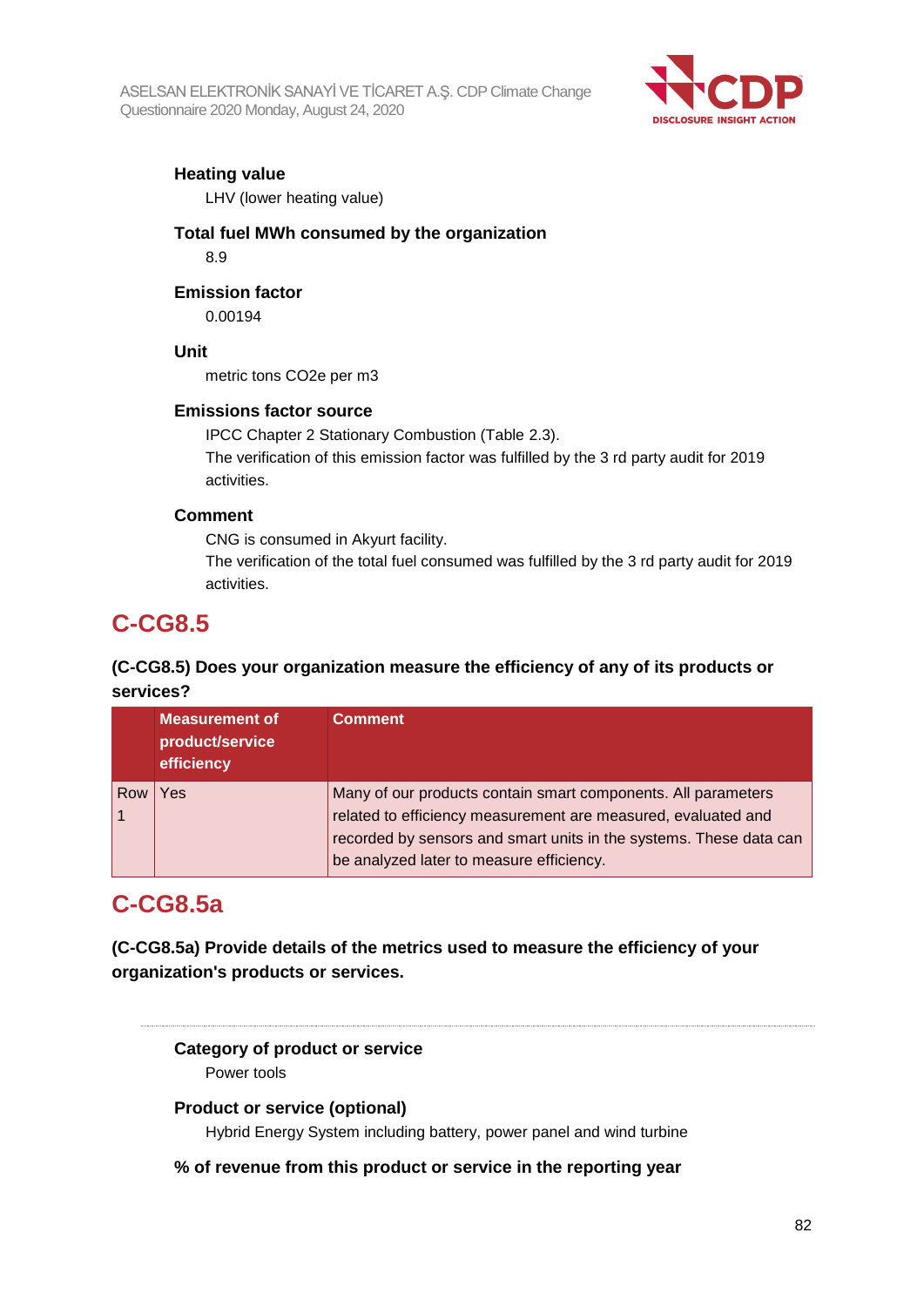

### **Heating value**

LHV (lower heating value)

#### **Total fuel MWh consumed by the organization** 8.9

### **Emission factor**

0.00194

### **Unit**

metric tons CO2e per m3

### **Emissions factor source**

IPCC Chapter 2 Stationary Combustion (Table 2.3). The verification of this emission factor was fulfilled by the 3 rd party audit for 2019 activities.

### **Comment**

CNG is consumed in Akyurt facility.

The verification of the total fuel consumed was fulfilled by the 3 rd party audit for 2019 activities.

## **C-CG8.5**

## **(C-CG8.5) Does your organization measure the efficiency of any of its products or services?**

|     | <b>Measurement of</b><br>product/service<br>efficiency | <b>Comment</b>                                                                                                                                                                                       |
|-----|--------------------------------------------------------|------------------------------------------------------------------------------------------------------------------------------------------------------------------------------------------------------|
| Row | Yes                                                    | Many of our products contain smart components. All parameters<br>related to efficiency measurement are measured, evaluated and<br>recorded by sensors and smart units in the systems. These data can |
|     |                                                        | be analyzed later to measure efficiency.                                                                                                                                                             |

## **C-CG8.5a**

**(C-CG8.5a) Provide details of the metrics used to measure the efficiency of your organization's products or services.**

## **Category of product or service**

Power tools

### **Product or service (optional)**

Hybrid Energy System including battery, power panel and wind turbine

### **% of revenue from this product or service in the reporting year**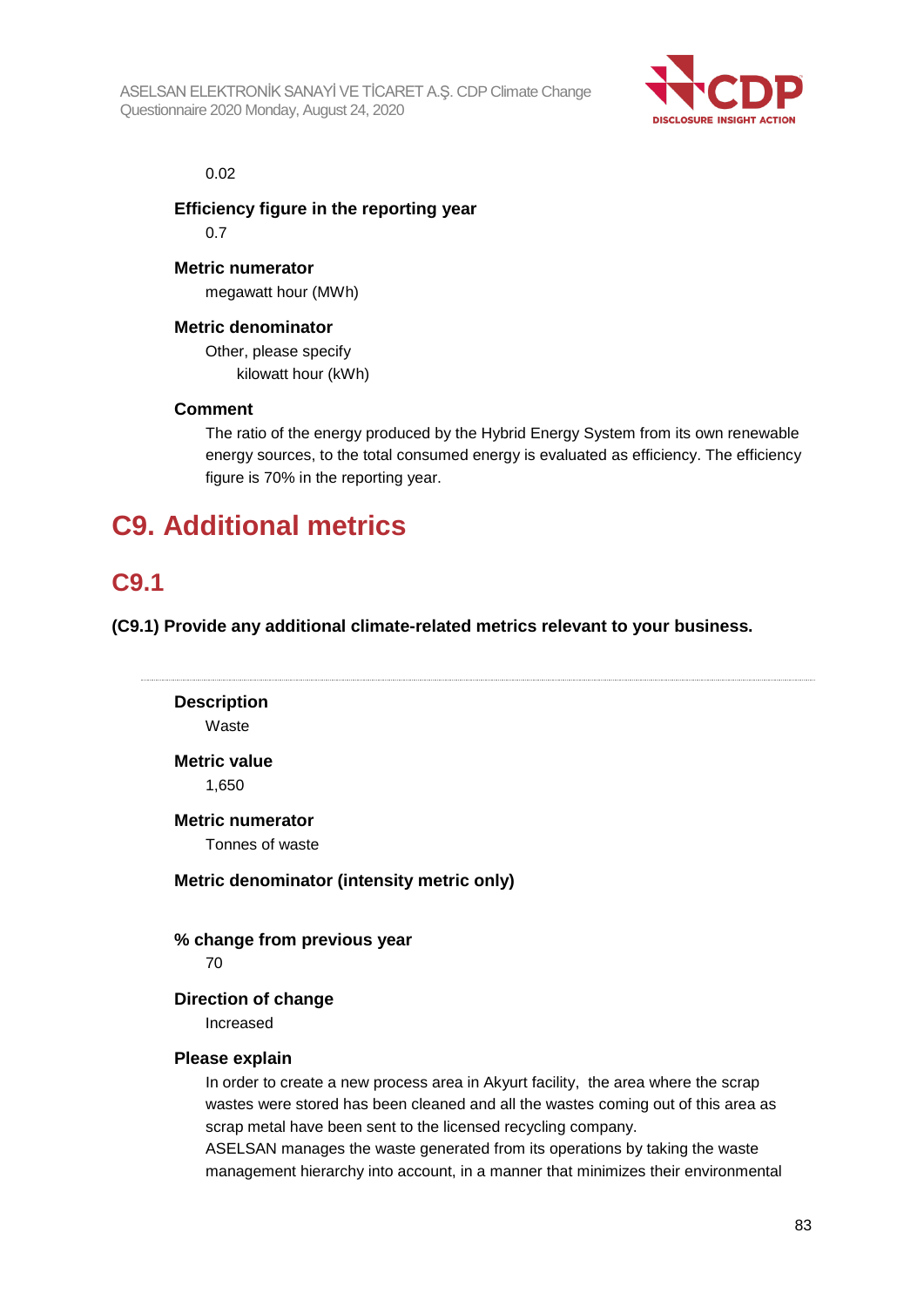

#### 0.02

**Efficiency figure in the reporting year**

0.7

**Metric numerator**

megawatt hour (MWh)

### **Metric denominator**

Other, please specify kilowatt hour (kWh)

### **Comment**

The ratio of the energy produced by the Hybrid Energy System from its own renewable energy sources, to the total consumed energy is evaluated as efficiency. The efficiency figure is 70% in the reporting year.

# **C9. Additional metrics**

## **C9.1**

**(C9.1) Provide any additional climate-related metrics relevant to your business.**

```
Description
    Waste
Metric value
    1,650
Metric numerator
    Tonnes of waste
Metric denominator (intensity metric only)
% change from previous year
    70
Direction of change
    Increased
Please explain
    In order to create a new process area in Akyurt facility, the area where the scrap 
    wastes were stored has been cleaned and all the wastes coming out of this area as 
    scrap metal have been sent to the licensed recycling company.
    ASELSAN manages the waste generated from its operations by taking the waste
```
management hierarchy into account, in a manner that minimizes their environmental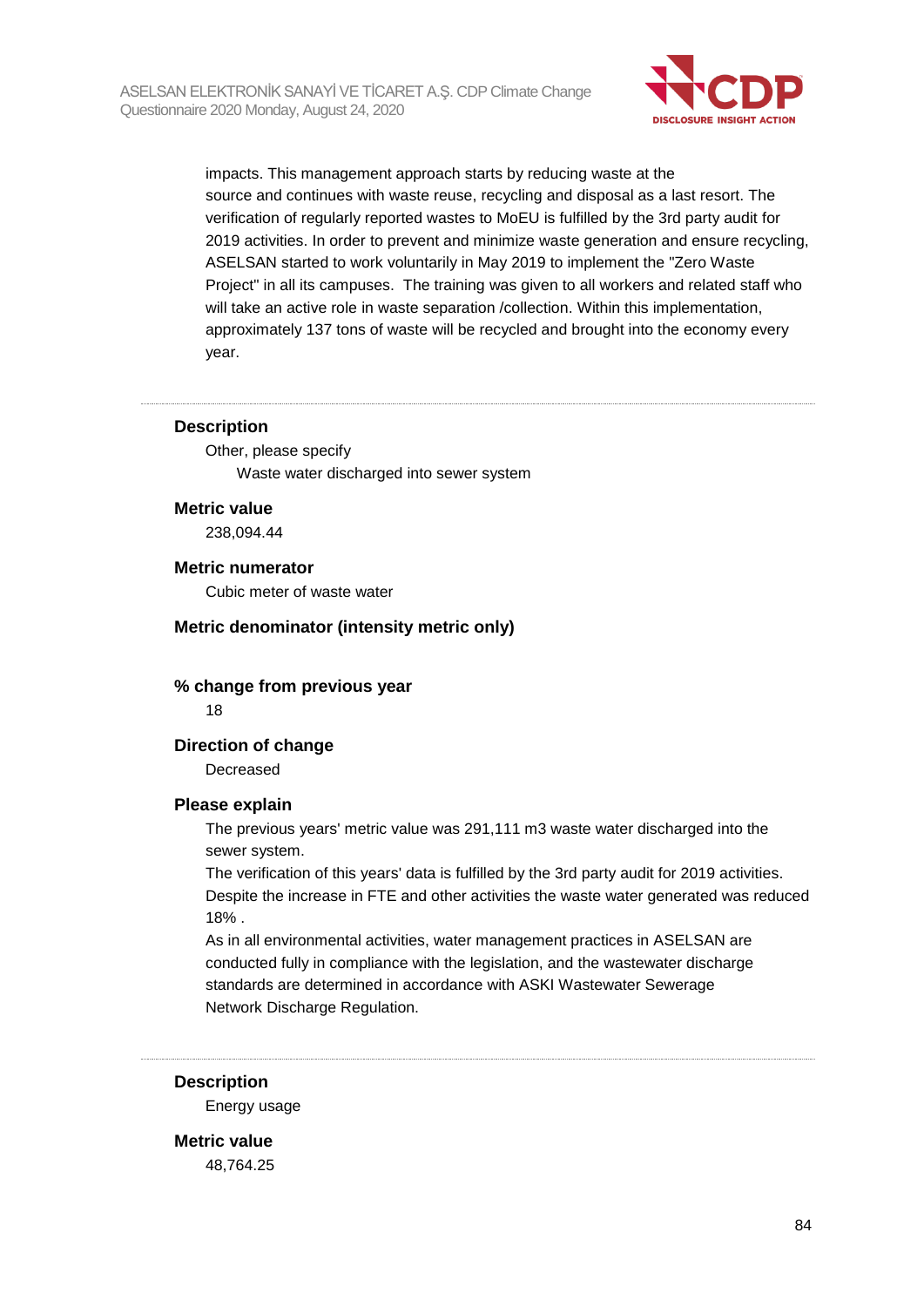

impacts. This management approach starts by reducing waste at the source and continues with waste reuse, recycling and disposal as a last resort. The verification of regularly reported wastes to MoEU is fulfilled by the 3rd party audit for 2019 activities. In order to prevent and minimize waste generation and ensure recycling, ASELSAN started to work voluntarily in May 2019 to implement the "Zero Waste Project" in all its campuses. The training was given to all workers and related staff who will take an active role in waste separation /collection. Within this implementation, approximately 137 tons of waste will be recycled and brought into the economy every year.

#### **Description**

Other, please specify Waste water discharged into sewer system

#### **Metric value**

238,094.44

#### **Metric numerator**

Cubic meter of waste water

#### **Metric denominator (intensity metric only)**

## **% change from previous year**

18

### **Direction of change**

Decreased

#### **Please explain**

The previous years' metric value was 291,111 m3 waste water discharged into the sewer system.

The verification of this years' data is fulfilled by the 3rd party audit for 2019 activities. Despite the increase in FTE and other activities the waste water generated was reduced 18% .

As in all environmental activities, water management practices in ASELSAN are conducted fully in compliance with the legislation, and the wastewater discharge standards are determined in accordance with ASKI Wastewater Sewerage Network Discharge Regulation.

#### **Description**

Energy usage

**Metric value** 48,764.25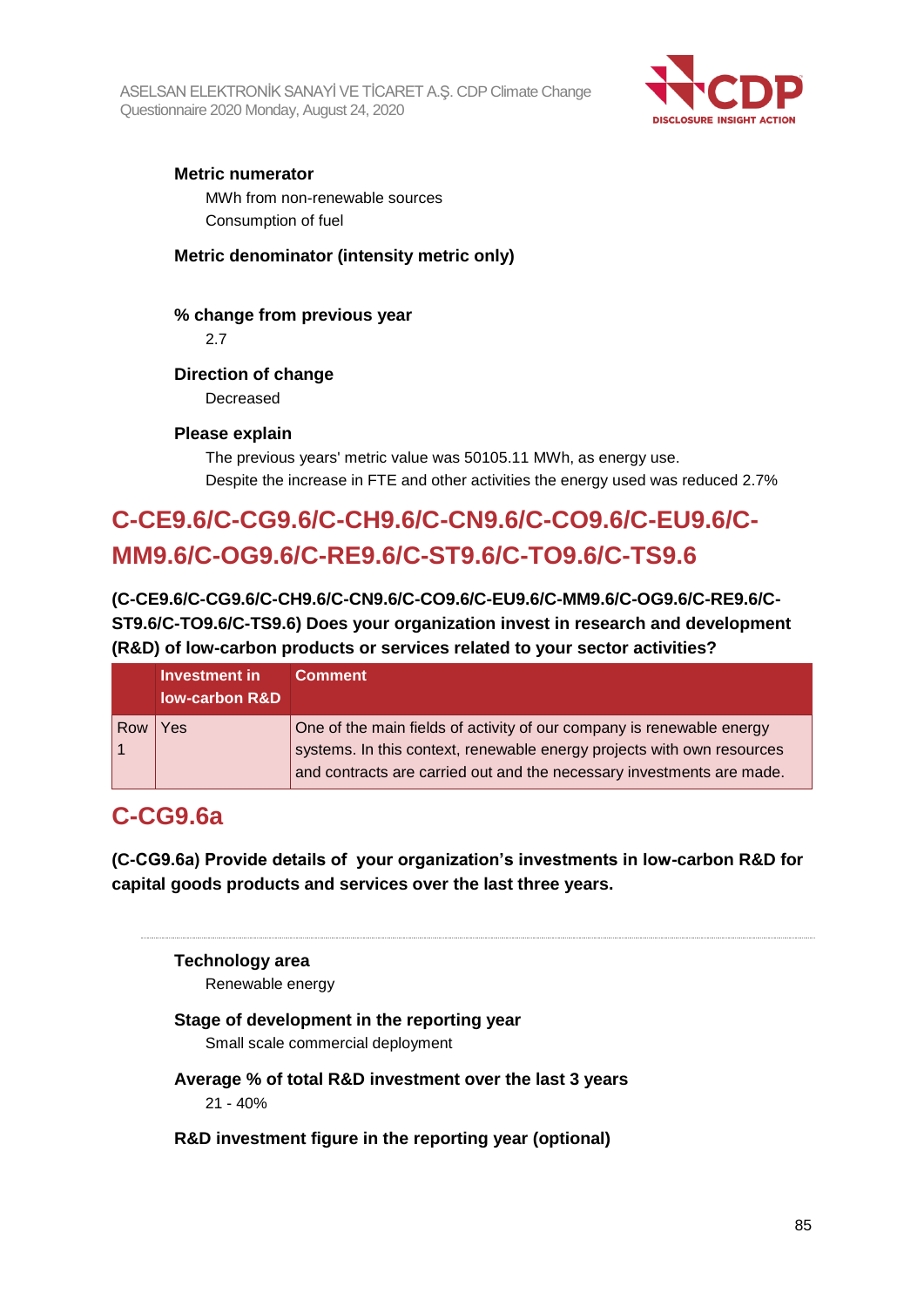

### **Metric numerator**

MWh from non-renewable sources Consumption of fuel

### **Metric denominator (intensity metric only)**

## **% change from previous year**

2.7

### **Direction of change**

Decreased

### **Please explain**

The previous years' metric value was 50105.11 MWh, as energy use. Despite the increase in FTE and other activities the energy used was reduced 2.7%

# **C-CE9.6/C-CG9.6/C-CH9.6/C-CN9.6/C-CO9.6/C-EU9.6/C-MM9.6/C-OG9.6/C-RE9.6/C-ST9.6/C-TO9.6/C-TS9.6**

**(C-CE9.6/C-CG9.6/C-CH9.6/C-CN9.6/C-CO9.6/C-EU9.6/C-MM9.6/C-OG9.6/C-RE9.6/C-ST9.6/C-TO9.6/C-TS9.6) Does your organization invest in research and development (R&D) of low-carbon products or services related to your sector activities?**

|     | Investment in<br><b>Iow-carbon R&amp;D</b> | <b>Comment</b>                                                         |
|-----|--------------------------------------------|------------------------------------------------------------------------|
| Row | Yes                                        | One of the main fields of activity of our company is renewable energy  |
|     |                                            | systems. In this context, renewable energy projects with own resources |
|     |                                            | and contracts are carried out and the necessary investments are made.  |

## **C-CG9.6a**

**(C-CG9.6a) Provide details of your organization's investments in low-carbon R&D for capital goods products and services over the last three years.**

#### **Technology area**

Renewable energy

### **Stage of development in the reporting year**

Small scale commercial deployment

- **Average % of total R&D investment over the last 3 years** 21 - 40%
- **R&D investment figure in the reporting year (optional)**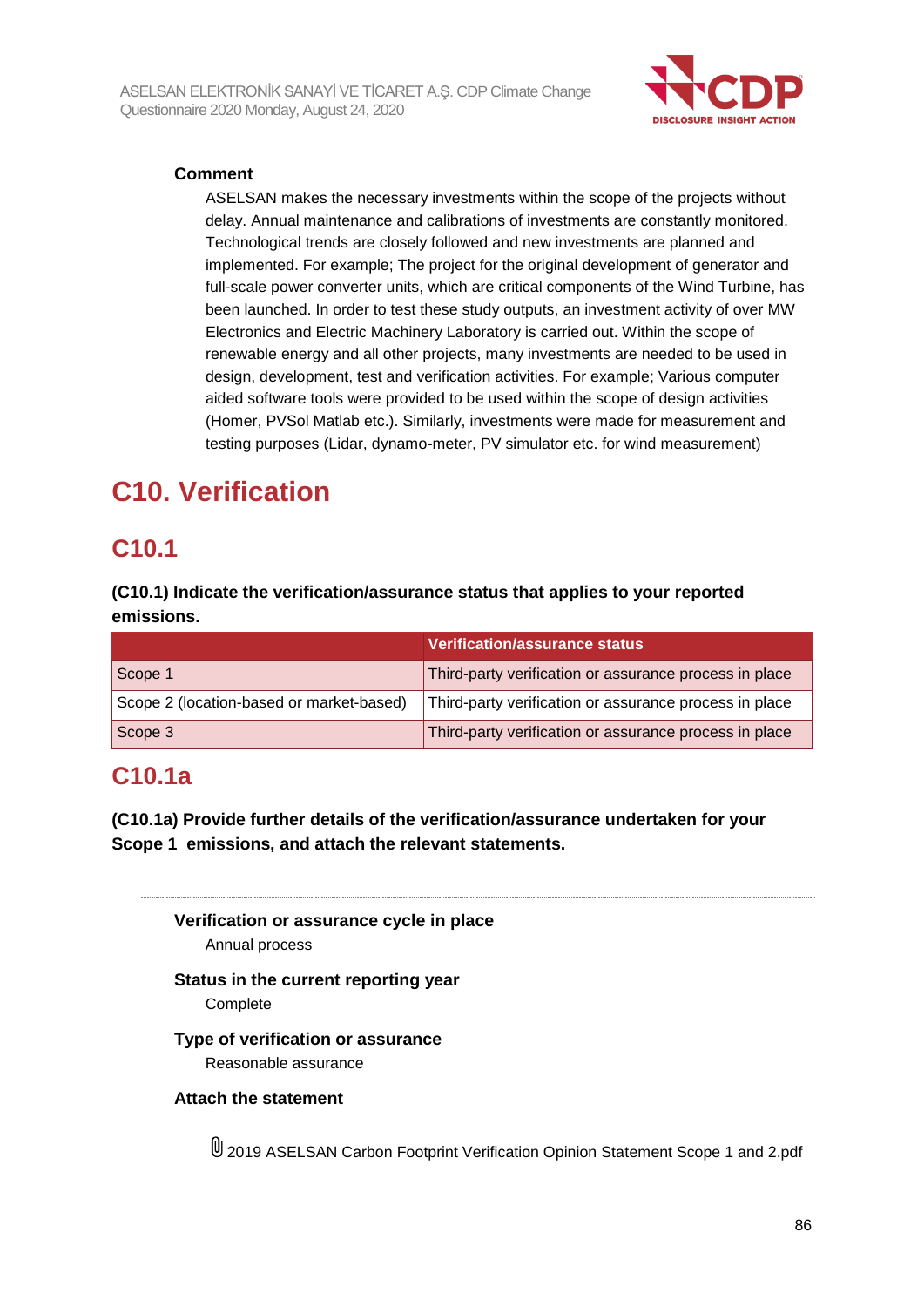

### **Comment**

ASELSAN makes the necessary investments within the scope of the projects without delay. Annual maintenance and calibrations of investments are constantly monitored. Technological trends are closely followed and new investments are planned and implemented. For example; The project for the original development of generator and full-scale power converter units, which are critical components of the Wind Turbine, has been launched. In order to test these study outputs, an investment activity of over MW Electronics and Electric Machinery Laboratory is carried out. Within the scope of renewable energy and all other projects, many investments are needed to be used in design, development, test and verification activities. For example; Various computer aided software tools were provided to be used within the scope of design activities (Homer, PVSol Matlab etc.). Similarly, investments were made for measurement and testing purposes (Lidar, dynamo-meter, PV simulator etc. for wind measurement)

# **C10. Verification**

## **C10.1**

**(C10.1) Indicate the verification/assurance status that applies to your reported emissions.**

|                                          | <b>Verification/assurance status</b>                   |
|------------------------------------------|--------------------------------------------------------|
| Scope 1                                  | Third-party verification or assurance process in place |
| Scope 2 (location-based or market-based) | Third-party verification or assurance process in place |
| Scope 3                                  | Third-party verification or assurance process in place |

## **C10.1a**

**(C10.1a) Provide further details of the verification/assurance undertaken for your Scope 1 emissions, and attach the relevant statements.**

**Verification or assurance cycle in place** Annual process

## **Status in the current reporting year**

Complete

### **Type of verification or assurance**

Reasonable assurance

### **Attach the statement**

2019 ASELSAN Carbon Footprint Verification Opinion Statement Scope 1 and 2.pdf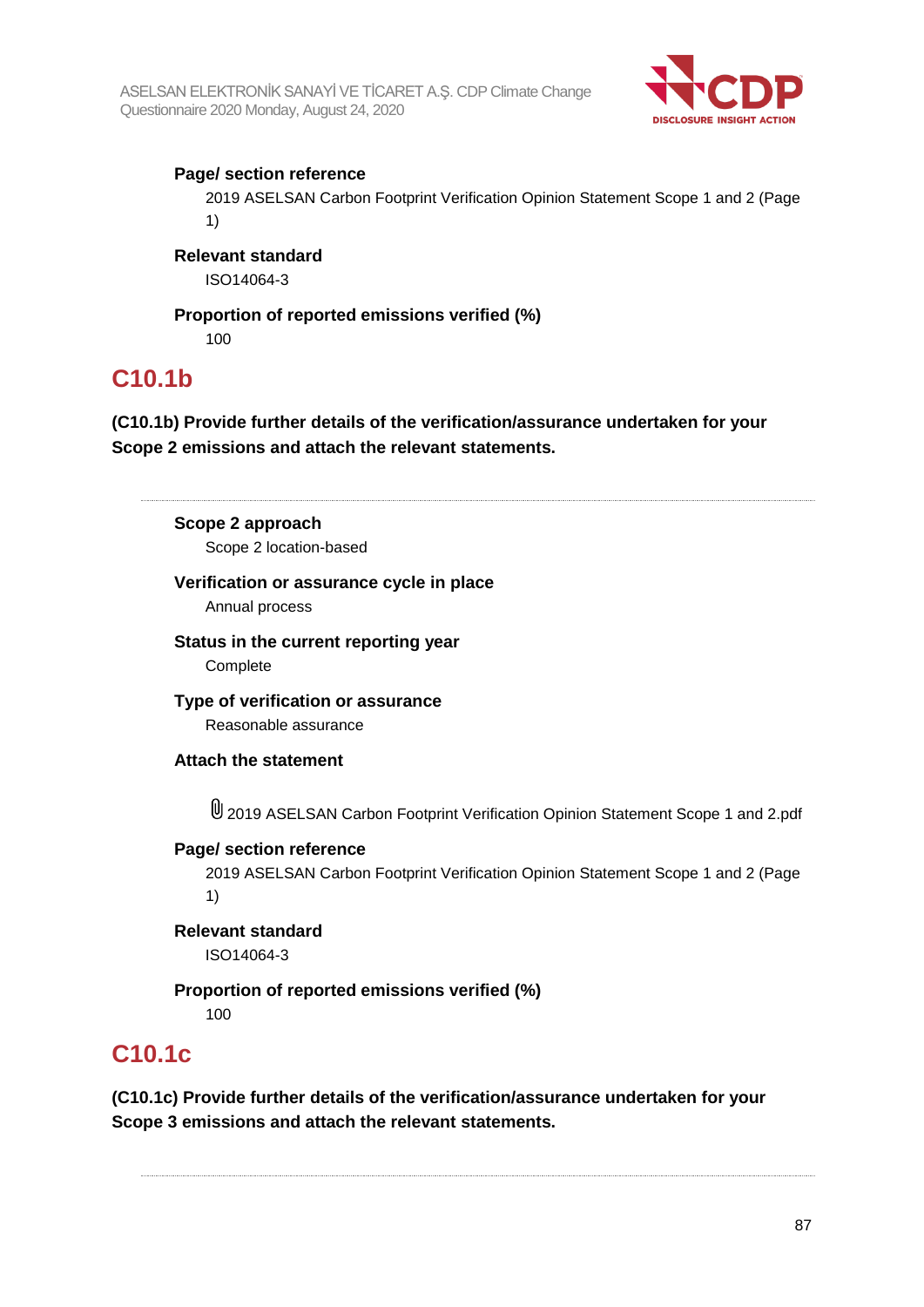

### **Page/ section reference**

2019 ASELSAN Carbon Footprint Verification Opinion Statement Scope 1 and 2 (Page 1)

#### **Relevant standard**

ISO14064-3

## **Proportion of reported emissions verified (%)**

100

## **C10.1b**

**(C10.1b) Provide further details of the verification/assurance undertaken for your Scope 2 emissions and attach the relevant statements.**

## **Scope 2 approach**

Scope 2 location-based

### **Verification or assurance cycle in place**

Annual process

**Status in the current reporting year** Complete

**Type of verification or assurance** Reasonable assurance

### **Attach the statement**

2019 ASELSAN Carbon Footprint Verification Opinion Statement Scope 1 and 2.pdf

#### **Page/ section reference**

2019 ASELSAN Carbon Footprint Verification Opinion Statement Scope 1 and 2 (Page 1)

#### **Relevant standard** ISO14064-3

**Proportion of reported emissions verified (%)** 100

## **C10.1c**

**(C10.1c) Provide further details of the verification/assurance undertaken for your Scope 3 emissions and attach the relevant statements.**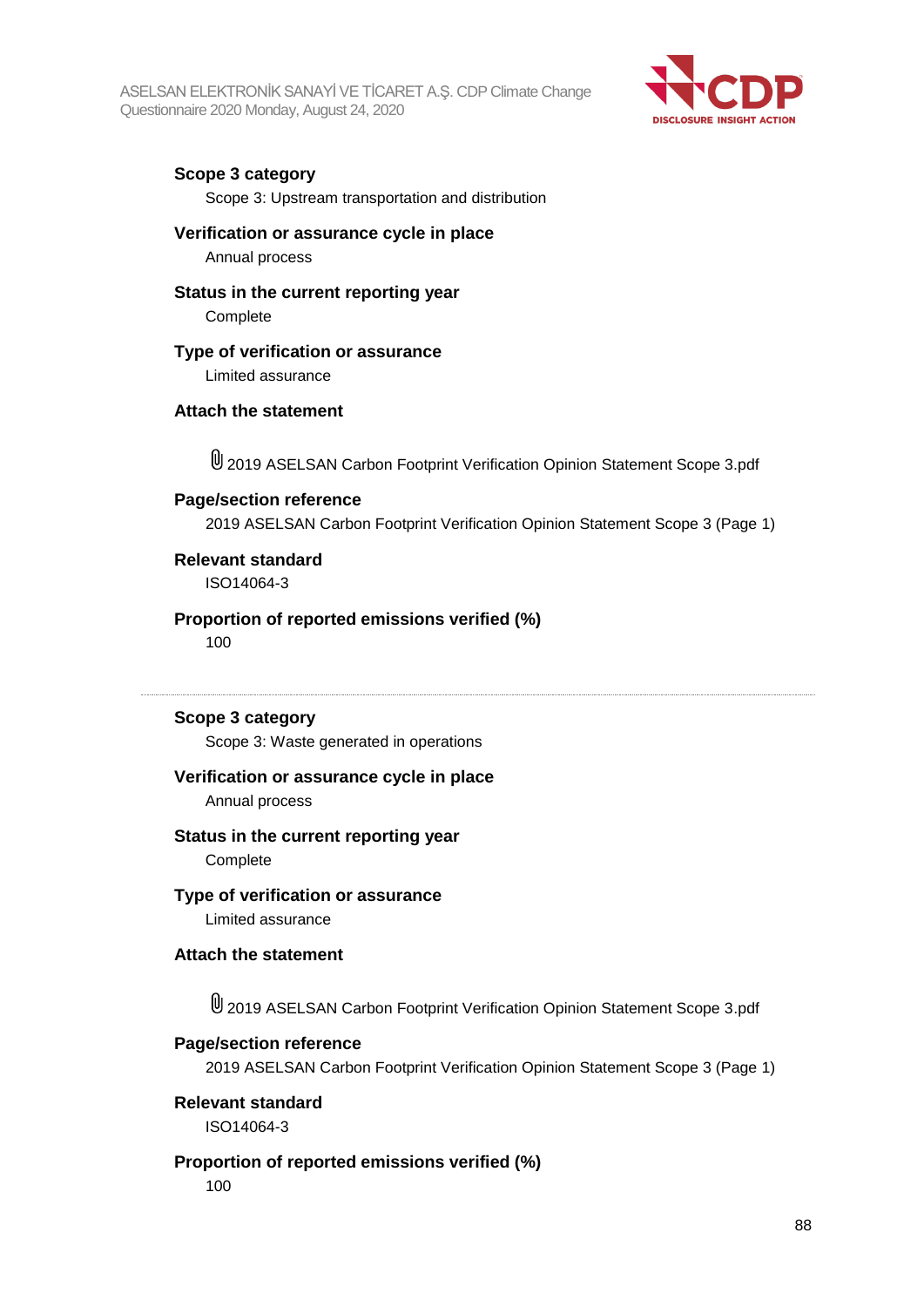

### **Scope 3 category**

Scope 3: Upstream transportation and distribution

#### **Verification or assurance cycle in place**

Annual process

#### **Status in the current reporting year**

Complete

#### **Type of verification or assurance**

Limited assurance

#### **Attach the statement**

2019 ASELSAN Carbon Footprint Verification Opinion Statement Scope 3.pdf

#### **Page/section reference**

2019 ASELSAN Carbon Footprint Verification Opinion Statement Scope 3 (Page 1)

## **Relevant standard**

ISO14064-3

### **Proportion of reported emissions verified (%)**

100

#### **Scope 3 category**

Scope 3: Waste generated in operations

#### **Verification or assurance cycle in place**

Annual process

#### **Status in the current reporting year**

**Complete** 

## **Type of verification or assurance**

Limited assurance

#### **Attach the statement**

U 2019 ASELSAN Carbon Footprint Verification Opinion Statement Scope 3.pdf

#### **Page/section reference**

2019 ASELSAN Carbon Footprint Verification Opinion Statement Scope 3 (Page 1)

#### **Relevant standard**

ISO14064-3

#### **Proportion of reported emissions verified (%)**

100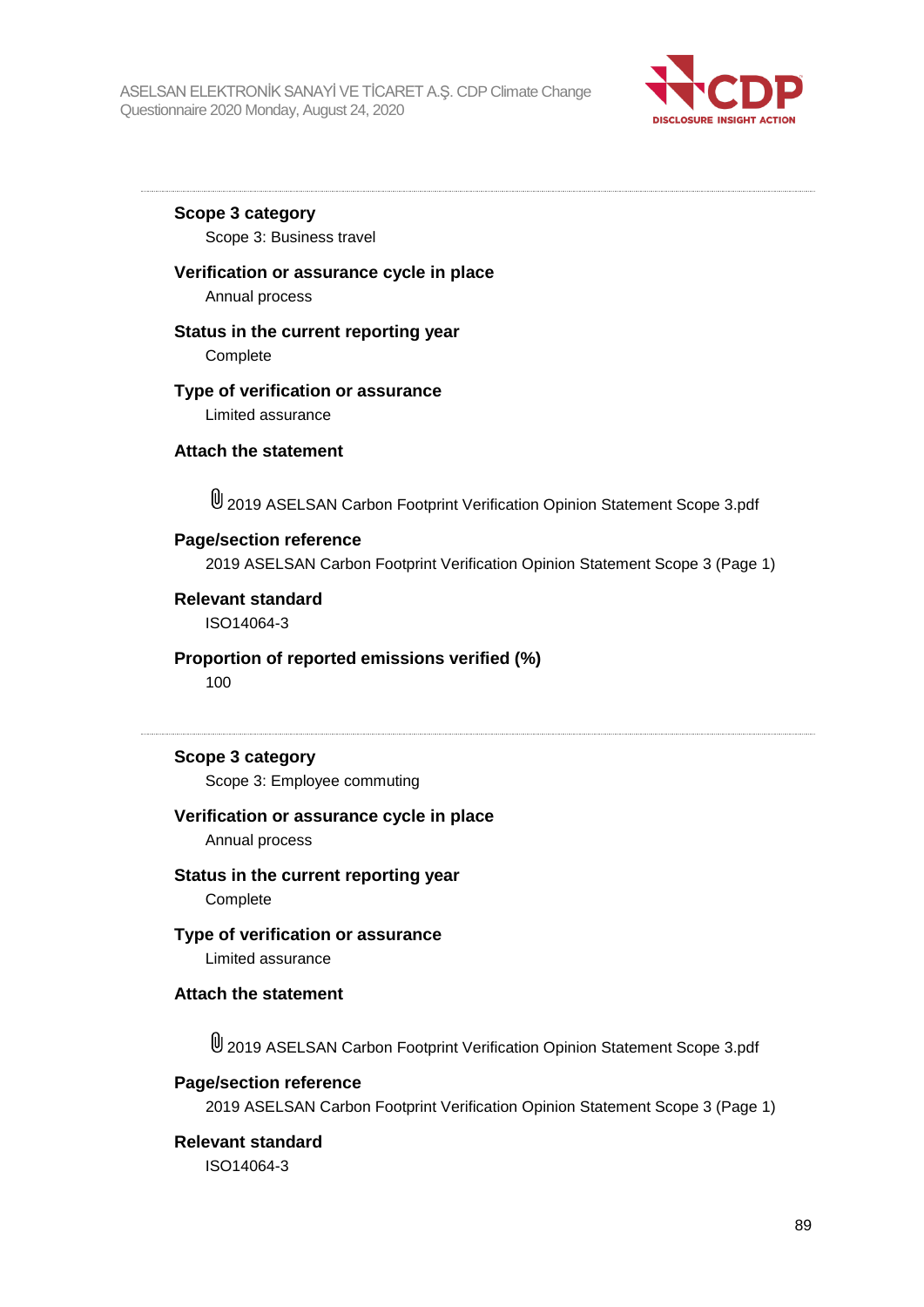

**Scope 3 category**

Scope 3: Business travel

### **Verification or assurance cycle in place**

Annual process

#### **Status in the current reporting year**

**Complete** 

### **Type of verification or assurance**

Limited assurance

#### **Attach the statement**

2019 ASELSAN Carbon Footprint Verification Opinion Statement Scope 3.pdf

#### **Page/section reference**

2019 ASELSAN Carbon Footprint Verification Opinion Statement Scope 3 (Page 1)

#### **Relevant standard**

ISO14064-3

#### **Proportion of reported emissions verified (%)**

100

### **Scope 3 category**

Scope 3: Employee commuting

#### **Verification or assurance cycle in place**

Annual process

**Status in the current reporting year Complete** 

#### **Type of verification or assurance** Limited assurance

#### **Attach the statement**

2019 ASELSAN Carbon Footprint Verification Opinion Statement Scope 3.pdf

#### **Page/section reference**

2019 ASELSAN Carbon Footprint Verification Opinion Statement Scope 3 (Page 1)

#### **Relevant standard**

ISO14064-3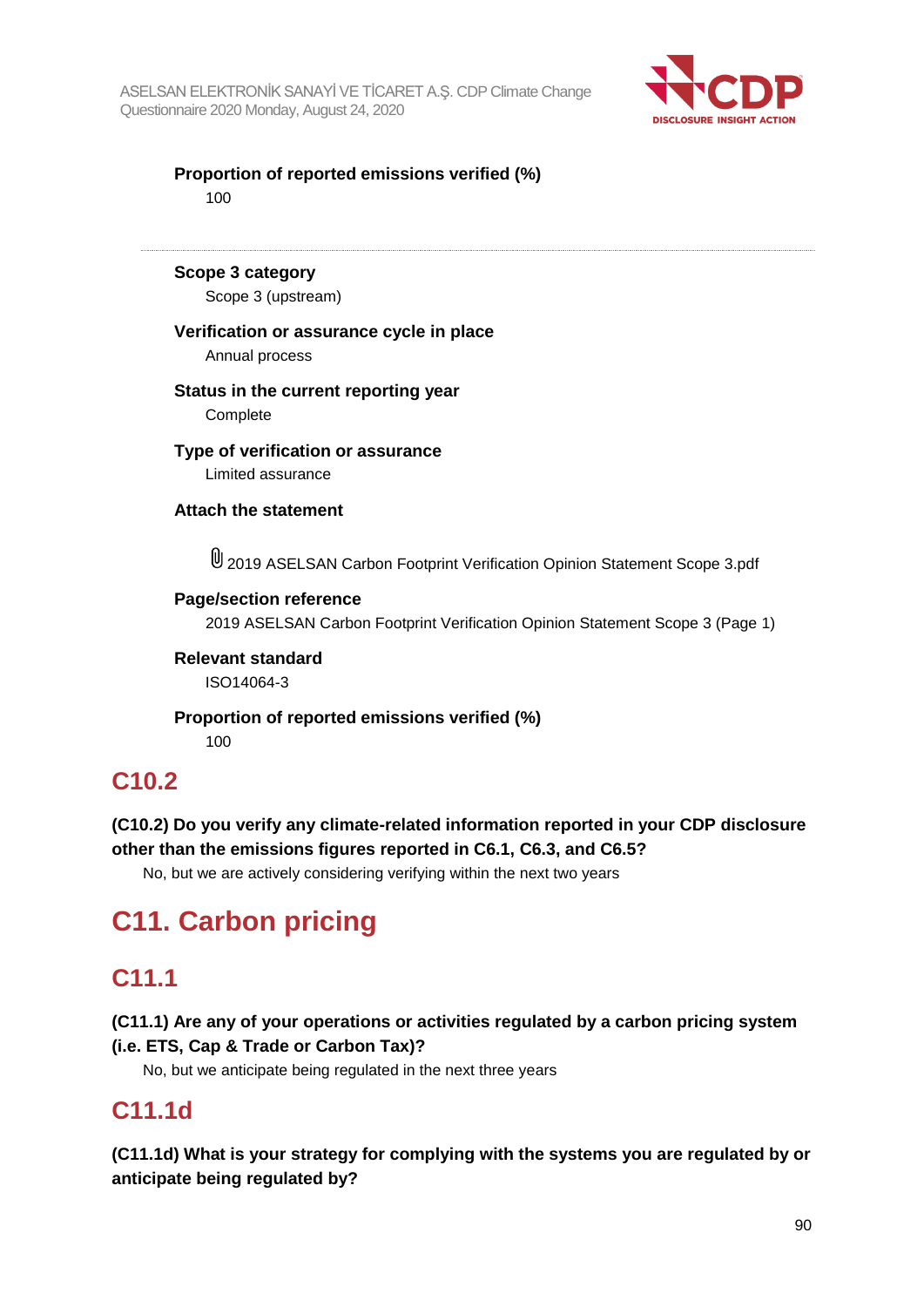

**Proportion of reported emissions verified (%)** 100

**Scope 3 category**

Scope 3 (upstream)

### **Verification or assurance cycle in place**

Annual process

#### **Status in the current reporting year Complete**

**Type of verification or assurance** Limited assurance

**Attach the statement**

2019 ASELSAN Carbon Footprint Verification Opinion Statement Scope 3.pdf

### **Page/section reference**

2019 ASELSAN Carbon Footprint Verification Opinion Statement Scope 3 (Page 1)

**Relevant standard** ISO14064-3

**Proportion of reported emissions verified (%)** 100

## **C10.2**

**(C10.2) Do you verify any climate-related information reported in your CDP disclosure other than the emissions figures reported in C6.1, C6.3, and C6.5?**

No, but we are actively considering verifying within the next two years

# **C11. Carbon pricing**

## **C11.1**

**(C11.1) Are any of your operations or activities regulated by a carbon pricing system (i.e. ETS, Cap & Trade or Carbon Tax)?**

No, but we anticipate being regulated in the next three years

## **C11.1d**

**(C11.1d) What is your strategy for complying with the systems you are regulated by or anticipate being regulated by?**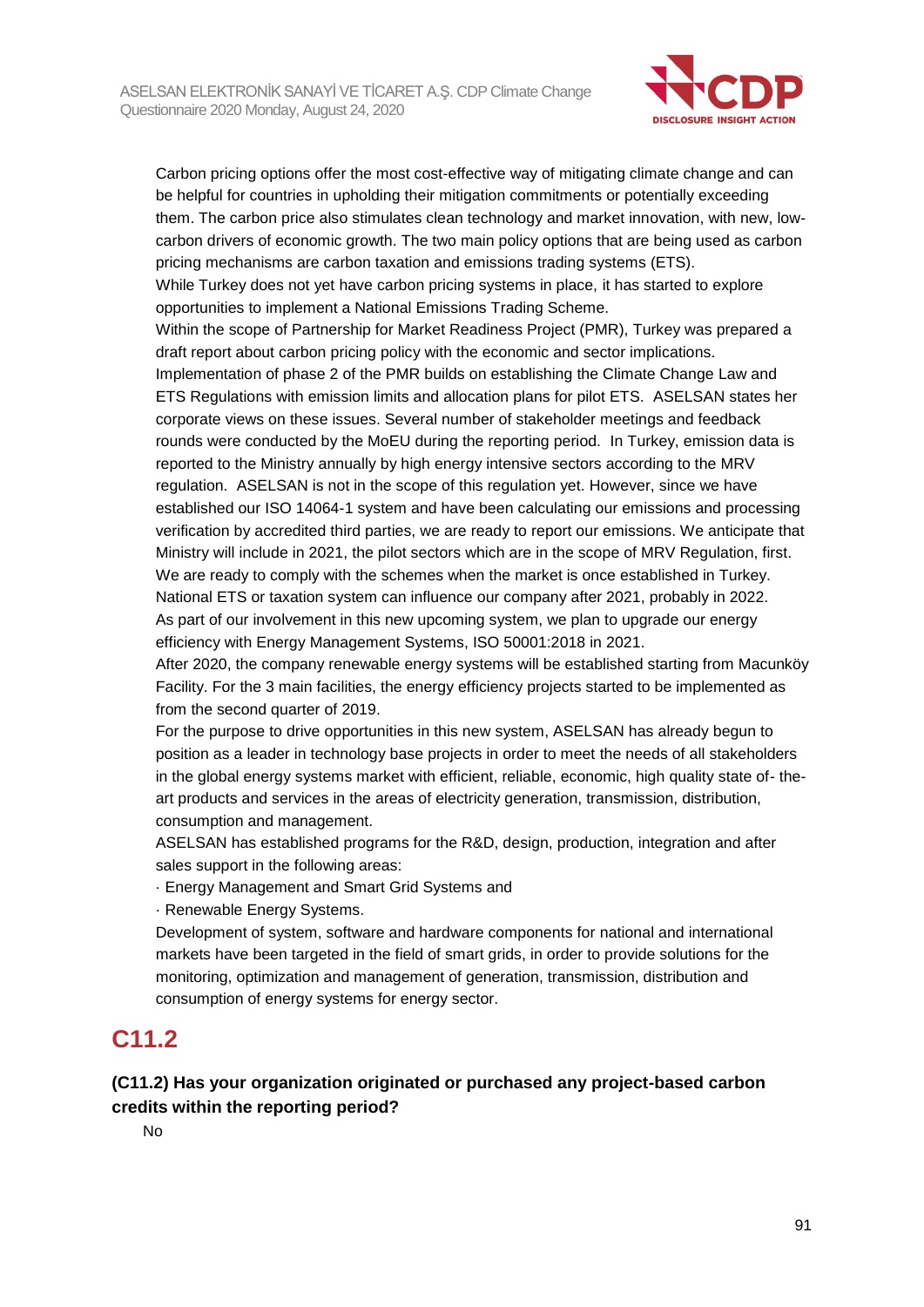

Carbon pricing options offer the most cost-effective way of mitigating climate change and can be helpful for countries in upholding their mitigation commitments or potentially exceeding them. The carbon price also stimulates clean technology and market innovation, with new, lowcarbon drivers of economic growth. The two main policy options that are being used as carbon pricing mechanisms are carbon taxation and emissions trading systems (ETS).

While Turkey does not yet have carbon pricing systems in place, it has started to explore opportunities to implement a National Emissions Trading Scheme.

Within the scope of Partnership for Market Readiness Project (PMR), Turkey was prepared a draft report about carbon pricing policy with the economic and sector implications.

Implementation of phase 2 of the PMR builds on establishing the Climate Change Law and ETS Regulations with emission limits and allocation plans for pilot ETS. ASELSAN states her corporate views on these issues. Several number of stakeholder meetings and feedback rounds were conducted by the MoEU during the reporting period. In Turkey, emission data is reported to the Ministry annually by high energy intensive sectors according to the MRV regulation. ASELSAN is not in the scope of this regulation yet. However, since we have established our ISO 14064-1 system and have been calculating our emissions and processing verification by accredited third parties, we are ready to report our emissions. We anticipate that Ministry will include in 2021, the pilot sectors which are in the scope of MRV Regulation, first. We are ready to comply with the schemes when the market is once established in Turkey. National ETS or taxation system can influence our company after 2021, probably in 2022. As part of our involvement in this new upcoming system, we plan to upgrade our energy efficiency with Energy Management Systems, ISO 50001:2018 in 2021.

After 2020, the company renewable energy systems will be established starting from Macunköy Facility. For the 3 main facilities, the energy efficiency projects started to be implemented as from the second quarter of 2019.

For the purpose to drive opportunities in this new system, ASELSAN has already begun to position as a leader in technology base projects in order to meet the needs of all stakeholders in the global energy systems market with efficient, reliable, economic, high quality state of- theart products and services in the areas of electricity generation, transmission, distribution, consumption and management.

ASELSAN has established programs for the R&D, design, production, integration and after sales support in the following areas:

· Energy Management and Smart Grid Systems and

· Renewable Energy Systems.

Development of system, software and hardware components for national and international markets have been targeted in the field of smart grids, in order to provide solutions for the monitoring, optimization and management of generation, transmission, distribution and consumption of energy systems for energy sector.

## **C11.2**

## **(C11.2) Has your organization originated or purchased any project-based carbon credits within the reporting period?**

No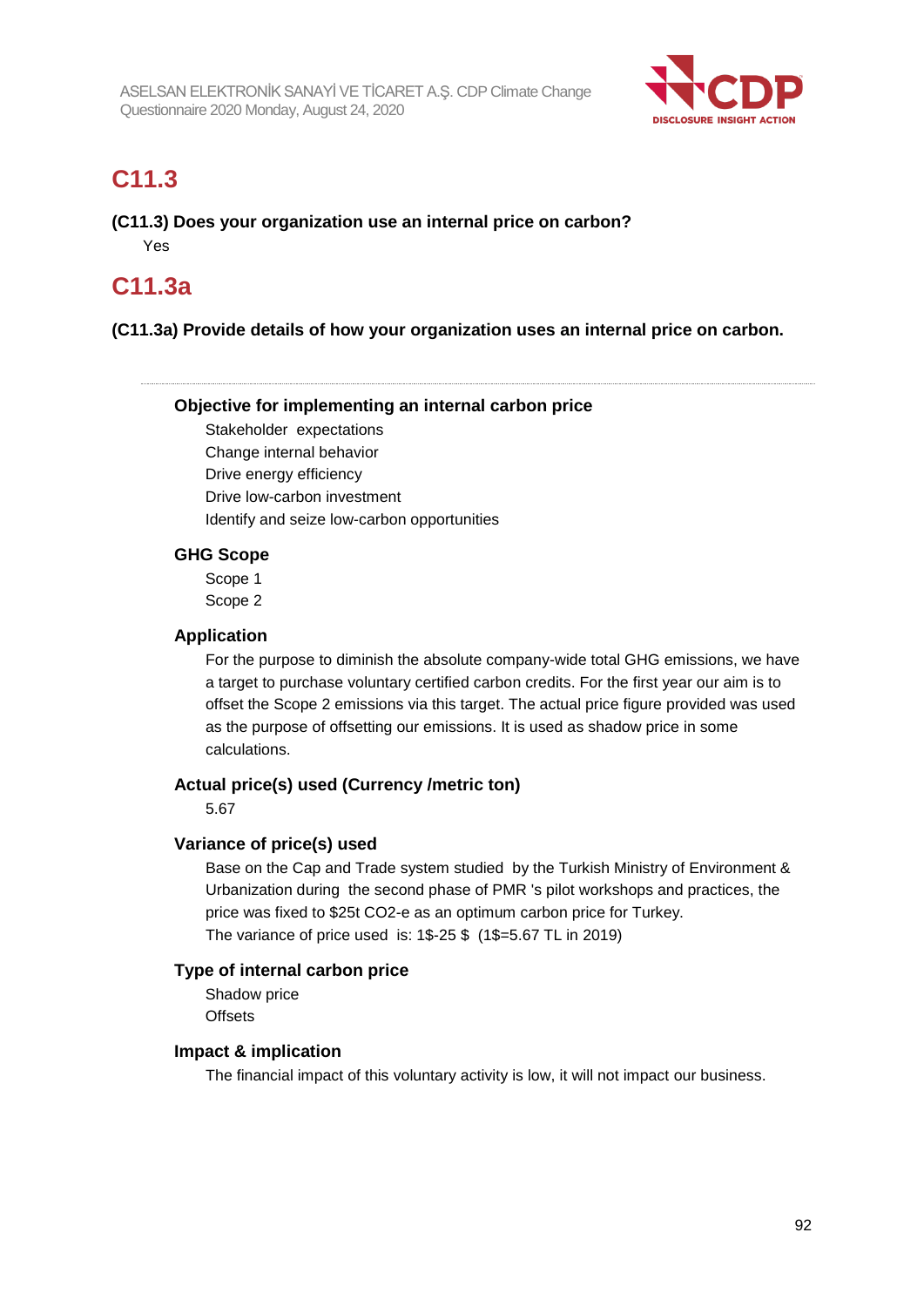

## **C11.3**

**(C11.3) Does your organization use an internal price on carbon?** Yes

## **C11.3a**

### **(C11.3a) Provide details of how your organization uses an internal price on carbon.**

#### **Objective for implementing an internal carbon price**

Stakeholder expectations Change internal behavior Drive energy efficiency Drive low-carbon investment Identify and seize low-carbon opportunities

#### **GHG Scope**

Scope 1 Scope 2

#### **Application**

For the purpose to diminish the absolute company-wide total GHG emissions, we have a target to purchase voluntary certified carbon credits. For the first year our aim is to offset the Scope 2 emissions via this target. The actual price figure provided was used as the purpose of offsetting our emissions. It is used as shadow price in some calculations.

#### **Actual price(s) used (Currency /metric ton)**

5.67

#### **Variance of price(s) used**

Base on the Cap and Trade system studied by the Turkish Ministry of Environment & Urbanization during the second phase of PMR 's pilot workshops and practices, the price was fixed to \$25t CO2-e as an optimum carbon price for Turkey. The variance of price used is: 1\$-25 \$ (1\$=5.67 TL in 2019)

#### **Type of internal carbon price**

Shadow price **Offsets** 

#### **Impact & implication**

The financial impact of this voluntary activity is low, it will not impact our business.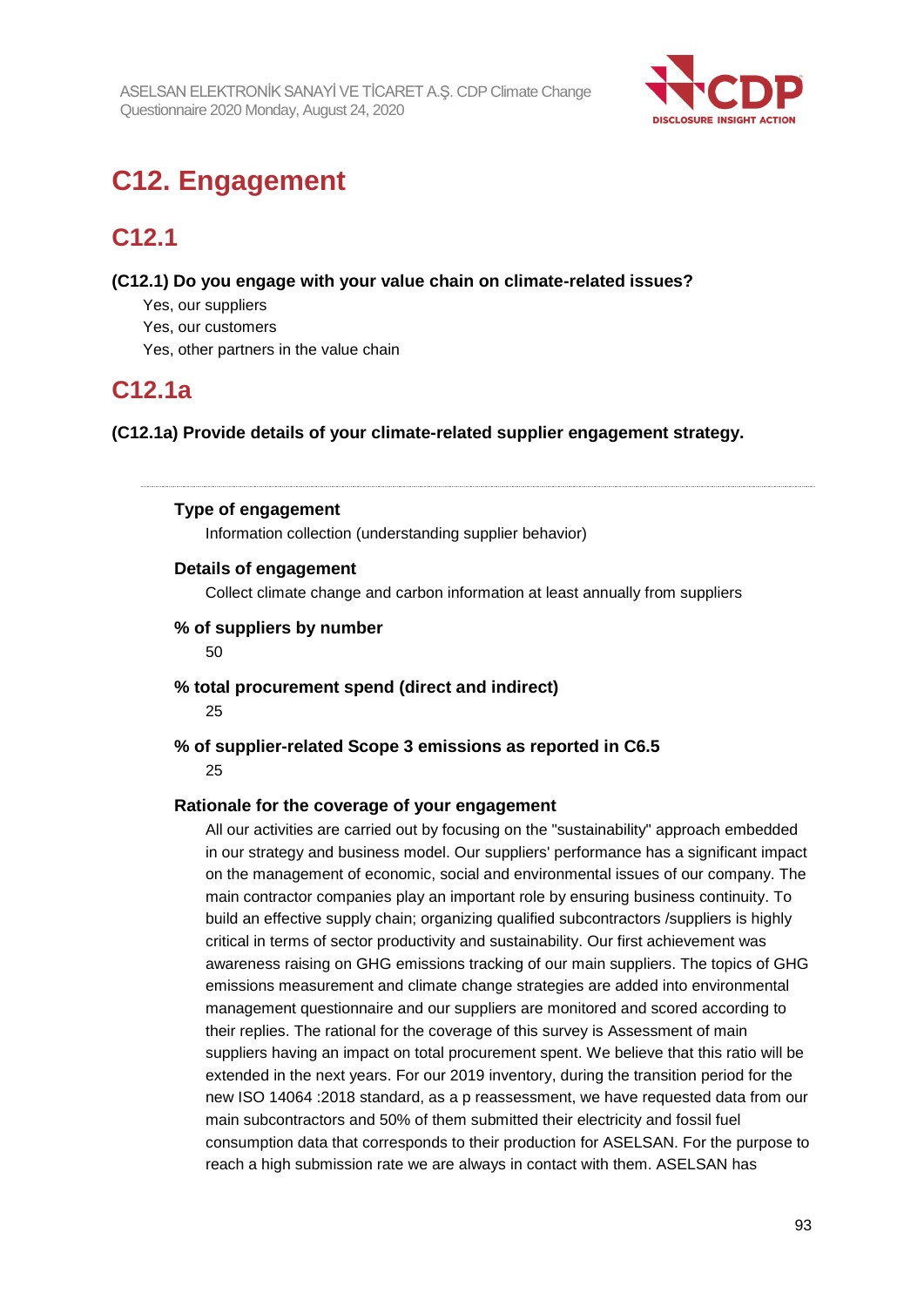

# **C12. Engagement**

## **C12.1**

**(C12.1) Do you engage with your value chain on climate-related issues?**

- Yes, our suppliers
- Yes, our customers
- Yes, other partners in the value chain

## **C12.1a**

**(C12.1a) Provide details of your climate-related supplier engagement strategy.**

### **Type of engagement**

Information collection (understanding supplier behavior)

### **Details of engagement**

Collect climate change and carbon information at least annually from suppliers

### **% of suppliers by number**

50

**% total procurement spend (direct and indirect)**

25

#### **% of supplier-related Scope 3 emissions as reported in C6.5** 25

### **Rationale for the coverage of your engagement**

All our activities are carried out by focusing on the "sustainability" approach embedded in our strategy and business model. Our suppliers' performance has a significant impact on the management of economic, social and environmental issues of our company. The main contractor companies play an important role by ensuring business continuity. To build an effective supply chain; organizing qualified subcontractors /suppliers is highly critical in terms of sector productivity and sustainability. Our first achievement was awareness raising on GHG emissions tracking of our main suppliers. The topics of GHG emissions measurement and climate change strategies are added into environmental management questionnaire and our suppliers are monitored and scored according to their replies. The rational for the coverage of this survey is Assessment of main suppliers having an impact on total procurement spent. We believe that this ratio will be extended in the next years. For our 2019 inventory, during the transition period for the new ISO 14064 :2018 standard, as a p reassessment, we have requested data from our main subcontractors and 50% of them submitted their electricity and fossil fuel consumption data that corresponds to their production for ASELSAN. For the purpose to reach a high submission rate we are always in contact with them. ASELSAN has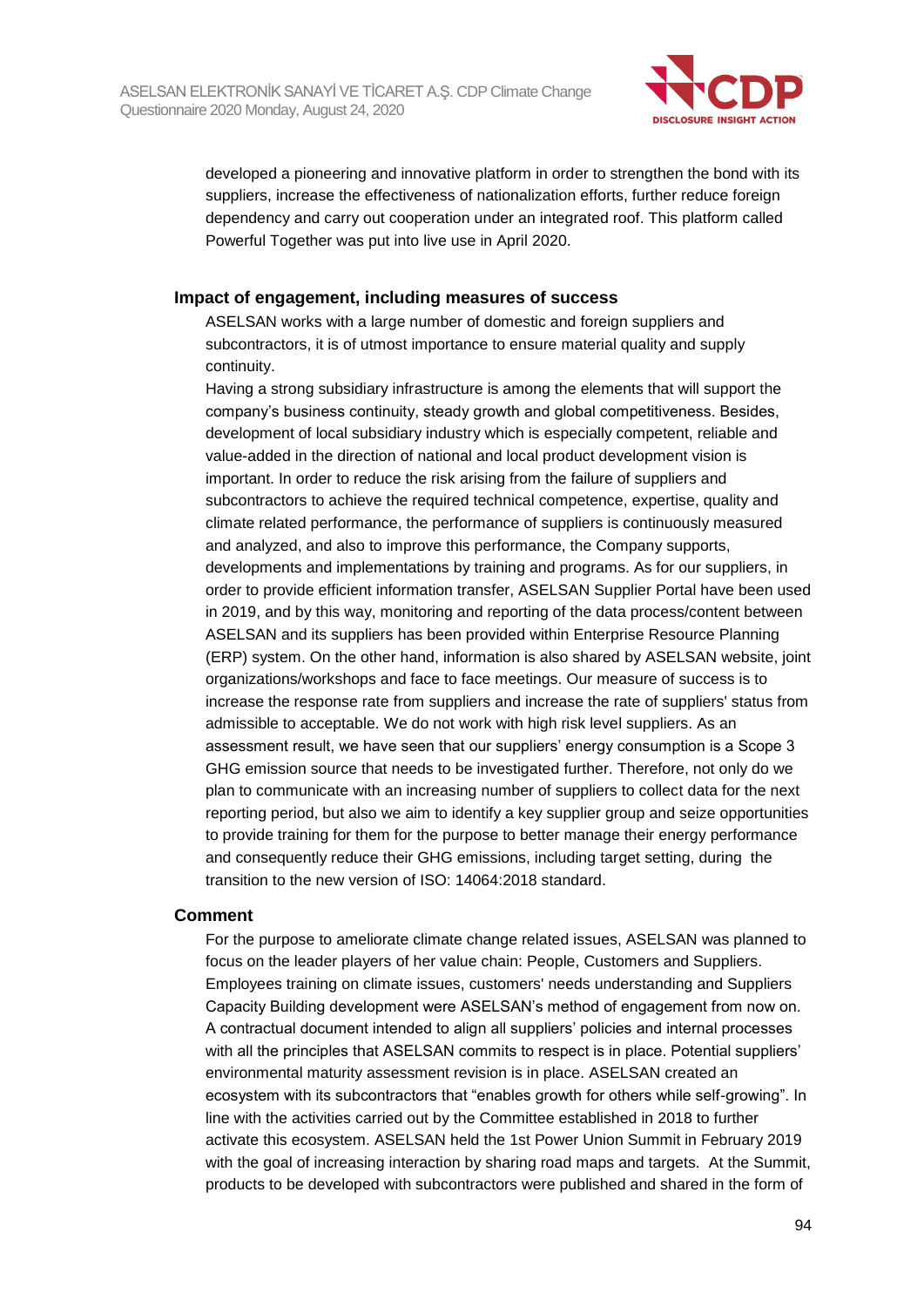

developed a pioneering and innovative platform in order to strengthen the bond with its suppliers, increase the effectiveness of nationalization efforts, further reduce foreign dependency and carry out cooperation under an integrated roof. This platform called Powerful Together was put into live use in April 2020.

#### **Impact of engagement, including measures of success**

ASELSAN works with a large number of domestic and foreign suppliers and subcontractors, it is of utmost importance to ensure material quality and supply continuity.

Having a strong subsidiary infrastructure is among the elements that will support the company's business continuity, steady growth and global competitiveness. Besides, development of local subsidiary industry which is especially competent, reliable and value-added in the direction of national and local product development vision is important. In order to reduce the risk arising from the failure of suppliers and subcontractors to achieve the required technical competence, expertise, quality and climate related performance, the performance of suppliers is continuously measured and analyzed, and also to improve this performance, the Company supports, developments and implementations by training and programs. As for our suppliers, in order to provide efficient information transfer, ASELSAN Supplier Portal have been used in 2019, and by this way, monitoring and reporting of the data process/content between ASELSAN and its suppliers has been provided within Enterprise Resource Planning (ERP) system. On the other hand, information is also shared by ASELSAN website, joint organizations/workshops and face to face meetings. Our measure of success is to increase the response rate from suppliers and increase the rate of suppliers' status from admissible to acceptable. We do not work with high risk level suppliers. As an assessment result, we have seen that our suppliers' energy consumption is a Scope 3 GHG emission source that needs to be investigated further. Therefore, not only do we plan to communicate with an increasing number of suppliers to collect data for the next reporting period, but also we aim to identify a key supplier group and seize opportunities to provide training for them for the purpose to better manage their energy performance and consequently reduce their GHG emissions, including target setting, during the transition to the new version of ISO: 14064:2018 standard.

#### **Comment**

For the purpose to ameliorate climate change related issues, ASELSAN was planned to focus on the leader players of her value chain: People, Customers and Suppliers. Employees training on climate issues, customers' needs understanding and Suppliers Capacity Building development were ASELSAN's method of engagement from now on. A contractual document intended to align all suppliers' policies and internal processes with all the principles that ASELSAN commits to respect is in place. Potential suppliers' environmental maturity assessment revision is in place. ASELSAN created an ecosystem with its subcontractors that "enables growth for others while self-growing". In line with the activities carried out by the Committee established in 2018 to further activate this ecosystem. ASELSAN held the 1st Power Union Summit in February 2019 with the goal of increasing interaction by sharing road maps and targets. At the Summit, products to be developed with subcontractors were published and shared in the form of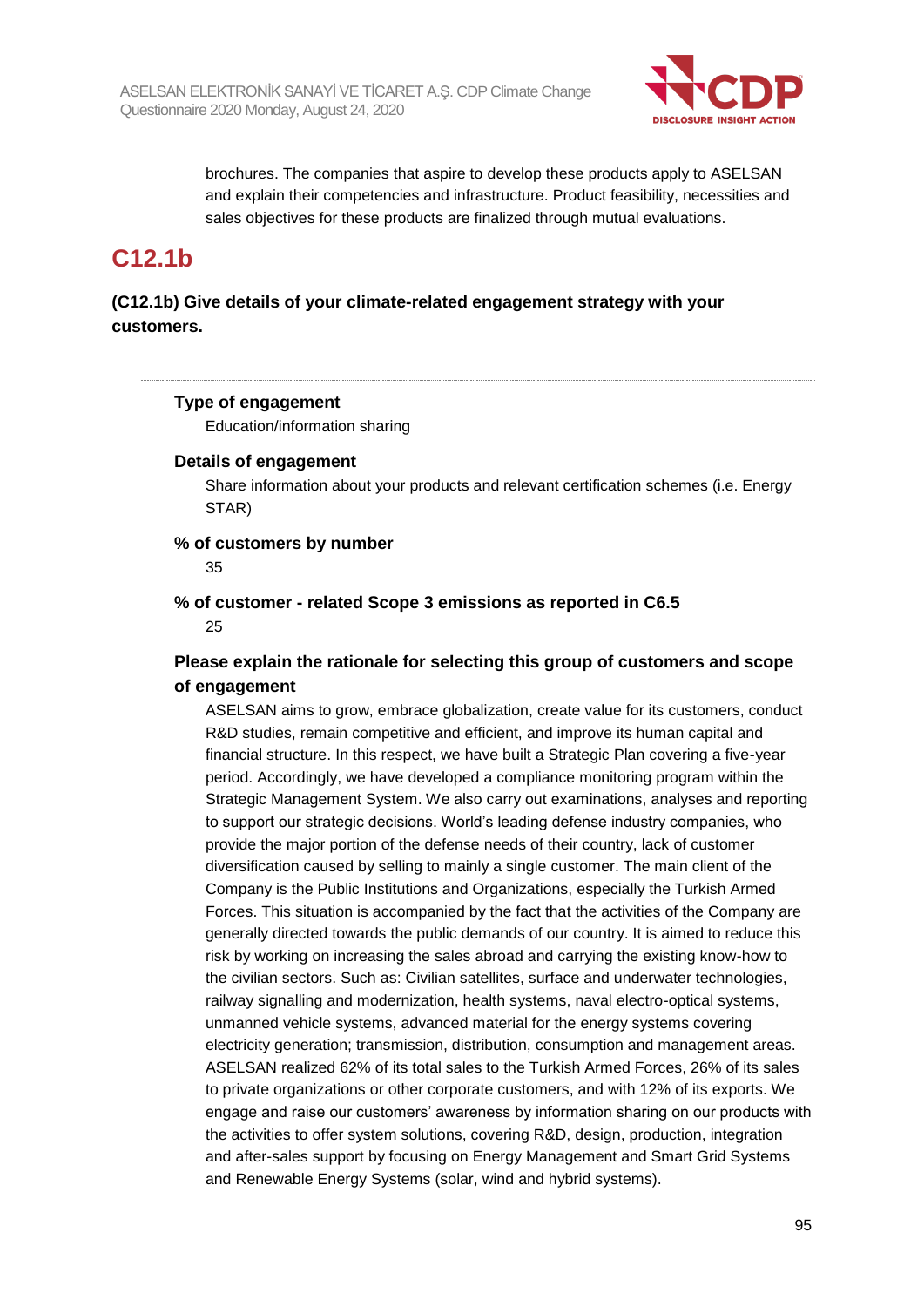

brochures. The companies that aspire to develop these products apply to ASELSAN and explain their competencies and infrastructure. Product feasibility, necessities and sales objectives for these products are finalized through mutual evaluations.

## **C12.1b**

## **(C12.1b) Give details of your climate-related engagement strategy with your customers.**

### **Type of engagement**

Education/information sharing

#### **Details of engagement**

Share information about your products and relevant certification schemes (i.e. Energy STAR)

#### **% of customers by number**

35

### **% of customer - related Scope 3 emissions as reported in C6.5** 25

### **Please explain the rationale for selecting this group of customers and scope of engagement**

ASELSAN aims to grow, embrace globalization, create value for its customers, conduct R&D studies, remain competitive and efficient, and improve its human capital and financial structure. In this respect, we have built a Strategic Plan covering a five-year period. Accordingly, we have developed a compliance monitoring program within the Strategic Management System. We also carry out examinations, analyses and reporting to support our strategic decisions. World's leading defense industry companies, who provide the major portion of the defense needs of their country, lack of customer diversification caused by selling to mainly a single customer. The main client of the Company is the Public Institutions and Organizations, especially the Turkish Armed Forces. This situation is accompanied by the fact that the activities of the Company are generally directed towards the public demands of our country. It is aimed to reduce this risk by working on increasing the sales abroad and carrying the existing know-how to the civilian sectors. Such as: Civilian satellites, surface and underwater technologies, railway signalling and modernization, health systems, naval electro-optical systems, unmanned vehicle systems, advanced material for the energy systems covering electricity generation; transmission, distribution, consumption and management areas. ASELSAN realized 62% of its total sales to the Turkish Armed Forces, 26% of its sales to private organizations or other corporate customers, and with 12% of its exports. We engage and raise our customers' awareness by information sharing on our products with the activities to offer system solutions, covering R&D, design, production, integration and after-sales support by focusing on Energy Management and Smart Grid Systems and Renewable Energy Systems (solar, wind and hybrid systems).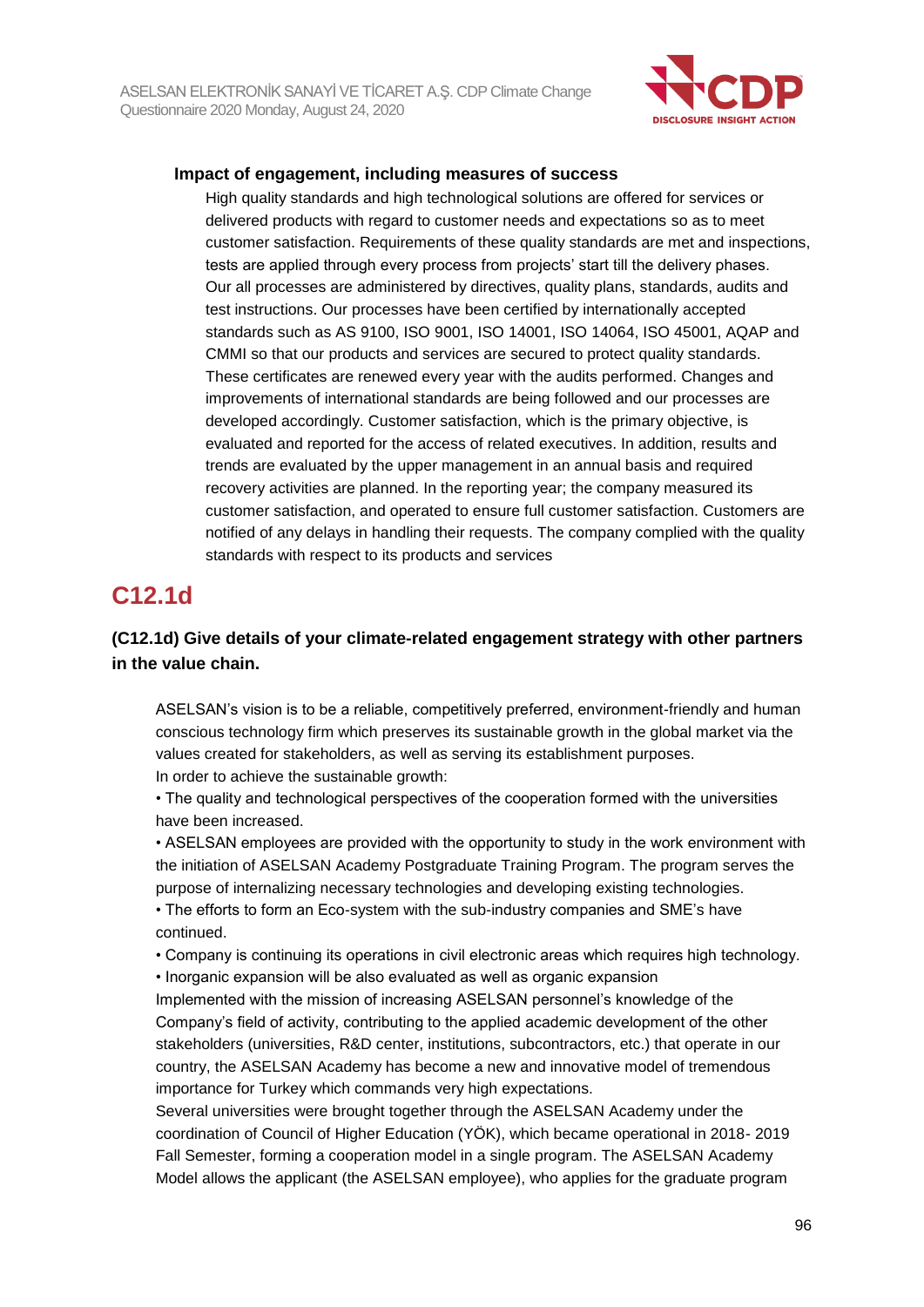

### **Impact of engagement, including measures of success**

High quality standards and high technological solutions are offered for services or delivered products with regard to customer needs and expectations so as to meet customer satisfaction. Requirements of these quality standards are met and inspections, tests are applied through every process from projects' start till the delivery phases. Our all processes are administered by directives, quality plans, standards, audits and test instructions. Our processes have been certified by internationally accepted standards such as AS 9100, ISO 9001, ISO 14001, ISO 14064, ISO 45001, AQAP and CMMI so that our products and services are secured to protect quality standards. These certificates are renewed every year with the audits performed. Changes and improvements of international standards are being followed and our processes are developed accordingly. Customer satisfaction, which is the primary objective, is evaluated and reported for the access of related executives. In addition, results and trends are evaluated by the upper management in an annual basis and required recovery activities are planned. In the reporting year; the company measured its customer satisfaction, and operated to ensure full customer satisfaction. Customers are notified of any delays in handling their requests. The company complied with the quality standards with respect to its products and services

## **C12.1d**

### **(C12.1d) Give details of your climate-related engagement strategy with other partners in the value chain.**

ASELSAN's vision is to be a reliable, competitively preferred, environment-friendly and human conscious technology firm which preserves its sustainable growth in the global market via the values created for stakeholders, as well as serving its establishment purposes. In order to achieve the sustainable growth:

• The quality and technological perspectives of the cooperation formed with the universities have been increased.

• ASELSAN employees are provided with the opportunity to study in the work environment with the initiation of ASELSAN Academy Postgraduate Training Program. The program serves the purpose of internalizing necessary technologies and developing existing technologies.

• The efforts to form an Eco-system with the sub-industry companies and SME's have continued.

• Company is continuing its operations in civil electronic areas which requires high technology.

• Inorganic expansion will be also evaluated as well as organic expansion

Implemented with the mission of increasing ASELSAN personnel's knowledge of the Company's field of activity, contributing to the applied academic development of the other stakeholders (universities, R&D center, institutions, subcontractors, etc.) that operate in our country, the ASELSAN Academy has become a new and innovative model of tremendous importance for Turkey which commands very high expectations.

Several universities were brought together through the ASELSAN Academy under the coordination of Council of Higher Education (YÖK), which became operational in 2018- 2019 Fall Semester, forming a cooperation model in a single program. The ASELSAN Academy Model allows the applicant (the ASELSAN employee), who applies for the graduate program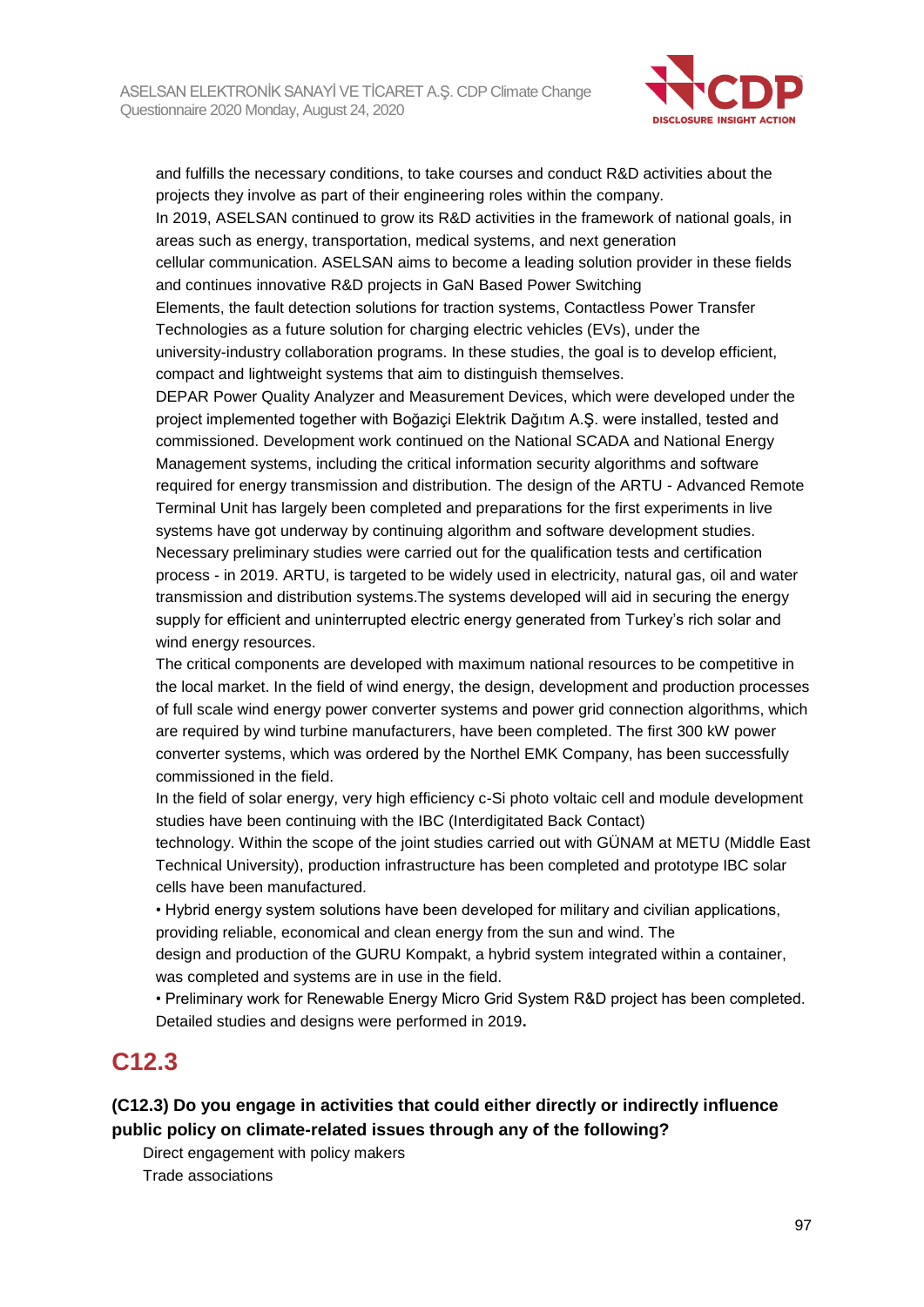

and fulfills the necessary conditions, to take courses and conduct R&D activities about the projects they involve as part of their engineering roles within the company.

In 2019, ASELSAN continued to grow its R&D activities in the framework of national goals, in areas such as energy, transportation, medical systems, and next generation

cellular communication. ASELSAN aims to become a leading solution provider in these fields and continues innovative R&D projects in GaN Based Power Switching

Elements, the fault detection solutions for traction systems, Contactless Power Transfer Technologies as a future solution for charging electric vehicles (EVs), under the university-industry collaboration programs. In these studies, the goal is to develop efficient, compact and lightweight systems that aim to distinguish themselves.

DEPAR Power Quality Analyzer and Measurement Devices, which were developed under the project implemented together with Boğaziçi Elektrik Dağıtım A.Ş. were installed, tested and commissioned. Development work continued on the National SCADA and National Energy Management systems, including the critical information security algorithms and software required for energy transmission and distribution. The design of the ARTU - Advanced Remote Terminal Unit has largely been completed and preparations for the first experiments in live systems have got underway by continuing algorithm and software development studies. Necessary preliminary studies were carried out for the qualification tests and certification process - in 2019. ARTU, is targeted to be widely used in electricity, natural gas, oil and water transmission and distribution systems.The systems developed will aid in securing the energy supply for efficient and uninterrupted electric energy generated from Turkey's rich solar and wind energy resources.

The critical components are developed with maximum national resources to be competitive in the local market. In the field of wind energy, the design, development and production processes of full scale wind energy power converter systems and power grid connection algorithms, which are required by wind turbine manufacturers, have been completed. The first 300 kW power converter systems, which was ordered by the Northel EMK Company, has been successfully commissioned in the field.

In the field of solar energy, very high efficiency c-Si photo voltaic cell and module development studies have been continuing with the IBC (Interdigitated Back Contact)

technology. Within the scope of the joint studies carried out with GÜNAM at METU (Middle East Technical University), production infrastructure has been completed and prototype IBC solar cells have been manufactured.

• Hybrid energy system solutions have been developed for military and civilian applications, providing reliable, economical and clean energy from the sun and wind. The

design and production of the GURU Kompakt, a hybrid system integrated within a container, was completed and systems are in use in the field.

• Preliminary work for Renewable Energy Micro Grid System R&D project has been completed. Detailed studies and designs were performed in 2019**.**

## **C12.3**

**(C12.3) Do you engage in activities that could either directly or indirectly influence public policy on climate-related issues through any of the following?**

Direct engagement with policy makers Trade associations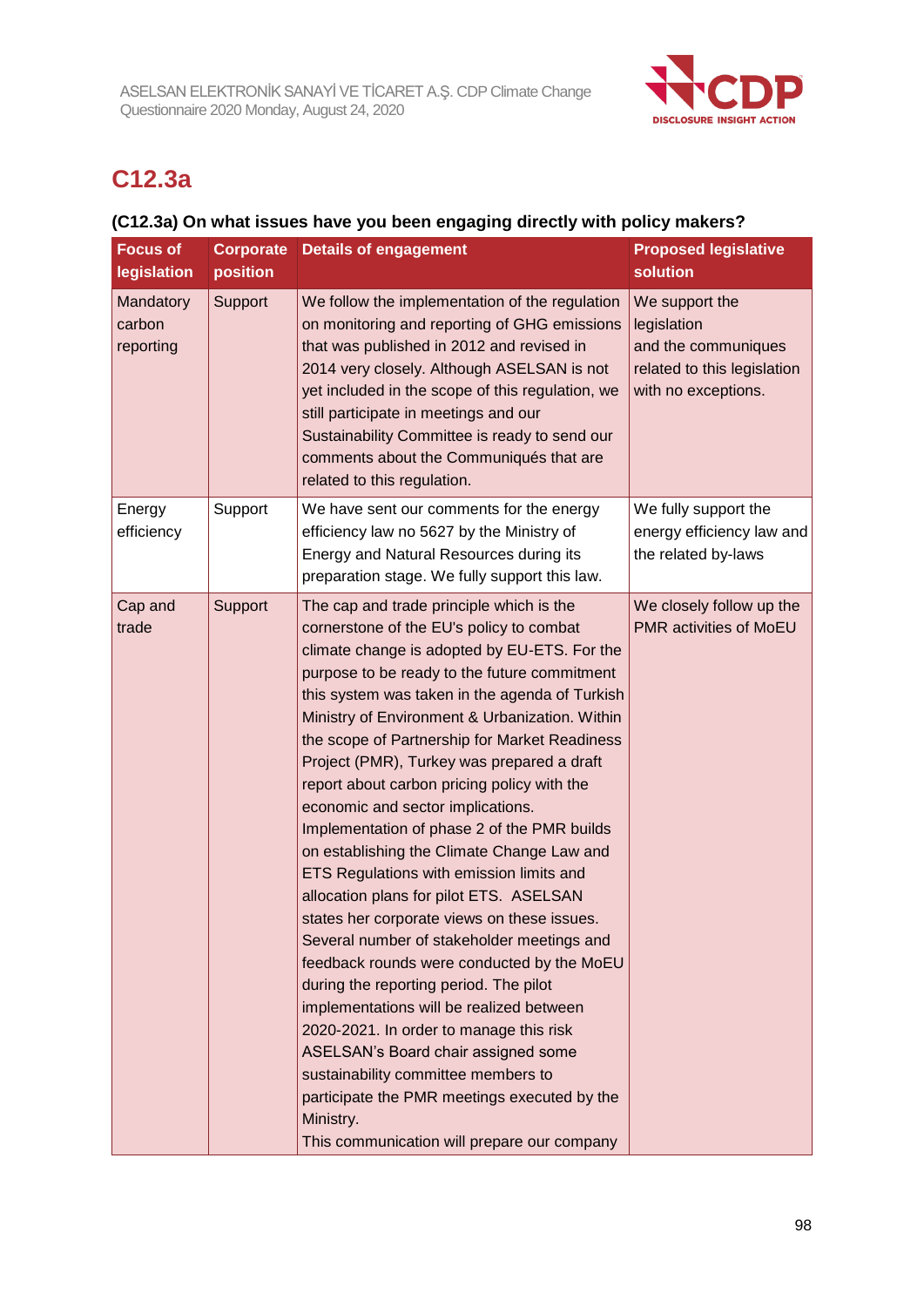

## **C12.3a**

## **(C12.3a) On what issues have you been engaging directly with policy makers?**

| <b>Focus of</b><br>legislation   | <b>Corporate</b><br>position | <b>Details of engagement</b>                                                                                                                                                                                                                                                                                                                                                                                                                                                                                                                                                                                                                                                                                                                                                                                                                                                                                                                                                                                                                                                                                                          | <b>Proposed legislative</b><br>solution                                                                    |
|----------------------------------|------------------------------|---------------------------------------------------------------------------------------------------------------------------------------------------------------------------------------------------------------------------------------------------------------------------------------------------------------------------------------------------------------------------------------------------------------------------------------------------------------------------------------------------------------------------------------------------------------------------------------------------------------------------------------------------------------------------------------------------------------------------------------------------------------------------------------------------------------------------------------------------------------------------------------------------------------------------------------------------------------------------------------------------------------------------------------------------------------------------------------------------------------------------------------|------------------------------------------------------------------------------------------------------------|
| Mandatory<br>carbon<br>reporting | Support                      | We follow the implementation of the regulation<br>on monitoring and reporting of GHG emissions<br>that was published in 2012 and revised in<br>2014 very closely. Although ASELSAN is not<br>yet included in the scope of this regulation, we<br>still participate in meetings and our<br>Sustainability Committee is ready to send our<br>comments about the Communiqués that are<br>related to this regulation.                                                                                                                                                                                                                                                                                                                                                                                                                                                                                                                                                                                                                                                                                                                     | We support the<br>legislation<br>and the communiques<br>related to this legislation<br>with no exceptions. |
| Energy<br>efficiency             | Support                      | We have sent our comments for the energy<br>efficiency law no 5627 by the Ministry of<br>Energy and Natural Resources during its<br>preparation stage. We fully support this law.                                                                                                                                                                                                                                                                                                                                                                                                                                                                                                                                                                                                                                                                                                                                                                                                                                                                                                                                                     | We fully support the<br>energy efficiency law and<br>the related by-laws                                   |
| Cap and<br>trade                 | Support                      | The cap and trade principle which is the<br>cornerstone of the EU's policy to combat<br>climate change is adopted by EU-ETS. For the<br>purpose to be ready to the future commitment<br>this system was taken in the agenda of Turkish<br>Ministry of Environment & Urbanization. Within<br>the scope of Partnership for Market Readiness<br>Project (PMR), Turkey was prepared a draft<br>report about carbon pricing policy with the<br>economic and sector implications.<br>Implementation of phase 2 of the PMR builds<br>on establishing the Climate Change Law and<br>ETS Regulations with emission limits and<br>allocation plans for pilot ETS. ASELSAN<br>states her corporate views on these issues.<br>Several number of stakeholder meetings and<br>feedback rounds were conducted by the MoEU<br>during the reporting period. The pilot<br>implementations will be realized between<br>2020-2021. In order to manage this risk<br>ASELSAN's Board chair assigned some<br>sustainability committee members to<br>participate the PMR meetings executed by the<br>Ministry.<br>This communication will prepare our company | We closely follow up the<br>PMR activities of MoEU                                                         |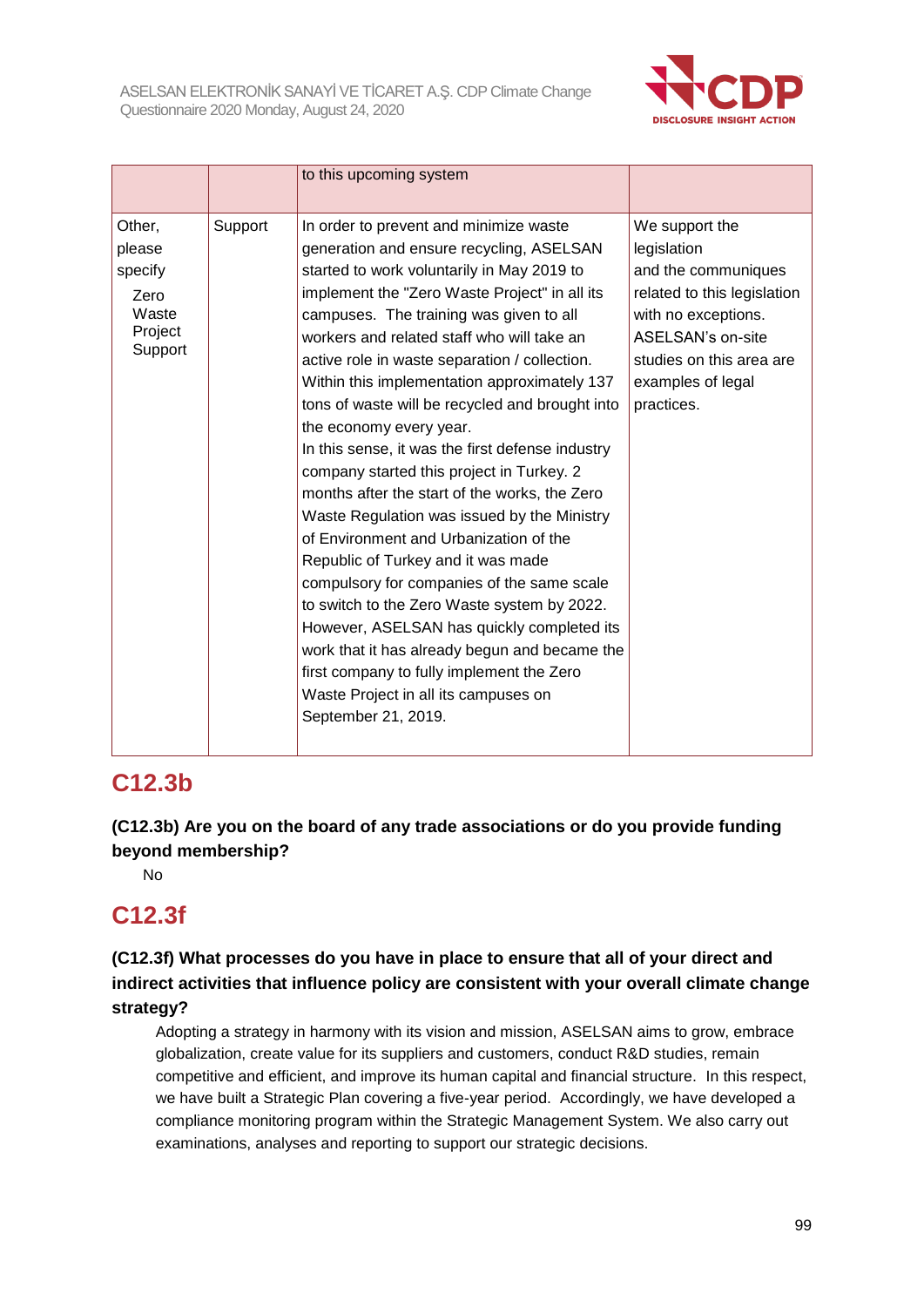

|                                                                    |         | to this upcoming system                                                                                                                                                                                                                                                                                                                                                                                                                                                                                                                                                                                                                                                                                                                                                                                                                                                                                                                                                                                                                            |                                                                                                                                                                                                |
|--------------------------------------------------------------------|---------|----------------------------------------------------------------------------------------------------------------------------------------------------------------------------------------------------------------------------------------------------------------------------------------------------------------------------------------------------------------------------------------------------------------------------------------------------------------------------------------------------------------------------------------------------------------------------------------------------------------------------------------------------------------------------------------------------------------------------------------------------------------------------------------------------------------------------------------------------------------------------------------------------------------------------------------------------------------------------------------------------------------------------------------------------|------------------------------------------------------------------------------------------------------------------------------------------------------------------------------------------------|
| Other,<br>please<br>specify<br>Zero<br>Waste<br>Project<br>Support | Support | In order to prevent and minimize waste<br>generation and ensure recycling, ASELSAN<br>started to work voluntarily in May 2019 to<br>implement the "Zero Waste Project" in all its<br>campuses. The training was given to all<br>workers and related staff who will take an<br>active role in waste separation / collection.<br>Within this implementation approximately 137<br>tons of waste will be recycled and brought into<br>the economy every year.<br>In this sense, it was the first defense industry<br>company started this project in Turkey. 2<br>months after the start of the works, the Zero<br>Waste Regulation was issued by the Ministry<br>of Environment and Urbanization of the<br>Republic of Turkey and it was made<br>compulsory for companies of the same scale<br>to switch to the Zero Waste system by 2022.<br>However, ASELSAN has quickly completed its<br>work that it has already begun and became the<br>first company to fully implement the Zero<br>Waste Project in all its campuses on<br>September 21, 2019. | We support the<br>legislation<br>and the communiques<br>related to this legislation<br>with no exceptions.<br>ASELSAN's on-site<br>studies on this area are<br>examples of legal<br>practices. |

## **C12.3b**

**(C12.3b) Are you on the board of any trade associations or do you provide funding beyond membership?**

No

## **C12.3f**

## **(C12.3f) What processes do you have in place to ensure that all of your direct and indirect activities that influence policy are consistent with your overall climate change strategy?**

Adopting a strategy in harmony with its vision and mission, ASELSAN aims to grow, embrace globalization, create value for its suppliers and customers, conduct R&D studies, remain competitive and efficient, and improve its human capital and financial structure. In this respect, we have built a Strategic Plan covering a five-year period. Accordingly, we have developed a compliance monitoring program within the Strategic Management System. We also carry out examinations, analyses and reporting to support our strategic decisions.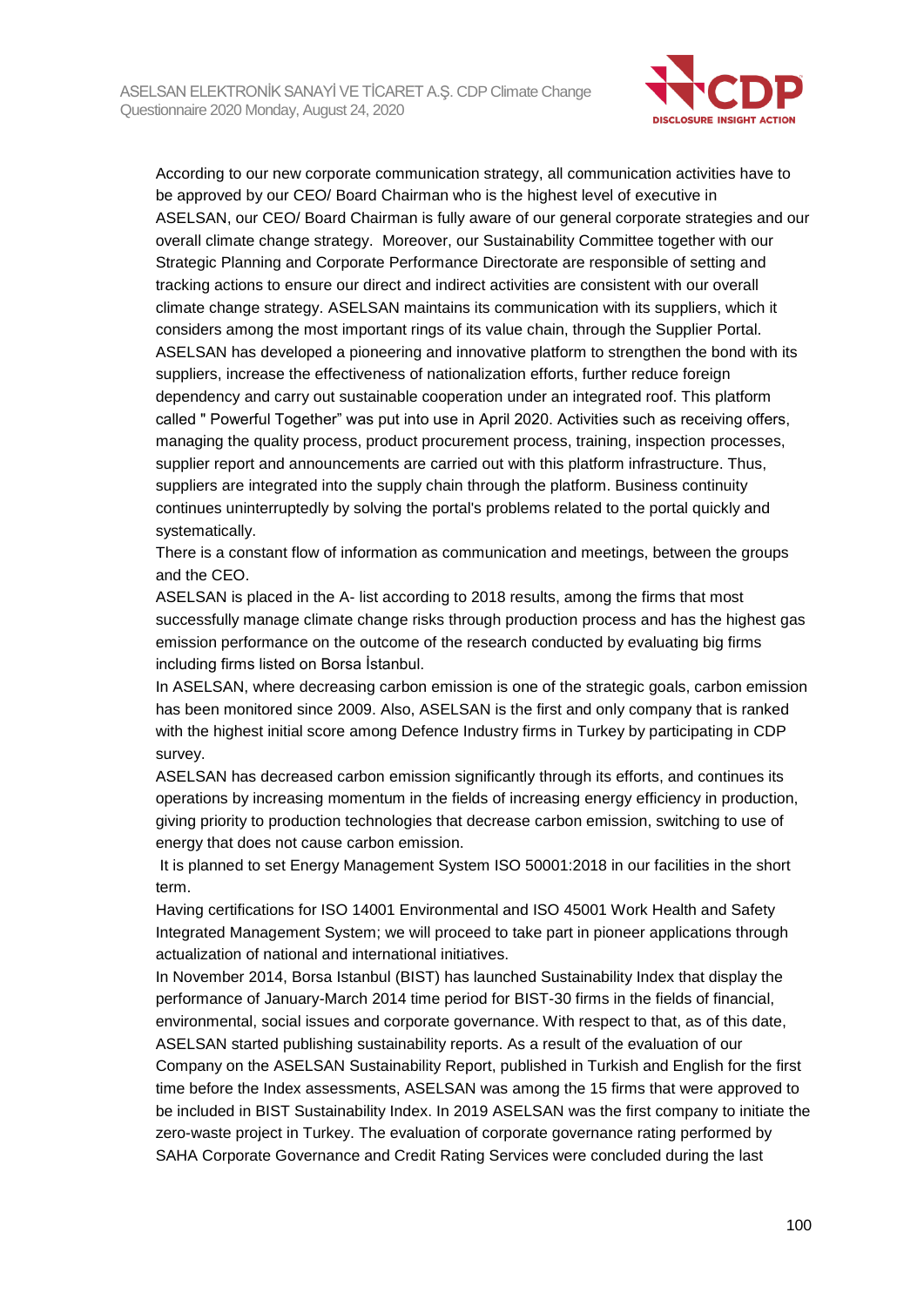

According to our new corporate communication strategy, all communication activities have to be approved by our CEO/ Board Chairman who is the highest level of executive in ASELSAN, our CEO/ Board Chairman is fully aware of our general corporate strategies and our overall climate change strategy. Moreover, our Sustainability Committee together with our Strategic Planning and Corporate Performance Directorate are responsible of setting and tracking actions to ensure our direct and indirect activities are consistent with our overall climate change strategy. ASELSAN maintains its communication with its suppliers, which it considers among the most important rings of its value chain, through the Supplier Portal. ASELSAN has developed a pioneering and innovative platform to strengthen the bond with its suppliers, increase the effectiveness of nationalization efforts, further reduce foreign dependency and carry out sustainable cooperation under an integrated roof. This platform called " Powerful Together" was put into use in April 2020. Activities such as receiving offers, managing the quality process, product procurement process, training, inspection processes, supplier report and announcements are carried out with this platform infrastructure. Thus, suppliers are integrated into the supply chain through the platform. Business continuity continues uninterruptedly by solving the portal's problems related to the portal quickly and systematically.

There is a constant flow of information as communication and meetings, between the groups and the CEO.

ASELSAN is placed in the A- list according to 2018 results, among the firms that most successfully manage climate change risks through production process and has the highest gas emission performance on the outcome of the research conducted by evaluating big firms including firms listed on Borsa İstanbul.

In ASELSAN, where decreasing carbon emission is one of the strategic goals, carbon emission has been monitored since 2009. Also, ASELSAN is the first and only company that is ranked with the highest initial score among Defence Industry firms in Turkey by participating in CDP survey.

ASELSAN has decreased carbon emission significantly through its efforts, and continues its operations by increasing momentum in the fields of increasing energy efficiency in production, giving priority to production technologies that decrease carbon emission, switching to use of energy that does not cause carbon emission.

It is planned to set Energy Management System ISO 50001:2018 in our facilities in the short term.

Having certifications for ISO 14001 Environmental and ISO 45001 Work Health and Safety Integrated Management System; we will proceed to take part in pioneer applications through actualization of national and international initiatives.

In November 2014, Borsa Istanbul (BIST) has launched Sustainability Index that display the performance of January-March 2014 time period for BIST-30 firms in the fields of financial, environmental, social issues and corporate governance. With respect to that, as of this date, ASELSAN started publishing sustainability reports. As a result of the evaluation of our Company on the ASELSAN Sustainability Report, published in Turkish and English for the first time before the Index assessments, ASELSAN was among the 15 firms that were approved to be included in BIST Sustainability Index. In 2019 ASELSAN was the first company to initiate the zero-waste project in Turkey. The evaluation of corporate governance rating performed by SAHA Corporate Governance and Credit Rating Services were concluded during the last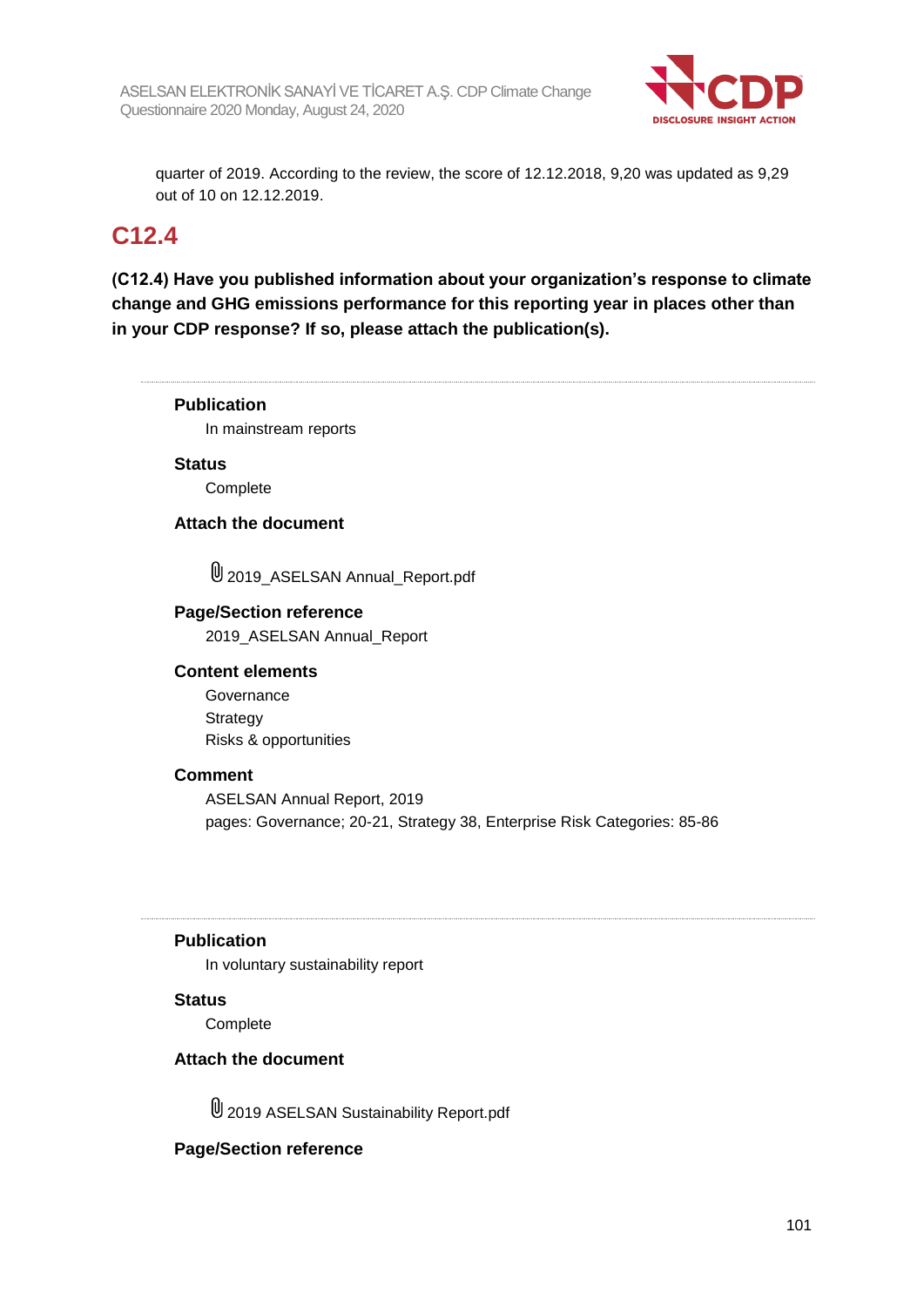

quarter of 2019. According to the review, the score of 12.12.2018, 9,20 was updated as 9,29 out of 10 on 12.12.2019.

## **C12.4**

**(C12.4) Have you published information about your organization's response to climate change and GHG emissions performance for this reporting year in places other than in your CDP response? If so, please attach the publication(s).**

**Publication** In mainstream reports **Status Complete Attach the document**  $\mathbb 0$  2019 ASELSAN Annual Report.pdf **Page/Section reference** 2019\_ASELSAN Annual\_Report **Content elements** Governance **Strategy** Risks & opportunities **Comment** ASELSAN Annual Report, 2019 pages: Governance; 20-21, Strategy 38, Enterprise Risk Categories: 85-86 **Publication** In voluntary sustainability report

#### **Status**

**Complete** 

#### **Attach the document**

2019 ASELSAN Sustainability Report.pdf

#### **Page/Section reference**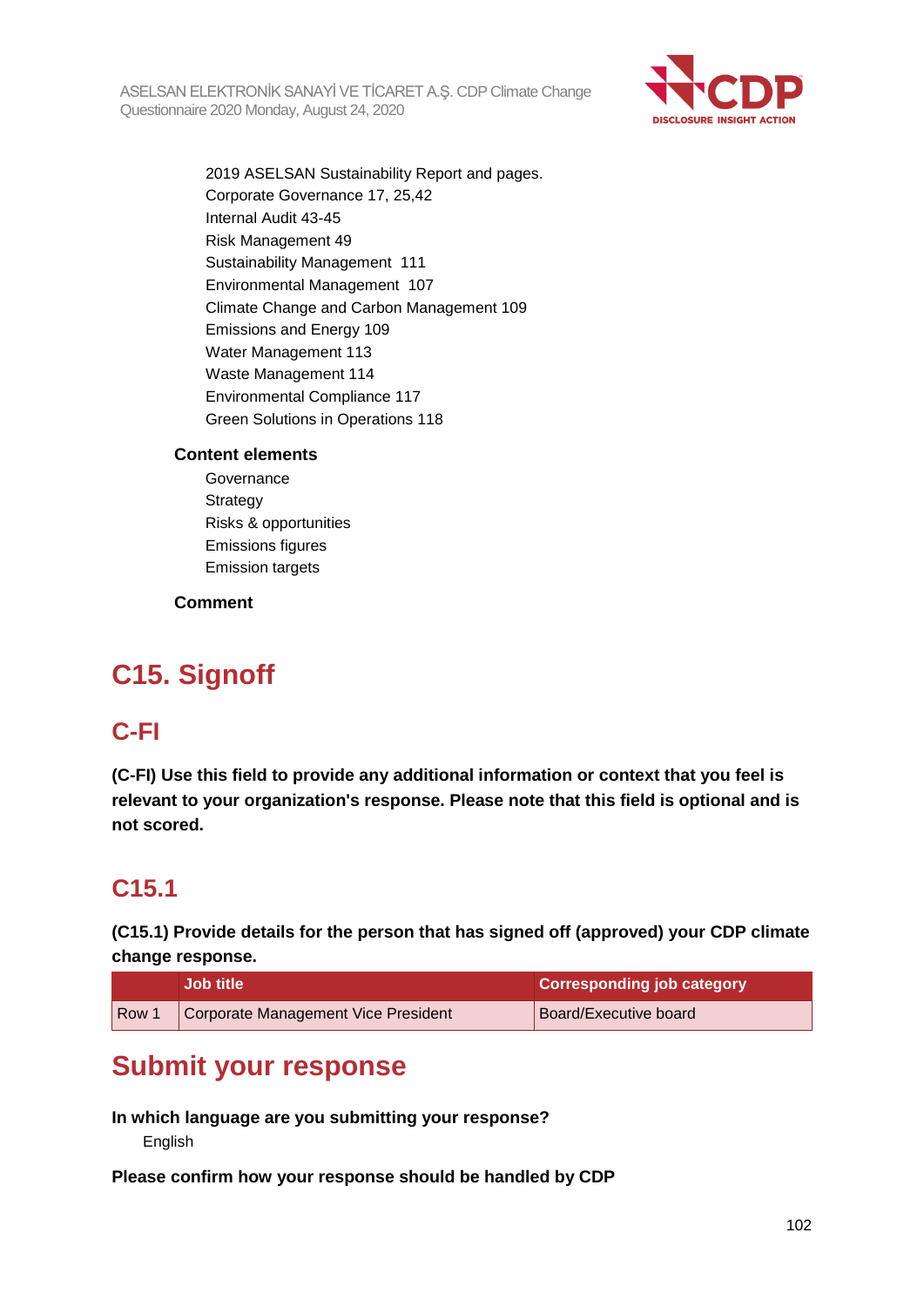

2019 ASELSAN Sustainability Report and pages. Corporate Governance 17, 25,42 Internal Audit 43-45 Risk Management 49 Sustainability Management 111 Environmental Management 107 Climate Change and Carbon Management 109 Emissions and Energy 109 Water Management 113 Waste Management 114 Environmental Compliance 117 Green Solutions in Operations 118

### **Content elements**

**Governance Strategy** Risks & opportunities Emissions figures Emission targets

### **Comment**

# **C15. Signoff**

## **C-FI**

**(C-FI) Use this field to provide any additional information or context that you feel is relevant to your organization's response. Please note that this field is optional and is not scored.**

## **C15.1**

**(C15.1) Provide details for the person that has signed off (approved) your CDP climate change response.**

|                  | <b>Job title</b>                    | Corresponding job category |
|------------------|-------------------------------------|----------------------------|
| Row <sup>1</sup> | Corporate Management Vice President | Board/Executive board      |

## **Submit your response**

**In which language are you submitting your response?**

English

**Please confirm how your response should be handled by CDP**